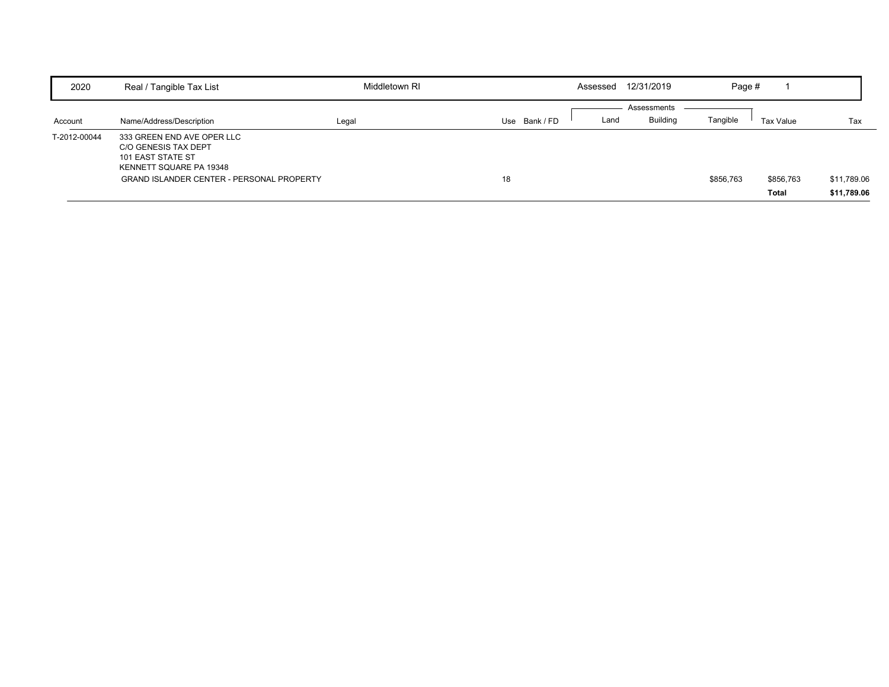| 2020         | Real / Tangible Tax List                                                                           | Middletown RI |                  | Assessed | 12/31/2019      | Page #    |           |             |
|--------------|----------------------------------------------------------------------------------------------------|---------------|------------------|----------|-----------------|-----------|-----------|-------------|
|              |                                                                                                    |               |                  |          | Assessments     |           |           |             |
| Account      | Name/Address/Description                                                                           | Legal         | Bank / FD<br>Use | Land     | <b>Building</b> | Tangible  | Tax Value | Tax         |
| T-2012-00044 | 333 GREEN END AVE OPER LLC<br>C/O GENESIS TAX DEPT<br>101 EAST STATE ST<br>KENNETT SQUARE PA 19348 |               |                  |          |                 |           |           |             |
|              | <b>GRAND ISLANDER CENTER - PERSONAL PROPERTY</b>                                                   |               | 18               |          |                 | \$856,763 | \$856,763 | \$11,789.06 |
|              |                                                                                                    |               |                  |          |                 |           | Total     | \$11,789.06 |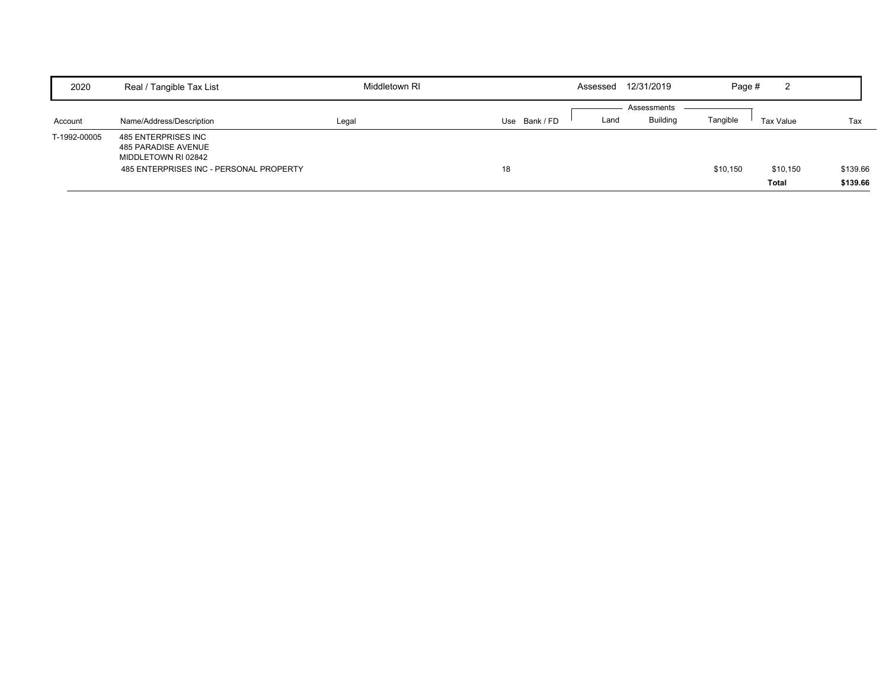| 2020         | Real / Tangible Tax List                                                                                     | Middletown RI |             | Assessed | 12/31/2019                     | Page #   | ົ<br>∠            |                      |
|--------------|--------------------------------------------------------------------------------------------------------------|---------------|-------------|----------|--------------------------------|----------|-------------------|----------------------|
| Account      | Name/Address/Description                                                                                     | Legal         | Use Bank/FD | Land     | Assessments<br><b>Building</b> | Tangible | Tax Value         | Tax                  |
| T-1992-00005 | 485 ENTERPRISES INC<br>485 PARADISE AVENUE<br>MIDDLETOWN RI 02842<br>485 ENTERPRISES INC - PERSONAL PROPERTY |               | 18          |          |                                | \$10,150 | \$10,150<br>Total | \$139.66<br>\$139.66 |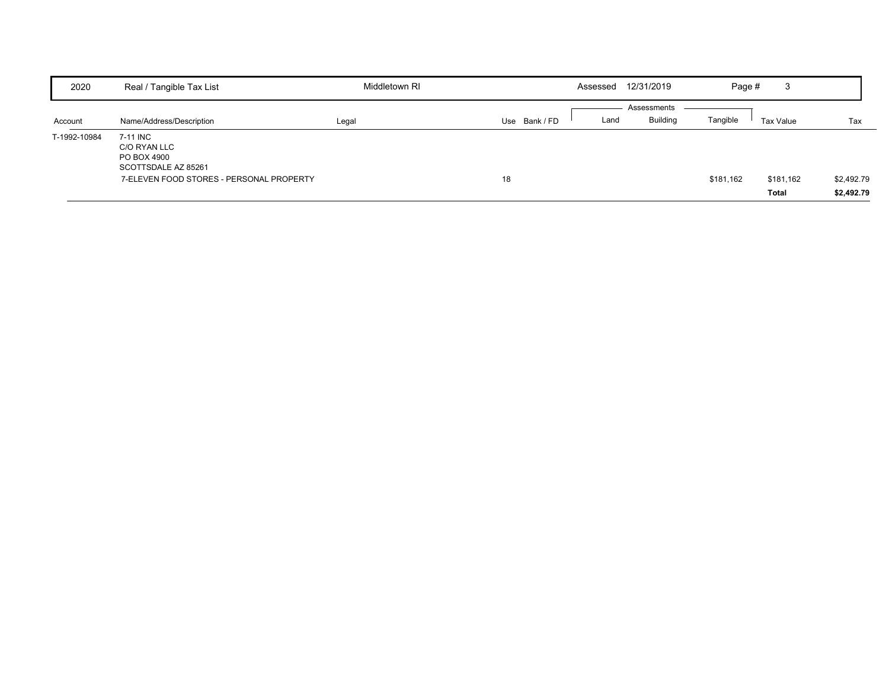| 2020         | Real / Tangible Tax List                                       | Middletown RI |             | Assessed | 12/31/2019      | Page #    | 3         |            |
|--------------|----------------------------------------------------------------|---------------|-------------|----------|-----------------|-----------|-----------|------------|
|              |                                                                |               |             |          | Assessments     |           |           |            |
| Account      | Name/Address/Description                                       | Legal         | Use Bank/FD | Land     | <b>Building</b> | Tangible  | Tax Value | Tax        |
| T-1992-10984 | 7-11 INC<br>C/O RYAN LLC<br>PO BOX 4900<br>SCOTTSDALE AZ 85261 |               |             |          |                 |           |           |            |
|              | 7-ELEVEN FOOD STORES - PERSONAL PROPERTY                       |               | 18          |          |                 | \$181,162 | \$181,162 | \$2,492.79 |
|              |                                                                |               |             |          |                 |           | Total     | \$2,492.79 |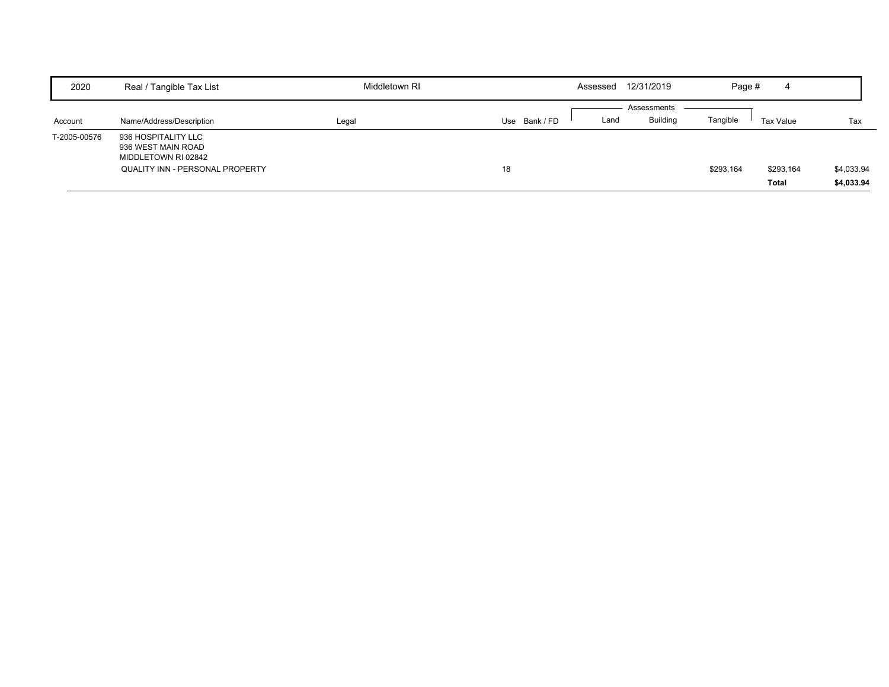| 2020         | Real / Tangible Tax List                                                                            | Middletown RI |             | Assessed | 12/31/2019      | Page #    | 4         |            |
|--------------|-----------------------------------------------------------------------------------------------------|---------------|-------------|----------|-----------------|-----------|-----------|------------|
|              |                                                                                                     |               |             |          | Assessments     |           |           |            |
| Account      | Name/Address/Description                                                                            | Legal         | Use Bank/FD | Land     | <b>Building</b> | Tangible  | Tax Value | Tax        |
| T-2005-00576 | 936 HOSPITALITY LLC<br>936 WEST MAIN ROAD<br>MIDDLETOWN RI 02842<br>QUALITY INN - PERSONAL PROPERTY |               | 18          |          |                 | \$293,164 | \$293,164 | \$4,033.94 |
|              |                                                                                                     |               |             |          |                 |           | Total     | \$4,033.94 |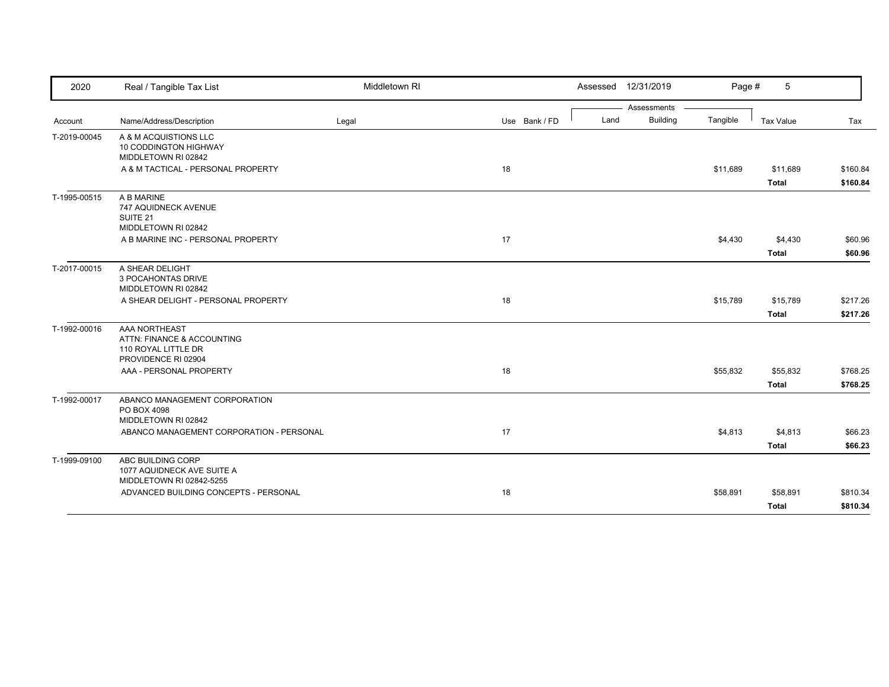| 2020         | Real / Tangible Tax List                                                         | Middletown RI |               |      | Assessed 12/31/2019 | Page #   | 5                |          |
|--------------|----------------------------------------------------------------------------------|---------------|---------------|------|---------------------|----------|------------------|----------|
|              |                                                                                  |               |               |      | Assessments         |          |                  |          |
| Account      | Name/Address/Description                                                         | Legal         | Use Bank / FD | Land | <b>Building</b>     | Tangible | <b>Tax Value</b> | Tax      |
| T-2019-00045 | A & M ACQUISTIONS LLC<br>10 CODDINGTON HIGHWAY<br>MIDDLETOWN RI 02842            |               |               |      |                     |          |                  |          |
|              | A & M TACTICAL - PERSONAL PROPERTY                                               |               | 18            |      |                     | \$11,689 | \$11,689         | \$160.84 |
|              |                                                                                  |               |               |      |                     |          | <b>Total</b>     | \$160.84 |
| T-1995-00515 | A B MARINE<br>747 AQUIDNECK AVENUE<br>SUITE <sub>21</sub><br>MIDDLETOWN RI 02842 |               |               |      |                     |          |                  |          |
|              | A B MARINE INC - PERSONAL PROPERTY                                               |               | 17            |      |                     | \$4,430  | \$4,430          | \$60.96  |
|              |                                                                                  |               |               |      |                     |          | Total            | \$60.96  |
| T-2017-00015 | A SHEAR DELIGHT                                                                  |               |               |      |                     |          |                  |          |
|              | 3 POCAHONTAS DRIVE                                                               |               |               |      |                     |          |                  |          |
|              | MIDDLETOWN RI 02842                                                              |               |               |      |                     |          |                  |          |
|              | A SHEAR DELIGHT - PERSONAL PROPERTY                                              |               | 18            |      |                     | \$15,789 | \$15,789         | \$217.26 |
|              |                                                                                  |               |               |      |                     |          | <b>Total</b>     | \$217.26 |
| T-1992-00016 | AAA NORTHEAST                                                                    |               |               |      |                     |          |                  |          |
|              | ATTN: FINANCE & ACCOUNTING<br>110 ROYAL LITTLE DR<br>PROVIDENCE RI 02904         |               |               |      |                     |          |                  |          |
|              | AAA - PERSONAL PROPERTY                                                          |               | 18            |      |                     | \$55,832 | \$55,832         | \$768.25 |
|              |                                                                                  |               |               |      |                     |          | <b>Total</b>     | \$768.25 |
| T-1992-00017 | ABANCO MANAGEMENT CORPORATION<br>PO BOX 4098                                     |               |               |      |                     |          |                  |          |
|              | MIDDLETOWN RI 02842                                                              |               |               |      |                     |          |                  |          |
|              | ABANCO MANAGEMENT CORPORATION - PERSONAL                                         |               | 17            |      |                     | \$4,813  | \$4,813          | \$66.23  |
|              |                                                                                  |               |               |      |                     |          | <b>Total</b>     | \$66.23  |
| T-1999-09100 | ABC BUILDING CORP<br>1077 AQUIDNECK AVE SUITE A<br>MIDDLETOWN RI 02842-5255      |               |               |      |                     |          |                  |          |
|              | ADVANCED BUILDING CONCEPTS - PERSONAL                                            |               | 18            |      |                     | \$58,891 | \$58,891         | \$810.34 |
|              |                                                                                  |               |               |      |                     |          | <b>Total</b>     | \$810.34 |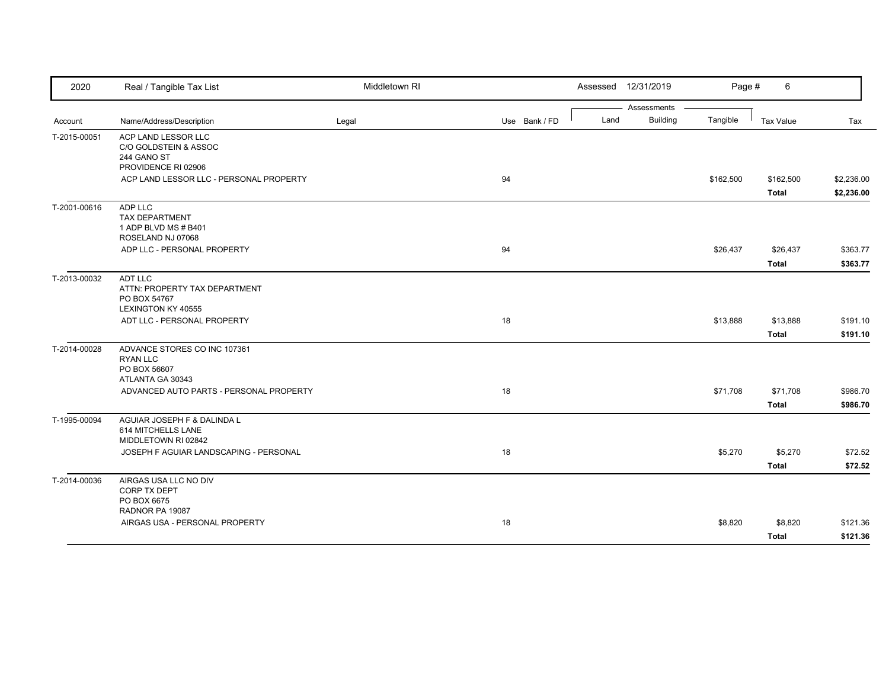| 2020         | Real / Tangible Tax List                                                            | Middletown RI |               | Assessed | 12/31/2019      | Page #    | 6            |            |
|--------------|-------------------------------------------------------------------------------------|---------------|---------------|----------|-----------------|-----------|--------------|------------|
|              |                                                                                     |               |               |          | Assessments     |           |              |            |
| Account      | Name/Address/Description                                                            | Legal         | Use Bank / FD | Land     | <b>Building</b> | Tangible  | Tax Value    | Tax        |
| T-2015-00051 | ACP LAND LESSOR LLC<br>C/O GOLDSTEIN & ASSOC<br>244 GANO ST<br>PROVIDENCE RI 02906  |               |               |          |                 |           |              |            |
|              | ACP LAND LESSOR LLC - PERSONAL PROPERTY                                             |               | 94            |          |                 | \$162,500 | \$162,500    | \$2,236.00 |
|              |                                                                                     |               |               |          |                 |           | Total        | \$2,236.00 |
| T-2001-00616 | ADP LLC<br><b>TAX DEPARTMENT</b><br>1 ADP BLVD MS # B401<br>ROSELAND NJ 07068       |               |               |          |                 |           |              |            |
|              | ADP LLC - PERSONAL PROPERTY                                                         |               | 94            |          |                 | \$26,437  | \$26,437     | \$363.77   |
|              |                                                                                     |               |               |          |                 |           | Total        | \$363.77   |
| T-2013-00032 | ADT LLC<br>ATTN: PROPERTY TAX DEPARTMENT<br>PO BOX 54767<br>LEXINGTON KY 40555      |               |               |          |                 |           |              |            |
|              | ADT LLC - PERSONAL PROPERTY                                                         |               | 18            |          |                 | \$13,888  | \$13,888     | \$191.10   |
|              |                                                                                     |               |               |          |                 |           | Total        | \$191.10   |
| T-2014-00028 | ADVANCE STORES CO INC 107361<br><b>RYAN LLC</b><br>PO BOX 56607<br>ATLANTA GA 30343 |               |               |          |                 |           |              |            |
|              | ADVANCED AUTO PARTS - PERSONAL PROPERTY                                             |               | 18            |          |                 | \$71,708  | \$71,708     | \$986.70   |
|              |                                                                                     |               |               |          |                 |           | Total        | \$986.70   |
| T-1995-00094 | AGUIAR JOSEPH F & DALINDA L<br>614 MITCHELLS LANE<br>MIDDLETOWN RI 02842            |               |               |          |                 |           |              |            |
|              | JOSEPH F AGUIAR LANDSCAPING - PERSONAL                                              |               | 18            |          |                 | \$5,270   | \$5,270      | \$72.52    |
|              |                                                                                     |               |               |          |                 |           | <b>Total</b> | \$72.52    |
| T-2014-00036 | AIRGAS USA LLC NO DIV<br>CORP TX DEPT<br>PO BOX 6675<br>RADNOR PA 19087             |               |               |          |                 |           |              |            |
|              | AIRGAS USA - PERSONAL PROPERTY                                                      |               | 18            |          |                 | \$8,820   | \$8,820      | \$121.36   |
|              |                                                                                     |               |               |          |                 |           | <b>Total</b> | \$121.36   |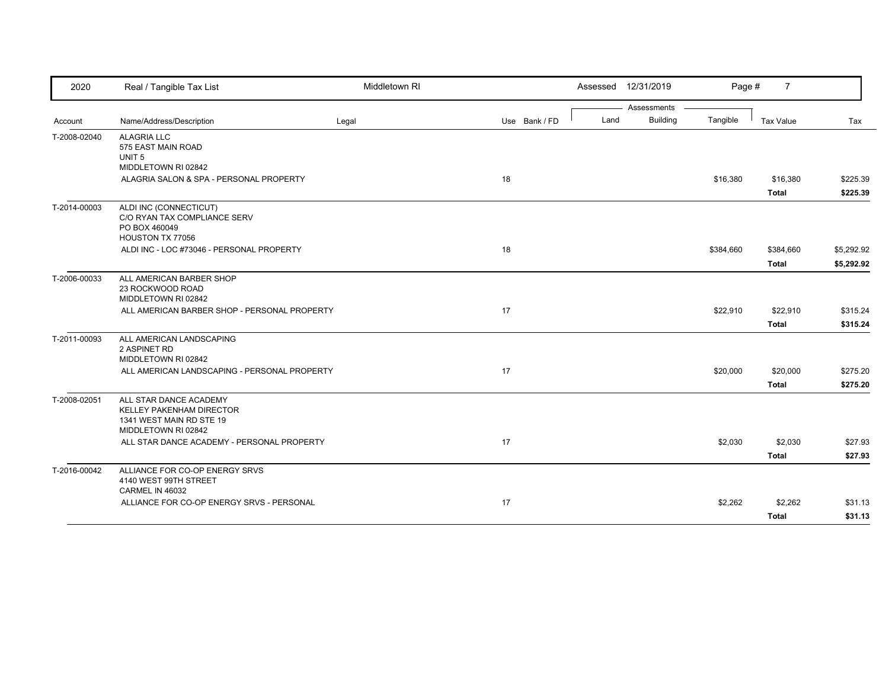| 2020         | Real / Tangible Tax List                                                                                     | Middletown RI |               |      | Assessed 12/31/2019 | Page #    | $\overline{7}$   |            |
|--------------|--------------------------------------------------------------------------------------------------------------|---------------|---------------|------|---------------------|-----------|------------------|------------|
|              |                                                                                                              |               |               |      | Assessments         |           |                  |            |
| Account      | Name/Address/Description                                                                                     | Legal         | Use Bank / FD | Land | <b>Building</b>     | Tangible  | <b>Tax Value</b> | Tax        |
| T-2008-02040 | <b>ALAGRIA LLC</b><br>575 EAST MAIN ROAD<br>UNIT <sub>5</sub><br>MIDDLETOWN RI 02842                         |               |               |      |                     |           |                  |            |
|              | ALAGRIA SALON & SPA - PERSONAL PROPERTY                                                                      |               | 18            |      |                     | \$16,380  | \$16,380         | \$225.39   |
|              |                                                                                                              |               |               |      |                     |           | <b>Total</b>     | \$225.39   |
| T-2014-00003 | ALDI INC (CONNECTICUT)<br>C/O RYAN TAX COMPLIANCE SERV<br>PO BOX 460049<br>HOUSTON TX 77056                  |               |               |      |                     |           |                  |            |
|              | ALDI INC - LOC #73046 - PERSONAL PROPERTY                                                                    |               | 18            |      |                     | \$384,660 | \$384,660        | \$5,292.92 |
|              |                                                                                                              |               |               |      |                     |           | <b>Total</b>     | \$5,292.92 |
| T-2006-00033 | ALL AMERICAN BARBER SHOP<br>23 ROCKWOOD ROAD<br>MIDDLETOWN RI 02842                                          |               |               |      |                     |           |                  |            |
|              | ALL AMERICAN BARBER SHOP - PERSONAL PROPERTY                                                                 |               | 17            |      |                     | \$22,910  | \$22,910         | \$315.24   |
|              |                                                                                                              |               |               |      |                     |           | <b>Total</b>     | \$315.24   |
| T-2011-00093 | ALL AMERICAN LANDSCAPING<br>2 ASPINET RD<br>MIDDLETOWN RI 02842                                              |               |               |      |                     |           |                  |            |
|              | ALL AMERICAN LANDSCAPING - PERSONAL PROPERTY                                                                 |               | 17            |      |                     | \$20,000  | \$20,000         | \$275.20   |
|              |                                                                                                              |               |               |      |                     |           | <b>Total</b>     | \$275.20   |
| T-2008-02051 | ALL STAR DANCE ACADEMY<br><b>KELLEY PAKENHAM DIRECTOR</b><br>1341 WEST MAIN RD STE 19<br>MIDDLETOWN RI 02842 |               |               |      |                     |           |                  |            |
|              | ALL STAR DANCE ACADEMY - PERSONAL PROPERTY                                                                   |               | 17            |      |                     | \$2,030   | \$2,030          | \$27.93    |
|              |                                                                                                              |               |               |      |                     |           | <b>Total</b>     | \$27.93    |
| T-2016-00042 | ALLIANCE FOR CO-OP ENERGY SRVS<br>4140 WEST 99TH STREET<br>CARMEL IN 46032                                   |               |               |      |                     |           |                  |            |
|              | ALLIANCE FOR CO-OP ENERGY SRVS - PERSONAL                                                                    |               | 17            |      |                     | \$2,262   | \$2,262          | \$31.13    |
|              |                                                                                                              |               |               |      |                     |           | <b>Total</b>     | \$31.13    |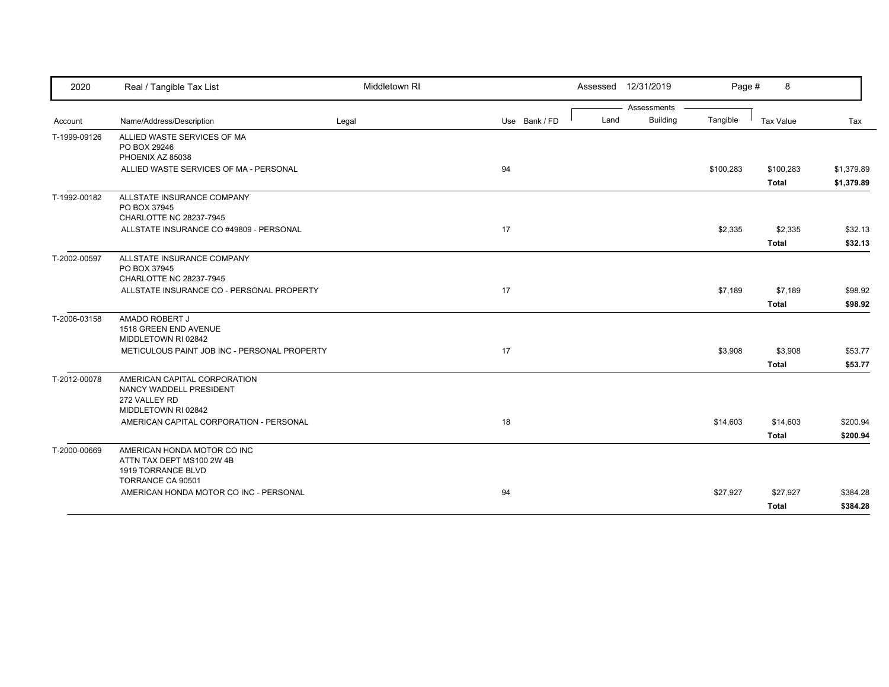| 2020         | Real / Tangible Tax List                                                                            | Middletown RI |               |      | Assessed 12/31/2019 | Page #    | 8                         |                          |
|--------------|-----------------------------------------------------------------------------------------------------|---------------|---------------|------|---------------------|-----------|---------------------------|--------------------------|
|              |                                                                                                     |               |               |      | Assessments         |           |                           |                          |
| Account      | Name/Address/Description                                                                            | Legal         | Use Bank / FD | Land | <b>Building</b>     | Tangible  | <b>Tax Value</b>          | Tax                      |
| T-1999-09126 | ALLIED WASTE SERVICES OF MA<br>PO BOX 29246<br>PHOENIX AZ 85038                                     |               |               |      |                     |           |                           |                          |
|              | ALLIED WASTE SERVICES OF MA - PERSONAL                                                              |               | 94            |      |                     | \$100,283 | \$100,283<br><b>Total</b> | \$1,379.89<br>\$1,379.89 |
| T-1992-00182 | ALLSTATE INSURANCE COMPANY<br>PO BOX 37945<br>CHARLOTTE NC 28237-7945                               |               |               |      |                     |           |                           |                          |
|              | ALLSTATE INSURANCE CO #49809 - PERSONAL                                                             |               | 17            |      |                     | \$2,335   | \$2,335                   | \$32.13                  |
|              |                                                                                                     |               |               |      |                     |           | <b>Total</b>              | \$32.13                  |
| T-2002-00597 | ALLSTATE INSURANCE COMPANY<br>PO BOX 37945<br>CHARLOTTE NC 28237-7945                               |               |               |      |                     |           |                           |                          |
|              | ALLSTATE INSURANCE CO - PERSONAL PROPERTY                                                           |               | 17            |      |                     | \$7,189   | \$7,189                   | \$98.92                  |
|              |                                                                                                     |               |               |      |                     |           | <b>Total</b>              | \$98.92                  |
| T-2006-03158 | AMADO ROBERT J<br>1518 GREEN END AVENUE<br>MIDDLETOWN RI 02842                                      |               |               |      |                     |           |                           |                          |
|              | METICULOUS PAINT JOB INC - PERSONAL PROPERTY                                                        |               | 17            |      |                     | \$3,908   | \$3,908                   | \$53.77                  |
|              |                                                                                                     |               |               |      |                     |           | <b>Total</b>              | \$53.77                  |
| T-2012-00078 | AMERICAN CAPITAL CORPORATION<br>NANCY WADDELL PRESIDENT<br>272 VALLEY RD<br>MIDDLETOWN RI 02842     |               |               |      |                     |           |                           |                          |
|              | AMERICAN CAPITAL CORPORATION - PERSONAL                                                             |               | 18            |      |                     | \$14,603  | \$14,603                  | \$200.94                 |
|              |                                                                                                     |               |               |      |                     |           | <b>Total</b>              | \$200.94                 |
| T-2000-00669 | AMERICAN HONDA MOTOR CO INC<br>ATTN TAX DEPT MS100 2W 4B<br>1919 TORRANCE BLVD<br>TORRANCE CA 90501 |               |               |      |                     |           |                           |                          |
|              | AMERICAN HONDA MOTOR CO INC - PERSONAL                                                              |               | 94            |      |                     | \$27,927  | \$27,927                  | \$384.28                 |
|              |                                                                                                     |               |               |      |                     |           | <b>Total</b>              | \$384.28                 |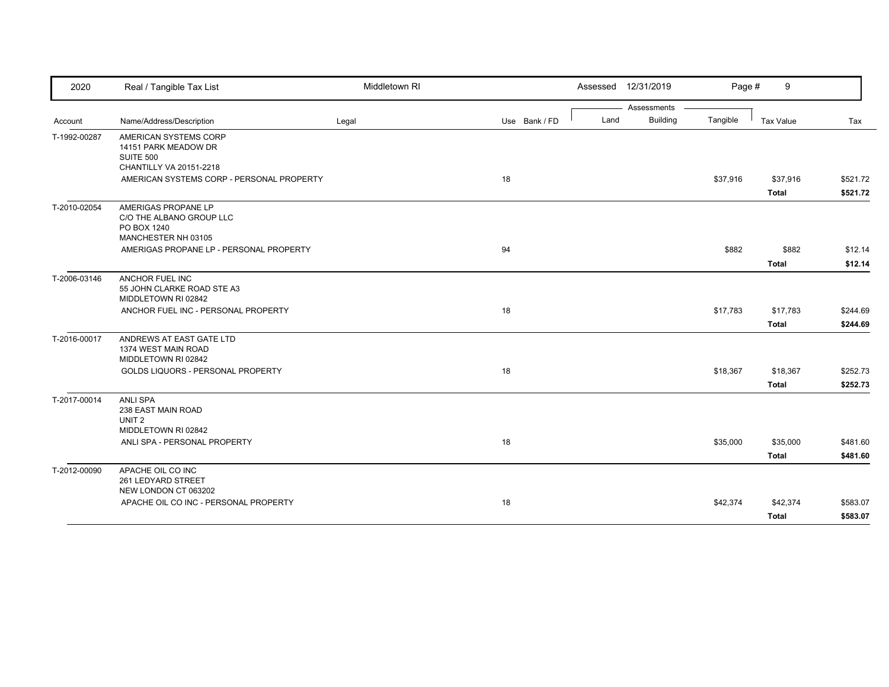| 2020         | Real / Tangible Tax List                                                                     | Middletown RI |               |      | Assessed 12/31/2019 | Page #   | 9                |          |
|--------------|----------------------------------------------------------------------------------------------|---------------|---------------|------|---------------------|----------|------------------|----------|
|              |                                                                                              |               |               |      | Assessments         |          |                  |          |
| Account      | Name/Address/Description                                                                     | Legal         | Use Bank / FD | Land | <b>Building</b>     | Tangible | <b>Tax Value</b> | Tax      |
| T-1992-00287 | AMERICAN SYSTEMS CORP<br>14151 PARK MEADOW DR<br><b>SUITE 500</b><br>CHANTILLY VA 20151-2218 |               |               |      |                     |          |                  |          |
|              | AMERICAN SYSTEMS CORP - PERSONAL PROPERTY                                                    |               | 18            |      |                     | \$37,916 | \$37,916         | \$521.72 |
|              |                                                                                              |               |               |      |                     |          | <b>Total</b>     | \$521.72 |
| T-2010-02054 | AMERIGAS PROPANE LP<br>C/O THE ALBANO GROUP LLC<br>PO BOX 1240<br>MANCHESTER NH 03105        |               |               |      |                     |          |                  |          |
|              | AMERIGAS PROPANE LP - PERSONAL PROPERTY                                                      |               | 94            |      |                     | \$882    | \$882            | \$12.14  |
|              |                                                                                              |               |               |      |                     |          | <b>Total</b>     | \$12.14  |
| T-2006-03146 | ANCHOR FUEL INC<br>55 JOHN CLARKE ROAD STE A3<br>MIDDLETOWN RI 02842                         |               |               |      |                     |          |                  |          |
|              | ANCHOR FUEL INC - PERSONAL PROPERTY                                                          |               | 18            |      |                     | \$17,783 | \$17,783         | \$244.69 |
|              |                                                                                              |               |               |      |                     |          | <b>Total</b>     | \$244.69 |
| T-2016-00017 | ANDREWS AT EAST GATE LTD<br>1374 WEST MAIN ROAD<br>MIDDLETOWN RI 02842                       |               |               |      |                     |          |                  |          |
|              | GOLDS LIQUORS - PERSONAL PROPERTY                                                            |               | 18            |      |                     | \$18,367 | \$18,367         | \$252.73 |
|              |                                                                                              |               |               |      |                     |          | <b>Total</b>     | \$252.73 |
| T-2017-00014 | <b>ANLI SPA</b><br>238 EAST MAIN ROAD<br>UNIT <sub>2</sub><br>MIDDLETOWN RI 02842            |               |               |      |                     |          |                  |          |
|              | ANLI SPA - PERSONAL PROPERTY                                                                 |               | 18            |      |                     | \$35,000 | \$35,000         | \$481.60 |
|              |                                                                                              |               |               |      |                     |          | <b>Total</b>     | \$481.60 |
| T-2012-00090 | APACHE OIL CO INC<br>261 LEDYARD STREET<br>NEW LONDON CT 063202                              |               |               |      |                     |          |                  |          |
|              | APACHE OIL CO INC - PERSONAL PROPERTY                                                        |               | 18            |      |                     | \$42,374 | \$42,374         | \$583.07 |
|              |                                                                                              |               |               |      |                     |          | <b>Total</b>     | \$583.07 |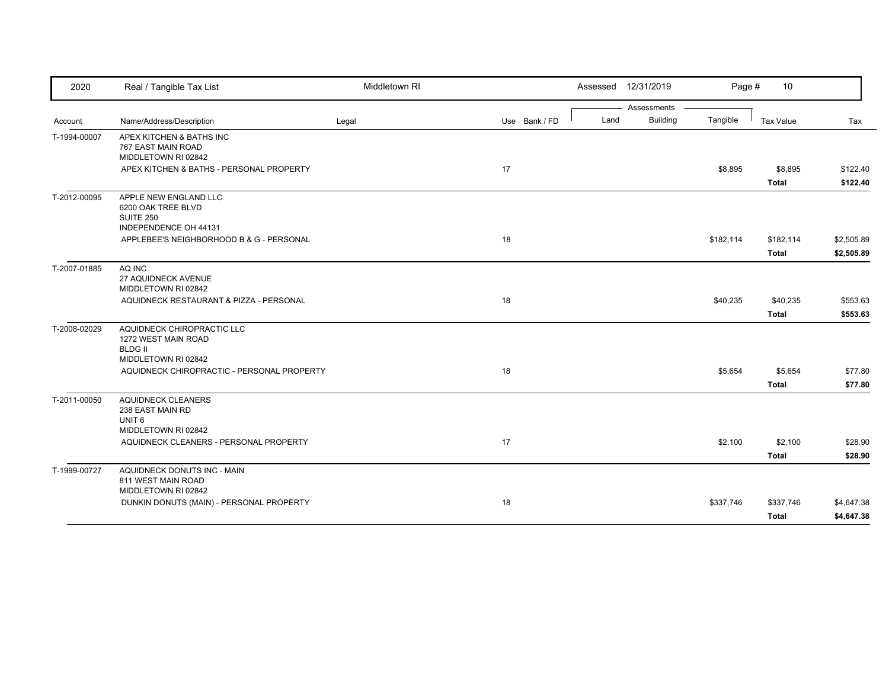| 2020         | Real / Tangible Tax List                                                                   | Middletown RI |               |      | Assessed 12/31/2019 | Page #    | 10           |            |
|--------------|--------------------------------------------------------------------------------------------|---------------|---------------|------|---------------------|-----------|--------------|------------|
|              |                                                                                            |               |               |      | Assessments         |           |              |            |
| Account      | Name/Address/Description                                                                   | Legal         | Use Bank / FD | Land | <b>Building</b>     | Tangible  | Tax Value    | Tax        |
| T-1994-00007 | APEX KITCHEN & BATHS INC<br>767 EAST MAIN ROAD<br>MIDDLETOWN RI 02842                      |               |               |      |                     |           |              |            |
|              | APEX KITCHEN & BATHS - PERSONAL PROPERTY                                                   |               | 17            |      |                     | \$8,895   | \$8,895      | \$122.40   |
|              |                                                                                            |               |               |      |                     |           | <b>Total</b> | \$122.40   |
| T-2012-00095 | APPLE NEW ENGLAND LLC<br>6200 OAK TREE BLVD<br><b>SUITE 250</b><br>INDEPENDENCE OH 44131   |               |               |      |                     |           |              |            |
|              | APPLEBEE'S NEIGHBORHOOD B & G - PERSONAL                                                   |               | 18            |      |                     | \$182,114 | \$182,114    | \$2,505.89 |
|              |                                                                                            |               |               |      |                     |           | <b>Total</b> | \$2,505.89 |
| T-2007-01885 | AQ INC<br>27 AQUIDNECK AVENUE<br>MIDDLETOWN RI 02842                                       |               |               |      |                     |           |              |            |
|              | AQUIDNECK RESTAURANT & PIZZA - PERSONAL                                                    |               | 18            |      |                     | \$40,235  | \$40,235     | \$553.63   |
|              |                                                                                            |               |               |      |                     |           | <b>Total</b> | \$553.63   |
| T-2008-02029 | AQUIDNECK CHIROPRACTIC LLC<br>1272 WEST MAIN ROAD<br><b>BLDG II</b><br>MIDDLETOWN RI 02842 |               |               |      |                     |           |              |            |
|              | AQUIDNECK CHIROPRACTIC - PERSONAL PROPERTY                                                 |               | 18            |      |                     | \$5,654   | \$5,654      | \$77.80    |
|              |                                                                                            |               |               |      |                     |           | <b>Total</b> | \$77.80    |
| T-2011-00050 | <b>AQUIDNECK CLEANERS</b><br>238 EAST MAIN RD<br>UNIT <sub>6</sub><br>MIDDLETOWN RI 02842  |               |               |      |                     |           |              |            |
|              | AQUIDNECK CLEANERS - PERSONAL PROPERTY                                                     |               | 17            |      |                     | \$2,100   | \$2,100      | \$28.90    |
|              |                                                                                            |               |               |      |                     |           | <b>Total</b> | \$28.90    |
| T-1999-00727 | AQUIDNECK DONUTS INC - MAIN<br>811 WEST MAIN ROAD<br>MIDDLETOWN RI 02842                   |               |               |      |                     |           |              |            |
|              | DUNKIN DONUTS (MAIN) - PERSONAL PROPERTY                                                   |               | 18            |      |                     | \$337,746 | \$337,746    | \$4,647.38 |
|              |                                                                                            |               |               |      |                     |           | <b>Total</b> | \$4,647.38 |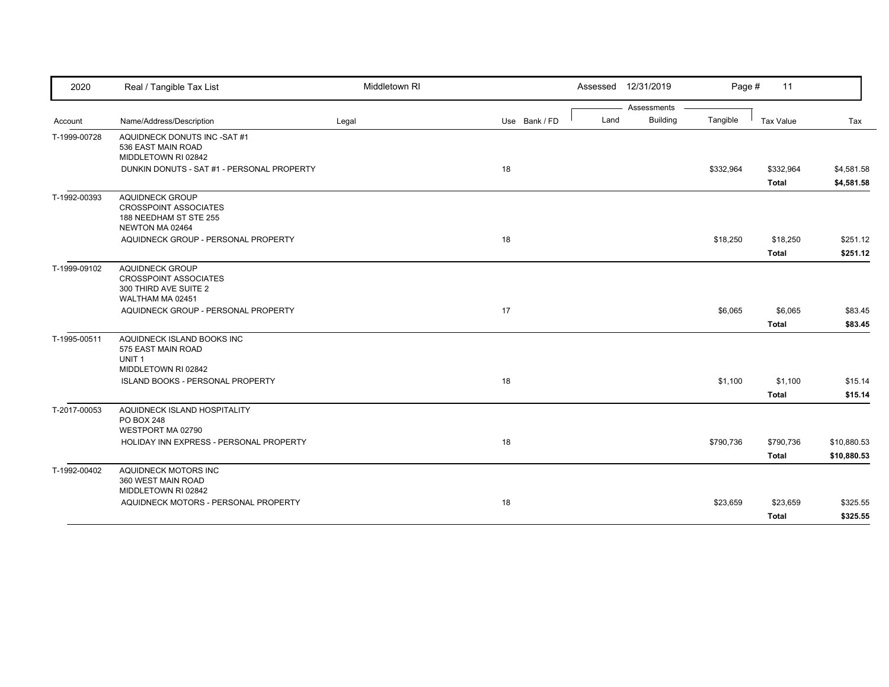| 2020         | Real / Tangible Tax List                                                                            | Middletown RI |               | Assessed 12/31/2019     | Page #    | 11           |             |
|--------------|-----------------------------------------------------------------------------------------------------|---------------|---------------|-------------------------|-----------|--------------|-------------|
|              |                                                                                                     |               |               | Assessments             |           |              |             |
| Account      | Name/Address/Description                                                                            | Legal         | Use Bank / FD | <b>Building</b><br>Land | Tangible  | Tax Value    | Tax         |
| T-1999-00728 | AQUIDNECK DONUTS INC -SAT #1<br>536 EAST MAIN ROAD<br>MIDDLETOWN RI 02842                           |               |               |                         |           |              |             |
|              | DUNKIN DONUTS - SAT #1 - PERSONAL PROPERTY                                                          |               | 18            |                         | \$332,964 | \$332,964    | \$4,581.58  |
|              |                                                                                                     |               |               |                         |           | <b>Total</b> | \$4,581.58  |
| T-1992-00393 | <b>AQUIDNECK GROUP</b><br><b>CROSSPOINT ASSOCIATES</b><br>188 NEEDHAM ST STE 255<br>NEWTON MA 02464 |               |               |                         |           |              |             |
|              | AQUIDNECK GROUP - PERSONAL PROPERTY                                                                 |               | 18            |                         | \$18,250  | \$18,250     | \$251.12    |
|              |                                                                                                     |               |               |                         |           | <b>Total</b> | \$251.12    |
| T-1999-09102 | <b>AQUIDNECK GROUP</b><br><b>CROSSPOINT ASSOCIATES</b><br>300 THIRD AVE SUITE 2<br>WALTHAM MA 02451 |               |               |                         |           |              |             |
|              | AQUIDNECK GROUP - PERSONAL PROPERTY                                                                 |               | 17            |                         | \$6,065   | \$6,065      | \$83.45     |
|              |                                                                                                     |               |               |                         |           | <b>Total</b> | \$83.45     |
| T-1995-00511 | AQUIDNECK ISLAND BOOKS INC<br>575 EAST MAIN ROAD<br>UNIT <sub>1</sub>                               |               |               |                         |           |              |             |
|              | MIDDLETOWN RI 02842<br>ISLAND BOOKS - PERSONAL PROPERTY                                             |               | 18            |                         | \$1,100   | \$1,100      | \$15.14     |
|              |                                                                                                     |               |               |                         |           | <b>Total</b> | \$15.14     |
| T-2017-00053 | AQUIDNECK ISLAND HOSPITALITY<br>PO BOX 248<br>WESTPORT MA 02790                                     |               |               |                         |           |              |             |
|              | HOLIDAY INN EXPRESS - PERSONAL PROPERTY                                                             |               | 18            |                         | \$790,736 | \$790,736    | \$10,880.53 |
|              |                                                                                                     |               |               |                         |           | <b>Total</b> | \$10,880.53 |
| T-1992-00402 | AQUIDNECK MOTORS INC<br>360 WEST MAIN ROAD<br>MIDDLETOWN RI 02842                                   |               |               |                         |           |              |             |
|              | AQUIDNECK MOTORS - PERSONAL PROPERTY                                                                |               | 18            |                         | \$23,659  | \$23,659     | \$325.55    |
|              |                                                                                                     |               |               |                         |           | <b>Total</b> | \$325.55    |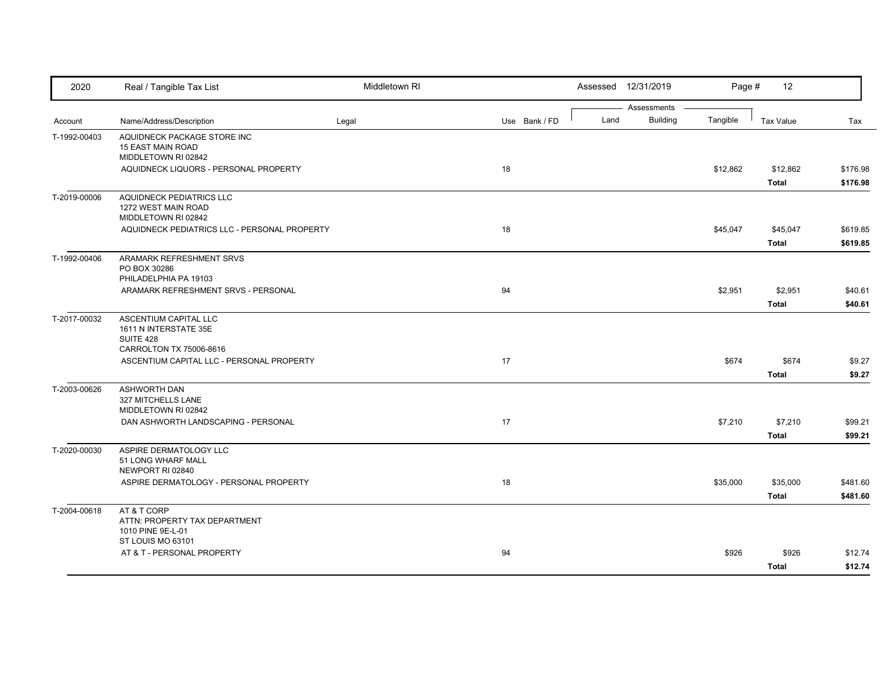| 2020         | Real / Tangible Tax List                                                               | Middletown RI |               |      | Assessed 12/31/2019            | Page #   | 12                       |                      |
|--------------|----------------------------------------------------------------------------------------|---------------|---------------|------|--------------------------------|----------|--------------------------|----------------------|
| Account      | Name/Address/Description                                                               | Legal         | Use Bank / FD | Land | Assessments<br><b>Building</b> | Tangible | <b>Tax Value</b>         | Tax                  |
| T-1992-00403 | AQUIDNECK PACKAGE STORE INC<br><b>15 EAST MAIN ROAD</b><br>MIDDLETOWN RI 02842         |               |               |      |                                |          |                          |                      |
|              | AQUIDNECK LIQUORS - PERSONAL PROPERTY                                                  |               | 18            |      |                                | \$12,862 | \$12,862<br><b>Total</b> | \$176.98<br>\$176.98 |
| T-2019-00006 | AQUIDNECK PEDIATRICS LLC<br>1272 WEST MAIN ROAD<br>MIDDLETOWN RI 02842                 |               |               |      |                                |          |                          |                      |
|              | AQUIDNECK PEDIATRICS LLC - PERSONAL PROPERTY                                           |               | 18            |      |                                | \$45,047 | \$45,047<br><b>Total</b> | \$619.85<br>\$619.85 |
| T-1992-00406 | ARAMARK REFRESHMENT SRVS<br>PO BOX 30286<br>PHILADELPHIA PA 19103                      |               |               |      |                                |          |                          |                      |
|              | ARAMARK REFRESHMENT SRVS - PERSONAL                                                    |               | 94            |      |                                | \$2,951  | \$2,951<br>Total         | \$40.61<br>\$40.61   |
| T-2017-00032 | ASCENTIUM CAPITAL LLC<br>1611 N INTERSTATE 35E<br>SUITE 428                            |               |               |      |                                |          |                          |                      |
|              | CARROLTON TX 75006-8616<br>ASCENTIUM CAPITAL LLC - PERSONAL PROPERTY                   |               | 17            |      |                                | \$674    | \$674<br><b>Total</b>    | \$9.27<br>\$9.27     |
| T-2003-00626 | <b>ASHWORTH DAN</b><br>327 MITCHELLS LANE<br>MIDDLETOWN RI 02842                       |               |               |      |                                |          |                          |                      |
|              | DAN ASHWORTH LANDSCAPING - PERSONAL                                                    |               | 17            |      |                                | \$7,210  | \$7,210<br><b>Total</b>  | \$99.21<br>\$99.21   |
| T-2020-00030 | ASPIRE DERMATOLOGY LLC<br>51 LONG WHARF MALL<br>NEWPORT RI 02840                       |               |               |      |                                |          |                          |                      |
|              | ASPIRE DERMATOLOGY - PERSONAL PROPERTY                                                 |               | 18            |      |                                | \$35,000 | \$35,000<br><b>Total</b> | \$481.60<br>\$481.60 |
| T-2004-00618 | AT & T CORP<br>ATTN: PROPERTY TAX DEPARTMENT<br>1010 PINE 9E-L-01<br>ST LOUIS MO 63101 |               |               |      |                                |          |                          |                      |
|              | AT & T - PERSONAL PROPERTY                                                             |               | 94            |      |                                | \$926    | \$926<br><b>Total</b>    | \$12.74<br>\$12.74   |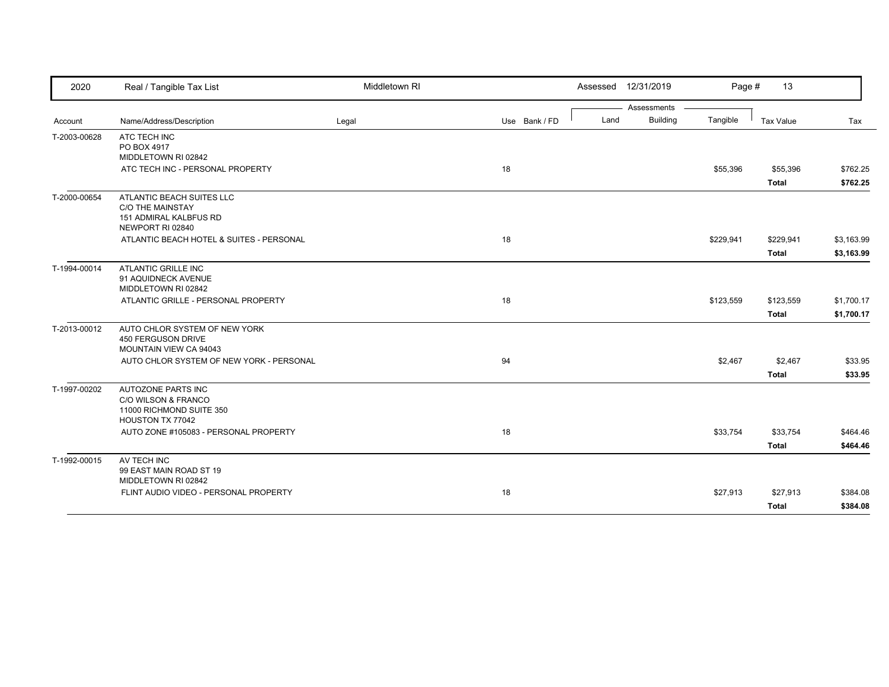| 2020         | Real / Tangible Tax List                                                                           | Middletown RI |               | Assessed 12/31/2019     | Page #    | 13                        |                          |
|--------------|----------------------------------------------------------------------------------------------------|---------------|---------------|-------------------------|-----------|---------------------------|--------------------------|
|              |                                                                                                    |               |               | Assessments             |           |                           |                          |
| Account      | Name/Address/Description                                                                           | Legal         | Use Bank / FD | <b>Building</b><br>Land | Tangible  | Tax Value                 | Tax                      |
| T-2003-00628 | ATC TECH INC<br>PO BOX 4917<br>MIDDLETOWN RI 02842                                                 |               |               |                         |           |                           |                          |
|              | ATC TECH INC - PERSONAL PROPERTY                                                                   |               | 18            |                         | \$55,396  | \$55,396<br><b>Total</b>  | \$762.25<br>\$762.25     |
| T-2000-00654 | ATLANTIC BEACH SUITES LLC<br><b>C/O THE MAINSTAY</b><br>151 ADMIRAL KALBFUS RD<br>NEWPORT RI 02840 |               |               |                         |           |                           |                          |
|              | ATLANTIC BEACH HOTEL & SUITES - PERSONAL                                                           |               | 18            |                         | \$229,941 | \$229,941<br><b>Total</b> | \$3,163.99<br>\$3,163.99 |
| T-1994-00014 | <b>ATLANTIC GRILLE INC</b><br>91 AQUIDNECK AVENUE<br>MIDDLETOWN RI 02842                           |               |               |                         |           |                           |                          |
|              | ATLANTIC GRILLE - PERSONAL PROPERTY                                                                |               | 18            |                         | \$123,559 | \$123,559<br><b>Total</b> | \$1,700.17<br>\$1,700.17 |
| T-2013-00012 | AUTO CHLOR SYSTEM OF NEW YORK<br><b>450 FERGUSON DRIVE</b><br>MOUNTAIN VIEW CA 94043               |               |               |                         |           |                           |                          |
|              | AUTO CHLOR SYSTEM OF NEW YORK - PERSONAL                                                           |               | 94            |                         | \$2,467   | \$2,467<br><b>Total</b>   | \$33.95<br>\$33.95       |
| T-1997-00202 | AUTOZONE PARTS INC<br>C/O WILSON & FRANCO<br>11000 RICHMOND SUITE 350<br>HOUSTON TX 77042          |               |               |                         |           |                           |                          |
|              | AUTO ZONE #105083 - PERSONAL PROPERTY                                                              |               | 18            |                         | \$33,754  | \$33,754<br><b>Total</b>  | \$464.46<br>\$464.46     |
| T-1992-00015 | AV TECH INC<br>99 EAST MAIN ROAD ST 19<br>MIDDLETOWN RI 02842                                      |               |               |                         |           |                           |                          |
|              | FLINT AUDIO VIDEO - PERSONAL PROPERTY                                                              |               | 18            |                         | \$27,913  | \$27,913<br><b>Total</b>  | \$384.08<br>\$384.08     |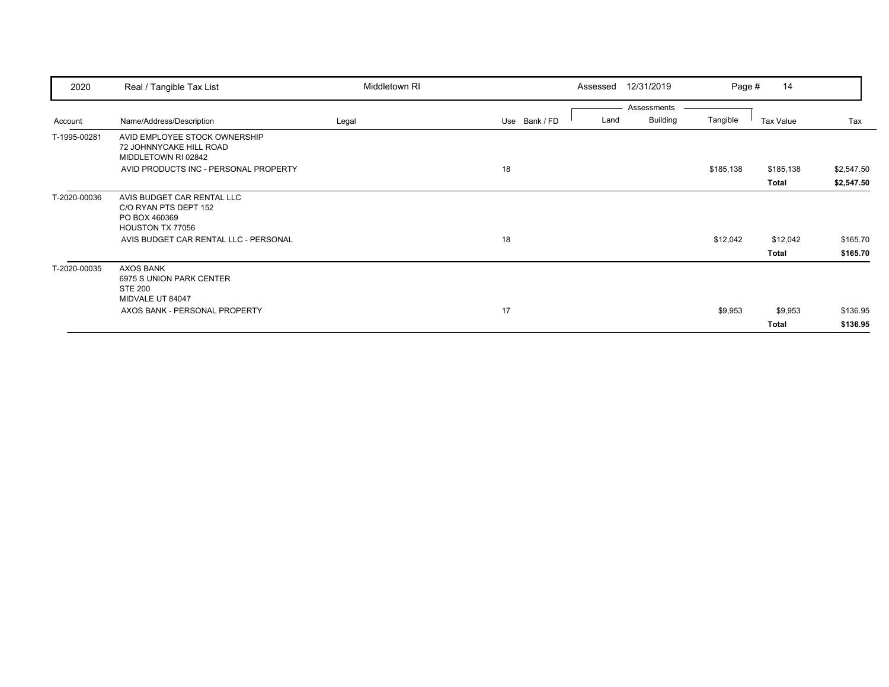| 2020         | Real / Tangible Tax List                                                        | Middletown RI |               | Assessed | 12/31/2019      | Page #    | 14           |            |
|--------------|---------------------------------------------------------------------------------|---------------|---------------|----------|-----------------|-----------|--------------|------------|
|              |                                                                                 |               |               |          | Assessments     |           |              |            |
| Account      | Name/Address/Description                                                        | Legal         | Use Bank / FD | Land     | <b>Building</b> | Tangible  | Tax Value    | Tax        |
| T-1995-00281 | AVID EMPLOYEE STOCK OWNERSHIP<br>72 JOHNNYCAKE HILL ROAD<br>MIDDLETOWN RI 02842 |               |               |          |                 |           |              |            |
|              | AVID PRODUCTS INC - PERSONAL PROPERTY                                           |               | 18            |          |                 | \$185,138 | \$185,138    | \$2,547.50 |
|              |                                                                                 |               |               |          |                 |           | <b>Total</b> | \$2,547.50 |
| T-2020-00036 | AVIS BUDGET CAR RENTAL LLC<br>C/O RYAN PTS DEPT 152                             |               |               |          |                 |           |              |            |
|              | PO BOX 460369<br>HOUSTON TX 77056                                               |               |               |          |                 |           |              |            |
|              | AVIS BUDGET CAR RENTAL LLC - PERSONAL                                           |               | 18            |          |                 | \$12,042  | \$12,042     | \$165.70   |
|              |                                                                                 |               |               |          |                 |           | Total        | \$165.70   |
|              |                                                                                 |               |               |          |                 |           |              |            |
| T-2020-00035 | <b>AXOS BANK</b><br>6975 S UNION PARK CENTER<br><b>STE 200</b>                  |               |               |          |                 |           |              |            |
|              | MIDVALE UT 84047                                                                |               |               |          |                 |           |              |            |
|              | AXOS BANK - PERSONAL PROPERTY                                                   |               | 17            |          |                 | \$9,953   | \$9,953      | \$136.95   |
|              |                                                                                 |               |               |          |                 |           | Total        | \$136.95   |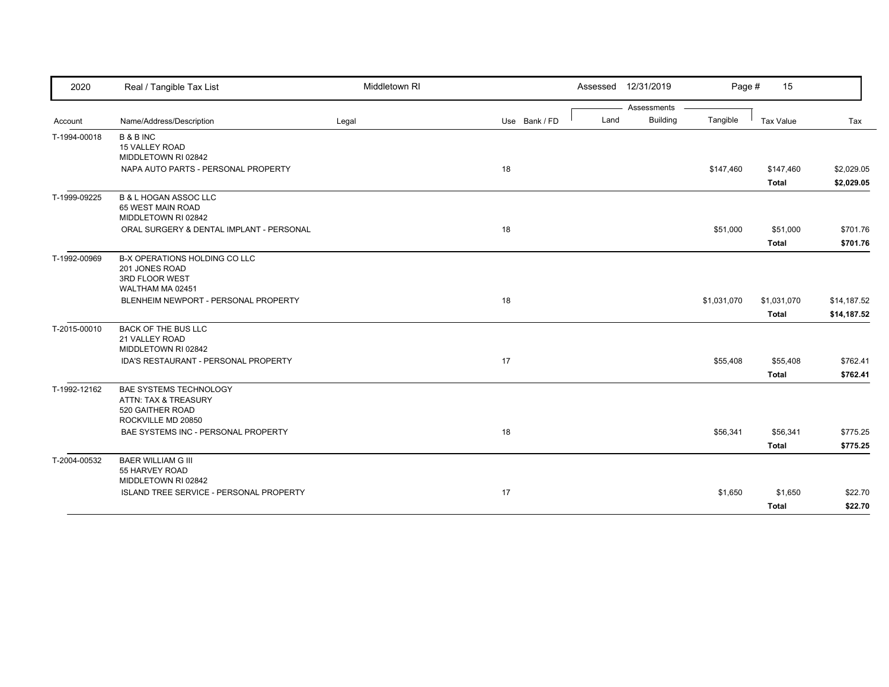| 2020         | Real / Tangible Tax List                                                                        | Middletown RI |               |      | Assessed 12/31/2019            | Page #      | 15                          |                            |
|--------------|-------------------------------------------------------------------------------------------------|---------------|---------------|------|--------------------------------|-------------|-----------------------------|----------------------------|
| Account      | Name/Address/Description                                                                        | Legal         | Use Bank / FD | Land | Assessments<br><b>Building</b> | Tangible    | Tax Value                   | Tax                        |
| T-1994-00018 | <b>B&amp;BINC</b><br>15 VALLEY ROAD<br>MIDDLETOWN RI 02842                                      |               |               |      |                                |             |                             |                            |
|              | NAPA AUTO PARTS - PERSONAL PROPERTY                                                             |               | 18            |      |                                | \$147,460   | \$147,460<br><b>Total</b>   | \$2,029.05<br>\$2,029.05   |
| T-1999-09225 | <b>B &amp; L HOGAN ASSOC LLC</b><br>65 WEST MAIN ROAD<br>MIDDLETOWN RI 02842                    |               |               |      |                                |             |                             |                            |
|              | ORAL SURGERY & DENTAL IMPLANT - PERSONAL                                                        |               | 18            |      |                                | \$51,000    | \$51,000<br><b>Total</b>    | \$701.76<br>\$701.76       |
| T-1992-00969 | B-X OPERATIONS HOLDING CO LLC<br>201 JONES ROAD<br>3RD FLOOR WEST<br>WALTHAM MA 02451           |               |               |      |                                |             |                             |                            |
|              | BLENHEIM NEWPORT - PERSONAL PROPERTY                                                            |               | 18            |      |                                | \$1,031,070 | \$1,031,070<br><b>Total</b> | \$14,187.52<br>\$14,187.52 |
| T-2015-00010 | <b>BACK OF THE BUS LLC</b><br>21 VALLEY ROAD<br>MIDDLETOWN RI 02842                             |               |               |      |                                |             |                             |                            |
|              | IDA'S RESTAURANT - PERSONAL PROPERTY                                                            |               | 17            |      |                                | \$55,408    | \$55,408<br><b>Total</b>    | \$762.41<br>\$762.41       |
| T-1992-12162 | <b>BAE SYSTEMS TECHNOLOGY</b><br>ATTN: TAX & TREASURY<br>520 GAITHER ROAD<br>ROCKVILLE MD 20850 |               |               |      |                                |             |                             |                            |
|              | BAE SYSTEMS INC - PERSONAL PROPERTY                                                             |               | 18            |      |                                | \$56,341    | \$56,341<br><b>Total</b>    | \$775.25<br>\$775.25       |
| T-2004-00532 | <b>BAER WILLIAM G III</b><br>55 HARVEY ROAD<br>MIDDLETOWN RI 02842                              |               |               |      |                                |             |                             |                            |
|              | ISLAND TREE SERVICE - PERSONAL PROPERTY                                                         |               | 17            |      |                                | \$1,650     | \$1,650<br>Total            | \$22.70<br>\$22.70         |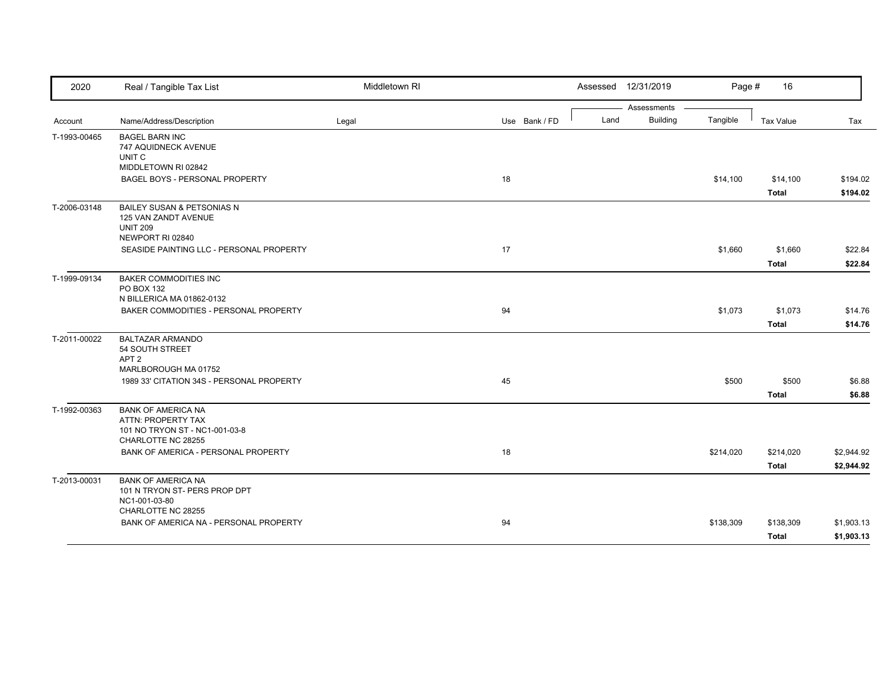| 2020         | Real / Tangible Tax List                                                                                | Middletown RI |               | Assessed 12/31/2019                    | Page #    | 16                        |                          |
|--------------|---------------------------------------------------------------------------------------------------------|---------------|---------------|----------------------------------------|-----------|---------------------------|--------------------------|
| Account      | Name/Address/Description                                                                                | Legal         | Use Bank / FD | Assessments<br><b>Building</b><br>Land | Tangible  | <b>Tax Value</b>          | Tax                      |
| T-1993-00465 | <b>BAGEL BARN INC</b><br>747 AQUIDNECK AVENUE<br>UNIT C<br>MIDDLETOWN RI 02842                          |               |               |                                        |           |                           |                          |
|              | BAGEL BOYS - PERSONAL PROPERTY                                                                          |               | 18            |                                        | \$14,100  | \$14,100<br><b>Total</b>  | \$194.02<br>\$194.02     |
| T-2006-03148 | <b>BAILEY SUSAN &amp; PETSONIAS N</b><br>125 VAN ZANDT AVENUE<br><b>UNIT 209</b><br>NEWPORT RI 02840    |               |               |                                        |           |                           |                          |
|              | SEASIDE PAINTING LLC - PERSONAL PROPERTY                                                                |               | 17            |                                        | \$1,660   | \$1,660<br><b>Total</b>   | \$22.84<br>\$22.84       |
| T-1999-09134 | <b>BAKER COMMODITIES INC</b><br>PO BOX 132<br>N BILLERICA MA 01862-0132                                 |               |               |                                        |           |                           |                          |
|              | BAKER COMMODITIES - PERSONAL PROPERTY                                                                   |               | 94            |                                        | \$1,073   | \$1,073<br><b>Total</b>   | \$14.76<br>\$14.76       |
| T-2011-00022 | <b>BALTAZAR ARMANDO</b><br>54 SOUTH STREET<br>APT <sub>2</sub><br>MARLBOROUGH MA 01752                  |               |               |                                        |           |                           |                          |
|              | 1989 33' CITATION 34S - PERSONAL PROPERTY                                                               |               | 45            |                                        | \$500     | \$500<br><b>Total</b>     | \$6.88<br>\$6.88         |
| T-1992-00363 | <b>BANK OF AMERICA NA</b><br>ATTN: PROPERTY TAX<br>101 NO TRYON ST - NC1-001-03-8<br>CHARLOTTE NC 28255 |               |               |                                        |           |                           |                          |
|              | BANK OF AMERICA - PERSONAL PROPERTY                                                                     |               | 18            |                                        | \$214,020 | \$214,020<br><b>Total</b> | \$2,944.92<br>\$2,944.92 |
| T-2013-00031 | <b>BANK OF AMERICA NA</b><br>101 N TRYON ST- PERS PROP DPT<br>NC1-001-03-80<br>CHARLOTTE NC 28255       |               |               |                                        |           |                           |                          |
|              | BANK OF AMERICA NA - PERSONAL PROPERTY                                                                  |               | 94            |                                        | \$138,309 | \$138,309<br><b>Total</b> | \$1,903.13<br>\$1,903.13 |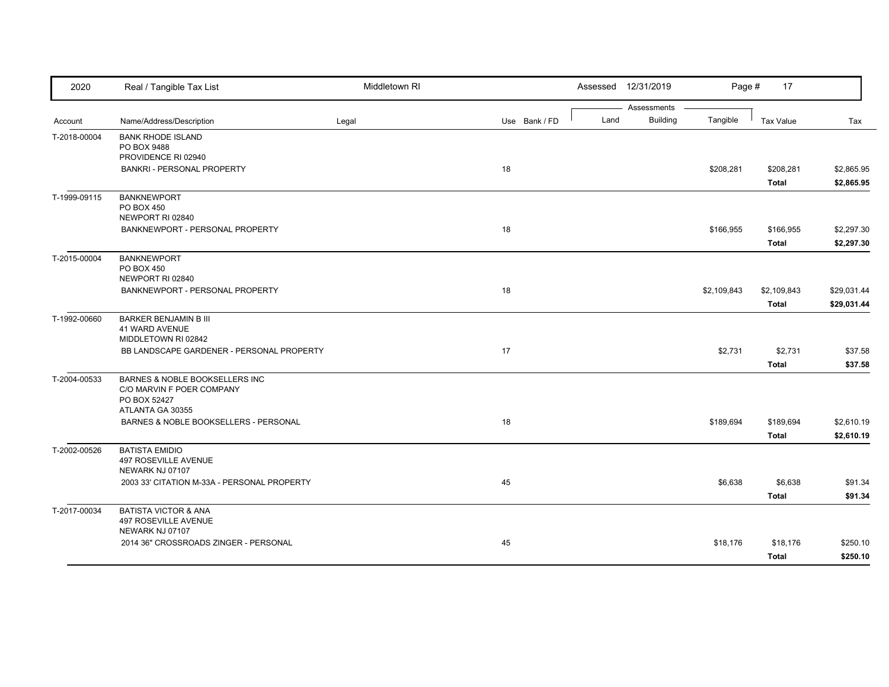| 2020         | Real / Tangible Tax List                                    | Middletown RI |               | Assessed | 12/31/2019                     | Page #      | 17               |             |
|--------------|-------------------------------------------------------------|---------------|---------------|----------|--------------------------------|-------------|------------------|-------------|
|              | Name/Address/Description                                    |               | Use Bank / FD | Land     | Assessments<br><b>Building</b> | Tangible    | <b>Tax Value</b> | Tax         |
| Account      |                                                             | Legal         |               |          |                                |             |                  |             |
| T-2018-00004 | <b>BANK RHODE ISLAND</b><br>PO BOX 9488                     |               |               |          |                                |             |                  |             |
|              | PROVIDENCE RI 02940                                         |               |               |          |                                |             |                  |             |
|              | <b>BANKRI - PERSONAL PROPERTY</b>                           |               | 18            |          |                                | \$208,281   | \$208,281        | \$2,865.95  |
|              |                                                             |               |               |          |                                |             | <b>Total</b>     | \$2,865.95  |
| T-1999-09115 | <b>BANKNEWPORT</b>                                          |               |               |          |                                |             |                  |             |
|              | <b>PO BOX 450</b>                                           |               |               |          |                                |             |                  |             |
|              | NEWPORT RI 02840                                            |               |               |          |                                |             |                  |             |
|              | BANKNEWPORT - PERSONAL PROPERTY                             |               | 18            |          |                                | \$166,955   | \$166,955        | \$2,297.30  |
|              |                                                             |               |               |          |                                |             | Total            | \$2,297.30  |
| T-2015-00004 | <b>BANKNEWPORT</b><br><b>PO BOX 450</b>                     |               |               |          |                                |             |                  |             |
|              | NEWPORT RI 02840                                            |               |               |          |                                |             |                  |             |
|              | BANKNEWPORT - PERSONAL PROPERTY                             |               | 18            |          |                                | \$2,109,843 | \$2,109,843      | \$29,031.44 |
|              |                                                             |               |               |          |                                |             | <b>Total</b>     | \$29,031.44 |
| T-1992-00660 | <b>BARKER BENJAMIN B III</b>                                |               |               |          |                                |             |                  |             |
|              | <b>41 WARD AVENUE</b>                                       |               |               |          |                                |             |                  |             |
|              | MIDDLETOWN RI 02842                                         |               |               |          |                                |             |                  |             |
|              | BB LANDSCAPE GARDENER - PERSONAL PROPERTY                   |               | 17            |          |                                | \$2,731     | \$2,731          | \$37.58     |
|              |                                                             |               |               |          |                                |             | <b>Total</b>     | \$37.58     |
| T-2004-00533 | BARNES & NOBLE BOOKSELLERS INC<br>C/O MARVIN F POER COMPANY |               |               |          |                                |             |                  |             |
|              | PO BOX 52427                                                |               |               |          |                                |             |                  |             |
|              | ATLANTA GA 30355                                            |               |               |          |                                |             |                  |             |
|              | BARNES & NOBLE BOOKSELLERS - PERSONAL                       |               | 18            |          |                                | \$189,694   | \$189,694        | \$2,610.19  |
|              |                                                             |               |               |          |                                |             | <b>Total</b>     | \$2,610.19  |
| T-2002-00526 | <b>BATISTA EMIDIO</b>                                       |               |               |          |                                |             |                  |             |
|              | 497 ROSEVILLE AVENUE<br>NEWARK NJ 07107                     |               |               |          |                                |             |                  |             |
|              | 2003 33' CITATION M-33A - PERSONAL PROPERTY                 |               | 45            |          |                                | \$6,638     | \$6,638          | \$91.34     |
|              |                                                             |               |               |          |                                |             | <b>Total</b>     | \$91.34     |
|              | <b>BATISTA VICTOR &amp; ANA</b>                             |               |               |          |                                |             |                  |             |
| T-2017-00034 | 497 ROSEVILLE AVENUE                                        |               |               |          |                                |             |                  |             |
|              | NEWARK NJ 07107                                             |               |               |          |                                |             |                  |             |
|              | 2014 36" CROSSROADS ZINGER - PERSONAL                       |               | 45            |          |                                | \$18,176    | \$18,176         | \$250.10    |
|              |                                                             |               |               |          |                                |             | <b>Total</b>     | \$250.10    |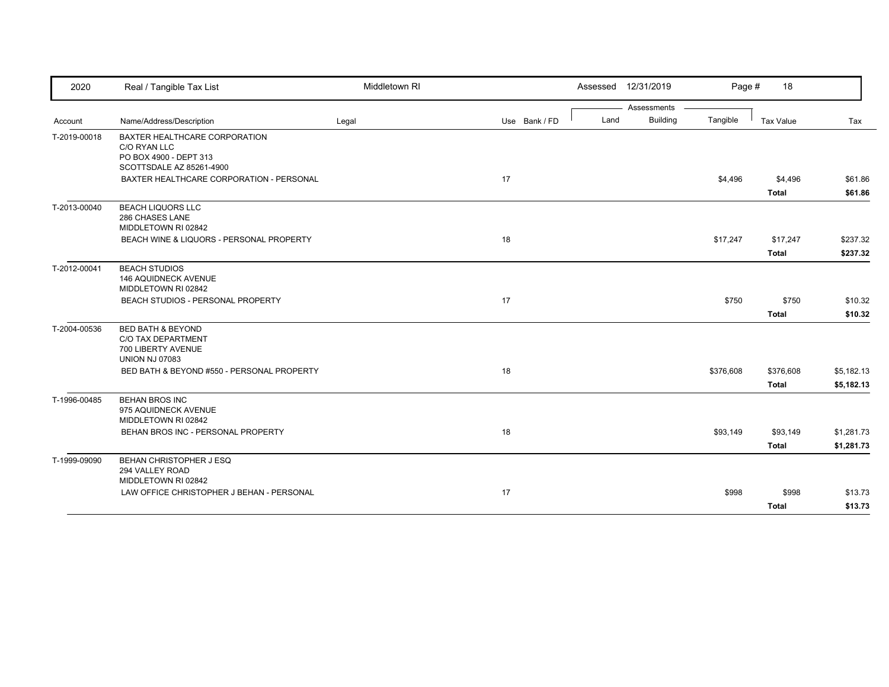| 2020         | Real / Tangible Tax List                                                                                 | Middletown RI |               | Assessed 12/31/2019 |                 | Page #    | 18                      |                    |
|--------------|----------------------------------------------------------------------------------------------------------|---------------|---------------|---------------------|-----------------|-----------|-------------------------|--------------------|
|              |                                                                                                          |               |               |                     | Assessments     |           |                         |                    |
| Account      | Name/Address/Description                                                                                 | Legal         | Use Bank / FD | Land                | <b>Building</b> | Tangible  | <b>Tax Value</b>        | Tax                |
| T-2019-00018 | BAXTER HEALTHCARE CORPORATION<br>C/O RYAN LLC<br>PO BOX 4900 - DEPT 313                                  |               |               |                     |                 |           |                         |                    |
|              | SCOTTSDALE AZ 85261-4900                                                                                 |               |               |                     |                 |           |                         |                    |
|              | BAXTER HEALTHCARE CORPORATION - PERSONAL                                                                 |               | 17            |                     |                 | \$4,496   | \$4,496<br><b>Total</b> | \$61.86<br>\$61.86 |
| T-2013-00040 | <b>BEACH LIQUORS LLC</b><br>286 CHASES LANE<br>MIDDLETOWN RI 02842                                       |               |               |                     |                 |           |                         |                    |
|              | BEACH WINE & LIQUORS - PERSONAL PROPERTY                                                                 |               | 18            |                     |                 | \$17,247  | \$17,247                | \$237.32           |
|              |                                                                                                          |               |               |                     |                 |           | <b>Total</b>            | \$237.32           |
| T-2012-00041 | <b>BEACH STUDIOS</b><br><b>146 AQUIDNECK AVENUE</b><br>MIDDLETOWN RI 02842                               |               |               |                     |                 |           |                         |                    |
|              | BEACH STUDIOS - PERSONAL PROPERTY                                                                        |               | 17            |                     |                 | \$750     | \$750                   | \$10.32            |
|              |                                                                                                          |               |               |                     |                 |           | <b>Total</b>            | \$10.32            |
| T-2004-00536 | <b>BED BATH &amp; BEYOND</b><br><b>C/O TAX DEPARTMENT</b><br>700 LIBERTY AVENUE<br><b>UNION NJ 07083</b> |               |               |                     |                 |           |                         |                    |
|              | BED BATH & BEYOND #550 - PERSONAL PROPERTY                                                               |               | 18            |                     |                 | \$376,608 | \$376,608               | \$5,182.13         |
|              |                                                                                                          |               |               |                     |                 |           | <b>Total</b>            | \$5,182.13         |
| T-1996-00485 | <b>BEHAN BROS INC</b><br>975 AQUIDNECK AVENUE<br>MIDDLETOWN RI 02842                                     |               |               |                     |                 |           |                         |                    |
|              | BEHAN BROS INC - PERSONAL PROPERTY                                                                       |               | 18            |                     |                 | \$93,149  | \$93,149                | \$1,281.73         |
|              |                                                                                                          |               |               |                     |                 |           | <b>Total</b>            | \$1,281.73         |
| T-1999-09090 | BEHAN CHRISTOPHER J ESQ<br>294 VALLEY ROAD<br>MIDDLETOWN RI 02842                                        |               |               |                     |                 |           |                         |                    |
|              | LAW OFFICE CHRISTOPHER J BEHAN - PERSONAL                                                                |               | 17            |                     |                 | \$998     | \$998                   | \$13.73            |
|              |                                                                                                          |               |               |                     |                 |           | <b>Total</b>            | \$13.73            |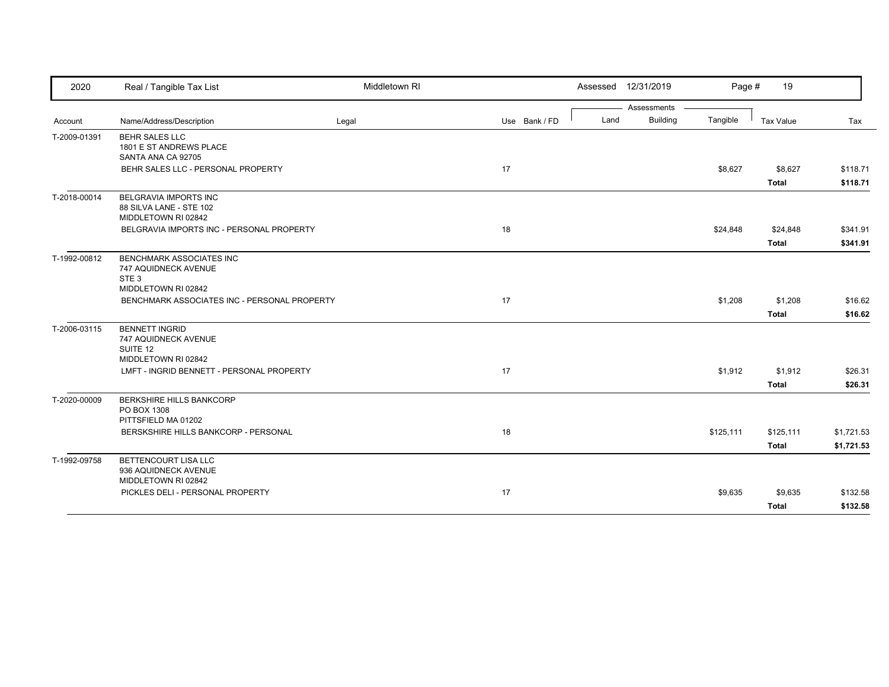| Assessments<br><b>Building</b><br>Tangible<br>Name/Address/Description<br>Use Bank / FD<br>Land<br>Tax Value<br>Legal<br>Account<br>T-2009-01391<br><b>BEHR SALES LLC</b><br>1801 E ST ANDREWS PLACE<br>SANTA ANA CA 92705<br>17<br>BEHR SALES LLC - PERSONAL PROPERTY<br>\$8,627<br>\$8,627<br><b>Total</b><br>BELGRAVIA IMPORTS INC<br>T-2018-00014<br>88 SILVA LANE - STE 102<br>MIDDLETOWN RI 02842<br>18<br>BELGRAVIA IMPORTS INC - PERSONAL PROPERTY<br>\$24,848<br>\$24,848<br><b>Total</b><br><b>BENCHMARK ASSOCIATES INC</b><br>747 AQUIDNECK AVENUE<br>STE <sub>3</sub><br>MIDDLETOWN RI 02842<br>17<br>\$1,208<br>\$1,208<br>BENCHMARK ASSOCIATES INC - PERSONAL PROPERTY<br><b>Total</b><br><b>BENNETT INGRID</b><br>747 AQUIDNECK AVENUE<br>SUITE 12<br>MIDDLETOWN RI 02842<br>17<br>LMFT - INGRID BENNETT - PERSONAL PROPERTY<br>\$1,912<br>\$1,912 | Tax<br>\$118.71<br>\$118.71<br>\$341.91<br>\$341.91 |
|-------------------------------------------------------------------------------------------------------------------------------------------------------------------------------------------------------------------------------------------------------------------------------------------------------------------------------------------------------------------------------------------------------------------------------------------------------------------------------------------------------------------------------------------------------------------------------------------------------------------------------------------------------------------------------------------------------------------------------------------------------------------------------------------------------------------------------------------------------------------|-----------------------------------------------------|
|                                                                                                                                                                                                                                                                                                                                                                                                                                                                                                                                                                                                                                                                                                                                                                                                                                                                   |                                                     |
|                                                                                                                                                                                                                                                                                                                                                                                                                                                                                                                                                                                                                                                                                                                                                                                                                                                                   |                                                     |
|                                                                                                                                                                                                                                                                                                                                                                                                                                                                                                                                                                                                                                                                                                                                                                                                                                                                   |                                                     |
|                                                                                                                                                                                                                                                                                                                                                                                                                                                                                                                                                                                                                                                                                                                                                                                                                                                                   |                                                     |
|                                                                                                                                                                                                                                                                                                                                                                                                                                                                                                                                                                                                                                                                                                                                                                                                                                                                   |                                                     |
|                                                                                                                                                                                                                                                                                                                                                                                                                                                                                                                                                                                                                                                                                                                                                                                                                                                                   |                                                     |
| T-1992-00812<br>T-2006-03115                                                                                                                                                                                                                                                                                                                                                                                                                                                                                                                                                                                                                                                                                                                                                                                                                                      |                                                     |
|                                                                                                                                                                                                                                                                                                                                                                                                                                                                                                                                                                                                                                                                                                                                                                                                                                                                   |                                                     |
|                                                                                                                                                                                                                                                                                                                                                                                                                                                                                                                                                                                                                                                                                                                                                                                                                                                                   |                                                     |
|                                                                                                                                                                                                                                                                                                                                                                                                                                                                                                                                                                                                                                                                                                                                                                                                                                                                   | \$16.62                                             |
|                                                                                                                                                                                                                                                                                                                                                                                                                                                                                                                                                                                                                                                                                                                                                                                                                                                                   |                                                     |
|                                                                                                                                                                                                                                                                                                                                                                                                                                                                                                                                                                                                                                                                                                                                                                                                                                                                   | \$16.62                                             |
|                                                                                                                                                                                                                                                                                                                                                                                                                                                                                                                                                                                                                                                                                                                                                                                                                                                                   |                                                     |
|                                                                                                                                                                                                                                                                                                                                                                                                                                                                                                                                                                                                                                                                                                                                                                                                                                                                   |                                                     |
| <b>Total</b>                                                                                                                                                                                                                                                                                                                                                                                                                                                                                                                                                                                                                                                                                                                                                                                                                                                      | \$26.31<br>\$26.31                                  |
| T-2020-00009<br>BERKSHIRE HILLS BANKCORP<br>PO BOX 1308<br>PITTSFIELD MA 01202                                                                                                                                                                                                                                                                                                                                                                                                                                                                                                                                                                                                                                                                                                                                                                                    |                                                     |
| 18<br>\$125,111<br>BERSKSHIRE HILLS BANKCORP - PERSONAL<br>\$125,111                                                                                                                                                                                                                                                                                                                                                                                                                                                                                                                                                                                                                                                                                                                                                                                              | \$1,721.53                                          |
| <b>Total</b>                                                                                                                                                                                                                                                                                                                                                                                                                                                                                                                                                                                                                                                                                                                                                                                                                                                      | \$1,721.53                                          |
| BETTENCOURT LISA LLC<br>T-1992-09758<br>936 AQUIDNECK AVENUE<br>MIDDLETOWN RI 02842                                                                                                                                                                                                                                                                                                                                                                                                                                                                                                                                                                                                                                                                                                                                                                               |                                                     |
| 17<br>PICKLES DELI - PERSONAL PROPERTY<br>\$9,635<br>\$9,635                                                                                                                                                                                                                                                                                                                                                                                                                                                                                                                                                                                                                                                                                                                                                                                                      | \$132.58                                            |
| <b>Total</b>                                                                                                                                                                                                                                                                                                                                                                                                                                                                                                                                                                                                                                                                                                                                                                                                                                                      | \$132.58                                            |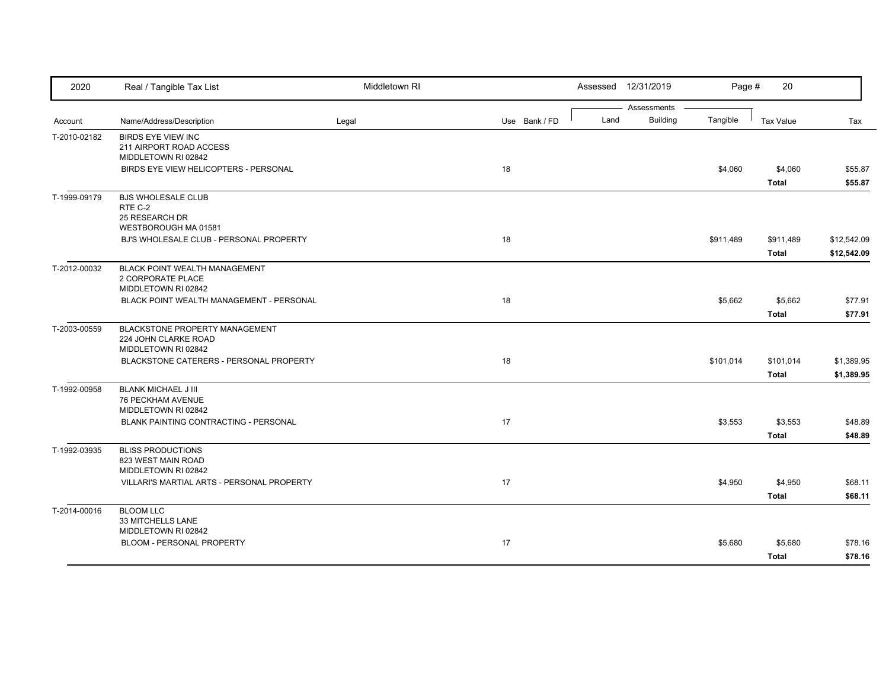| 2020         | Real / Tangible Tax List                        | Middletown RI |               | Assessed 12/31/2019 | Page #                      | 20               |             |
|--------------|-------------------------------------------------|---------------|---------------|---------------------|-----------------------------|------------------|-------------|
| Account      | Name/Address/Description                        | Legal         | Use Bank / FD | Assessments<br>Land | <b>Building</b><br>Tangible | <b>Tax Value</b> | Tax         |
| T-2010-02182 | <b>BIRDS EYE VIEW INC</b>                       |               |               |                     |                             |                  |             |
|              | 211 AIRPORT ROAD ACCESS                         |               |               |                     |                             |                  |             |
|              | MIDDLETOWN RI 02842                             |               |               |                     |                             |                  |             |
|              | BIRDS EYE VIEW HELICOPTERS - PERSONAL           |               | 18            |                     | \$4,060                     | \$4,060          | \$55.87     |
|              |                                                 |               |               |                     |                             | <b>Total</b>     | \$55.87     |
| T-1999-09179 | <b>BJS WHOLESALE CLUB</b>                       |               |               |                     |                             |                  |             |
|              | RTE C-2<br>25 RESEARCH DR                       |               |               |                     |                             |                  |             |
|              | WESTBOROUGH MA 01581                            |               |               |                     |                             |                  |             |
|              | BJ'S WHOLESALE CLUB - PERSONAL PROPERTY         |               | 18            |                     | \$911,489                   | \$911,489        | \$12,542.09 |
|              |                                                 |               |               |                     |                             | <b>Total</b>     | \$12,542.09 |
| T-2012-00032 | <b>BLACK POINT WEALTH MANAGEMENT</b>            |               |               |                     |                             |                  |             |
|              | 2 CORPORATE PLACE                               |               |               |                     |                             |                  |             |
|              | MIDDLETOWN RI 02842                             |               |               |                     |                             |                  |             |
|              | BLACK POINT WEALTH MANAGEMENT - PERSONAL        |               | 18            |                     | \$5,662                     | \$5,662          | \$77.91     |
|              |                                                 |               |               |                     |                             | <b>Total</b>     | \$77.91     |
| T-2003-00559 | BLACKSTONE PROPERTY MANAGEMENT                  |               |               |                     |                             |                  |             |
|              | 224 JOHN CLARKE ROAD                            |               |               |                     |                             |                  |             |
|              | MIDDLETOWN RI 02842                             |               |               |                     |                             |                  |             |
|              | BLACKSTONE CATERERS - PERSONAL PROPERTY         |               | 18            |                     | \$101,014                   | \$101,014        | \$1,389.95  |
|              |                                                 |               |               |                     |                             | <b>Total</b>     | \$1,389.95  |
| T-1992-00958 | <b>BLANK MICHAEL J III</b>                      |               |               |                     |                             |                  |             |
|              | <b>76 PECKHAM AVENUE</b><br>MIDDLETOWN RI 02842 |               |               |                     |                             |                  |             |
|              | BLANK PAINTING CONTRACTING - PERSONAL           |               | 17            |                     | \$3,553                     | \$3,553          | \$48.89     |
|              |                                                 |               |               |                     |                             | <b>Total</b>     | \$48.89     |
|              |                                                 |               |               |                     |                             |                  |             |
| T-1992-03935 | <b>BLISS PRODUCTIONS</b><br>823 WEST MAIN ROAD  |               |               |                     |                             |                  |             |
|              | MIDDLETOWN RI 02842                             |               |               |                     |                             |                  |             |
|              | VILLARI'S MARTIAL ARTS - PERSONAL PROPERTY      |               | 17            |                     | \$4,950                     | \$4,950          | \$68.11     |
|              |                                                 |               |               |                     |                             | Total            | \$68.11     |
| T-2014-00016 | <b>BLOOM LLC</b>                                |               |               |                     |                             |                  |             |
|              | 33 MITCHELLS LANE                               |               |               |                     |                             |                  |             |
|              | MIDDLETOWN RI 02842                             |               |               |                     |                             |                  |             |
|              | BLOOM - PERSONAL PROPERTY                       |               | 17            |                     | \$5,680                     | \$5,680          | \$78.16     |
|              |                                                 |               |               |                     |                             | <b>Total</b>     | \$78.16     |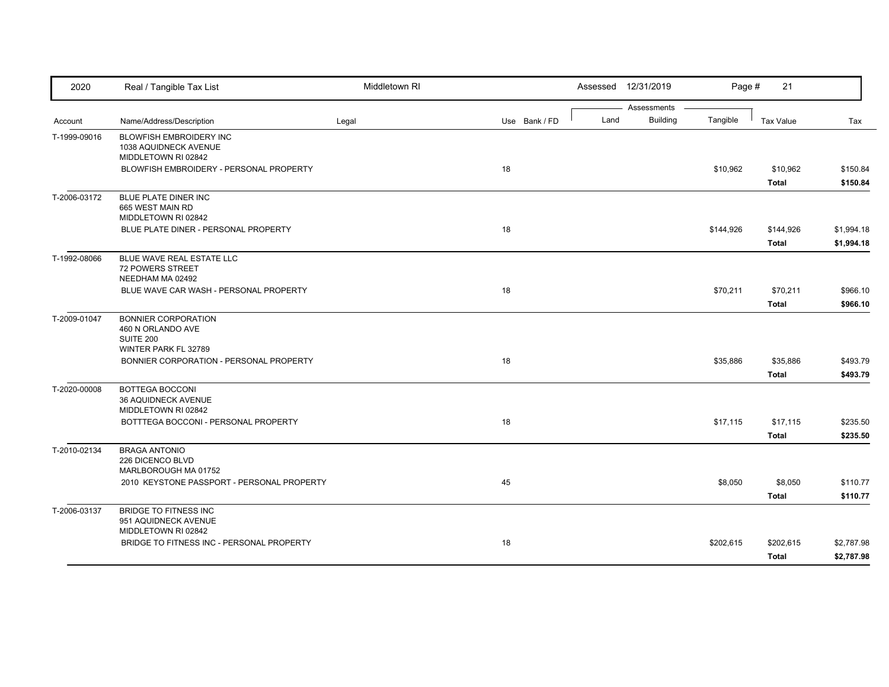| 2020         | Real / Tangible Tax List                                                             | Middletown RI |               |      | Assessed 12/31/2019            | Page #    | 21                        |                          |
|--------------|--------------------------------------------------------------------------------------|---------------|---------------|------|--------------------------------|-----------|---------------------------|--------------------------|
| Account      | Name/Address/Description                                                             | Legal         | Use Bank / FD | Land | Assessments<br><b>Building</b> | Tangible  | <b>Tax Value</b>          | Tax                      |
| T-1999-09016 | BLOWFISH EMBROIDERY INC<br>1038 AQUIDNECK AVENUE                                     |               |               |      |                                |           |                           |                          |
|              | MIDDLETOWN RI 02842<br>BLOWFISH EMBROIDERY - PERSONAL PROPERTY                       |               | 18            |      |                                | \$10,962  | \$10,962<br>Total         | \$150.84<br>\$150.84     |
| T-2006-03172 | BLUE PLATE DINER INC<br>665 WEST MAIN RD<br>MIDDLETOWN RI 02842                      |               |               |      |                                |           |                           |                          |
|              | BLUE PLATE DINER - PERSONAL PROPERTY                                                 |               | 18            |      |                                | \$144,926 | \$144,926<br><b>Total</b> | \$1,994.18<br>\$1,994.18 |
| T-1992-08066 | BLUE WAVE REAL ESTATE LLC<br>72 POWERS STREET<br>NEEDHAM MA 02492                    |               |               |      |                                |           |                           |                          |
|              | BLUE WAVE CAR WASH - PERSONAL PROPERTY                                               |               | 18            |      |                                | \$70,211  | \$70,211<br><b>Total</b>  | \$966.10<br>\$966.10     |
| T-2009-01047 | <b>BONNIER CORPORATION</b><br>460 N ORLANDO AVE<br>SUITE 200<br>WINTER PARK FL 32789 |               |               |      |                                |           |                           |                          |
|              | BONNIER CORPORATION - PERSONAL PROPERTY                                              |               | 18            |      |                                | \$35,886  | \$35,886<br><b>Total</b>  | \$493.79<br>\$493.79     |
| T-2020-00008 | <b>BOTTEGA BOCCONI</b><br>36 AQUIDNECK AVENUE<br>MIDDLETOWN RI 02842                 |               |               |      |                                |           |                           |                          |
|              | BOTTTEGA BOCCONI - PERSONAL PROPERTY                                                 |               | 18            |      |                                | \$17,115  | \$17,115<br><b>Total</b>  | \$235.50<br>\$235.50     |
| T-2010-02134 | <b>BRAGA ANTONIO</b><br>226 DICENCO BLVD<br>MARLBOROUGH MA 01752                     |               |               |      |                                |           |                           |                          |
|              | 2010 KEYSTONE PASSPORT - PERSONAL PROPERTY                                           |               | 45            |      |                                | \$8,050   | \$8,050<br><b>Total</b>   | \$110.77<br>\$110.77     |
| T-2006-03137 | <b>BRIDGE TO FITNESS INC</b><br>951 AQUIDNECK AVENUE<br>MIDDLETOWN RI 02842          |               |               |      |                                |           |                           |                          |
|              | BRIDGE TO FITNESS INC - PERSONAL PROPERTY                                            |               | 18            |      |                                | \$202,615 | \$202,615<br><b>Total</b> | \$2,787.98<br>\$2,787.98 |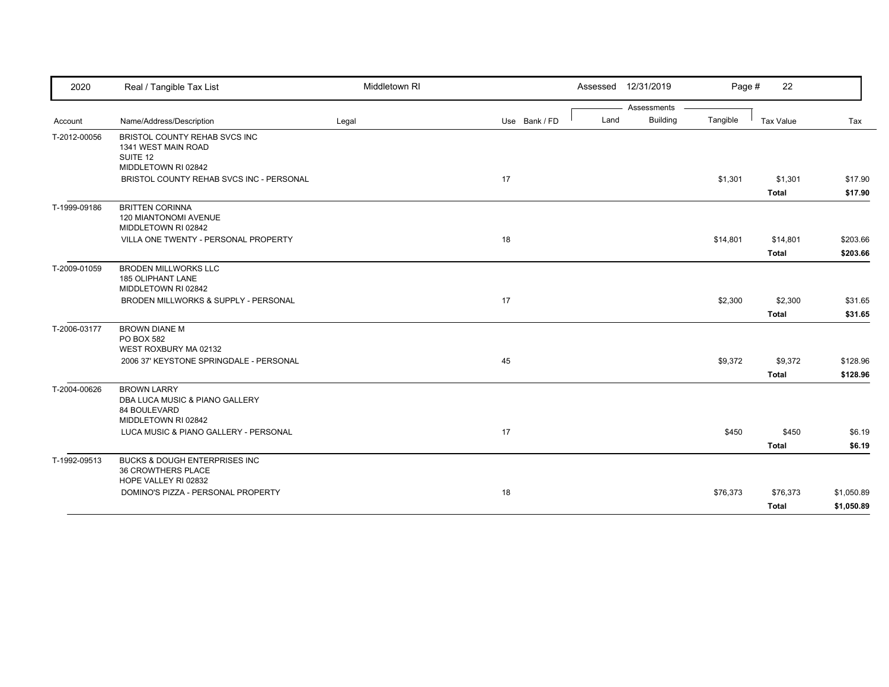| 2020         | Real / Tangible Tax List                                                                    | Middletown RI |               | Assessed 12/31/2019 |                 | Page #   | 22                       |                          |
|--------------|---------------------------------------------------------------------------------------------|---------------|---------------|---------------------|-----------------|----------|--------------------------|--------------------------|
|              |                                                                                             |               |               |                     | Assessments     |          |                          |                          |
| Account      | Name/Address/Description                                                                    | Legal         | Use Bank / FD | Land                | <b>Building</b> | Tangible | Tax Value                | Tax                      |
| T-2012-00056 | BRISTOL COUNTY REHAB SVCS INC<br>1341 WEST MAIN ROAD<br>SUITE 12<br>MIDDLETOWN RI 02842     |               |               |                     |                 |          |                          |                          |
|              | BRISTOL COUNTY REHAB SVCS INC - PERSONAL                                                    |               | 17            |                     |                 | \$1,301  | \$1,301                  | \$17.90                  |
|              |                                                                                             |               |               |                     |                 |          | <b>Total</b>             | \$17.90                  |
| T-1999-09186 | <b>BRITTEN CORINNA</b><br>120 MIANTONOMI AVENUE<br>MIDDLETOWN RI 02842                      |               |               |                     |                 |          |                          |                          |
|              | VILLA ONE TWENTY - PERSONAL PROPERTY                                                        |               | 18            |                     |                 | \$14,801 | \$14,801                 | \$203.66                 |
|              |                                                                                             |               |               |                     |                 |          | <b>Total</b>             | \$203.66                 |
| T-2009-01059 | <b>BRODEN MILLWORKS LLC</b><br><b>185 OLIPHANT LANE</b><br>MIDDLETOWN RI 02842              |               |               |                     |                 |          |                          |                          |
|              | BRODEN MILLWORKS & SUPPLY - PERSONAL                                                        |               | 17            |                     |                 | \$2,300  | \$2,300                  | \$31.65                  |
|              |                                                                                             |               |               |                     |                 |          | <b>Total</b>             | \$31.65                  |
| T-2006-03177 | <b>BROWN DIANE M</b><br>PO BOX 582<br>WEST ROXBURY MA 02132                                 |               |               |                     |                 |          |                          |                          |
|              | 2006 37' KEYSTONE SPRINGDALE - PERSONAL                                                     |               | 45            |                     |                 | \$9,372  | \$9,372                  | \$128.96                 |
|              |                                                                                             |               |               |                     |                 |          | <b>Total</b>             | \$128.96                 |
| T-2004-00626 | <b>BROWN LARRY</b><br>DBA LUCA MUSIC & PIANO GALLERY<br>84 BOULEVARD<br>MIDDLETOWN RI 02842 |               |               |                     |                 |          |                          |                          |
|              | LUCA MUSIC & PIANO GALLERY - PERSONAL                                                       |               | 17            |                     |                 | \$450    | \$450                    | \$6.19                   |
|              |                                                                                             |               |               |                     |                 |          | <b>Total</b>             | \$6.19                   |
| T-1992-09513 | <b>BUCKS &amp; DOUGH ENTERPRISES INC</b><br>36 CROWTHERS PLACE<br>HOPE VALLEY RI 02832      |               |               |                     |                 |          |                          |                          |
|              | DOMINO'S PIZZA - PERSONAL PROPERTY                                                          |               | 18            |                     |                 | \$76,373 | \$76,373<br><b>Total</b> | \$1,050.89<br>\$1,050.89 |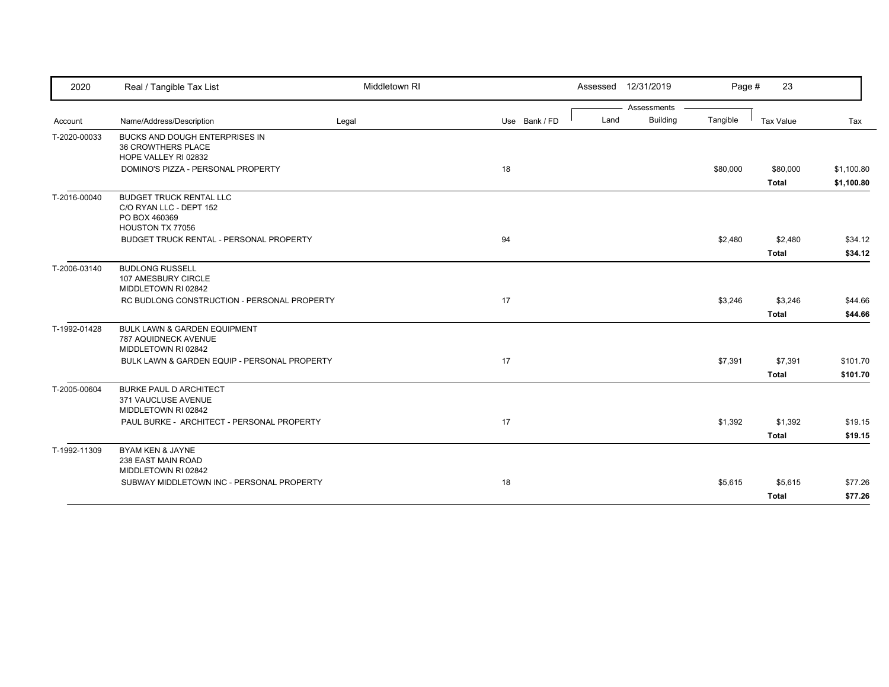| 2020         | Real / Tangible Tax List                                                                       | Middletown RI |               |      | Assessed 12/31/2019 | Page #   | 23               |            |
|--------------|------------------------------------------------------------------------------------------------|---------------|---------------|------|---------------------|----------|------------------|------------|
|              |                                                                                                |               |               |      | Assessments         |          |                  |            |
| Account      | Name/Address/Description                                                                       | Legal         | Use Bank / FD | Land | <b>Building</b>     | Tangible | <b>Tax Value</b> | Tax        |
| T-2020-00033 | BUCKS AND DOUGH ENTERPRISES IN<br>36 CROWTHERS PLACE<br>HOPE VALLEY RI 02832                   |               |               |      |                     |          |                  |            |
|              | DOMINO'S PIZZA - PERSONAL PROPERTY                                                             |               | 18            |      |                     | \$80,000 | \$80,000         | \$1,100.80 |
|              |                                                                                                |               |               |      |                     |          | Total            | \$1,100.80 |
| T-2016-00040 | <b>BUDGET TRUCK RENTAL LLC</b><br>C/O RYAN LLC - DEPT 152<br>PO BOX 460369<br>HOUSTON TX 77056 |               |               |      |                     |          |                  |            |
|              | BUDGET TRUCK RENTAL - PERSONAL PROPERTY                                                        |               | 94            |      |                     | \$2,480  | \$2,480          | \$34.12    |
|              |                                                                                                |               |               |      |                     |          | <b>Total</b>     | \$34.12    |
| T-2006-03140 | <b>BUDLONG RUSSELL</b><br>107 AMESBURY CIRCLE<br>MIDDLETOWN RI 02842                           |               |               |      |                     |          |                  |            |
|              | RC BUDLONG CONSTRUCTION - PERSONAL PROPERTY                                                    |               | 17            |      |                     | \$3,246  | \$3,246          | \$44.66    |
|              |                                                                                                |               |               |      |                     |          | <b>Total</b>     | \$44.66    |
| T-1992-01428 | BULK LAWN & GARDEN EQUIPMENT<br><b>787 AQUIDNECK AVENUE</b><br>MIDDLETOWN RI 02842             |               |               |      |                     |          |                  |            |
|              | BULK LAWN & GARDEN EQUIP - PERSONAL PROPERTY                                                   |               | 17            |      |                     | \$7,391  | \$7,391          | \$101.70   |
|              |                                                                                                |               |               |      |                     |          | <b>Total</b>     | \$101.70   |
| T-2005-00604 | <b>BURKE PAUL D ARCHITECT</b><br>371 VAUCLUSE AVENUE<br>MIDDLETOWN RI 02842                    |               |               |      |                     |          |                  |            |
|              | PAUL BURKE - ARCHITECT - PERSONAL PROPERTY                                                     |               | 17            |      |                     | \$1,392  | \$1,392          | \$19.15    |
|              |                                                                                                |               |               |      |                     |          | Total            | \$19.15    |
| T-1992-11309 | <b>BYAM KEN &amp; JAYNE</b><br>238 EAST MAIN ROAD<br>MIDDLETOWN RI 02842                       |               |               |      |                     |          |                  |            |
|              | SUBWAY MIDDLETOWN INC - PERSONAL PROPERTY                                                      |               | 18            |      |                     | \$5,615  | \$5,615          | \$77.26    |
|              |                                                                                                |               |               |      |                     |          | <b>Total</b>     | \$77.26    |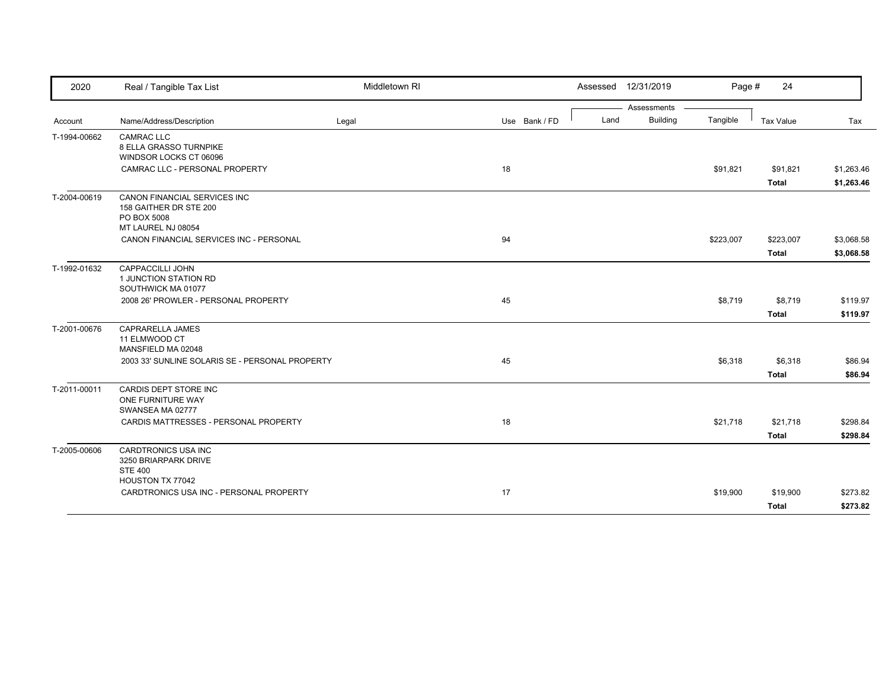| 2020         | Real / Tangible Tax List                                 | Middletown RI |               |      | Assessed 12/31/2019 | Page #    | 24               |            |
|--------------|----------------------------------------------------------|---------------|---------------|------|---------------------|-----------|------------------|------------|
|              |                                                          |               |               |      | Assessments         |           |                  |            |
| Account      | Name/Address/Description                                 | Legal         | Use Bank / FD | Land | <b>Building</b>     | Tangible  | <b>Tax Value</b> | Tax        |
| T-1994-00662 | <b>CAMRAC LLC</b>                                        |               |               |      |                     |           |                  |            |
|              | 8 ELLA GRASSO TURNPIKE                                   |               |               |      |                     |           |                  |            |
|              | WINDSOR LOCKS CT 06096<br>CAMRAC LLC - PERSONAL PROPERTY |               | 18            |      |                     | \$91,821  | \$91,821         | \$1,263.46 |
|              |                                                          |               |               |      |                     |           |                  |            |
|              |                                                          |               |               |      |                     |           | <b>Total</b>     | \$1,263.46 |
| T-2004-00619 | CANON FINANCIAL SERVICES INC                             |               |               |      |                     |           |                  |            |
|              | 158 GAITHER DR STE 200<br>PO BOX 5008                    |               |               |      |                     |           |                  |            |
|              | MT LAUREL NJ 08054                                       |               |               |      |                     |           |                  |            |
|              | CANON FINANCIAL SERVICES INC - PERSONAL                  |               | 94            |      |                     | \$223,007 | \$223,007        | \$3,068.58 |
|              |                                                          |               |               |      |                     |           | <b>Total</b>     | \$3,068.58 |
| T-1992-01632 | CAPPACCILLI JOHN                                         |               |               |      |                     |           |                  |            |
|              | 1 JUNCTION STATION RD                                    |               |               |      |                     |           |                  |            |
|              | SOUTHWICK MA 01077                                       |               |               |      |                     |           |                  |            |
|              | 2008 26' PROWLER - PERSONAL PROPERTY                     |               | 45            |      |                     | \$8,719   | \$8,719          | \$119.97   |
|              |                                                          |               |               |      |                     |           | <b>Total</b>     | \$119.97   |
| T-2001-00676 | CAPRARELLA JAMES                                         |               |               |      |                     |           |                  |            |
|              | 11 ELMWOOD CT                                            |               |               |      |                     |           |                  |            |
|              | MANSFIELD MA 02048                                       |               |               |      |                     |           |                  |            |
|              | 2003 33' SUNLINE SOLARIS SE - PERSONAL PROPERTY          |               | 45            |      |                     | \$6,318   | \$6,318          | \$86.94    |
|              |                                                          |               |               |      |                     |           | <b>Total</b>     | \$86.94    |
| T-2011-00011 | CARDIS DEPT STORE INC                                    |               |               |      |                     |           |                  |            |
|              | ONE FURNITURE WAY<br>SWANSEA MA 02777                    |               |               |      |                     |           |                  |            |
|              | CARDIS MATTRESSES - PERSONAL PROPERTY                    |               | 18            |      |                     | \$21,718  | \$21,718         | \$298.84   |
|              |                                                          |               |               |      |                     |           |                  |            |
|              |                                                          |               |               |      |                     |           | <b>Total</b>     | \$298.84   |
| T-2005-00606 | CARDTRONICS USA INC                                      |               |               |      |                     |           |                  |            |
|              | 3250 BRIARPARK DRIVE<br><b>STE 400</b>                   |               |               |      |                     |           |                  |            |
|              | HOUSTON TX 77042                                         |               |               |      |                     |           |                  |            |
|              | CARDTRONICS USA INC - PERSONAL PROPERTY                  |               | 17            |      |                     | \$19,900  | \$19,900         | \$273.82   |
|              |                                                          |               |               |      |                     |           |                  |            |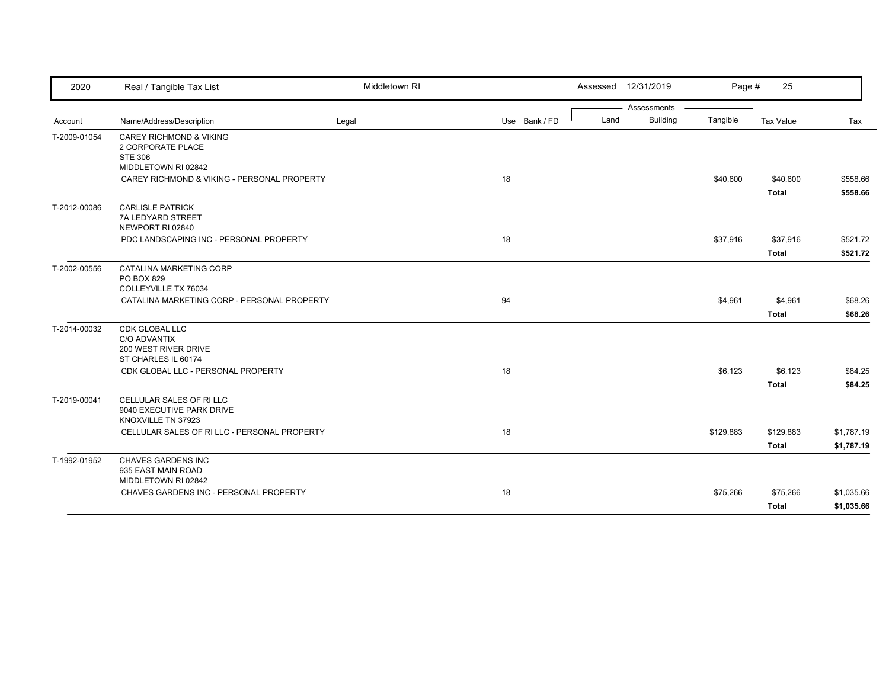| 2020         | Real / Tangible Tax List                                            | Middletown RI |               |      | Assessed 12/31/2019            | Page #    | 25               |            |
|--------------|---------------------------------------------------------------------|---------------|---------------|------|--------------------------------|-----------|------------------|------------|
|              | Name/Address/Description                                            |               | Use Bank / FD | Land | Assessments<br><b>Building</b> | Tangible  | <b>Tax Value</b> | Tax        |
| Account      |                                                                     | Legal         |               |      |                                |           |                  |            |
| T-2009-01054 | <b>CAREY RICHMOND &amp; VIKING</b><br>2 CORPORATE PLACE             |               |               |      |                                |           |                  |            |
|              | <b>STE 306</b>                                                      |               |               |      |                                |           |                  |            |
|              | MIDDLETOWN RI 02842                                                 |               |               |      |                                |           |                  |            |
|              | CAREY RICHMOND & VIKING - PERSONAL PROPERTY                         |               | 18            |      |                                | \$40,600  | \$40,600         | \$558.66   |
|              |                                                                     |               |               |      |                                |           | <b>Total</b>     | \$558.66   |
| T-2012-00086 | <b>CARLISLE PATRICK</b>                                             |               |               |      |                                |           |                  |            |
|              | 7A LEDYARD STREET                                                   |               |               |      |                                |           |                  |            |
|              | NEWPORT RI 02840                                                    |               |               |      |                                |           |                  |            |
|              | PDC LANDSCAPING INC - PERSONAL PROPERTY                             |               | 18            |      |                                | \$37,916  | \$37,916         | \$521.72   |
|              |                                                                     |               |               |      |                                |           | <b>Total</b>     | \$521.72   |
| T-2002-00556 | CATALINA MARKETING CORP                                             |               |               |      |                                |           |                  |            |
|              | PO BOX 829                                                          |               |               |      |                                |           |                  |            |
|              | COLLEYVILLE TX 76034<br>CATALINA MARKETING CORP - PERSONAL PROPERTY |               | 94            |      |                                | \$4,961   | \$4,961          | \$68.26    |
|              |                                                                     |               |               |      |                                |           |                  |            |
|              |                                                                     |               |               |      |                                |           | <b>Total</b>     | \$68.26    |
| T-2014-00032 | CDK GLOBAL LLC<br>C/O ADVANTIX                                      |               |               |      |                                |           |                  |            |
|              | 200 WEST RIVER DRIVE                                                |               |               |      |                                |           |                  |            |
|              | ST CHARLES IL 60174                                                 |               |               |      |                                |           |                  |            |
|              | CDK GLOBAL LLC - PERSONAL PROPERTY                                  |               | 18            |      |                                | \$6,123   | \$6,123          | \$84.25    |
|              |                                                                     |               |               |      |                                |           | <b>Total</b>     | \$84.25    |
| T-2019-00041 | CELLULAR SALES OF RILLC                                             |               |               |      |                                |           |                  |            |
|              | 9040 EXECUTIVE PARK DRIVE                                           |               |               |      |                                |           |                  |            |
|              | KNOXVILLE TN 37923                                                  |               |               |      |                                |           |                  |            |
|              | CELLULAR SALES OF RI LLC - PERSONAL PROPERTY                        |               | 18            |      |                                | \$129,883 | \$129,883        | \$1,787.19 |
|              |                                                                     |               |               |      |                                |           | <b>Total</b>     | \$1,787.19 |
| T-1992-01952 | CHAVES GARDENS INC                                                  |               |               |      |                                |           |                  |            |
|              | 935 EAST MAIN ROAD                                                  |               |               |      |                                |           |                  |            |
|              | MIDDLETOWN RI 02842                                                 |               |               |      |                                |           |                  |            |
|              | CHAVES GARDENS INC - PERSONAL PROPERTY                              |               | 18            |      |                                | \$75,266  | \$75,266         | \$1,035.66 |
|              |                                                                     |               |               |      |                                |           | <b>Total</b>     | \$1,035.66 |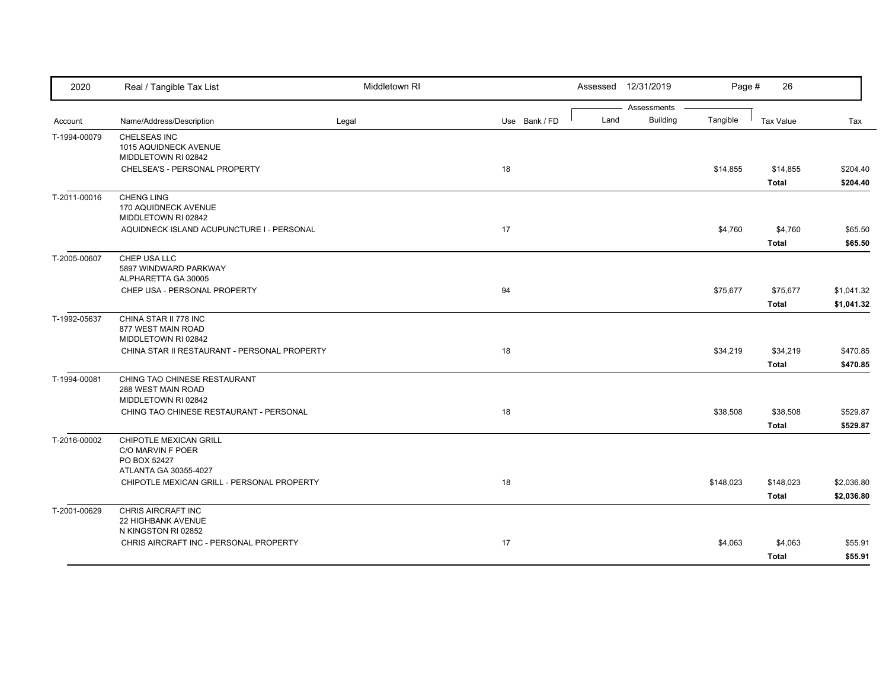| 2020         | Real / Tangible Tax List                                                  | Middletown RI |               |      | Assessed 12/31/2019            | Page #    | 26                        |                          |
|--------------|---------------------------------------------------------------------------|---------------|---------------|------|--------------------------------|-----------|---------------------------|--------------------------|
| Account      | Name/Address/Description                                                  | Legal         | Use Bank / FD | Land | Assessments<br><b>Building</b> | Tangible  | <b>Tax Value</b>          | Tax                      |
| T-1994-00079 | CHELSEAS INC<br>1015 AQUIDNECK AVENUE<br>MIDDLETOWN RI 02842              |               |               |      |                                |           |                           |                          |
|              | CHELSEA'S - PERSONAL PROPERTY                                             |               | 18            |      |                                | \$14,855  | \$14,855<br><b>Total</b>  | \$204.40<br>\$204.40     |
| T-2011-00016 | <b>CHENG LING</b><br>170 AQUIDNECK AVENUE<br>MIDDLETOWN RI 02842          |               |               |      |                                |           |                           |                          |
|              | AQUIDNECK ISLAND ACUPUNCTURE I - PERSONAL                                 |               | 17            |      |                                | \$4,760   | \$4,760<br><b>Total</b>   | \$65.50<br>\$65.50       |
| T-2005-00607 | CHEP USA LLC<br>5897 WINDWARD PARKWAY<br>ALPHARETTA GA 30005              |               |               |      |                                |           |                           |                          |
|              | CHEP USA - PERSONAL PROPERTY                                              |               | 94            |      |                                | \$75,677  | \$75,677<br><b>Total</b>  | \$1,041.32<br>\$1,041.32 |
| T-1992-05637 | CHINA STAR II 778 INC<br>877 WEST MAIN ROAD<br>MIDDLETOWN RI 02842        |               |               |      |                                |           |                           |                          |
|              | CHINA STAR II RESTAURANT - PERSONAL PROPERTY                              |               | 18            |      |                                | \$34,219  | \$34,219<br><b>Total</b>  | \$470.85<br>\$470.85     |
| T-1994-00081 | CHING TAO CHINESE RESTAURANT<br>288 WEST MAIN ROAD<br>MIDDLETOWN RI 02842 |               |               |      |                                |           |                           |                          |
|              | CHING TAO CHINESE RESTAURANT - PERSONAL                                   |               | 18            |      |                                | \$38,508  | \$38,508<br><b>Total</b>  | \$529.87<br>\$529.87     |
| T-2016-00002 | CHIPOTLE MEXICAN GRILL<br>C/O MARVIN F POER<br>PO BOX 52427               |               |               |      |                                |           |                           |                          |
|              | ATLANTA GA 30355-4027<br>CHIPOTLE MEXICAN GRILL - PERSONAL PROPERTY       |               | 18            |      |                                | \$148,023 | \$148,023<br><b>Total</b> | \$2,036.80<br>\$2,036.80 |
| T-2001-00629 | CHRIS AIRCRAFT INC<br>22 HIGHBANK AVENUE<br>N KINGSTON RI 02852           |               |               |      |                                |           |                           |                          |
|              | CHRIS AIRCRAFT INC - PERSONAL PROPERTY                                    |               | 17            |      |                                | \$4,063   | \$4,063<br><b>Total</b>   | \$55.91<br>\$55.91       |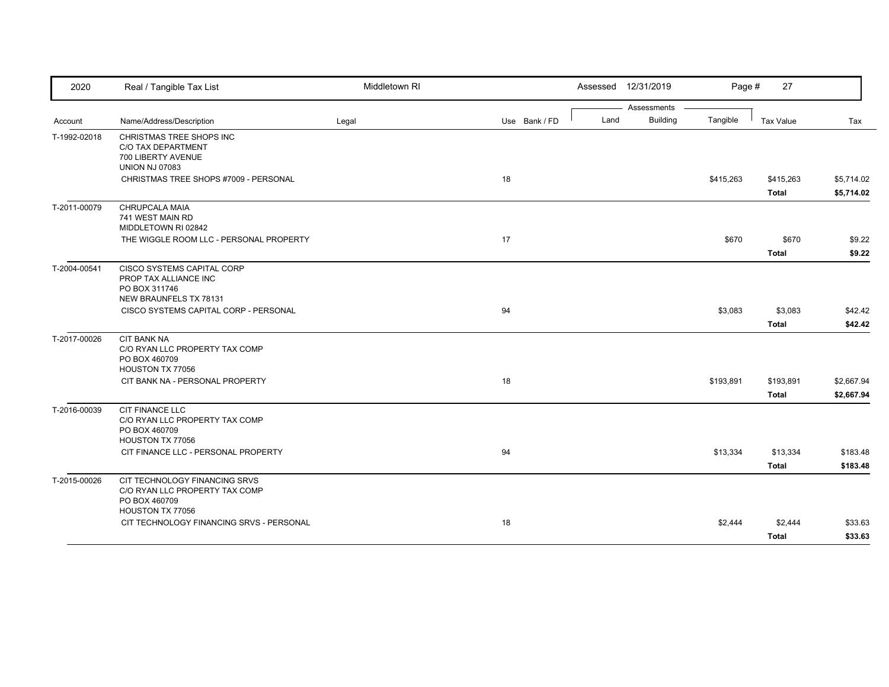| 2020         | Real / Tangible Tax List                                                                             | Middletown RI |               | Assessed 12/31/2019 |                                | Page #    | 27                        |                          |
|--------------|------------------------------------------------------------------------------------------------------|---------------|---------------|---------------------|--------------------------------|-----------|---------------------------|--------------------------|
| Account      | Name/Address/Description                                                                             | Legal         | Use Bank / FD | Land                | Assessments<br><b>Building</b> | Tangible  | Tax Value                 | Tax                      |
| T-1992-02018 | CHRISTMAS TREE SHOPS INC<br>C/O TAX DEPARTMENT<br>700 LIBERTY AVENUE<br><b>UNION NJ 07083</b>        |               |               |                     |                                |           |                           |                          |
|              | CHRISTMAS TREE SHOPS #7009 - PERSONAL                                                                |               | 18            |                     |                                | \$415,263 | \$415,263<br>Total        | \$5,714.02<br>\$5,714.02 |
| T-2011-00079 | CHRUPCALA MAIA<br>741 WEST MAIN RD<br>MIDDLETOWN RI 02842                                            |               |               |                     |                                |           |                           |                          |
|              | THE WIGGLE ROOM LLC - PERSONAL PROPERTY                                                              |               | 17            |                     |                                | \$670     | \$670<br><b>Total</b>     | \$9.22<br>\$9.22         |
| T-2004-00541 | CISCO SYSTEMS CAPITAL CORP<br>PROP TAX ALLIANCE INC<br>PO BOX 311746<br>NEW BRAUNFELS TX 78131       |               |               |                     |                                |           |                           |                          |
|              | CISCO SYSTEMS CAPITAL CORP - PERSONAL                                                                |               | 94            |                     |                                | \$3,083   | \$3,083<br><b>Total</b>   | \$42.42<br>\$42.42       |
| T-2017-00026 | <b>CIT BANK NA</b><br>C/O RYAN LLC PROPERTY TAX COMP<br>PO BOX 460709<br>HOUSTON TX 77056            |               |               |                     |                                |           |                           |                          |
|              | CIT BANK NA - PERSONAL PROPERTY                                                                      |               | 18            |                     |                                | \$193,891 | \$193,891<br><b>Total</b> | \$2,667.94<br>\$2,667.94 |
| T-2016-00039 | <b>CIT FINANCE LLC</b><br>C/O RYAN LLC PROPERTY TAX COMP<br>PO BOX 460709<br>HOUSTON TX 77056        |               |               |                     |                                |           |                           |                          |
|              | CIT FINANCE LLC - PERSONAL PROPERTY                                                                  |               | 94            |                     |                                | \$13,334  | \$13,334<br><b>Total</b>  | \$183.48<br>\$183.48     |
| T-2015-00026 | CIT TECHNOLOGY FINANCING SRVS<br>C/O RYAN LLC PROPERTY TAX COMP<br>PO BOX 460709<br>HOUSTON TX 77056 |               |               |                     |                                |           |                           |                          |
|              | CIT TECHNOLOGY FINANCING SRVS - PERSONAL                                                             |               | 18            |                     |                                | \$2,444   | \$2,444<br><b>Total</b>   | \$33.63<br>\$33.63       |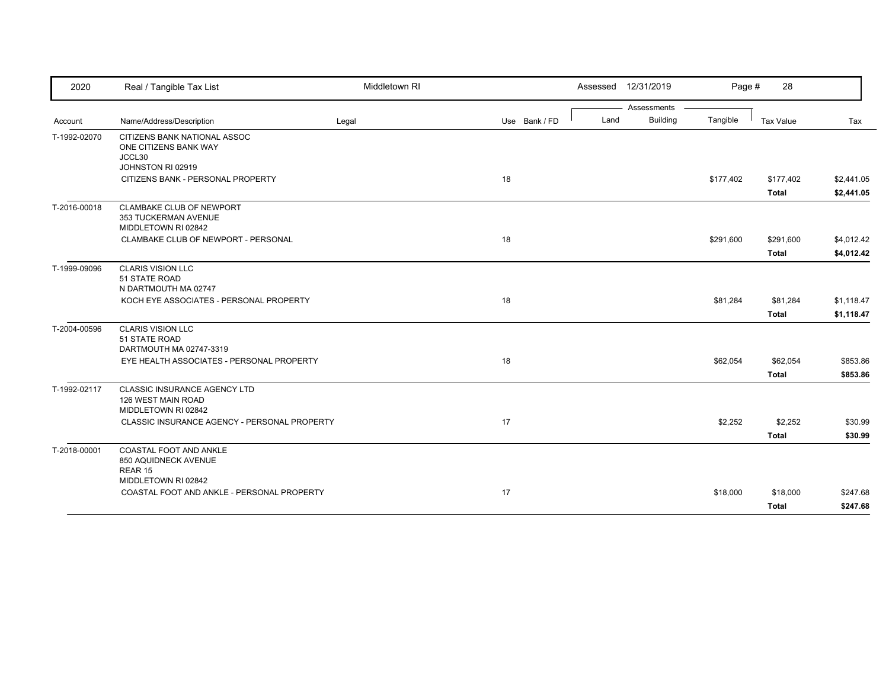| 2020         | Real / Tangible Tax List                                                         | Middletown RI |               | Assessed 12/31/2019 |                 | Page #    | 28           |            |
|--------------|----------------------------------------------------------------------------------|---------------|---------------|---------------------|-----------------|-----------|--------------|------------|
|              |                                                                                  |               |               |                     | Assessments     |           |              |            |
| Account      | Name/Address/Description                                                         | Legal         | Use Bank / FD | Land                | <b>Building</b> | Tangible  | Tax Value    | Tax        |
| T-1992-02070 | CITIZENS BANK NATIONAL ASSOC<br>ONE CITIZENS BANK WAY<br>JCCL30                  |               |               |                     |                 |           |              |            |
|              | JOHNSTON RI 02919                                                                |               |               |                     |                 |           |              |            |
|              | CITIZENS BANK - PERSONAL PROPERTY                                                |               | 18            |                     |                 | \$177,402 | \$177,402    | \$2,441.05 |
|              |                                                                                  |               |               |                     |                 |           | <b>Total</b> | \$2,441.05 |
| T-2016-00018 | CLAMBAKE CLUB OF NEWPORT<br>353 TUCKERMAN AVENUE<br>MIDDLETOWN RI 02842          |               |               |                     |                 |           |              |            |
|              | CLAMBAKE CLUB OF NEWPORT - PERSONAL                                              |               | 18            |                     |                 | \$291,600 | \$291,600    | \$4,012.42 |
|              |                                                                                  |               |               |                     |                 |           | <b>Total</b> | \$4,012.42 |
| T-1999-09096 | <b>CLARIS VISION LLC</b><br>51 STATE ROAD                                        |               |               |                     |                 |           |              |            |
|              | N DARTMOUTH MA 02747<br>KOCH EYE ASSOCIATES - PERSONAL PROPERTY                  |               | 18            |                     |                 | \$81,284  | \$81,284     | \$1,118.47 |
|              |                                                                                  |               |               |                     |                 |           | <b>Total</b> | \$1,118.47 |
|              |                                                                                  |               |               |                     |                 |           |              |            |
| T-2004-00596 | <b>CLARIS VISION LLC</b><br>51 STATE ROAD<br>DARTMOUTH MA 02747-3319             |               |               |                     |                 |           |              |            |
|              | EYE HEALTH ASSOCIATES - PERSONAL PROPERTY                                        |               | 18            |                     |                 | \$62,054  | \$62,054     | \$853.86   |
|              |                                                                                  |               |               |                     |                 |           | <b>Total</b> | \$853.86   |
| T-1992-02117 | <b>CLASSIC INSURANCE AGENCY LTD</b><br>126 WEST MAIN ROAD<br>MIDDLETOWN RI 02842 |               |               |                     |                 |           |              |            |
|              | CLASSIC INSURANCE AGENCY - PERSONAL PROPERTY                                     |               | 17            |                     |                 | \$2,252   | \$2,252      | \$30.99    |
|              |                                                                                  |               |               |                     |                 |           | Total        | \$30.99    |
| T-2018-00001 | COASTAL FOOT AND ANKLE<br>850 AQUIDNECK AVENUE<br>REAR 15                        |               |               |                     |                 |           |              |            |
|              | MIDDLETOWN RI 02842                                                              |               |               |                     |                 |           |              |            |
|              | COASTAL FOOT AND ANKLE - PERSONAL PROPERTY                                       |               | 17            |                     |                 | \$18,000  | \$18,000     | \$247.68   |
|              |                                                                                  |               |               |                     |                 |           | Total        | \$247.68   |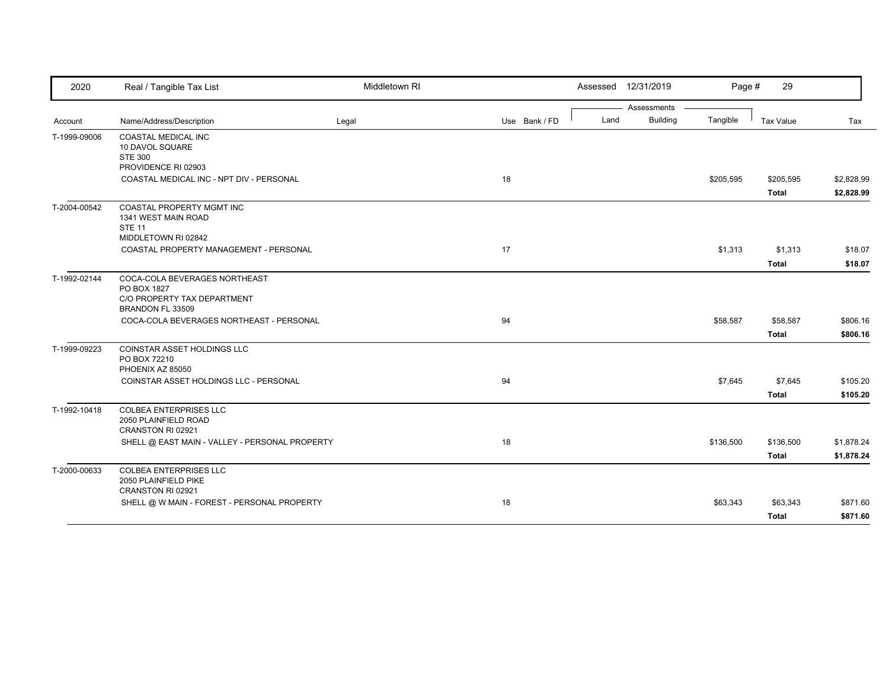| 2020         | Real / Tangible Tax List                                                                                         | Middletown RI |               |      | Assessed 12/31/2019 | Page #    | 29                        |                          |
|--------------|------------------------------------------------------------------------------------------------------------------|---------------|---------------|------|---------------------|-----------|---------------------------|--------------------------|
|              |                                                                                                                  |               |               |      | Assessments         |           |                           |                          |
| Account      | Name/Address/Description                                                                                         | Legal         | Use Bank / FD | Land | <b>Building</b>     | Tangible  | <b>Tax Value</b>          | Tax                      |
| T-1999-09006 | COASTAL MEDICAL INC<br>10 DAVOL SQUARE<br><b>STE 300</b>                                                         |               |               |      |                     |           |                           |                          |
|              | PROVIDENCE RI 02903                                                                                              |               |               |      |                     |           |                           |                          |
|              | COASTAL MEDICAL INC - NPT DIV - PERSONAL                                                                         |               | 18            |      |                     | \$205,595 | \$205,595<br><b>Total</b> | \$2,828.99<br>\$2,828.99 |
| T-2004-00542 | COASTAL PROPERTY MGMT INC<br>1341 WEST MAIN ROAD<br><b>STE 11</b>                                                |               |               |      |                     |           |                           |                          |
|              | MIDDLETOWN RI 02842<br>COASTAL PROPERTY MANAGEMENT - PERSONAL                                                    |               | 17            |      |                     | \$1,313   |                           | \$18.07                  |
|              |                                                                                                                  |               |               |      |                     |           | \$1,313<br><b>Total</b>   | \$18.07                  |
| T-1992-02144 | COCA-COLA BEVERAGES NORTHEAST<br>PO BOX 1827<br>C/O PROPERTY TAX DEPARTMENT<br>BRANDON FL 33509                  |               |               |      |                     |           |                           |                          |
|              | COCA-COLA BEVERAGES NORTHEAST - PERSONAL                                                                         |               | 94            |      |                     | \$58,587  | \$58,587                  | \$806.16                 |
|              |                                                                                                                  |               |               |      |                     |           | <b>Total</b>              | \$806.16                 |
| T-1999-09223 | <b>COINSTAR ASSET HOLDINGS LLC</b><br>PO BOX 72210<br>PHOENIX AZ 85050<br>COINSTAR ASSET HOLDINGS LLC - PERSONAL |               | 94            |      |                     | \$7,645   | \$7,645                   | \$105.20                 |
|              |                                                                                                                  |               |               |      |                     |           | <b>Total</b>              | \$105.20                 |
| T-1992-10418 | <b>COLBEA ENTERPRISES LLC</b><br>2050 PLAINFIELD ROAD<br>CRANSTON RI 02921                                       |               |               |      |                     |           |                           |                          |
|              | SHELL @ EAST MAIN - VALLEY - PERSONAL PROPERTY                                                                   |               | 18            |      |                     | \$136,500 | \$136,500                 | \$1,878.24               |
|              |                                                                                                                  |               |               |      |                     |           | <b>Total</b>              | \$1,878.24               |
| T-2000-00633 | <b>COLBEA ENTERPRISES LLC</b><br>2050 PLAINFIELD PIKE<br>CRANSTON RI 02921                                       |               |               |      |                     |           |                           |                          |
|              | SHELL @ W MAIN - FOREST - PERSONAL PROPERTY                                                                      |               | 18            |      |                     | \$63,343  | \$63,343                  | \$871.60                 |
|              |                                                                                                                  |               |               |      |                     |           | <b>Total</b>              | \$871.60                 |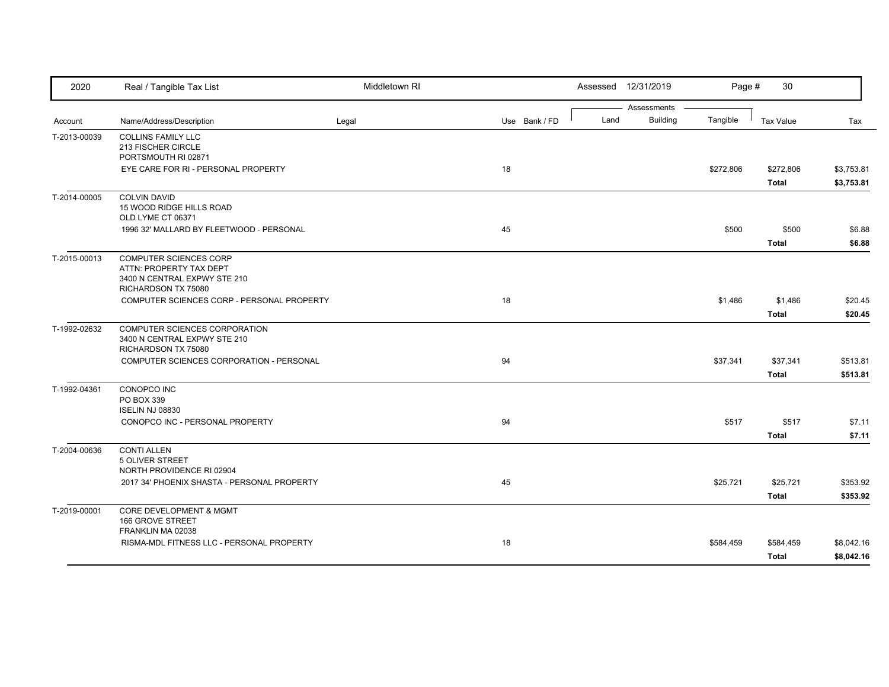| 2020         | Real / Tangible Tax List                                   | Middletown RI |               |      | Assessed 12/31/2019            | Page #    | 30               |            |
|--------------|------------------------------------------------------------|---------------|---------------|------|--------------------------------|-----------|------------------|------------|
| Account      | Name/Address/Description                                   | Legal         | Use Bank / FD | Land | Assessments<br><b>Building</b> | Tangible  | <b>Tax Value</b> | Tax        |
| T-2013-00039 | <b>COLLINS FAMILY LLC</b>                                  |               |               |      |                                |           |                  |            |
|              | 213 FISCHER CIRCLE                                         |               |               |      |                                |           |                  |            |
|              | PORTSMOUTH RI 02871<br>EYE CARE FOR RI - PERSONAL PROPERTY |               | 18            |      |                                | \$272,806 | \$272,806        | \$3,753.81 |
|              |                                                            |               |               |      |                                |           | <b>Total</b>     | \$3,753.81 |
| T-2014-00005 | <b>COLVIN DAVID</b>                                        |               |               |      |                                |           |                  |            |
|              | 15 WOOD RIDGE HILLS ROAD<br>OLD LYME CT 06371              |               |               |      |                                |           |                  |            |
|              | 1996 32' MALLARD BY FLEETWOOD - PERSONAL                   |               | 45            |      |                                | \$500     | \$500            | \$6.88     |
|              |                                                            |               |               |      |                                |           | <b>Total</b>     | \$6.88     |
| T-2015-00013 | <b>COMPUTER SCIENCES CORP</b>                              |               |               |      |                                |           |                  |            |
|              | ATTN: PROPERTY TAX DEPT<br>3400 N CENTRAL EXPWY STE 210    |               |               |      |                                |           |                  |            |
|              | RICHARDSON TX 75080                                        |               |               |      |                                |           |                  |            |
|              | COMPUTER SCIENCES CORP - PERSONAL PROPERTY                 |               | 18            |      |                                | \$1,486   | \$1,486          | \$20.45    |
|              |                                                            |               |               |      |                                |           | <b>Total</b>     | \$20.45    |
| T-1992-02632 | COMPUTER SCIENCES CORPORATION                              |               |               |      |                                |           |                  |            |
|              | 3400 N CENTRAL EXPWY STE 210<br>RICHARDSON TX 75080        |               |               |      |                                |           |                  |            |
|              | COMPUTER SCIENCES CORPORATION - PERSONAL                   |               | 94            |      |                                | \$37,341  | \$37,341         | \$513.81   |
|              |                                                            |               |               |      |                                |           | <b>Total</b>     | \$513.81   |
| T-1992-04361 | CONOPCO INC                                                |               |               |      |                                |           |                  |            |
|              | PO BOX 339<br><b>ISELIN NJ 08830</b>                       |               |               |      |                                |           |                  |            |
|              | CONOPCO INC - PERSONAL PROPERTY                            |               | 94            |      |                                | \$517     | \$517            | \$7.11     |
|              |                                                            |               |               |      |                                |           | <b>Total</b>     | \$7.11     |
| T-2004-00636 | <b>CONTI ALLEN</b>                                         |               |               |      |                                |           |                  |            |
|              | 5 OLIVER STREET                                            |               |               |      |                                |           |                  |            |
|              | NORTH PROVIDENCE RI 02904                                  |               |               |      |                                |           |                  |            |
|              | 2017 34' PHOENIX SHASTA - PERSONAL PROPERTY                |               | 45            |      |                                | \$25,721  | \$25,721         | \$353.92   |
|              |                                                            |               |               |      |                                |           | <b>Total</b>     | \$353.92   |
| T-2019-00001 | <b>CORE DEVELOPMENT &amp; MGMT</b>                         |               |               |      |                                |           |                  |            |
|              | 166 GROVE STREET<br>FRANKLIN MA 02038                      |               |               |      |                                |           |                  |            |
|              | RISMA-MDL FITNESS LLC - PERSONAL PROPERTY                  |               | 18            |      |                                | \$584,459 | \$584,459        | \$8,042.16 |
|              |                                                            |               |               |      |                                |           | <b>Total</b>     | \$8,042.16 |
|              |                                                            |               |               |      |                                |           |                  |            |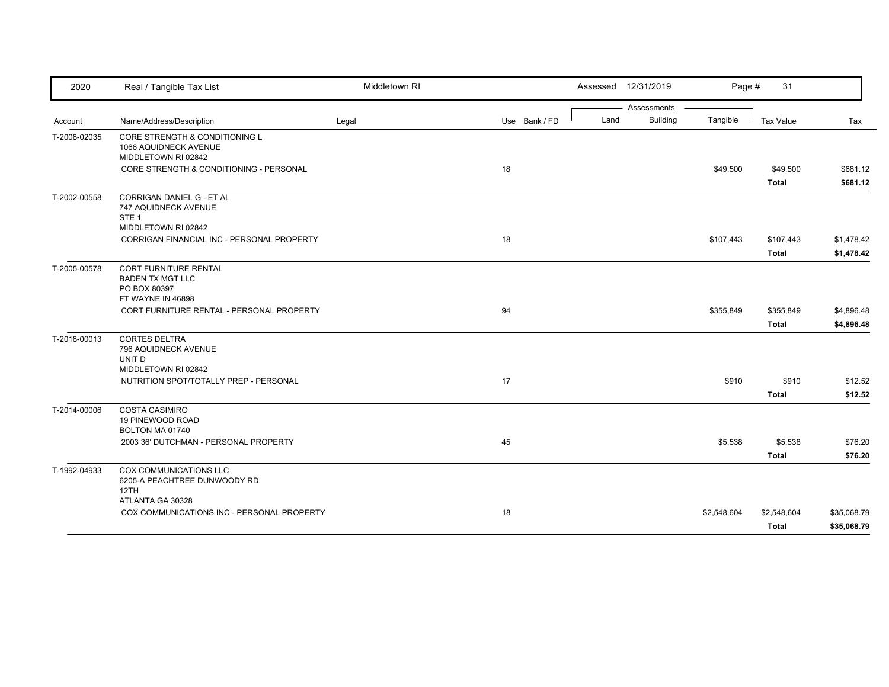| 2020         | Real / Tangible Tax List                                                              | Middletown RI |               |      | Assessed 12/31/2019            | Page #      | 31                          |                            |
|--------------|---------------------------------------------------------------------------------------|---------------|---------------|------|--------------------------------|-------------|-----------------------------|----------------------------|
|              |                                                                                       |               |               | Land | Assessments<br><b>Building</b> | Tangible    |                             |                            |
| Account      | Name/Address/Description                                                              | Legal         | Use Bank / FD |      |                                |             | <b>Tax Value</b>            | Tax                        |
| T-2008-02035 | CORE STRENGTH & CONDITIONING L<br>1066 AQUIDNECK AVENUE<br>MIDDLETOWN RI 02842        |               |               |      |                                |             |                             |                            |
|              | CORE STRENGTH & CONDITIONING - PERSONAL                                               |               | 18            |      |                                | \$49,500    | \$49,500<br><b>Total</b>    | \$681.12<br>\$681.12       |
| T-2002-00558 | <b>CORRIGAN DANIEL G - ET AL</b><br>747 AQUIDNECK AVENUE<br>STE <sub>1</sub>          |               |               |      |                                |             |                             |                            |
|              | MIDDLETOWN RI 02842<br>CORRIGAN FINANCIAL INC - PERSONAL PROPERTY                     |               | 18            |      |                                | \$107,443   | \$107,443<br><b>Total</b>   | \$1,478.42<br>\$1,478.42   |
| T-2005-00578 | CORT FURNITURE RENTAL<br><b>BADEN TX MGT LLC</b><br>PO BOX 80397<br>FT WAYNE IN 46898 |               |               |      |                                |             |                             |                            |
|              | CORT FURNITURE RENTAL - PERSONAL PROPERTY                                             |               | 94            |      |                                | \$355,849   | \$355,849<br><b>Total</b>   | \$4,896.48<br>\$4,896.48   |
| T-2018-00013 | <b>CORTES DELTRA</b><br>796 AQUIDNECK AVENUE<br>UNIT D<br>MIDDLETOWN RI 02842         |               |               |      |                                |             |                             |                            |
|              | NUTRITION SPOT/TOTALLY PREP - PERSONAL                                                |               | 17            |      |                                | \$910       | \$910<br><b>Total</b>       | \$12.52<br>\$12.52         |
| T-2014-00006 | <b>COSTA CASIMIRO</b><br>19 PINEWOOD ROAD<br>BOLTON MA 01740                          |               |               |      |                                |             |                             |                            |
|              | 2003 36' DUTCHMAN - PERSONAL PROPERTY                                                 |               | 45            |      |                                | \$5,538     | \$5,538<br><b>Total</b>     | \$76.20<br>\$76.20         |
| T-1992-04933 | COX COMMUNICATIONS LLC<br>6205-A PEACHTREE DUNWOODY RD<br>12TH                        |               |               |      |                                |             |                             |                            |
|              | ATLANTA GA 30328<br>COX COMMUNICATIONS INC - PERSONAL PROPERTY                        |               | 18            |      |                                | \$2,548,604 | \$2,548,604<br><b>Total</b> | \$35,068.79<br>\$35,068.79 |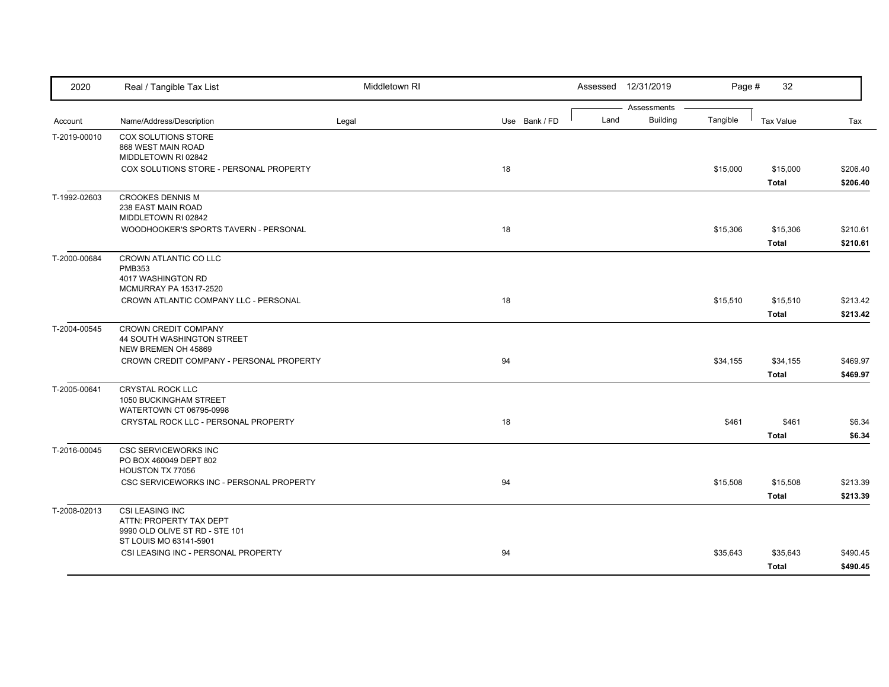| 2020         | Real / Tangible Tax List                                                                               | Middletown RI |               |      | Assessed 12/31/2019            | Page #   | 32                       |                      |
|--------------|--------------------------------------------------------------------------------------------------------|---------------|---------------|------|--------------------------------|----------|--------------------------|----------------------|
| Account      | Name/Address/Description                                                                               | Legal         | Use Bank / FD | Land | Assessments<br><b>Building</b> | Tangible | <b>Tax Value</b>         | Tax                  |
| T-2019-00010 | COX SOLUTIONS STORE<br>868 WEST MAIN ROAD<br>MIDDLETOWN RI 02842                                       |               |               |      |                                |          |                          |                      |
|              | COX SOLUTIONS STORE - PERSONAL PROPERTY                                                                |               | 18            |      |                                | \$15,000 | \$15,000<br><b>Total</b> | \$206.40<br>\$206.40 |
| T-1992-02603 | <b>CROOKES DENNIS M</b><br>238 EAST MAIN ROAD<br>MIDDLETOWN RI 02842                                   |               |               |      |                                |          |                          |                      |
|              | WOODHOOKER'S SPORTS TAVERN - PERSONAL                                                                  |               | 18            |      |                                | \$15,306 | \$15,306<br><b>Total</b> | \$210.61<br>\$210.61 |
| T-2000-00684 | CROWN ATLANTIC CO LLC<br><b>PMB353</b><br>4017 WASHINGTON RD<br>MCMURRAY PA 15317-2520                 |               |               |      |                                |          |                          |                      |
|              | CROWN ATLANTIC COMPANY LLC - PERSONAL                                                                  |               | 18            |      |                                | \$15,510 | \$15,510<br><b>Total</b> | \$213.42<br>\$213.42 |
| T-2004-00545 | CROWN CREDIT COMPANY<br>44 SOUTH WASHINGTON STREET<br>NEW BREMEN OH 45869                              |               |               |      |                                |          |                          |                      |
|              | CROWN CREDIT COMPANY - PERSONAL PROPERTY                                                               |               | 94            |      |                                | \$34,155 | \$34,155<br><b>Total</b> | \$469.97<br>\$469.97 |
| T-2005-00641 | CRYSTAL ROCK LLC<br>1050 BUCKINGHAM STREET<br>WATERTOWN CT 06795-0998                                  |               |               |      |                                |          |                          |                      |
|              | CRYSTAL ROCK LLC - PERSONAL PROPERTY                                                                   |               | 18            |      |                                | \$461    | \$461<br><b>Total</b>    | \$6.34<br>\$6.34     |
| T-2016-00045 | <b>CSC SERVICEWORKS INC</b><br>PO BOX 460049 DEPT 802<br>HOUSTON TX 77056                              |               |               |      |                                |          |                          |                      |
|              | CSC SERVICEWORKS INC - PERSONAL PROPERTY                                                               |               | 94            |      |                                | \$15,508 | \$15,508<br><b>Total</b> | \$213.39<br>\$213.39 |
| T-2008-02013 | CSI LEASING INC<br>ATTN: PROPERTY TAX DEPT<br>9990 OLD OLIVE ST RD - STE 101<br>ST LOUIS MO 63141-5901 |               |               |      |                                |          |                          |                      |
|              | CSI LEASING INC - PERSONAL PROPERTY                                                                    |               | 94            |      |                                | \$35,643 | \$35,643<br>Total        | \$490.45<br>\$490.45 |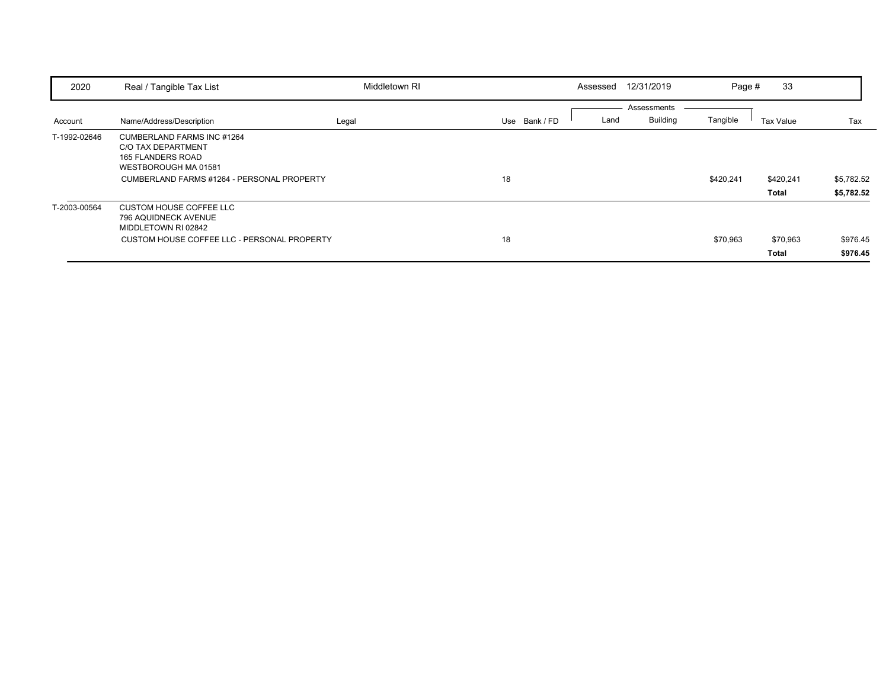| 2020         | Real / Tangible Tax List                                                                                                                                  | Middletown RI |               | Assessed | 12/31/2019                     | Page #    | 33                 |                          |
|--------------|-----------------------------------------------------------------------------------------------------------------------------------------------------------|---------------|---------------|----------|--------------------------------|-----------|--------------------|--------------------------|
| Account      | Name/Address/Description                                                                                                                                  | Legal         | Use Bank / FD | Land     | Assessments<br><b>Building</b> | Tangible  | Tax Value          | Tax                      |
| T-1992-02646 | CUMBERLAND FARMS INC #1264<br><b>C/O TAX DEPARTMENT</b><br><b>165 FLANDERS ROAD</b><br>WESTBOROUGH MA 01581<br>CUMBERLAND FARMS #1264 - PERSONAL PROPERTY |               | 18            |          |                                | \$420,241 | \$420,241<br>Total | \$5,782.52<br>\$5,782.52 |
| T-2003-00564 | <b>CUSTOM HOUSE COFFEE LLC</b><br>796 AQUIDNECK AVENUE<br>MIDDLETOWN RI 02842<br>CUSTOM HOUSE COFFEE LLC - PERSONAL PROPERTY                              |               | 18            |          |                                | \$70,963  | \$70,963<br>Total  | \$976.45<br>\$976.45     |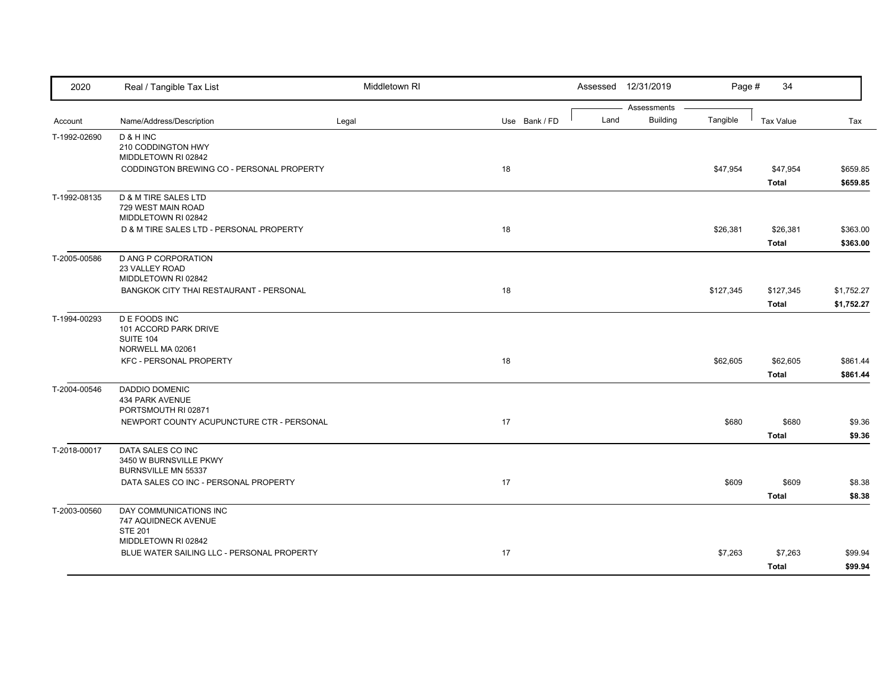| 2020         | Real / Tangible Tax List                                                     | Middletown RI |               |      | Assessed 12/31/2019            | Page #    | 34                        |                          |
|--------------|------------------------------------------------------------------------------|---------------|---------------|------|--------------------------------|-----------|---------------------------|--------------------------|
| Account      | Name/Address/Description                                                     | Legal         | Use Bank / FD | Land | Assessments<br><b>Building</b> | Tangible  | <b>Tax Value</b>          | Tax                      |
| T-1992-02690 | D & H INC<br>210 CODDINGTON HWY<br>MIDDLETOWN RI 02842                       |               |               |      |                                |           |                           |                          |
|              | CODDINGTON BREWING CO - PERSONAL PROPERTY                                    |               | 18            |      |                                | \$47,954  | \$47,954<br><b>Total</b>  | \$659.85<br>\$659.85     |
| T-1992-08135 | <b>D &amp; M TIRE SALES LTD</b><br>729 WEST MAIN ROAD<br>MIDDLETOWN RI 02842 |               |               |      |                                |           |                           |                          |
|              | D & M TIRE SALES LTD - PERSONAL PROPERTY                                     |               | 18            |      |                                | \$26,381  | \$26,381<br><b>Total</b>  | \$363.00<br>\$363.00     |
| T-2005-00586 | D ANG P CORPORATION<br>23 VALLEY ROAD<br>MIDDLETOWN RI 02842                 |               |               |      |                                |           |                           |                          |
|              | BANGKOK CITY THAI RESTAURANT - PERSONAL                                      |               | 18            |      |                                | \$127,345 | \$127,345<br><b>Total</b> | \$1,752.27<br>\$1,752.27 |
| T-1994-00293 | <b>DE FOODS INC</b><br>101 ACCORD PARK DRIVE<br>SUITE 104                    |               |               |      |                                |           |                           |                          |
|              | NORWELL MA 02061<br><b>KFC - PERSONAL PROPERTY</b>                           |               | 18            |      |                                | \$62,605  | \$62,605<br><b>Total</b>  | \$861.44<br>\$861.44     |
| T-2004-00546 | <b>DADDIO DOMENIC</b><br>434 PARK AVENUE<br>PORTSMOUTH RI 02871              |               |               |      |                                |           |                           |                          |
|              | NEWPORT COUNTY ACUPUNCTURE CTR - PERSONAL                                    |               | 17            |      |                                | \$680     | \$680<br><b>Total</b>     | \$9.36<br>\$9.36         |
| T-2018-00017 | DATA SALES CO INC<br>3450 W BURNSVILLE PKWY<br>BURNSVILLE MN 55337           |               |               |      |                                |           |                           |                          |
|              | DATA SALES CO INC - PERSONAL PROPERTY                                        |               | 17            |      |                                | \$609     | \$609<br><b>Total</b>     | \$8.38<br>\$8.38         |
| T-2003-00560 | DAY COMMUNICATIONS INC<br>747 AQUIDNECK AVENUE<br><b>STE 201</b>             |               |               |      |                                |           |                           |                          |
|              | MIDDLETOWN RI 02842<br>BLUE WATER SAILING LLC - PERSONAL PROPERTY            |               | 17            |      |                                | \$7,263   | \$7,263<br><b>Total</b>   | \$99.94<br>\$99.94       |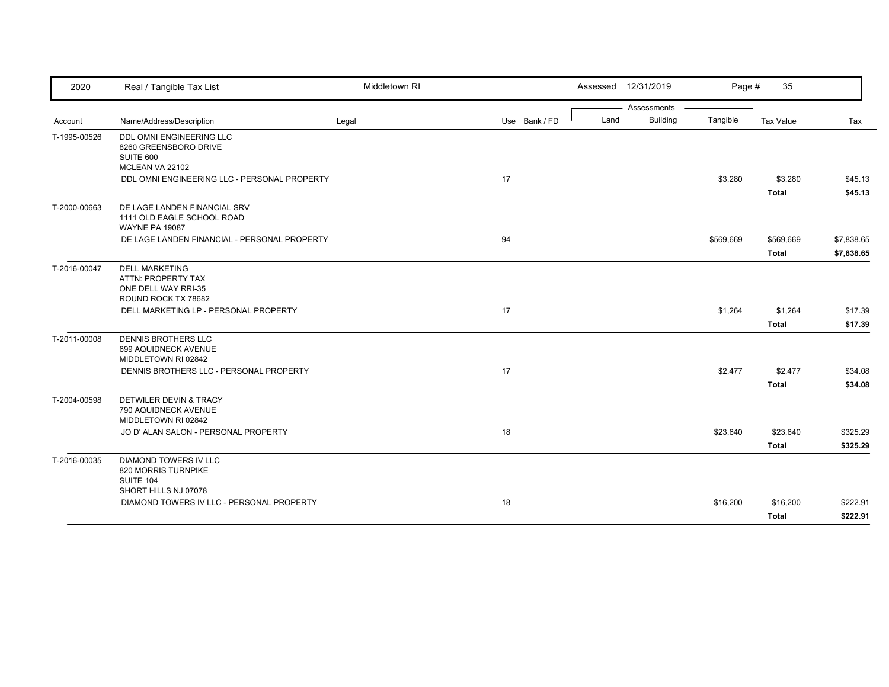| 2020         | Real / Tangible Tax List                                                            | Middletown RI |               |      | Assessed 12/31/2019            | Page #    | 35                        |                          |
|--------------|-------------------------------------------------------------------------------------|---------------|---------------|------|--------------------------------|-----------|---------------------------|--------------------------|
| Account      | Name/Address/Description                                                            | Legal         | Use Bank / FD | Land | Assessments<br><b>Building</b> | Tangible  | <b>Tax Value</b>          | Tax                      |
| T-1995-00526 | DDL OMNI ENGINEERING LLC                                                            |               |               |      |                                |           |                           |                          |
|              | 8260 GREENSBORO DRIVE<br>SUITE 600<br>MCLEAN VA 22102                               |               |               |      |                                |           |                           |                          |
|              | DDL OMNI ENGINEERING LLC - PERSONAL PROPERTY                                        |               | 17            |      |                                | \$3,280   | \$3,280<br><b>Total</b>   | \$45.13<br>\$45.13       |
| T-2000-00663 | DE LAGE LANDEN FINANCIAL SRV<br>1111 OLD EAGLE SCHOOL ROAD<br><b>WAYNE PA 19087</b> |               |               |      |                                |           |                           |                          |
|              | DE LAGE LANDEN FINANCIAL - PERSONAL PROPERTY                                        |               | 94            |      |                                | \$569,669 | \$569,669<br><b>Total</b> | \$7,838.65<br>\$7,838.65 |
| T-2016-00047 | <b>DELL MARKETING</b><br>ATTN: PROPERTY TAX<br>ONE DELL WAY RRI-35                  |               |               |      |                                |           |                           |                          |
|              | ROUND ROCK TX 78682<br>DELL MARKETING LP - PERSONAL PROPERTY                        |               | 17            |      |                                | \$1,264   | \$1,264<br>Total          | \$17.39<br>\$17.39       |
| T-2011-00008 | <b>DENNIS BROTHERS LLC</b><br>699 AQUIDNECK AVENUE<br>MIDDLETOWN RI 02842           |               |               |      |                                |           |                           |                          |
|              | DENNIS BROTHERS LLC - PERSONAL PROPERTY                                             |               | 17            |      |                                | \$2,477   | \$2,477<br><b>Total</b>   | \$34.08<br>\$34.08       |
| T-2004-00598 | DETWILER DEVIN & TRACY<br>790 AQUIDNECK AVENUE<br>MIDDLETOWN RI 02842               |               |               |      |                                |           |                           |                          |
|              | JO D' ALAN SALON - PERSONAL PROPERTY                                                |               | 18            |      |                                | \$23,640  | \$23,640<br>Total         | \$325.29<br>\$325.29     |
| T-2016-00035 | <b>DIAMOND TOWERS IV LLC</b><br>820 MORRIS TURNPIKE<br>SUITE 104                    |               |               |      |                                |           |                           |                          |
|              | SHORT HILLS NJ 07078<br>DIAMOND TOWERS IV LLC - PERSONAL PROPERTY                   |               | 18            |      |                                | \$16,200  | \$16,200<br><b>Total</b>  | \$222.91<br>\$222.91     |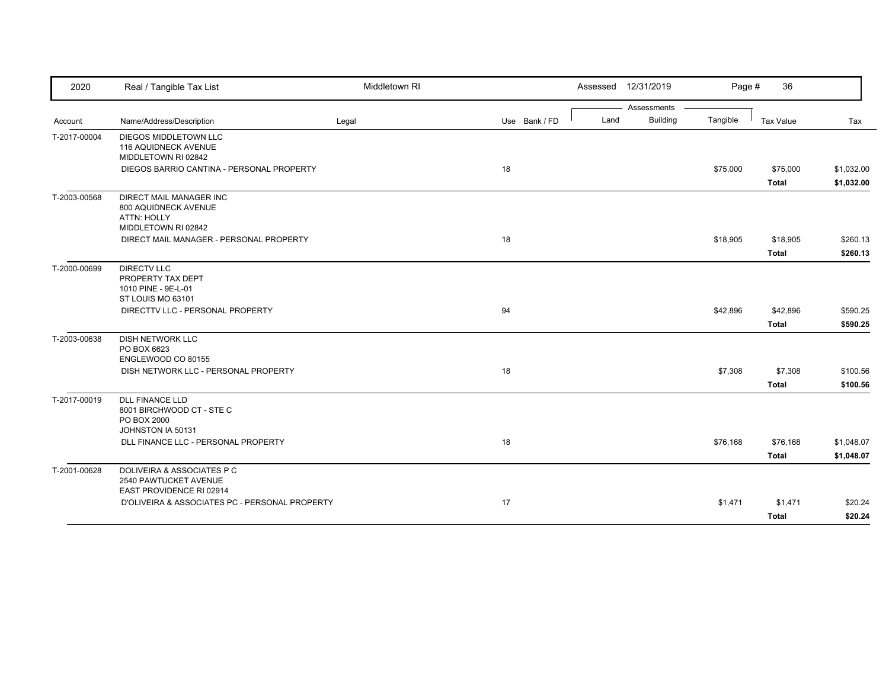| 2020         | Real / Tangible Tax List                                                                | Middletown RI |               |      | Assessed 12/31/2019 | Page #   | 36               |            |
|--------------|-----------------------------------------------------------------------------------------|---------------|---------------|------|---------------------|----------|------------------|------------|
|              |                                                                                         |               |               |      | Assessments         |          |                  |            |
| Account      | Name/Address/Description                                                                | Legal         | Use Bank / FD | Land | <b>Building</b>     | Tangible | <b>Tax Value</b> | Tax        |
| T-2017-00004 | DIEGOS MIDDLETOWN LLC<br>116 AQUIDNECK AVENUE<br>MIDDLETOWN RI 02842                    |               |               |      |                     |          |                  |            |
|              | DIEGOS BARRIO CANTINA - PERSONAL PROPERTY                                               |               | 18            |      |                     | \$75,000 | \$75,000         | \$1,032.00 |
|              |                                                                                         |               |               |      |                     |          | <b>Total</b>     | \$1,032.00 |
| T-2003-00568 | DIRECT MAIL MANAGER INC<br>800 AQUIDNECK AVENUE<br>ATTN: HOLLY<br>MIDDLETOWN RI 02842   |               |               |      |                     |          |                  |            |
|              | DIRECT MAIL MANAGER - PERSONAL PROPERTY                                                 |               | 18            |      |                     | \$18,905 | \$18,905         | \$260.13   |
|              |                                                                                         |               |               |      |                     |          | <b>Total</b>     | \$260.13   |
| T-2000-00699 | <b>DIRECTV LLC</b><br>PROPERTY TAX DEPT<br>1010 PINE - 9E-L-01<br>ST LOUIS MO 63101     |               |               |      |                     |          |                  |            |
|              | DIRECTTV LLC - PERSONAL PROPERTY                                                        |               | 94            |      |                     | \$42,896 | \$42,896         | \$590.25   |
|              |                                                                                         |               |               |      |                     |          | <b>Total</b>     | \$590.25   |
| T-2003-00638 | <b>DISH NETWORK LLC</b><br>PO BOX 6623<br>ENGLEWOOD CO 80155                            |               |               |      |                     |          |                  |            |
|              | DISH NETWORK LLC - PERSONAL PROPERTY                                                    |               | 18            |      |                     | \$7,308  | \$7,308          | \$100.56   |
|              |                                                                                         |               |               |      |                     |          | <b>Total</b>     | \$100.56   |
| T-2017-00019 | <b>DLL FINANCE LLD</b><br>8001 BIRCHWOOD CT - STE C<br>PO BOX 2000<br>JOHNSTON IA 50131 |               |               |      |                     |          |                  |            |
|              | DLL FINANCE LLC - PERSONAL PROPERTY                                                     |               | 18            |      |                     | \$76,168 | \$76,168         | \$1,048.07 |
|              |                                                                                         |               |               |      |                     |          | <b>Total</b>     | \$1,048.07 |
| T-2001-00628 | DOLIVEIRA & ASSOCIATES P C<br>2540 PAWTUCKET AVENUE<br>EAST PROVIDENCE RI 02914         |               |               |      |                     |          |                  |            |
|              | D'OLIVEIRA & ASSOCIATES PC - PERSONAL PROPERTY                                          |               | 17            |      |                     | \$1,471  | \$1,471          | \$20.24    |
|              |                                                                                         |               |               |      |                     |          | <b>Total</b>     | \$20.24    |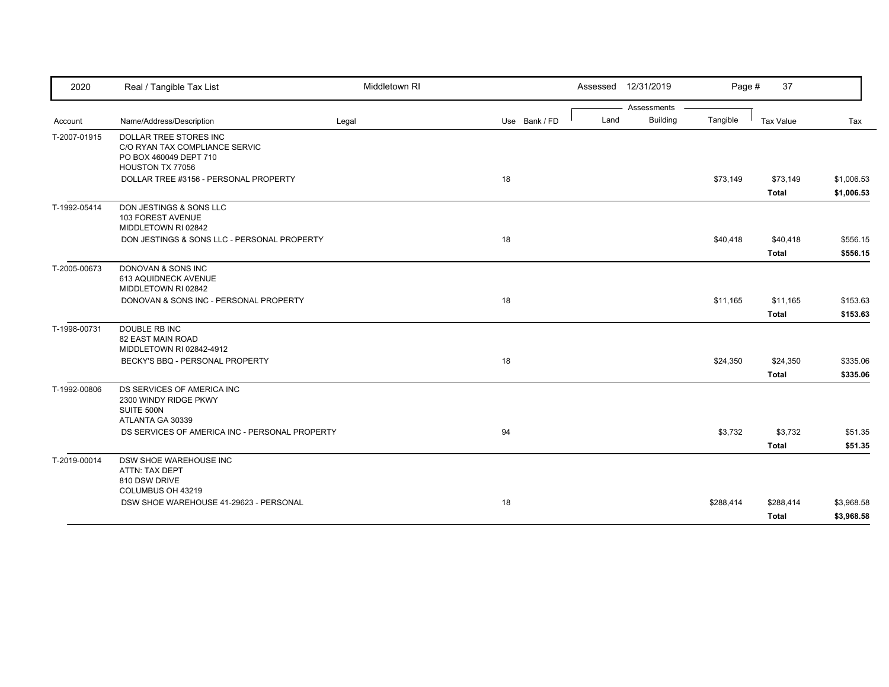| 2020         | Real / Tangible Tax List                                      | Middletown RI |               |      | Assessed 12/31/2019 | Page #    | 37                       |                          |
|--------------|---------------------------------------------------------------|---------------|---------------|------|---------------------|-----------|--------------------------|--------------------------|
|              |                                                               |               |               |      | Assessments         |           |                          |                          |
| Account      | Name/Address/Description                                      | Legal         | Use Bank / FD | Land | <b>Building</b>     | Tangible  | Tax Value                | Tax                      |
| T-2007-01915 | DOLLAR TREE STORES INC<br>C/O RYAN TAX COMPLIANCE SERVIC      |               |               |      |                     |           |                          |                          |
|              | PO BOX 460049 DEPT 710                                        |               |               |      |                     |           |                          |                          |
|              | HOUSTON TX 77056                                              |               |               |      |                     |           |                          |                          |
|              | DOLLAR TREE #3156 - PERSONAL PROPERTY                         |               | 18            |      |                     | \$73,149  | \$73,149<br><b>Total</b> | \$1,006.53<br>\$1,006.53 |
|              | DON JESTINGS & SONS LLC                                       |               |               |      |                     |           |                          |                          |
| T-1992-05414 | 103 FOREST AVENUE                                             |               |               |      |                     |           |                          |                          |
|              | MIDDLETOWN RI 02842                                           |               |               |      |                     |           |                          |                          |
|              | DON JESTINGS & SONS LLC - PERSONAL PROPERTY                   |               | 18            |      |                     | \$40,418  | \$40,418                 | \$556.15                 |
|              |                                                               |               |               |      |                     |           | <b>Total</b>             | \$556.15                 |
| T-2005-00673 | DONOVAN & SONS INC                                            |               |               |      |                     |           |                          |                          |
|              | 613 AQUIDNECK AVENUE                                          |               |               |      |                     |           |                          |                          |
|              | MIDDLETOWN RI 02842<br>DONOVAN & SONS INC - PERSONAL PROPERTY |               | 18            |      |                     | \$11,165  | \$11,165                 | \$153.63                 |
|              |                                                               |               |               |      |                     |           |                          |                          |
|              |                                                               |               |               |      |                     |           | <b>Total</b>             | \$153.63                 |
| T-1998-00731 | DOUBLE RB INC<br>82 EAST MAIN ROAD                            |               |               |      |                     |           |                          |                          |
|              | MIDDLETOWN RI 02842-4912                                      |               |               |      |                     |           |                          |                          |
|              | BECKY'S BBQ - PERSONAL PROPERTY                               |               | 18            |      |                     | \$24,350  | \$24,350                 | \$335.06                 |
|              |                                                               |               |               |      |                     |           | <b>Total</b>             | \$335.06                 |
| T-1992-00806 | DS SERVICES OF AMERICA INC                                    |               |               |      |                     |           |                          |                          |
|              | 2300 WINDY RIDGE PKWY                                         |               |               |      |                     |           |                          |                          |
|              | SUITE 500N                                                    |               |               |      |                     |           |                          |                          |
|              | ATLANTA GA 30339                                              |               |               |      |                     |           |                          |                          |
|              | DS SERVICES OF AMERICA INC - PERSONAL PROPERTY                |               | 94            |      |                     | \$3,732   | \$3,732                  | \$51.35                  |
|              |                                                               |               |               |      |                     |           | <b>Total</b>             | \$51.35                  |
| T-2019-00014 | <b>DSW SHOE WAREHOUSE INC</b>                                 |               |               |      |                     |           |                          |                          |
|              | ATTN: TAX DEPT<br>810 DSW DRIVE                               |               |               |      |                     |           |                          |                          |
|              | COLUMBUS OH 43219                                             |               |               |      |                     |           |                          |                          |
|              | DSW SHOE WAREHOUSE 41-29623 - PERSONAL                        |               | 18            |      |                     | \$288,414 | \$288,414                | \$3,968.58               |
|              |                                                               |               |               |      |                     |           | <b>Total</b>             | \$3,968.58               |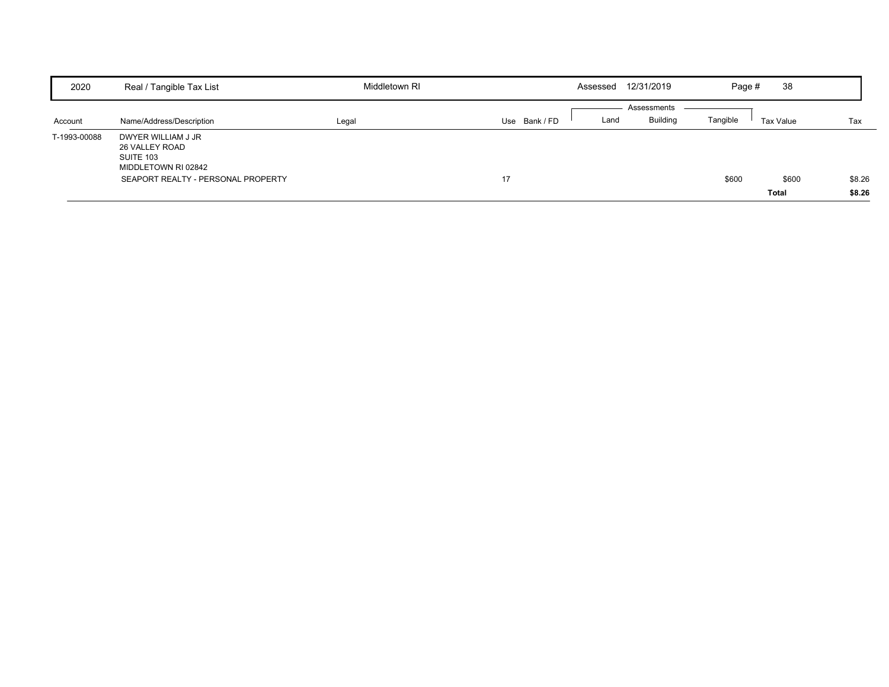| 2020         | Real / Tangible Tax List                                                                                       | Middletown RI |             | Assessed | 12/31/2019                     | Page #   | 38             |                  |
|--------------|----------------------------------------------------------------------------------------------------------------|---------------|-------------|----------|--------------------------------|----------|----------------|------------------|
| Account      | Name/Address/Description                                                                                       | Legal         | Use Bank/FD | Land     | Assessments<br><b>Building</b> | Tangible | Tax Value      | Tax              |
| T-1993-00088 | DWYER WILLIAM J JR<br>26 VALLEY ROAD<br>SUITE 103<br>MIDDLETOWN RI 02842<br>SEAPORT REALTY - PERSONAL PROPERTY |               | 17          |          |                                | \$600    | \$600<br>Total | \$8.26<br>\$8.26 |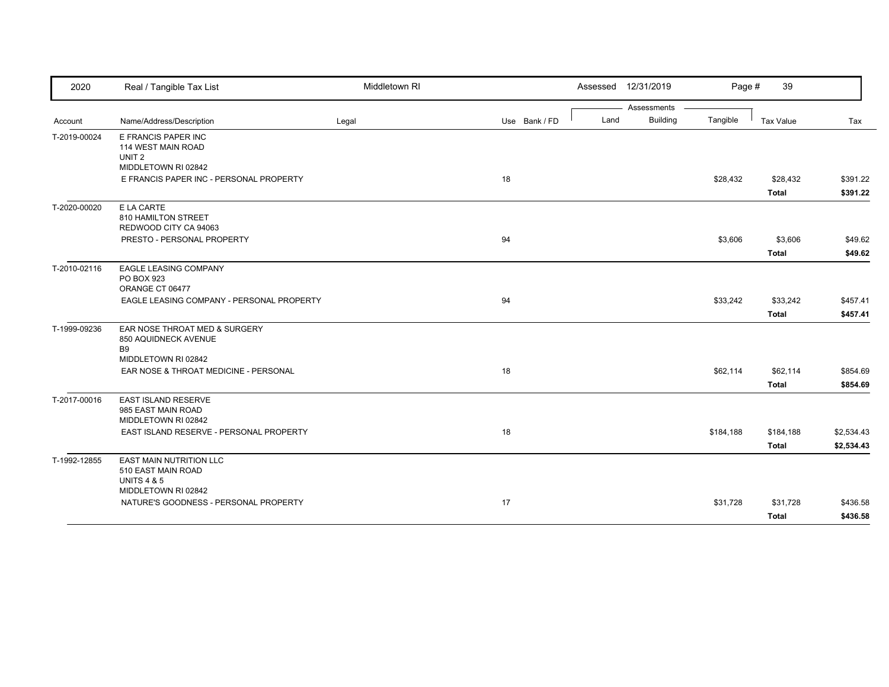| 2020         | Real / Tangible Tax List                                                                              | Middletown RI |               |      | Assessed 12/31/2019 | Page #    | 39               |            |
|--------------|-------------------------------------------------------------------------------------------------------|---------------|---------------|------|---------------------|-----------|------------------|------------|
|              |                                                                                                       |               |               |      | Assessments         |           |                  |            |
| Account      | Name/Address/Description                                                                              | Legal         | Use Bank / FD | Land | <b>Building</b>     | Tangible  | <b>Tax Value</b> | Tax        |
| T-2019-00024 | E FRANCIS PAPER INC<br>114 WEST MAIN ROAD<br>UNIT <sub>2</sub>                                        |               |               |      |                     |           |                  |            |
|              | MIDDLETOWN RI 02842                                                                                   |               |               |      |                     |           |                  |            |
|              | E FRANCIS PAPER INC - PERSONAL PROPERTY                                                               |               | 18            |      |                     | \$28,432  | \$28,432         | \$391.22   |
|              |                                                                                                       |               |               |      |                     |           | <b>Total</b>     | \$391.22   |
| T-2020-00020 | E LA CARTE<br>810 HAMILTON STREET<br>REDWOOD CITY CA 94063                                            |               |               |      |                     |           |                  |            |
|              | PRESTO - PERSONAL PROPERTY                                                                            |               | 94            |      |                     | \$3,606   | \$3,606          | \$49.62    |
|              |                                                                                                       |               |               |      |                     |           | <b>Total</b>     | \$49.62    |
| T-2010-02116 | <b>EAGLE LEASING COMPANY</b><br>PO BOX 923<br>ORANGE CT 06477                                         |               |               |      |                     |           |                  |            |
|              | EAGLE LEASING COMPANY - PERSONAL PROPERTY                                                             |               | 94            |      |                     | \$33,242  | \$33,242         | \$457.41   |
|              |                                                                                                       |               |               |      |                     |           | <b>Total</b>     | \$457.41   |
| T-1999-09236 | EAR NOSE THROAT MED & SURGERY<br>850 AQUIDNECK AVENUE<br><b>B9</b><br>MIDDLETOWN RI 02842             |               |               |      |                     |           |                  |            |
|              | EAR NOSE & THROAT MEDICINE - PERSONAL                                                                 |               | 18            |      |                     | \$62,114  | \$62,114         | \$854.69   |
|              |                                                                                                       |               |               |      |                     |           | <b>Total</b>     | \$854.69   |
| T-2017-00016 | <b>EAST ISLAND RESERVE</b><br>985 EAST MAIN ROAD<br>MIDDLETOWN RI 02842                               |               |               |      |                     |           |                  |            |
|              | EAST ISLAND RESERVE - PERSONAL PROPERTY                                                               |               | 18            |      |                     | \$184,188 | \$184,188        | \$2,534.43 |
|              |                                                                                                       |               |               |      |                     |           | <b>Total</b>     | \$2,534.43 |
| T-1992-12855 | <b>EAST MAIN NUTRITION LLC</b><br>510 EAST MAIN ROAD<br><b>UNITS 4 &amp; 5</b><br>MIDDLETOWN RI 02842 |               |               |      |                     |           |                  |            |
|              | NATURE'S GOODNESS - PERSONAL PROPERTY                                                                 |               | 17            |      |                     | \$31,728  | \$31,728         | \$436.58   |
|              |                                                                                                       |               |               |      |                     |           | <b>Total</b>     | \$436.58   |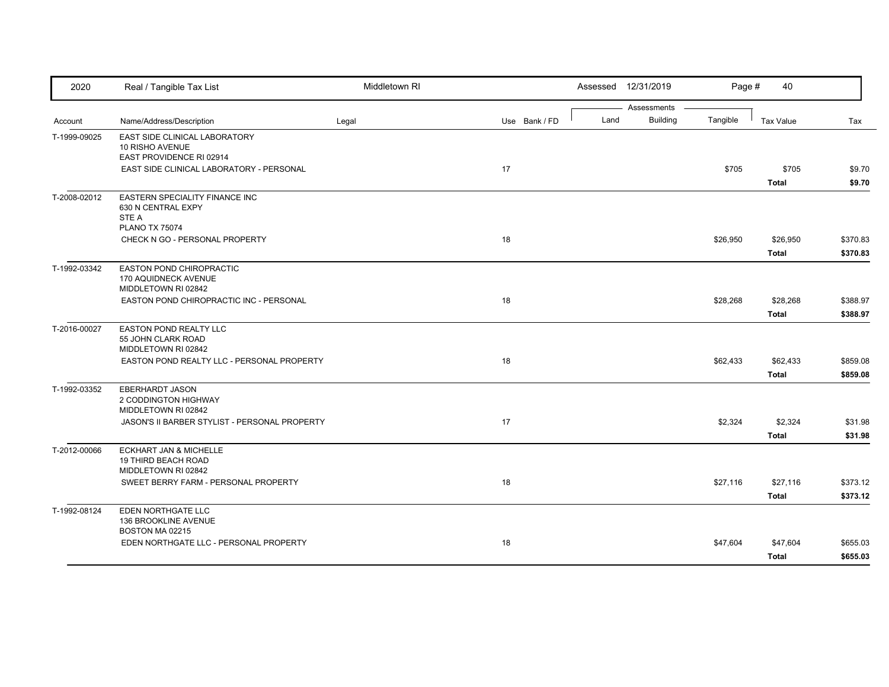| 2020         | Real / Tangible Tax List                                                        | Middletown RI |               |      | Assessed 12/31/2019            | Page #   | 40                       |                      |
|--------------|---------------------------------------------------------------------------------|---------------|---------------|------|--------------------------------|----------|--------------------------|----------------------|
| Account      | Name/Address/Description                                                        | Legal         | Use Bank / FD | Land | Assessments<br><b>Building</b> | Tangible | <b>Tax Value</b>         | Tax                  |
| T-1999-09025 | EAST SIDE CLINICAL LABORATORY<br>10 RISHO AVENUE<br>EAST PROVIDENCE RI 02914    |               |               |      |                                |          |                          |                      |
|              | EAST SIDE CLINICAL LABORATORY - PERSONAL                                        |               | 17            |      |                                | \$705    | \$705<br><b>Total</b>    | \$9.70<br>\$9.70     |
| T-2008-02012 | EASTERN SPECIALITY FINANCE INC<br>630 N CENTRAL EXPY<br>STE A                   |               |               |      |                                |          |                          |                      |
|              | <b>PLANO TX 75074</b><br>CHECK N GO - PERSONAL PROPERTY                         |               | 18            |      |                                | \$26,950 | \$26,950<br><b>Total</b> | \$370.83<br>\$370.83 |
| T-1992-03342 | <b>EASTON POND CHIROPRACTIC</b><br>170 AQUIDNECK AVENUE<br>MIDDLETOWN RI 02842  |               |               |      |                                |          |                          |                      |
|              | EASTON POND CHIROPRACTIC INC - PERSONAL                                         |               | 18            |      |                                | \$28,268 | \$28,268<br>Total        | \$388.97<br>\$388.97 |
| T-2016-00027 | EASTON POND REALTY LLC<br>55 JOHN CLARK ROAD<br>MIDDLETOWN RI 02842             |               |               |      |                                |          |                          |                      |
|              | EASTON POND REALTY LLC - PERSONAL PROPERTY                                      |               | 18            |      |                                | \$62,433 | \$62,433<br><b>Total</b> | \$859.08<br>\$859.08 |
| T-1992-03352 | <b>EBERHARDT JASON</b><br>2 CODDINGTON HIGHWAY<br>MIDDLETOWN RI 02842           |               |               |      |                                |          |                          |                      |
|              | JASON'S II BARBER STYLIST - PERSONAL PROPERTY                                   |               | 17            |      |                                | \$2,324  | \$2,324<br><b>Total</b>  | \$31.98<br>\$31.98   |
| T-2012-00066 | <b>ECKHART JAN &amp; MICHELLE</b><br>19 THIRD BEACH ROAD<br>MIDDLETOWN RI 02842 |               |               |      |                                |          |                          |                      |
|              | SWEET BERRY FARM - PERSONAL PROPERTY                                            |               | 18            |      |                                | \$27,116 | \$27,116<br><b>Total</b> | \$373.12<br>\$373.12 |
| T-1992-08124 | EDEN NORTHGATE LLC<br>136 BROOKLINE AVENUE<br>BOSTON MA 02215                   |               |               |      |                                |          |                          |                      |
|              | EDEN NORTHGATE LLC - PERSONAL PROPERTY                                          |               | 18            |      |                                | \$47,604 | \$47,604<br><b>Total</b> | \$655.03<br>\$655.03 |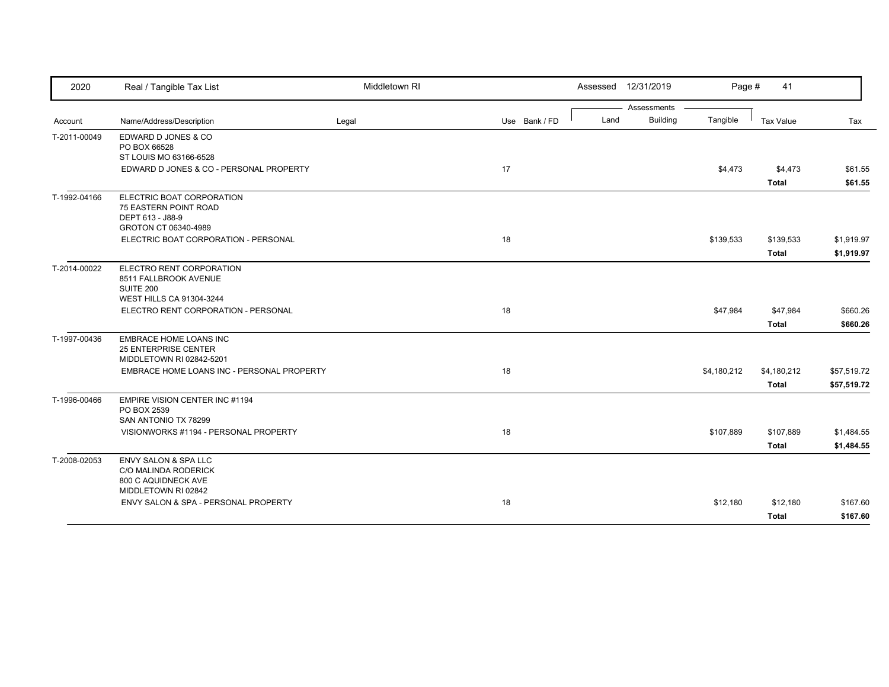| 2020         | Real / Tangible Tax List                   | Middletown RI |               |      | Assessed 12/31/2019 | Page #      | 41           |             |
|--------------|--------------------------------------------|---------------|---------------|------|---------------------|-------------|--------------|-------------|
|              |                                            |               |               |      | Assessments         |             |              |             |
| Account      | Name/Address/Description                   | Legal         | Use Bank / FD | Land | <b>Building</b>     | Tangible    | Tax Value    | Tax         |
| T-2011-00049 | EDWARD D JONES & CO                        |               |               |      |                     |             |              |             |
|              | PO BOX 66528                               |               |               |      |                     |             |              |             |
|              | ST LOUIS MO 63166-6528                     |               |               |      |                     |             |              |             |
|              | EDWARD D JONES & CO - PERSONAL PROPERTY    |               | 17            |      |                     | \$4,473     | \$4,473      | \$61.55     |
|              |                                            |               |               |      |                     |             | <b>Total</b> | \$61.55     |
| T-1992-04166 | ELECTRIC BOAT CORPORATION                  |               |               |      |                     |             |              |             |
|              | 75 EASTERN POINT ROAD                      |               |               |      |                     |             |              |             |
|              | DEPT 613 - J88-9                           |               |               |      |                     |             |              |             |
|              | GROTON CT 06340-4989                       |               |               |      |                     |             |              |             |
|              | ELECTRIC BOAT CORPORATION - PERSONAL       |               | 18            |      |                     | \$139,533   | \$139,533    | \$1,919.97  |
|              |                                            |               |               |      |                     |             | <b>Total</b> | \$1,919.97  |
| T-2014-00022 | ELECTRO RENT CORPORATION                   |               |               |      |                     |             |              |             |
|              | 8511 FALLBROOK AVENUE                      |               |               |      |                     |             |              |             |
|              | SUITE 200                                  |               |               |      |                     |             |              |             |
|              | WEST HILLS CA 91304-3244                   |               |               |      |                     |             |              |             |
|              | ELECTRO RENT CORPORATION - PERSONAL        |               | 18            |      |                     | \$47,984    | \$47,984     | \$660.26    |
|              |                                            |               |               |      |                     |             | <b>Total</b> | \$660.26    |
| T-1997-00436 | EMBRACE HOME LOANS INC                     |               |               |      |                     |             |              |             |
|              | <b>25 ENTERPRISE CENTER</b>                |               |               |      |                     |             |              |             |
|              | MIDDLETOWN RI 02842-5201                   |               |               |      |                     |             |              |             |
|              | EMBRACE HOME LOANS INC - PERSONAL PROPERTY |               | 18            |      |                     | \$4,180,212 | \$4,180,212  | \$57,519.72 |
|              |                                            |               |               |      |                     |             | <b>Total</b> | \$57,519.72 |
| T-1996-00466 | EMPIRE VISION CENTER INC #1194             |               |               |      |                     |             |              |             |
|              | PO BOX 2539                                |               |               |      |                     |             |              |             |
|              | SAN ANTONIO TX 78299                       |               |               |      |                     |             |              |             |
|              | VISIONWORKS #1194 - PERSONAL PROPERTY      |               | 18            |      |                     | \$107,889   | \$107,889    | \$1,484.55  |
|              |                                            |               |               |      |                     |             | <b>Total</b> | \$1,484.55  |
| T-2008-02053 | ENVY SALON & SPA LLC                       |               |               |      |                     |             |              |             |
|              | <b>C/O MALINDA RODERICK</b>                |               |               |      |                     |             |              |             |
|              | 800 C AQUIDNECK AVE                        |               |               |      |                     |             |              |             |
|              | MIDDLETOWN RI 02842                        |               |               |      |                     |             |              |             |
|              | ENVY SALON & SPA - PERSONAL PROPERTY       |               | 18            |      |                     | \$12,180    | \$12,180     | \$167.60    |
|              |                                            |               |               |      |                     |             | <b>Total</b> | \$167.60    |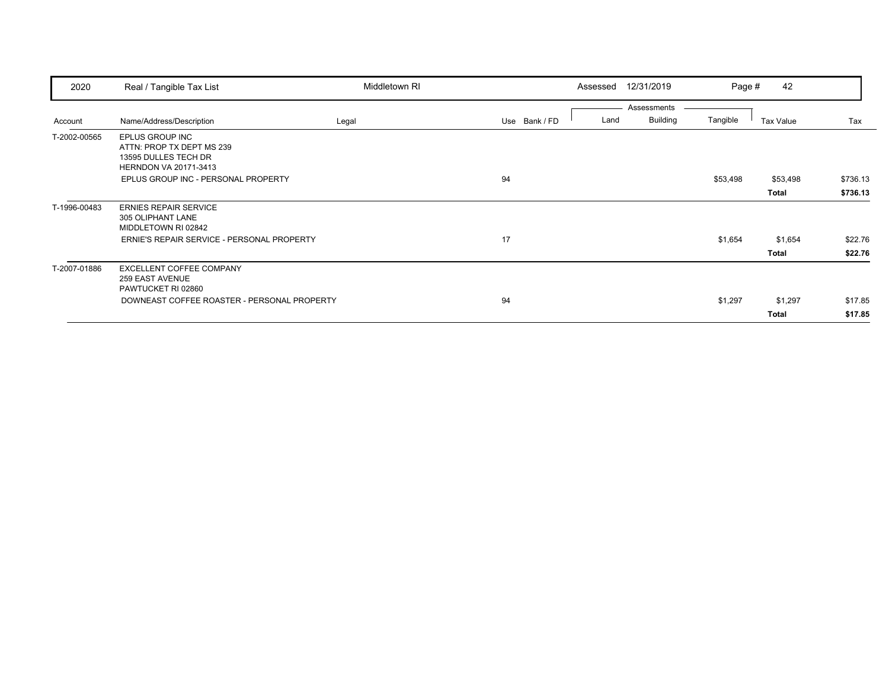| 2020         | Real / Tangible Tax List                    | Middletown RI |               | Assessed | 12/31/2019      | Page #   | 42        |          |
|--------------|---------------------------------------------|---------------|---------------|----------|-----------------|----------|-----------|----------|
|              |                                             |               |               |          | Assessments     |          |           |          |
| Account      | Name/Address/Description                    | Legal         | Use Bank / FD | Land     | <b>Building</b> | Tangible | Tax Value | Tax      |
| T-2002-00565 | <b>EPLUS GROUP INC</b>                      |               |               |          |                 |          |           |          |
|              | ATTN: PROP TX DEPT MS 239                   |               |               |          |                 |          |           |          |
|              | 13595 DULLES TECH DR                        |               |               |          |                 |          |           |          |
|              | HERNDON VA 20171-3413                       |               |               |          |                 |          |           |          |
|              | EPLUS GROUP INC - PERSONAL PROPERTY         |               | 94            |          |                 | \$53,498 | \$53,498  | \$736.13 |
|              |                                             |               |               |          |                 |          | Total     | \$736.13 |
| T-1996-00483 | <b>ERNIES REPAIR SERVICE</b>                |               |               |          |                 |          |           |          |
|              | 305 OLIPHANT LANE                           |               |               |          |                 |          |           |          |
|              | MIDDLETOWN RI 02842                         |               |               |          |                 |          |           |          |
|              | ERNIE'S REPAIR SERVICE - PERSONAL PROPERTY  |               | 17            |          |                 | \$1,654  | \$1,654   | \$22.76  |
|              |                                             |               |               |          |                 |          | Total     | \$22.76  |
| T-2007-01886 | <b>EXCELLENT COFFEE COMPANY</b>             |               |               |          |                 |          |           |          |
|              | 259 EAST AVENUE                             |               |               |          |                 |          |           |          |
|              | PAWTUCKET RI 02860                          |               |               |          |                 |          |           |          |
|              | DOWNEAST COFFEE ROASTER - PERSONAL PROPERTY |               | 94            |          |                 | \$1,297  | \$1,297   | \$17.85  |
|              |                                             |               |               |          |                 |          | Total     | \$17.85  |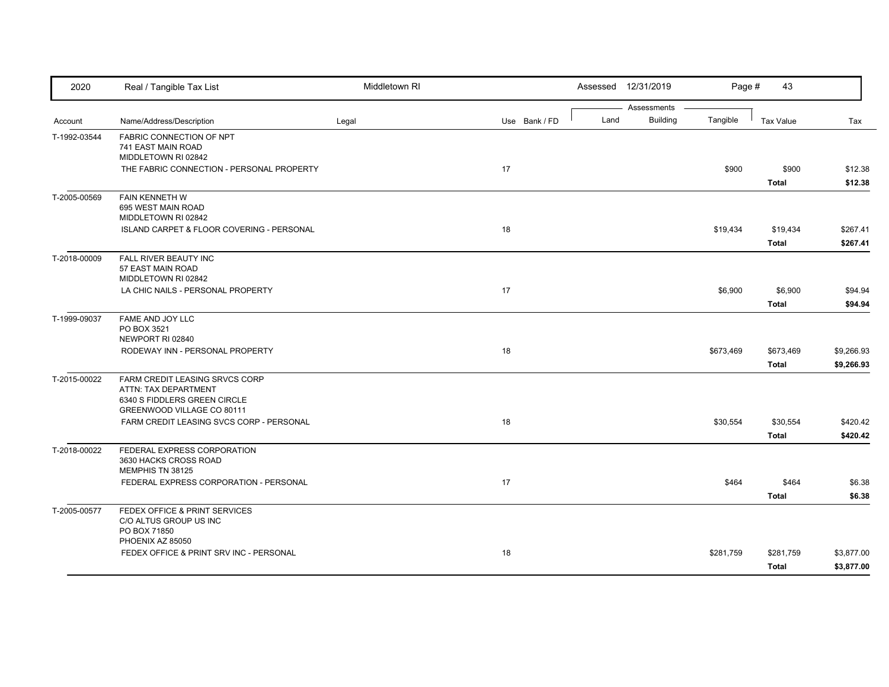| 2020         | Real / Tangible Tax List                                                                                                                                         | Middletown RI |               |      | Assessed 12/31/2019            | Page #    | 43                                       |                                 |
|--------------|------------------------------------------------------------------------------------------------------------------------------------------------------------------|---------------|---------------|------|--------------------------------|-----------|------------------------------------------|---------------------------------|
| Account      | Name/Address/Description                                                                                                                                         | Legal         | Use Bank / FD | Land | Assessments<br><b>Building</b> | Tangible  | <b>Tax Value</b>                         | Tax                             |
| T-1992-03544 | FABRIC CONNECTION OF NPT<br>741 EAST MAIN ROAD<br>MIDDLETOWN RI 02842<br>THE FABRIC CONNECTION - PERSONAL PROPERTY                                               |               | 17            |      |                                | \$900     | \$900                                    | \$12.38                         |
| T-2005-00569 | FAIN KENNETH W<br>695 WEST MAIN ROAD<br>MIDDLETOWN RI 02842<br>ISLAND CARPET & FLOOR COVERING - PERSONAL                                                         |               | 18            |      |                                | \$19,434  | <b>Total</b><br>\$19,434<br><b>Total</b> | \$12.38<br>\$267.41<br>\$267.41 |
| T-2018-00009 | FALL RIVER BEAUTY INC<br>57 EAST MAIN ROAD<br>MIDDLETOWN RI 02842<br>LA CHIC NAILS - PERSONAL PROPERTY                                                           |               | 17            |      |                                | \$6,900   | \$6,900<br><b>Total</b>                  | \$94.94<br>\$94.94              |
| T-1999-09037 | FAME AND JOY LLC<br>PO BOX 3521<br>NEWPORT RI 02840<br>RODEWAY INN - PERSONAL PROPERTY                                                                           |               | 18            |      |                                | \$673,469 | \$673,469<br><b>Total</b>                | \$9,266.93<br>\$9,266.93        |
| T-2015-00022 | FARM CREDIT LEASING SRVCS CORP<br>ATTN: TAX DEPARTMENT<br>6340 S FIDDLERS GREEN CIRCLE<br>GREENWOOD VILLAGE CO 80111<br>FARM CREDIT LEASING SVCS CORP - PERSONAL |               | 18            |      |                                | \$30,554  | \$30,554<br><b>Total</b>                 | \$420.42<br>\$420.42            |
| T-2018-00022 | FEDERAL EXPRESS CORPORATION<br>3630 HACKS CROSS ROAD<br>MEMPHIS TN 38125<br>FEDERAL EXPRESS CORPORATION - PERSONAL                                               |               | 17            |      |                                | \$464     | \$464<br><b>Total</b>                    | \$6.38<br>\$6.38                |
| T-2005-00577 | FEDEX OFFICE & PRINT SERVICES<br>C/O ALTUS GROUP US INC<br>PO BOX 71850<br>PHOENIX AZ 85050                                                                      |               |               |      |                                |           |                                          |                                 |
|              | FEDEX OFFICE & PRINT SRV INC - PERSONAL                                                                                                                          |               | 18            |      |                                | \$281,759 | \$281,759<br><b>Total</b>                | \$3,877.00<br>\$3,877.00        |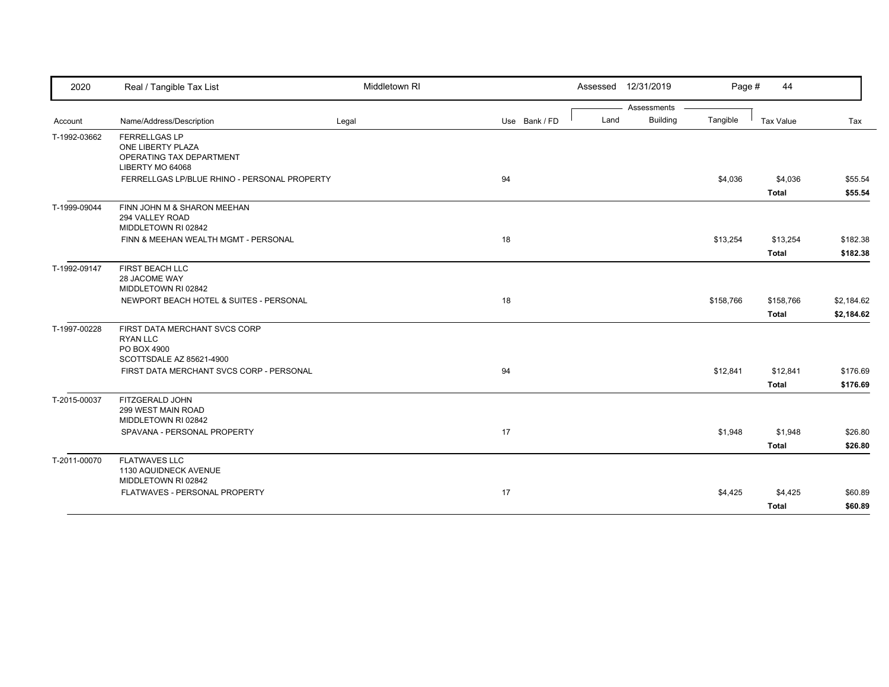| 2020         | Real / Tangible Tax List                                       | Middletown RI |               |      | Assessed 12/31/2019 | Page #    | 44           |            |
|--------------|----------------------------------------------------------------|---------------|---------------|------|---------------------|-----------|--------------|------------|
|              |                                                                |               |               |      | Assessments         |           |              |            |
| Account      | Name/Address/Description                                       | Legal         | Use Bank / FD | Land | <b>Building</b>     | Tangible  | Tax Value    | Tax        |
| T-1992-03662 | <b>FERRELLGAS LP</b><br>ONE LIBERTY PLAZA                      |               |               |      |                     |           |              |            |
|              | OPERATING TAX DEPARTMENT<br>LIBERTY MO 64068                   |               |               |      |                     |           |              |            |
|              | FERRELLGAS LP/BLUE RHINO - PERSONAL PROPERTY                   |               | 94            |      |                     | \$4,036   | \$4,036      | \$55.54    |
|              |                                                                |               |               |      |                     |           | <b>Total</b> | \$55.54    |
| T-1999-09044 | FINN JOHN M & SHARON MEEHAN<br>294 VALLEY ROAD                 |               |               |      |                     |           |              |            |
|              | MIDDLETOWN RI 02842                                            |               |               |      |                     |           |              |            |
|              | FINN & MEEHAN WEALTH MGMT - PERSONAL                           |               | 18            |      |                     | \$13,254  | \$13,254     | \$182.38   |
|              |                                                                |               |               |      |                     |           | <b>Total</b> | \$182.38   |
| T-1992-09147 | FIRST BEACH LLC                                                |               |               |      |                     |           |              |            |
|              | 28 JACOME WAY                                                  |               |               |      |                     |           |              |            |
|              | MIDDLETOWN RI 02842<br>NEWPORT BEACH HOTEL & SUITES - PERSONAL |               | 18            |      |                     | \$158,766 | \$158,766    | \$2,184.62 |
|              |                                                                |               |               |      |                     |           | <b>Total</b> | \$2,184.62 |
| T-1997-00228 | FIRST DATA MERCHANT SVCS CORP                                  |               |               |      |                     |           |              |            |
|              | <b>RYAN LLC</b>                                                |               |               |      |                     |           |              |            |
|              | PO BOX 4900                                                    |               |               |      |                     |           |              |            |
|              | SCOTTSDALE AZ 85621-4900                                       |               |               |      |                     |           |              |            |
|              | FIRST DATA MERCHANT SVCS CORP - PERSONAL                       |               | 94            |      |                     | \$12,841  | \$12,841     | \$176.69   |
|              |                                                                |               |               |      |                     |           | Total        | \$176.69   |
| T-2015-00037 | FITZGERALD JOHN                                                |               |               |      |                     |           |              |            |
|              | 299 WEST MAIN ROAD<br>MIDDLETOWN RI 02842                      |               |               |      |                     |           |              |            |
|              | SPAVANA - PERSONAL PROPERTY                                    |               | 17            |      |                     | \$1,948   | \$1,948      | \$26.80    |
|              |                                                                |               |               |      |                     |           | <b>Total</b> | \$26.80    |
| T-2011-00070 | <b>FLATWAVES LLC</b>                                           |               |               |      |                     |           |              |            |
|              | 1130 AQUIDNECK AVENUE                                          |               |               |      |                     |           |              |            |
|              | MIDDLETOWN RI 02842                                            |               |               |      |                     |           |              |            |
|              | FLATWAVES - PERSONAL PROPERTY                                  |               | 17            |      |                     | \$4,425   | \$4,425      | \$60.89    |
|              |                                                                |               |               |      |                     |           | <b>Total</b> | \$60.89    |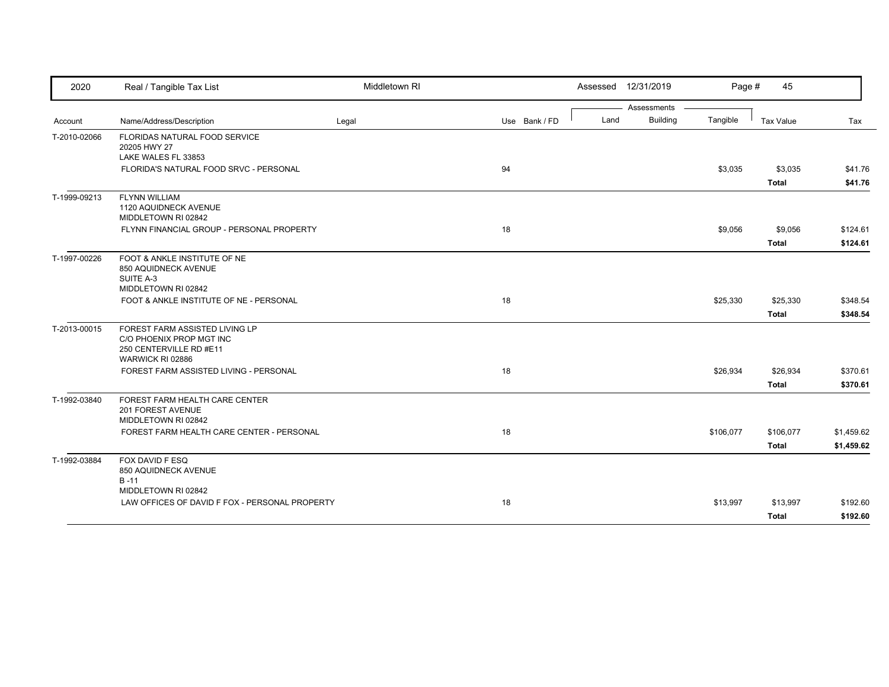| 2020         | Real / Tangible Tax List                                   | Middletown RI |               |      | Assessed 12/31/2019            | Page #    | 45               |            |
|--------------|------------------------------------------------------------|---------------|---------------|------|--------------------------------|-----------|------------------|------------|
|              | Name/Address/Description                                   | Legal         | Use Bank / FD | Land | Assessments<br><b>Building</b> | Tangible  | <b>Tax Value</b> | Tax        |
| Account      |                                                            |               |               |      |                                |           |                  |            |
| T-2010-02066 | <b>FLORIDAS NATURAL FOOD SERVICE</b><br>20205 HWY 27       |               |               |      |                                |           |                  |            |
|              | LAKE WALES FL 33853                                        |               |               |      |                                |           |                  |            |
|              | FLORIDA'S NATURAL FOOD SRVC - PERSONAL                     |               | 94            |      |                                | \$3,035   | \$3,035          | \$41.76    |
|              |                                                            |               |               |      |                                |           | <b>Total</b>     | \$41.76    |
| T-1999-09213 | <b>FLYNN WILLIAM</b>                                       |               |               |      |                                |           |                  |            |
|              | 1120 AQUIDNECK AVENUE<br>MIDDLETOWN RI 02842               |               |               |      |                                |           |                  |            |
|              | FLYNN FINANCIAL GROUP - PERSONAL PROPERTY                  |               | 18            |      |                                | \$9,056   | \$9,056          | \$124.61   |
|              |                                                            |               |               |      |                                |           | <b>Total</b>     | \$124.61   |
|              | FOOT & ANKLE INSTITUTE OF NE                               |               |               |      |                                |           |                  |            |
| T-1997-00226 | 850 AQUIDNECK AVENUE                                       |               |               |      |                                |           |                  |            |
|              | SUITE A-3                                                  |               |               |      |                                |           |                  |            |
|              | MIDDLETOWN RI 02842                                        |               |               |      |                                |           |                  |            |
|              | FOOT & ANKLE INSTITUTE OF NE - PERSONAL                    |               | 18            |      |                                | \$25,330  | \$25,330         | \$348.54   |
|              |                                                            |               |               |      |                                |           | <b>Total</b>     | \$348.54   |
| T-2013-00015 | FOREST FARM ASSISTED LIVING LP<br>C/O PHOENIX PROP MGT INC |               |               |      |                                |           |                  |            |
|              | 250 CENTERVILLE RD #E11                                    |               |               |      |                                |           |                  |            |
|              | WARWICK RI 02886                                           |               |               |      |                                |           |                  |            |
|              | FOREST FARM ASSISTED LIVING - PERSONAL                     |               | 18            |      |                                | \$26,934  | \$26,934         | \$370.61   |
|              |                                                            |               |               |      |                                |           | <b>Total</b>     | \$370.61   |
| T-1992-03840 | FOREST FARM HEALTH CARE CENTER                             |               |               |      |                                |           |                  |            |
|              | 201 FOREST AVENUE<br>MIDDLETOWN RI 02842                   |               |               |      |                                |           |                  |            |
|              | FOREST FARM HEALTH CARE CENTER - PERSONAL                  |               | 18            |      |                                | \$106,077 | \$106,077        | \$1,459.62 |
|              |                                                            |               |               |      |                                |           | Total            | \$1,459.62 |
|              | FOX DAVID F ESQ                                            |               |               |      |                                |           |                  |            |
| T-1992-03884 | 850 AQUIDNECK AVENUE                                       |               |               |      |                                |           |                  |            |
|              | $B - 11$                                                   |               |               |      |                                |           |                  |            |
|              | MIDDLETOWN RI 02842                                        |               |               |      |                                |           |                  |            |
|              | LAW OFFICES OF DAVID F FOX - PERSONAL PROPERTY             |               | 18            |      |                                | \$13,997  | \$13,997         | \$192.60   |
|              |                                                            |               |               |      |                                |           | Total            | \$192.60   |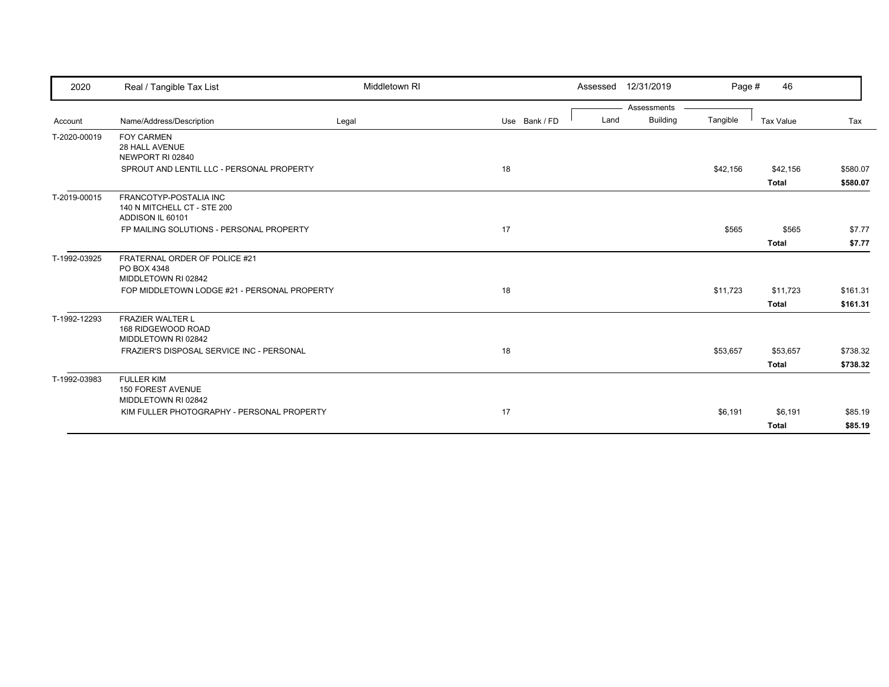| 2020         | Real / Tangible Tax List                                                  | Middletown RI |               | 12/31/2019<br>Assessed                 | Page #   | 46                       |                      |
|--------------|---------------------------------------------------------------------------|---------------|---------------|----------------------------------------|----------|--------------------------|----------------------|
| Account      | Name/Address/Description                                                  | Legal         | Use Bank / FD | Assessments<br><b>Building</b><br>Land | Tangible | Tax Value                | Tax                  |
| T-2020-00019 | <b>FOY CARMEN</b><br><b>28 HALL AVENUE</b><br>NEWPORT RI 02840            |               |               |                                        |          |                          |                      |
|              | SPROUT AND LENTIL LLC - PERSONAL PROPERTY                                 |               | 18            |                                        | \$42,156 | \$42,156<br>Total        | \$580.07<br>\$580.07 |
| T-2019-00015 | FRANCOTYP-POSTALIA INC<br>140 N MITCHELL CT - STE 200<br>ADDISON IL 60101 |               |               |                                        |          |                          |                      |
|              | FP MAILING SOLUTIONS - PERSONAL PROPERTY                                  |               | 17            |                                        | \$565    | \$565<br><b>Total</b>    | \$7.77<br>\$7.77     |
| T-1992-03925 | FRATERNAL ORDER OF POLICE #21<br>PO BOX 4348<br>MIDDLETOWN RI 02842       |               |               |                                        |          |                          |                      |
|              | FOP MIDDLETOWN LODGE #21 - PERSONAL PROPERTY                              |               | 18            |                                        | \$11,723 | \$11,723<br>Total        | \$161.31<br>\$161.31 |
| T-1992-12293 | <b>FRAZIER WALTER L</b><br>168 RIDGEWOOD ROAD<br>MIDDLETOWN RI 02842      |               |               |                                        |          |                          |                      |
|              | FRAZIER'S DISPOSAL SERVICE INC - PERSONAL                                 |               | 18            |                                        | \$53,657 | \$53,657<br><b>Total</b> | \$738.32<br>\$738.32 |
| T-1992-03983 | <b>FULLER KIM</b><br><b>150 FOREST AVENUE</b><br>MIDDLETOWN RI 02842      |               |               |                                        |          |                          |                      |
|              | KIM FULLER PHOTOGRAPHY - PERSONAL PROPERTY                                |               | 17            |                                        | \$6,191  | \$6,191<br><b>Total</b>  | \$85.19<br>\$85.19   |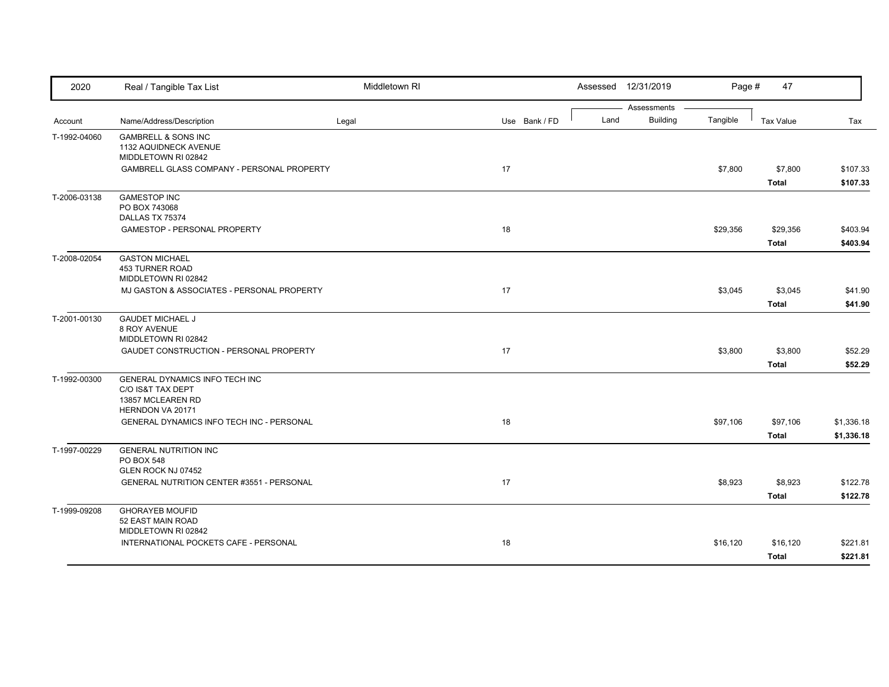| 2020         | Real / Tangible Tax List                                                                     | Middletown RI |               |      | Assessed 12/31/2019            | Page #   | 47                       |                          |
|--------------|----------------------------------------------------------------------------------------------|---------------|---------------|------|--------------------------------|----------|--------------------------|--------------------------|
| Account      | Name/Address/Description                                                                     | Legal         | Use Bank / FD | Land | Assessments<br><b>Building</b> | Tangible | <b>Tax Value</b>         | Tax                      |
| T-1992-04060 | <b>GAMBRELL &amp; SONS INC</b><br>1132 AQUIDNECK AVENUE<br>MIDDLETOWN RI 02842               |               |               |      |                                |          |                          |                          |
|              | GAMBRELL GLASS COMPANY - PERSONAL PROPERTY                                                   |               | 17            |      |                                | \$7,800  | \$7,800<br><b>Total</b>  | \$107.33<br>\$107.33     |
| T-2006-03138 | <b>GAMESTOP INC</b><br>PO BOX 743068<br>DALLAS TX 75374                                      |               |               |      |                                |          |                          |                          |
|              | <b>GAMESTOP - PERSONAL PROPERTY</b>                                                          |               | 18            |      |                                | \$29,356 | \$29,356<br><b>Total</b> | \$403.94<br>\$403.94     |
| T-2008-02054 | <b>GASTON MICHAEL</b><br><b>453 TURNER ROAD</b><br>MIDDLETOWN RI 02842                       |               |               |      |                                |          |                          |                          |
|              | MJ GASTON & ASSOCIATES - PERSONAL PROPERTY                                                   |               | 17            |      |                                | \$3,045  | \$3,045<br><b>Total</b>  | \$41.90<br>\$41.90       |
| T-2001-00130 | <b>GAUDET MICHAEL J</b><br>8 ROY AVENUE<br>MIDDLETOWN RI 02842                               |               |               |      |                                |          |                          |                          |
|              | GAUDET CONSTRUCTION - PERSONAL PROPERTY                                                      |               | 17            |      |                                | \$3,800  | \$3,800<br>Total         | \$52.29<br>\$52.29       |
| T-1992-00300 | GENERAL DYNAMICS INFO TECH INC<br>C/O IS&T TAX DEPT<br>13857 MCLEAREN RD<br>HERNDON VA 20171 |               |               |      |                                |          |                          |                          |
|              | <b>GENERAL DYNAMICS INFO TECH INC - PERSONAL</b>                                             |               | 18            |      |                                | \$97,106 | \$97,106<br><b>Total</b> | \$1,336.18<br>\$1,336.18 |
| T-1997-00229 | <b>GENERAL NUTRITION INC</b><br>PO BOX 548<br>GLEN ROCK NJ 07452                             |               |               |      |                                |          |                          |                          |
|              | GENERAL NUTRITION CENTER #3551 - PERSONAL                                                    |               | 17            |      |                                | \$8,923  | \$8,923<br><b>Total</b>  | \$122.78<br>\$122.78     |
| T-1999-09208 | <b>GHORAYEB MOUFID</b><br>52 EAST MAIN ROAD<br>MIDDLETOWN RI 02842                           |               |               |      |                                |          |                          |                          |
|              | INTERNATIONAL POCKETS CAFE - PERSONAL                                                        |               | 18            |      |                                | \$16,120 | \$16,120<br><b>Total</b> | \$221.81<br>\$221.81     |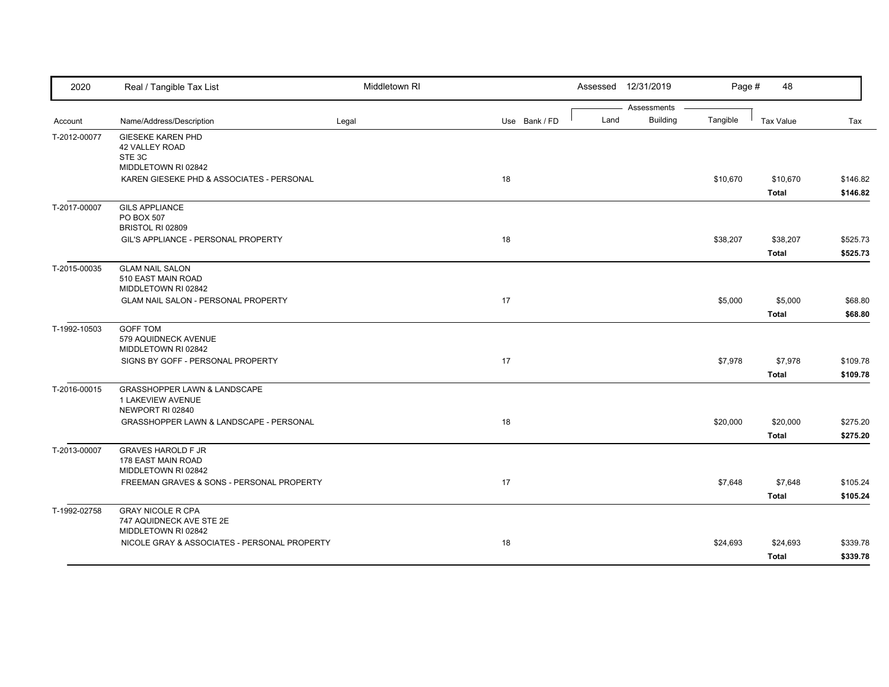| 2020         | Real / Tangible Tax List                                                         | Middletown RI |               | Assessed 12/31/2019                    | Page #   | 48                       |                      |
|--------------|----------------------------------------------------------------------------------|---------------|---------------|----------------------------------------|----------|--------------------------|----------------------|
| Account      | Name/Address/Description                                                         | Legal         | Use Bank / FD | Assessments<br><b>Building</b><br>Land | Tangible | <b>Tax Value</b>         | Tax                  |
| T-2012-00077 | <b>GIESEKE KAREN PHD</b><br>42 VALLEY ROAD<br>STE 3C<br>MIDDLETOWN RI 02842      |               |               |                                        |          |                          |                      |
|              | KAREN GIESEKE PHD & ASSOCIATES - PERSONAL                                        |               | 18            |                                        | \$10,670 | \$10,670<br><b>Total</b> | \$146.82<br>\$146.82 |
| T-2017-00007 | <b>GILS APPLIANCE</b><br>PO BOX 507<br>BRISTOL RI 02809                          |               |               |                                        |          |                          |                      |
|              | GIL'S APPLIANCE - PERSONAL PROPERTY                                              |               | 18            |                                        | \$38,207 | \$38,207<br><b>Total</b> | \$525.73<br>\$525.73 |
| T-2015-00035 | <b>GLAM NAIL SALON</b><br>510 EAST MAIN ROAD<br>MIDDLETOWN RI 02842              |               |               |                                        |          |                          |                      |
|              | GLAM NAIL SALON - PERSONAL PROPERTY                                              |               | 17            |                                        | \$5,000  | \$5,000<br><b>Total</b>  | \$68.80<br>\$68.80   |
| T-1992-10503 | <b>GOFF TOM</b><br>579 AQUIDNECK AVENUE<br>MIDDLETOWN RI 02842                   |               |               |                                        |          |                          |                      |
|              | SIGNS BY GOFF - PERSONAL PROPERTY                                                |               | 17            |                                        | \$7,978  | \$7,978<br><b>Total</b>  | \$109.78<br>\$109.78 |
| T-2016-00015 | <b>GRASSHOPPER LAWN &amp; LANDSCAPE</b><br>1 LAKEVIEW AVENUE<br>NEWPORT RI 02840 |               |               |                                        |          |                          |                      |
|              | GRASSHOPPER LAWN & LANDSCAPE - PERSONAL                                          |               | 18            |                                        | \$20,000 | \$20,000<br><b>Total</b> | \$275.20<br>\$275.20 |
| T-2013-00007 | <b>GRAVES HAROLD F JR</b><br>178 EAST MAIN ROAD<br>MIDDLETOWN RI 02842           |               |               |                                        |          |                          |                      |
|              | FREEMAN GRAVES & SONS - PERSONAL PROPERTY                                        |               | 17            |                                        | \$7,648  | \$7,648<br><b>Total</b>  | \$105.24<br>\$105.24 |
| T-1992-02758 | <b>GRAY NICOLE R CPA</b><br>747 AQUIDNECK AVE STE 2E<br>MIDDLETOWN RI 02842      |               |               |                                        |          |                          |                      |
|              | NICOLE GRAY & ASSOCIATES - PERSONAL PROPERTY                                     |               | 18            |                                        | \$24,693 | \$24,693<br><b>Total</b> | \$339.78<br>\$339.78 |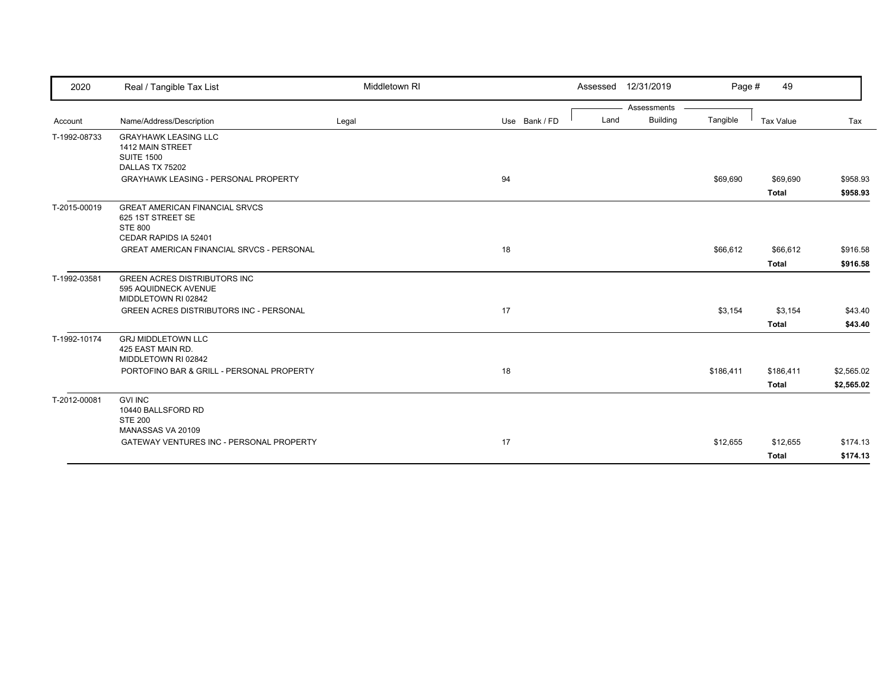| 2020         | Real / Tangible Tax List                                                                              | Middletown RI |               |      | Assessed 12/31/2019 | Page #    | 49           |            |
|--------------|-------------------------------------------------------------------------------------------------------|---------------|---------------|------|---------------------|-----------|--------------|------------|
|              |                                                                                                       |               |               |      | Assessments         |           |              |            |
| Account      | Name/Address/Description                                                                              | Legal         | Use Bank / FD | Land | <b>Building</b>     | Tangible  | Tax Value    | Tax        |
| T-1992-08733 | <b>GRAYHAWK LEASING LLC</b><br>1412 MAIN STREET<br><b>SUITE 1500</b><br>DALLAS TX 75202               |               |               |      |                     |           |              |            |
|              | <b>GRAYHAWK LEASING - PERSONAL PROPERTY</b>                                                           |               | 94            |      |                     | \$69,690  | \$69,690     | \$958.93   |
|              |                                                                                                       |               |               |      |                     |           | <b>Total</b> | \$958.93   |
| T-2015-00019 | <b>GREAT AMERICAN FINANCIAL SRVCS</b><br>625 1ST STREET SE<br><b>STE 800</b><br>CEDAR RAPIDS IA 52401 |               |               |      |                     |           |              |            |
|              | <b>GREAT AMERICAN FINANCIAL SRVCS - PERSONAL</b>                                                      |               | 18            |      |                     | \$66,612  | \$66,612     | \$916.58   |
|              |                                                                                                       |               |               |      |                     |           | <b>Total</b> | \$916.58   |
| T-1992-03581 | <b>GREEN ACRES DISTRIBUTORS INC</b><br>595 AQUIDNECK AVENUE<br>MIDDLETOWN RI 02842                    |               |               |      |                     |           |              |            |
|              | <b>GREEN ACRES DISTRIBUTORS INC - PERSONAL</b>                                                        |               | 17            |      |                     | \$3,154   | \$3,154      | \$43.40    |
|              |                                                                                                       |               |               |      |                     |           | <b>Total</b> | \$43.40    |
| T-1992-10174 | <b>GRJ MIDDLETOWN LLC</b><br>425 EAST MAIN RD.<br>MIDDLETOWN RI 02842                                 |               |               |      |                     |           |              |            |
|              | PORTOFINO BAR & GRILL - PERSONAL PROPERTY                                                             |               | 18            |      |                     | \$186,411 | \$186,411    | \$2,565.02 |
|              |                                                                                                       |               |               |      |                     |           | <b>Total</b> | \$2,565.02 |
| T-2012-00081 | <b>GVI INC</b><br>10440 BALLSFORD RD<br><b>STE 200</b>                                                |               |               |      |                     |           |              |            |
|              | MANASSAS VA 20109                                                                                     |               |               |      |                     |           |              |            |
|              | GATEWAY VENTURES INC - PERSONAL PROPERTY                                                              |               | 17            |      |                     | \$12,655  | \$12,655     | \$174.13   |
|              |                                                                                                       |               |               |      |                     |           | <b>Total</b> | \$174.13   |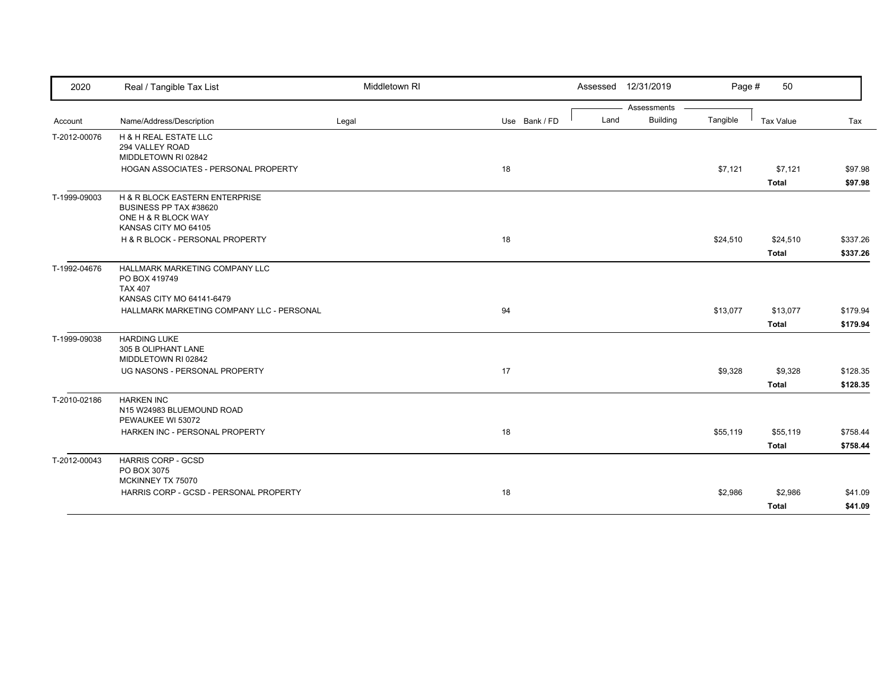| 2020         | Real / Tangible Tax List                                                                                | Middletown RI |               |      | Assessed 12/31/2019 | Page #   | 50                       |                      |
|--------------|---------------------------------------------------------------------------------------------------------|---------------|---------------|------|---------------------|----------|--------------------------|----------------------|
|              |                                                                                                         |               |               |      | Assessments         |          |                          |                      |
| Account      | Name/Address/Description                                                                                | Legal         | Use Bank / FD | Land | <b>Building</b>     | Tangible | Tax Value                | Tax                  |
| T-2012-00076 | <b>H &amp; H REAL ESTATE LLC</b><br>294 VALLEY ROAD<br>MIDDLETOWN RI 02842                              |               |               |      |                     |          |                          |                      |
|              | HOGAN ASSOCIATES - PERSONAL PROPERTY                                                                    |               | 18            |      |                     | \$7,121  | \$7,121<br><b>Total</b>  | \$97.98<br>\$97.98   |
| T-1999-09003 | H & R BLOCK EASTERN ENTERPRISE<br>BUSINESS PP TAX #38620<br>ONE H & R BLOCK WAY<br>KANSAS CITY MO 64105 |               |               |      |                     |          |                          |                      |
|              | H & R BLOCK - PERSONAL PROPERTY                                                                         |               | 18            |      |                     | \$24,510 | \$24,510<br><b>Total</b> | \$337.26<br>\$337.26 |
| T-1992-04676 | HALLMARK MARKETING COMPANY LLC<br>PO BOX 419749<br><b>TAX 407</b><br>KANSAS CITY MO 64141-6479          |               |               |      |                     |          |                          |                      |
|              | HALLMARK MARKETING COMPANY LLC - PERSONAL                                                               |               | 94            |      |                     | \$13,077 | \$13,077<br><b>Total</b> | \$179.94<br>\$179.94 |
| T-1999-09038 | <b>HARDING LUKE</b><br>305 B OLIPHANT LANE<br>MIDDLETOWN RI 02842                                       |               |               |      |                     |          |                          |                      |
|              | UG NASONS - PERSONAL PROPERTY                                                                           |               | 17            |      |                     | \$9,328  | \$9,328<br><b>Total</b>  | \$128.35<br>\$128.35 |
| T-2010-02186 | <b>HARKEN INC</b><br>N15 W24983 BLUEMOUND ROAD<br>PEWAUKEE WI 53072                                     |               |               |      |                     |          |                          |                      |
|              | HARKEN INC - PERSONAL PROPERTY                                                                          |               | 18            |      |                     | \$55,119 | \$55,119<br><b>Total</b> | \$758.44<br>\$758.44 |
| T-2012-00043 | <b>HARRIS CORP - GCSD</b><br>PO BOX 3075<br>MCKINNEY TX 75070                                           |               |               |      |                     |          |                          |                      |
|              | HARRIS CORP - GCSD - PERSONAL PROPERTY                                                                  |               | 18            |      |                     | \$2,986  | \$2,986<br><b>Total</b>  | \$41.09<br>\$41.09   |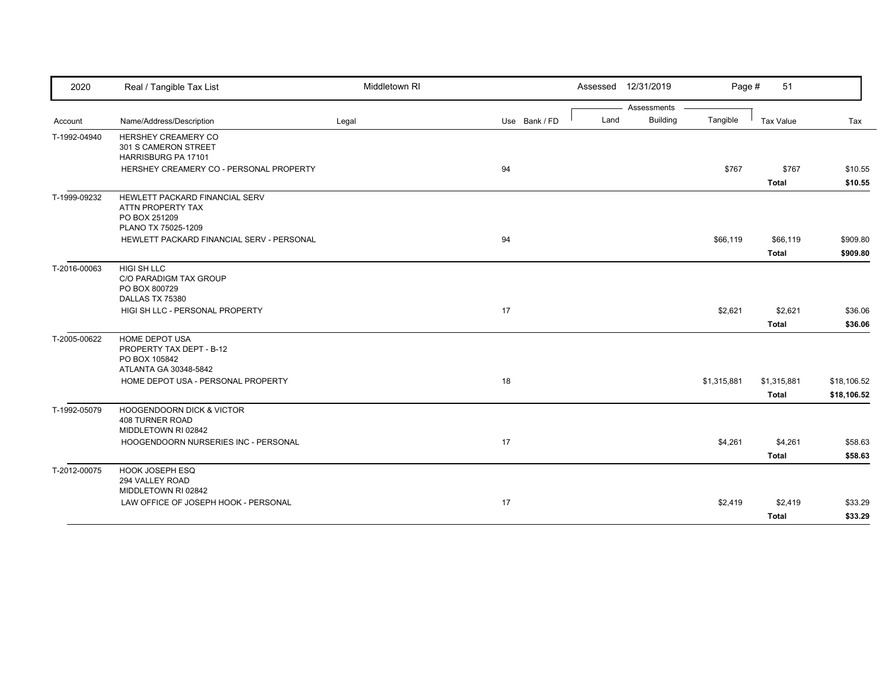| 2020         | Real / Tangible Tax List                                                                    | Middletown RI |               |      | Assessed 12/31/2019            | Page #      | 51               |             |
|--------------|---------------------------------------------------------------------------------------------|---------------|---------------|------|--------------------------------|-------------|------------------|-------------|
|              | Name/Address/Description                                                                    | Legal         | Use Bank / FD | Land | Assessments<br><b>Building</b> | Tangible    | <b>Tax Value</b> | Tax         |
| Account      |                                                                                             |               |               |      |                                |             |                  |             |
| T-1992-04940 | HERSHEY CREAMERY CO<br>301 S CAMERON STREET<br>HARRISBURG PA 17101                          |               |               |      |                                |             |                  |             |
|              | HERSHEY CREAMERY CO - PERSONAL PROPERTY                                                     |               | 94            |      |                                | \$767       | \$767            | \$10.55     |
|              |                                                                                             |               |               |      |                                |             | <b>Total</b>     | \$10.55     |
| T-1999-09232 | HEWLETT PACKARD FINANCIAL SERV<br>ATTN PROPERTY TAX<br>PO BOX 251209<br>PLANO TX 75025-1209 |               |               |      |                                |             |                  |             |
|              | HEWLETT PACKARD FINANCIAL SERV - PERSONAL                                                   |               | 94            |      |                                | \$66,119    | \$66,119         | \$909.80    |
|              |                                                                                             |               |               |      |                                |             | <b>Total</b>     | \$909.80    |
| T-2016-00063 | HIGI SH LLC<br>C/O PARADIGM TAX GROUP<br>PO BOX 800729<br>DALLAS TX 75380                   |               |               |      |                                |             |                  |             |
|              | HIGI SH LLC - PERSONAL PROPERTY                                                             |               | 17            |      |                                | \$2,621     | \$2,621          | \$36.06     |
|              |                                                                                             |               |               |      |                                |             | <b>Total</b>     | \$36.06     |
| T-2005-00622 | <b>HOME DEPOT USA</b><br>PROPERTY TAX DEPT - B-12<br>PO BOX 105842                          |               |               |      |                                |             |                  |             |
|              | ATLANTA GA 30348-5842<br>HOME DEPOT USA - PERSONAL PROPERTY                                 |               | 18            |      |                                | \$1,315,881 | \$1,315,881      | \$18,106.52 |
|              |                                                                                             |               |               |      |                                |             | <b>Total</b>     | \$18,106.52 |
| T-1992-05079 | <b>HOOGENDOORN DICK &amp; VICTOR</b><br><b>408 TURNER ROAD</b><br>MIDDLETOWN RI 02842       |               |               |      |                                |             |                  |             |
|              | HOOGENDOORN NURSERIES INC - PERSONAL                                                        |               | 17            |      |                                | \$4,261     | \$4,261          | \$58.63     |
|              |                                                                                             |               |               |      |                                |             | <b>Total</b>     | \$58.63     |
| T-2012-00075 | <b>HOOK JOSEPH ESQ</b><br>294 VALLEY ROAD<br>MIDDLETOWN RI 02842                            |               |               |      |                                |             |                  |             |
|              | LAW OFFICE OF JOSEPH HOOK - PERSONAL                                                        |               | 17            |      |                                | \$2,419     | \$2,419          | \$33.29     |
|              |                                                                                             |               |               |      |                                |             | <b>Total</b>     | \$33.29     |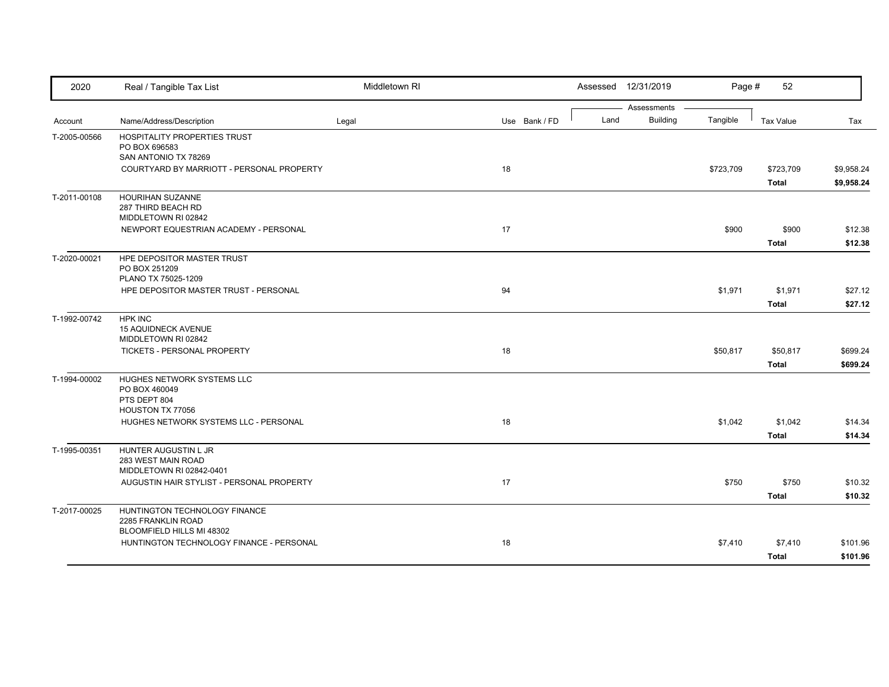| 2020         | Real / Tangible Tax List                                                        | Middletown RI |               |      | Assessed 12/31/2019            | Page #    | 52               |            |
|--------------|---------------------------------------------------------------------------------|---------------|---------------|------|--------------------------------|-----------|------------------|------------|
|              | Name/Address/Description                                                        |               | Use Bank / FD | Land | Assessments<br><b>Building</b> | Tangible  | <b>Tax Value</b> | Tax        |
| Account      |                                                                                 | Legal         |               |      |                                |           |                  |            |
| T-2005-00566 | HOSPITALITY PROPERTIES TRUST<br>PO BOX 696583                                   |               |               |      |                                |           |                  |            |
|              | SAN ANTONIO TX 78269                                                            |               |               |      |                                |           |                  |            |
|              | COURTYARD BY MARRIOTT - PERSONAL PROPERTY                                       |               | 18            |      |                                | \$723,709 | \$723,709        | \$9,958.24 |
|              |                                                                                 |               |               |      |                                |           | <b>Total</b>     | \$9,958.24 |
| T-2011-00108 | <b>HOURIHAN SUZANNE</b><br>287 THIRD BEACH RD<br>MIDDLETOWN RI 02842            |               |               |      |                                |           |                  |            |
|              | NEWPORT EQUESTRIAN ACADEMY - PERSONAL                                           |               | 17            |      |                                | \$900     | \$900            | \$12.38    |
|              |                                                                                 |               |               |      |                                |           | <b>Total</b>     | \$12.38    |
| T-2020-00021 | HPE DEPOSITOR MASTER TRUST<br>PO BOX 251209<br>PLANO TX 75025-1209              |               |               |      |                                |           |                  |            |
|              | HPE DEPOSITOR MASTER TRUST - PERSONAL                                           |               | 94            |      |                                | \$1,971   | \$1,971          | \$27.12    |
|              |                                                                                 |               |               |      |                                |           | <b>Total</b>     | \$27.12    |
| T-1992-00742 | <b>HPK INC</b><br>15 AQUIDNECK AVENUE<br>MIDDLETOWN RI 02842                    |               |               |      |                                |           |                  |            |
|              | TICKETS - PERSONAL PROPERTY                                                     |               | 18            |      |                                | \$50,817  | \$50,817         | \$699.24   |
|              |                                                                                 |               |               |      |                                |           | <b>Total</b>     | \$699.24   |
| T-1994-00002 | HUGHES NETWORK SYSTEMS LLC<br>PO BOX 460049<br>PTS DEPT 804<br>HOUSTON TX 77056 |               |               |      |                                |           |                  |            |
|              | HUGHES NETWORK SYSTEMS LLC - PERSONAL                                           |               | 18            |      |                                | \$1,042   | \$1,042          | \$14.34    |
|              |                                                                                 |               |               |      |                                |           | <b>Total</b>     | \$14.34    |
| T-1995-00351 | HUNTER AUGUSTIN L JR<br>283 WEST MAIN ROAD<br>MIDDLETOWN RI 02842-0401          |               |               |      |                                |           |                  |            |
|              | AUGUSTIN HAIR STYLIST - PERSONAL PROPERTY                                       |               | 17            |      |                                | \$750     | \$750            | \$10.32    |
|              |                                                                                 |               |               |      |                                |           | <b>Total</b>     | \$10.32    |
|              | HUNTINGTON TECHNOLOGY FINANCE                                                   |               |               |      |                                |           |                  |            |
| T-2017-00025 | 2285 FRANKLIN ROAD                                                              |               |               |      |                                |           |                  |            |
|              | BLOOMFIELD HILLS MI 48302                                                       |               |               |      |                                |           |                  |            |
|              | HUNTINGTON TECHNOLOGY FINANCE - PERSONAL                                        |               | 18            |      |                                | \$7,410   | \$7,410          | \$101.96   |
|              |                                                                                 |               |               |      |                                |           | <b>Total</b>     | \$101.96   |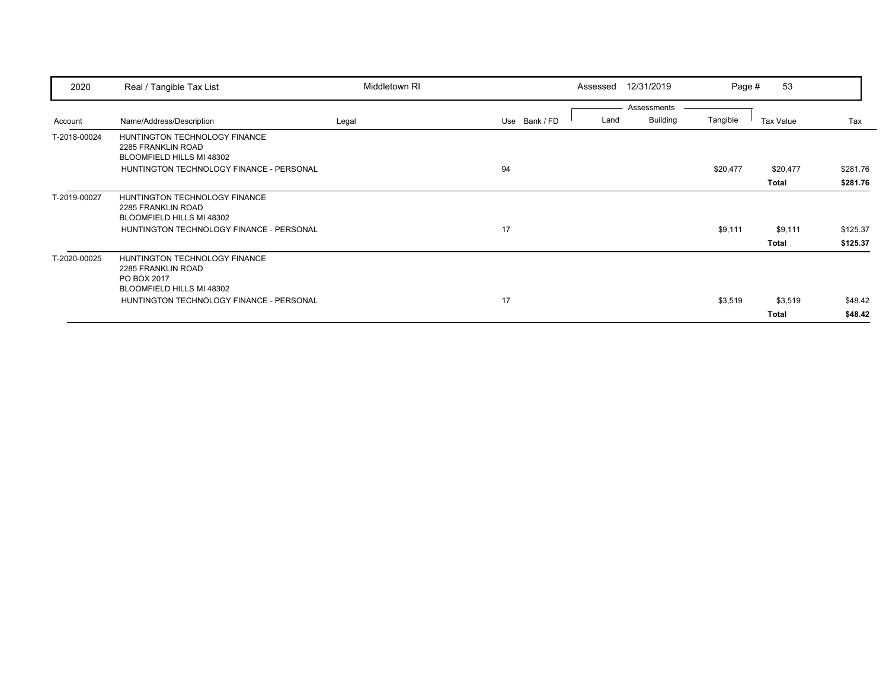| 2020         | Real / Tangible Tax List                                                                        | Middletown RI |               | Assessed | 12/31/2019                     | Page #   | 53           |          |
|--------------|-------------------------------------------------------------------------------------------------|---------------|---------------|----------|--------------------------------|----------|--------------|----------|
| Account      | Name/Address/Description                                                                        | Legal         | Use Bank / FD | Land     | Assessments<br><b>Building</b> | Tangible | Tax Value    | Tax      |
| T-2018-00024 | HUNTINGTON TECHNOLOGY FINANCE<br>2285 FRANKLIN ROAD<br>BLOOMFIELD HILLS MI 48302                |               |               |          |                                |          |              |          |
|              | HUNTINGTON TECHNOLOGY FINANCE - PERSONAL                                                        |               | 94            |          |                                | \$20,477 | \$20,477     | \$281.76 |
|              |                                                                                                 |               |               |          |                                |          | Total        | \$281.76 |
| T-2019-00027 | HUNTINGTON TECHNOLOGY FINANCE<br>2285 FRANKLIN ROAD<br>BLOOMFIELD HILLS MI 48302                |               |               |          |                                |          |              |          |
|              | HUNTINGTON TECHNOLOGY FINANCE - PERSONAL                                                        |               | 17            |          |                                | \$9,111  | \$9,111      | \$125.37 |
|              |                                                                                                 |               |               |          |                                |          | <b>Total</b> | \$125.37 |
| T-2020-00025 | HUNTINGTON TECHNOLOGY FINANCE<br>2285 FRANKLIN ROAD<br>PO BOX 2017<br>BLOOMFIELD HILLS MI 48302 |               |               |          |                                |          |              |          |
|              | HUNTINGTON TECHNOLOGY FINANCE - PERSONAL                                                        |               | 17            |          |                                | \$3,519  | \$3,519      | \$48.42  |
|              |                                                                                                 |               |               |          |                                |          | Total        | \$48.42  |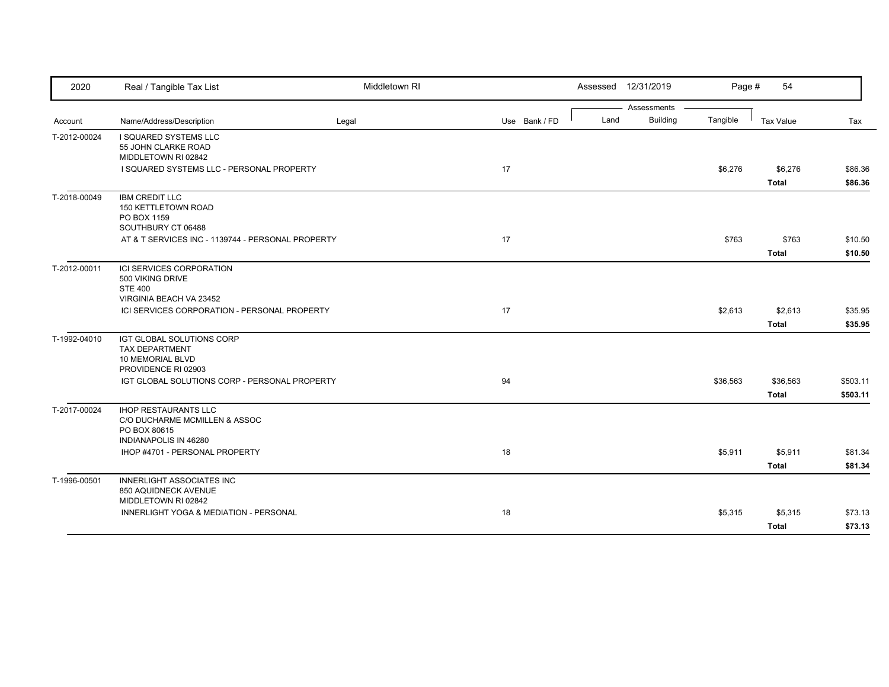| 2020         | Real / Tangible Tax List                                                                                     | Middletown RI |               |      | Assessed 12/31/2019            | Page #   | 54                       |                      |
|--------------|--------------------------------------------------------------------------------------------------------------|---------------|---------------|------|--------------------------------|----------|--------------------------|----------------------|
| Account      | Name/Address/Description                                                                                     | Legal         | Use Bank / FD | Land | Assessments<br><b>Building</b> | Tangible | <b>Tax Value</b>         | Tax                  |
| T-2012-00024 | I SQUARED SYSTEMS LLC<br>55 JOHN CLARKE ROAD<br>MIDDLETOWN RI 02842                                          |               |               |      |                                |          |                          |                      |
|              | I SQUARED SYSTEMS LLC - PERSONAL PROPERTY                                                                    |               | 17            |      |                                | \$6,276  | \$6,276<br><b>Total</b>  | \$86.36<br>\$86.36   |
| T-2018-00049 | <b>IBM CREDIT LLC</b><br>150 KETTLETOWN ROAD<br>PO BOX 1159<br>SOUTHBURY CT 06488                            |               |               |      |                                |          |                          |                      |
|              | AT & T SERVICES INC - 1139744 - PERSONAL PROPERTY                                                            |               | 17            |      |                                | \$763    | \$763<br><b>Total</b>    | \$10.50<br>\$10.50   |
| T-2012-00011 | ICI SERVICES CORPORATION<br>500 VIKING DRIVE<br><b>STE 400</b><br>VIRGINIA BEACH VA 23452                    |               |               |      |                                |          |                          |                      |
|              | ICI SERVICES CORPORATION - PERSONAL PROPERTY                                                                 |               | 17            |      |                                | \$2,613  | \$2,613<br><b>Total</b>  | \$35.95<br>\$35.95   |
| T-1992-04010 | IGT GLOBAL SOLUTIONS CORP<br>TAX DEPARTMENT<br>10 MEMORIAL BLVD<br>PROVIDENCE RI 02903                       |               |               |      |                                |          |                          |                      |
|              | IGT GLOBAL SOLUTIONS CORP - PERSONAL PROPERTY                                                                |               | 94            |      |                                | \$36,563 | \$36,563<br><b>Total</b> | \$503.11<br>\$503.11 |
| T-2017-00024 | <b>IHOP RESTAURANTS LLC</b><br>C/O DUCHARME MCMILLEN & ASSOC<br>PO BOX 80615<br><b>INDIANAPOLIS IN 46280</b> |               |               |      |                                |          |                          |                      |
|              | IHOP #4701 - PERSONAL PROPERTY                                                                               |               | 18            |      |                                | \$5,911  | \$5,911<br><b>Total</b>  | \$81.34<br>\$81.34   |
| T-1996-00501 | <b>INNERLIGHT ASSOCIATES INC</b><br>850 AQUIDNECK AVENUE<br>MIDDLETOWN RI 02842                              |               |               |      |                                |          |                          |                      |
|              | INNERLIGHT YOGA & MEDIATION - PERSONAL                                                                       |               | 18            |      |                                | \$5,315  | \$5,315<br><b>Total</b>  | \$73.13<br>\$73.13   |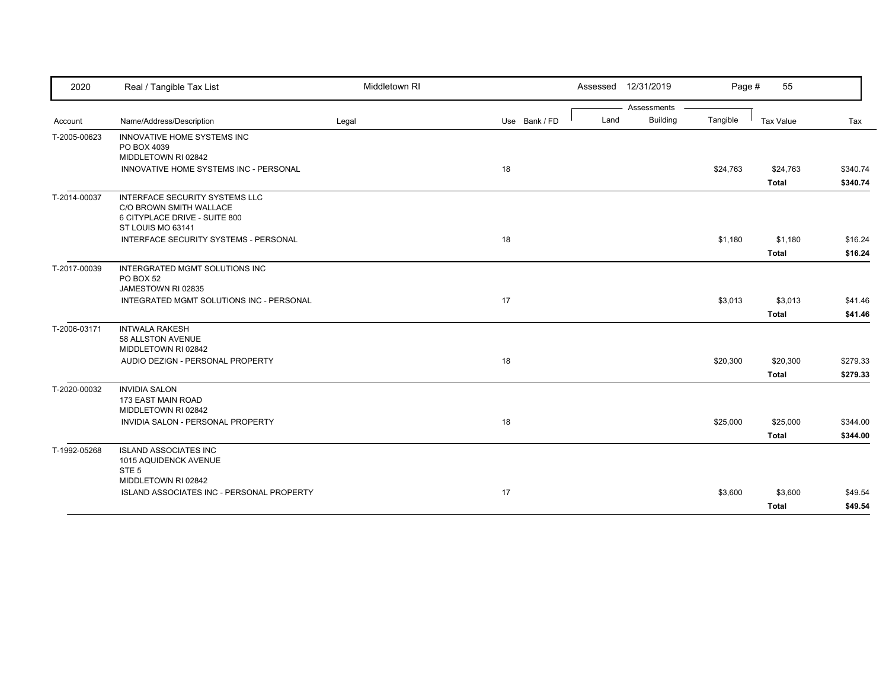| 2020         | Real / Tangible Tax List                                                                                               | Middletown RI |               |      | Assessed 12/31/2019 | Page #   | 55               |          |
|--------------|------------------------------------------------------------------------------------------------------------------------|---------------|---------------|------|---------------------|----------|------------------|----------|
|              |                                                                                                                        |               |               |      | Assessments         |          |                  |          |
| Account      | Name/Address/Description                                                                                               | Legal         | Use Bank / FD | Land | <b>Building</b>     | Tangible | <b>Tax Value</b> | Tax      |
| T-2005-00623 | INNOVATIVE HOME SYSTEMS INC<br>PO BOX 4039<br>MIDDLETOWN RI 02842                                                      |               |               |      |                     |          |                  |          |
|              | INNOVATIVE HOME SYSTEMS INC - PERSONAL                                                                                 |               | 18            |      |                     | \$24,763 | \$24,763         | \$340.74 |
|              |                                                                                                                        |               |               |      |                     |          | <b>Total</b>     | \$340.74 |
| T-2014-00037 | <b>INTERFACE SECURITY SYSTEMS LLC</b><br>C/O BROWN SMITH WALLACE<br>6 CITYPLACE DRIVE - SUITE 800<br>ST LOUIS MO 63141 |               |               |      |                     |          |                  |          |
|              | INTERFACE SECURITY SYSTEMS - PERSONAL                                                                                  |               | 18            |      |                     | \$1,180  | \$1,180          | \$16.24  |
|              |                                                                                                                        |               |               |      |                     |          | <b>Total</b>     | \$16.24  |
| T-2017-00039 | INTERGRATED MGMT SOLUTIONS INC<br>PO BOX 52<br>JAMESTOWN RI 02835                                                      |               |               |      |                     |          |                  |          |
|              | INTEGRATED MGMT SOLUTIONS INC - PERSONAL                                                                               |               | 17            |      |                     | \$3,013  | \$3,013          | \$41.46  |
|              |                                                                                                                        |               |               |      |                     |          | <b>Total</b>     | \$41.46  |
| T-2006-03171 | <b>INTWALA RAKESH</b><br>58 ALLSTON AVENUE<br>MIDDLETOWN RI 02842                                                      |               |               |      |                     |          |                  |          |
|              | AUDIO DEZIGN - PERSONAL PROPERTY                                                                                       |               | 18            |      |                     | \$20,300 | \$20,300         | \$279.33 |
|              |                                                                                                                        |               |               |      |                     |          | <b>Total</b>     | \$279.33 |
| T-2020-00032 | <b>INVIDIA SALON</b><br>173 EAST MAIN ROAD<br>MIDDLETOWN RI 02842                                                      |               |               |      |                     |          |                  |          |
|              | INVIDIA SALON - PERSONAL PROPERTY                                                                                      |               | 18            |      |                     | \$25,000 | \$25,000         | \$344.00 |
|              |                                                                                                                        |               |               |      |                     |          | Total            | \$344.00 |
| T-1992-05268 | <b>ISLAND ASSOCIATES INC</b><br>1015 AQUIDENCK AVENUE<br>STE <sub>5</sub>                                              |               |               |      |                     |          |                  |          |
|              | MIDDLETOWN RI 02842                                                                                                    |               |               |      |                     |          |                  |          |
|              | <b>ISLAND ASSOCIATES INC - PERSONAL PROPERTY</b>                                                                       |               | 17            |      |                     | \$3,600  | \$3,600          | \$49.54  |
|              |                                                                                                                        |               |               |      |                     |          | Total            | \$49.54  |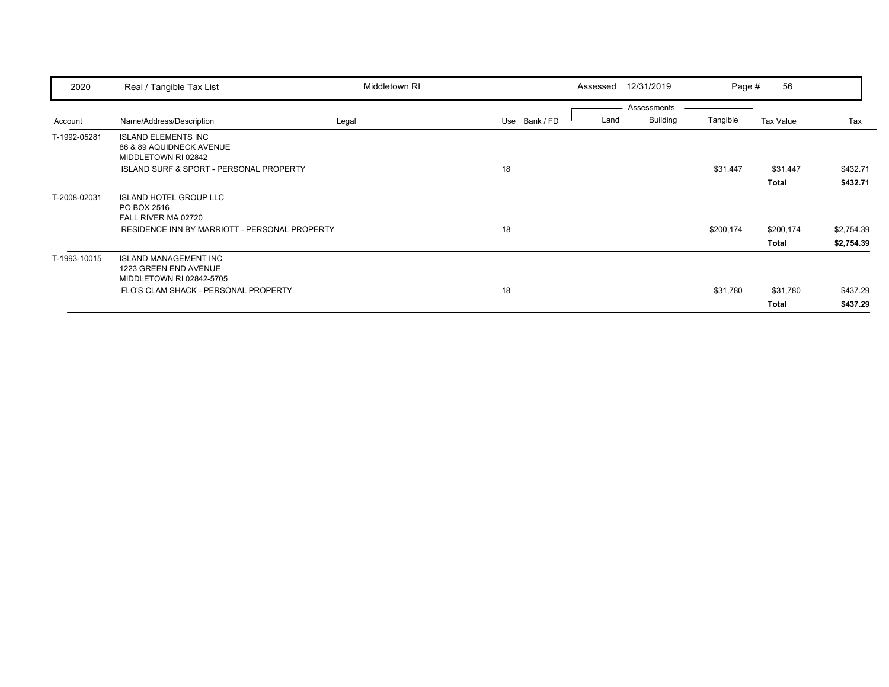| 2020         | Real / Tangible Tax List                      | Middletown RI |               | Assessed | 12/31/2019                     | Page #    | 56        |            |
|--------------|-----------------------------------------------|---------------|---------------|----------|--------------------------------|-----------|-----------|------------|
|              |                                               |               |               |          | Assessments<br><b>Building</b> |           |           |            |
| Account      | Name/Address/Description                      | Legal         | Use Bank / FD | Land     |                                | Tangible  | Tax Value | Tax        |
| T-1992-05281 | <b>ISLAND ELEMENTS INC</b>                    |               |               |          |                                |           |           |            |
|              | 86 & 89 AQUIDNECK AVENUE                      |               |               |          |                                |           |           |            |
|              | MIDDLETOWN RI 02842                           |               |               |          |                                |           |           |            |
|              | ISLAND SURF & SPORT - PERSONAL PROPERTY       |               | 18            |          |                                | \$31,447  | \$31,447  | \$432.71   |
|              |                                               |               |               |          |                                |           | Total     | \$432.71   |
| T-2008-02031 | <b>ISLAND HOTEL GROUP LLC</b>                 |               |               |          |                                |           |           |            |
|              | PO BOX 2516                                   |               |               |          |                                |           |           |            |
|              | FALL RIVER MA 02720                           |               |               |          |                                |           |           |            |
|              | RESIDENCE INN BY MARRIOTT - PERSONAL PROPERTY |               | 18            |          |                                | \$200,174 | \$200,174 | \$2,754.39 |
|              |                                               |               |               |          |                                |           | Total     | \$2,754.39 |
| T-1993-10015 | <b>ISLAND MANAGEMENT INC</b>                  |               |               |          |                                |           |           |            |
|              | 1223 GREEN END AVENUE                         |               |               |          |                                |           |           |            |
|              | MIDDLETOWN RI 02842-5705                      |               |               |          |                                |           |           |            |
|              | FLO'S CLAM SHACK - PERSONAL PROPERTY          |               | 18            |          |                                | \$31,780  | \$31,780  | \$437.29   |
|              |                                               |               |               |          |                                |           | Total     | \$437.29   |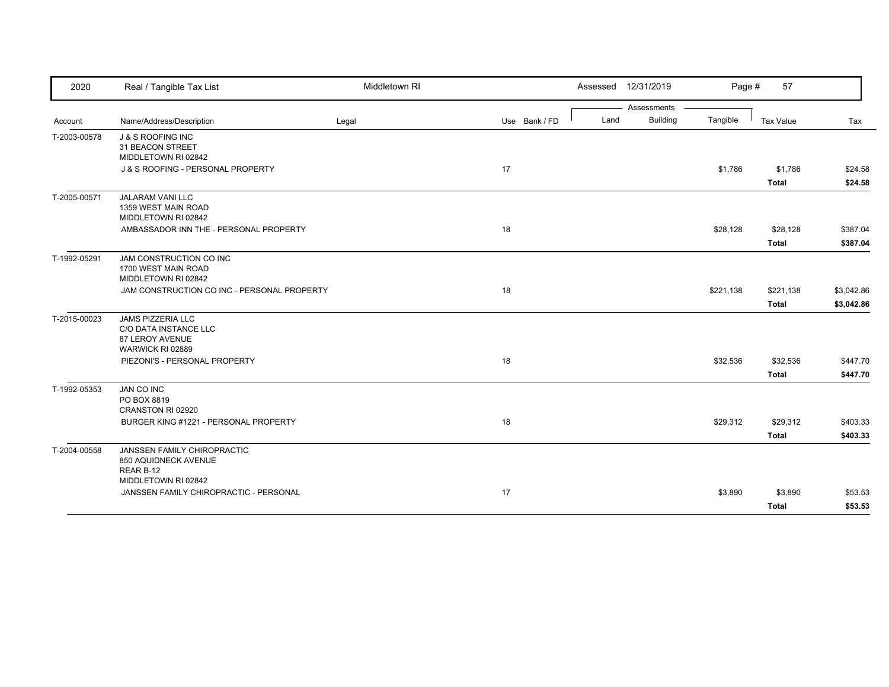| 2020         | Real / Tangible Tax List                                                                 | Middletown RI |               | Assessed 12/31/2019 |                 | Page #    | 57               |            |
|--------------|------------------------------------------------------------------------------------------|---------------|---------------|---------------------|-----------------|-----------|------------------|------------|
|              |                                                                                          |               |               |                     | Assessments     |           |                  |            |
| Account      | Name/Address/Description                                                                 | Legal         | Use Bank / FD | Land                | <b>Building</b> | Tangible  | <b>Tax Value</b> | Tax        |
| T-2003-00578 | <b>J &amp; S ROOFING INC</b><br>31 BEACON STREET<br>MIDDLETOWN RI 02842                  |               |               |                     |                 |           |                  |            |
|              | J & S ROOFING - PERSONAL PROPERTY                                                        |               | 17            |                     |                 | \$1,786   | \$1,786          | \$24.58    |
|              |                                                                                          |               |               |                     |                 |           | <b>Total</b>     | \$24.58    |
| T-2005-00571 | JALARAM VANI LLC<br>1359 WEST MAIN ROAD<br>MIDDLETOWN RI 02842                           |               |               |                     |                 |           |                  |            |
|              | AMBASSADOR INN THE - PERSONAL PROPERTY                                                   |               | 18            |                     |                 | \$28,128  | \$28,128         | \$387.04   |
|              |                                                                                          |               |               |                     |                 |           | <b>Total</b>     | \$387.04   |
| T-1992-05291 | JAM CONSTRUCTION CO INC<br>1700 WEST MAIN ROAD<br>MIDDLETOWN RI 02842                    |               |               |                     |                 |           |                  |            |
|              | JAM CONSTRUCTION CO INC - PERSONAL PROPERTY                                              |               | 18            |                     |                 | \$221,138 | \$221,138        | \$3,042.86 |
|              |                                                                                          |               |               |                     |                 |           | <b>Total</b>     | \$3,042.86 |
| T-2015-00023 | <b>JAMS PIZZERIA LLC</b><br>C/O DATA INSTANCE LLC<br>87 LEROY AVENUE<br>WARWICK RI 02889 |               |               |                     |                 |           |                  |            |
|              | PIEZONI'S - PERSONAL PROPERTY                                                            |               | 18            |                     |                 | \$32,536  | \$32,536         | \$447.70   |
|              |                                                                                          |               |               |                     |                 |           | <b>Total</b>     | \$447.70   |
| T-1992-05353 | JAN CO INC<br>PO BOX 8819<br>CRANSTON RI 02920                                           |               |               |                     |                 |           |                  |            |
|              | BURGER KING #1221 - PERSONAL PROPERTY                                                    |               | 18            |                     |                 | \$29,312  | \$29,312         | \$403.33   |
|              |                                                                                          |               |               |                     |                 |           | <b>Total</b>     | \$403.33   |
| T-2004-00558 | JANSSEN FAMILY CHIROPRACTIC<br>850 AQUIDNECK AVENUE<br>REAR B-12                         |               |               |                     |                 |           |                  |            |
|              | MIDDLETOWN RI 02842                                                                      |               |               |                     |                 |           |                  |            |
|              | JANSSEN FAMILY CHIROPRACTIC - PERSONAL                                                   |               | 17            |                     |                 | \$3,890   | \$3,890          | \$53.53    |
|              |                                                                                          |               |               |                     |                 |           | <b>Total</b>     | \$53.53    |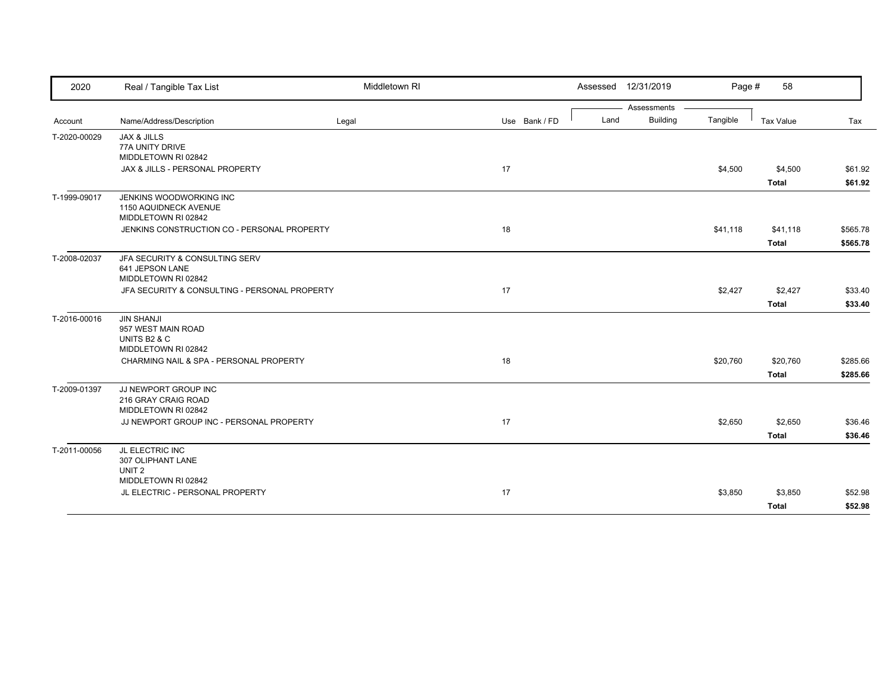| 2020         | Real / Tangible Tax List                                                       | Middletown RI |               |      | Assessed 12/31/2019            | Page #   | 58                       |                      |
|--------------|--------------------------------------------------------------------------------|---------------|---------------|------|--------------------------------|----------|--------------------------|----------------------|
| Account      | Name/Address/Description                                                       | Legal         | Use Bank / FD | Land | Assessments<br><b>Building</b> | Tangible | <b>Tax Value</b>         | Tax                  |
| T-2020-00029 | <b>JAX &amp; JILLS</b><br>77A UNITY DRIVE<br>MIDDLETOWN RI 02842               |               |               |      |                                |          |                          |                      |
|              | JAX & JILLS - PERSONAL PROPERTY                                                |               | 17            |      |                                | \$4,500  | \$4,500<br>Total         | \$61.92<br>\$61.92   |
| T-1999-09017 | JENKINS WOODWORKING INC<br>1150 AQUIDNECK AVENUE<br>MIDDLETOWN RI 02842        |               |               |      |                                |          |                          |                      |
|              | JENKINS CONSTRUCTION CO - PERSONAL PROPERTY                                    |               | 18            |      |                                | \$41,118 | \$41,118<br><b>Total</b> | \$565.78<br>\$565.78 |
| T-2008-02037 | JFA SECURITY & CONSULTING SERV<br>641 JEPSON LANE<br>MIDDLETOWN RI 02842       |               |               |      |                                |          |                          |                      |
|              | JFA SECURITY & CONSULTING - PERSONAL PROPERTY                                  |               | 17            |      |                                | \$2,427  | \$2,427<br><b>Total</b>  | \$33.40<br>\$33.40   |
| T-2016-00016 | <b>JIN SHANJI</b><br>957 WEST MAIN ROAD<br>UNITS B2 & C<br>MIDDLETOWN RI 02842 |               |               |      |                                |          |                          |                      |
|              | CHARMING NAIL & SPA - PERSONAL PROPERTY                                        |               | 18            |      |                                | \$20,760 | \$20,760<br><b>Total</b> | \$285.66<br>\$285.66 |
| T-2009-01397 | JJ NEWPORT GROUP INC<br>216 GRAY CRAIG ROAD<br>MIDDLETOWN RI 02842             |               |               |      |                                |          |                          |                      |
|              | JJ NEWPORT GROUP INC - PERSONAL PROPERTY                                       |               | 17            |      |                                | \$2,650  | \$2,650<br><b>Total</b>  | \$36.46<br>\$36.46   |
| T-2011-00056 | JL ELECTRIC INC<br>307 OLIPHANT LANE<br>UNIT <sub>2</sub>                      |               |               |      |                                |          |                          |                      |
|              | MIDDLETOWN RI 02842<br>JL ELECTRIC - PERSONAL PROPERTY                         |               | 17            |      |                                | \$3,850  | \$3,850<br><b>Total</b>  | \$52.98<br>\$52.98   |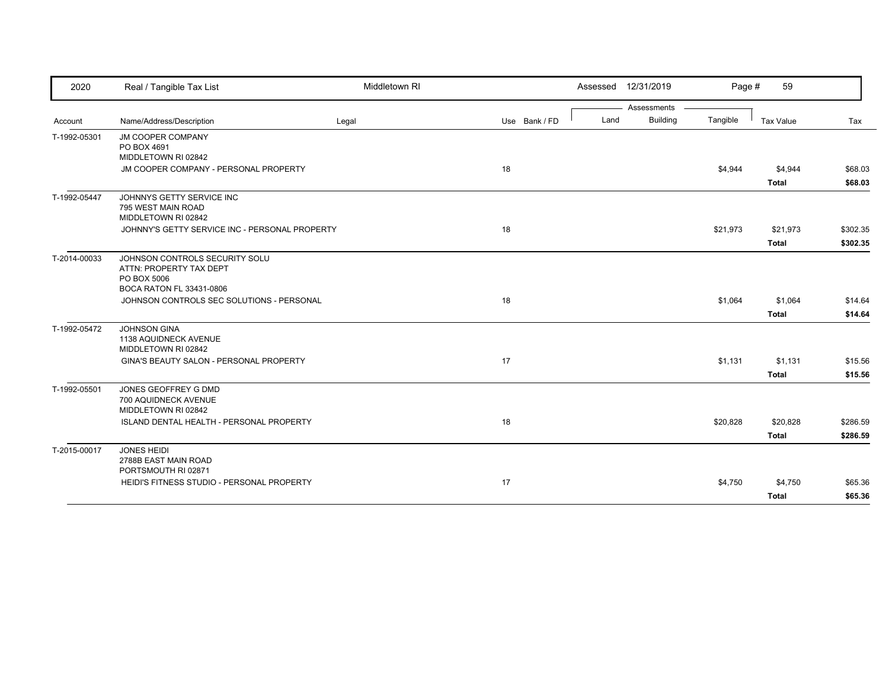| 2020         | Real / Tangible Tax List                                                                             | Middletown RI |               |      | Assessed 12/31/2019 | Page #   | 59                       |                      |
|--------------|------------------------------------------------------------------------------------------------------|---------------|---------------|------|---------------------|----------|--------------------------|----------------------|
|              |                                                                                                      |               |               |      | Assessments         |          |                          |                      |
| Account      | Name/Address/Description                                                                             | Legal         | Use Bank / FD | Land | <b>Building</b>     | Tangible | <b>Tax Value</b>         | Tax                  |
| T-1992-05301 | <b>JM COOPER COMPANY</b><br>PO BOX 4691<br>MIDDLETOWN RI 02842                                       |               |               |      |                     |          |                          |                      |
|              | JM COOPER COMPANY - PERSONAL PROPERTY                                                                |               | 18            |      |                     | \$4,944  | \$4,944                  | \$68.03              |
|              |                                                                                                      |               |               |      |                     |          | <b>Total</b>             | \$68.03              |
| T-1992-05447 | JOHNNYS GETTY SERVICE INC<br>795 WEST MAIN ROAD<br>MIDDLETOWN RI 02842                               |               |               |      |                     |          |                          |                      |
|              | JOHNNY'S GETTY SERVICE INC - PERSONAL PROPERTY                                                       |               | 18            |      |                     | \$21,973 | \$21,973<br><b>Total</b> | \$302.35<br>\$302.35 |
| T-2014-00033 | JOHNSON CONTROLS SECURITY SOLU<br>ATTN: PROPERTY TAX DEPT<br>PO BOX 5006<br>BOCA RATON FL 33431-0806 |               |               |      |                     |          |                          |                      |
|              | JOHNSON CONTROLS SEC SOLUTIONS - PERSONAL                                                            |               | 18            |      |                     | \$1,064  | \$1,064<br><b>Total</b>  | \$14.64<br>\$14.64   |
| T-1992-05472 | <b>JOHNSON GINA</b><br>1138 AQUIDNECK AVENUE<br>MIDDLETOWN RI 02842                                  |               |               |      |                     |          |                          |                      |
|              | GINA'S BEAUTY SALON - PERSONAL PROPERTY                                                              |               | 17            |      |                     | \$1,131  | \$1,131                  | \$15.56              |
|              |                                                                                                      |               |               |      |                     |          | <b>Total</b>             | \$15.56              |
| T-1992-05501 | JONES GEOFFREY G DMD<br>700 AQUIDNECK AVENUE<br>MIDDLETOWN RI 02842                                  |               |               |      |                     |          |                          |                      |
|              | <b>ISLAND DENTAL HEALTH - PERSONAL PROPERTY</b>                                                      |               | 18            |      |                     | \$20,828 | \$20,828                 | \$286.59             |
|              |                                                                                                      |               |               |      |                     |          | <b>Total</b>             | \$286.59             |
| T-2015-00017 | <b>JONES HEIDI</b><br>2788B EAST MAIN ROAD<br>PORTSMOUTH RI 02871                                    |               |               |      |                     |          |                          |                      |
|              | HEIDI'S FITNESS STUDIO - PERSONAL PROPERTY                                                           |               | 17            |      |                     | \$4,750  | \$4,750                  | \$65.36              |
|              |                                                                                                      |               |               |      |                     |          | <b>Total</b>             | \$65.36              |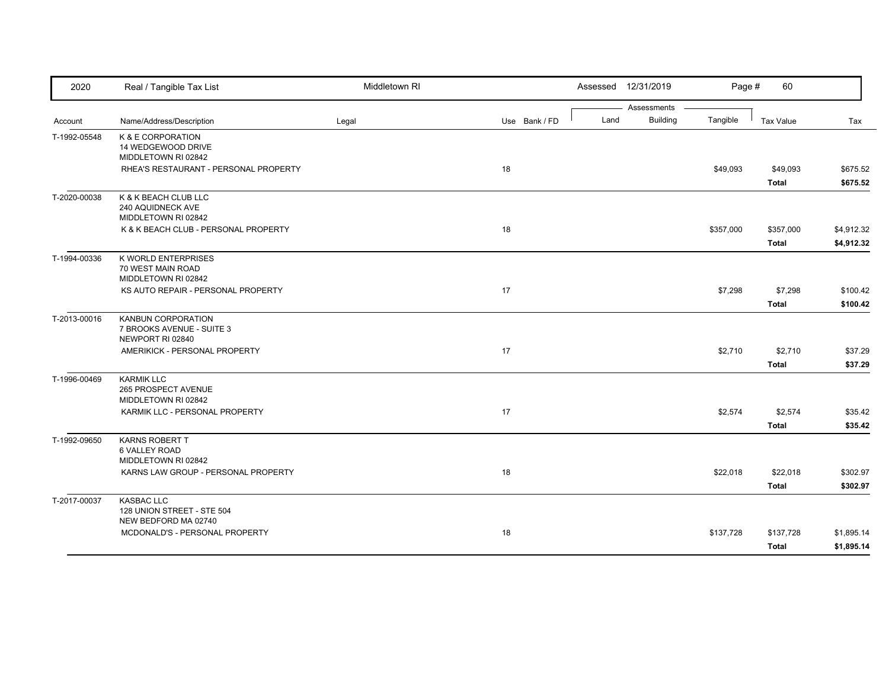| 2020         | Real / Tangible Tax List                                                   | Middletown RI |               | Assessed 12/31/2019                    | Page #    | 60                        |                          |
|--------------|----------------------------------------------------------------------------|---------------|---------------|----------------------------------------|-----------|---------------------------|--------------------------|
| Account      | Name/Address/Description                                                   | Legal         | Use Bank / FD | Assessments<br><b>Building</b><br>Land | Tangible  | Tax Value                 | Tax                      |
| T-1992-05548 | K & E CORPORATION<br>14 WEDGEWOOD DRIVE<br>MIDDLETOWN RI 02842             |               |               |                                        |           |                           |                          |
|              | RHEA'S RESTAURANT - PERSONAL PROPERTY                                      |               | 18            |                                        | \$49,093  | \$49,093<br><b>Total</b>  | \$675.52<br>\$675.52     |
| T-2020-00038 | K & K BEACH CLUB LLC<br>240 AQUIDNECK AVE<br>MIDDLETOWN RI 02842           |               |               |                                        |           |                           |                          |
|              | K & K BEACH CLUB - PERSONAL PROPERTY                                       |               | 18            |                                        | \$357,000 | \$357,000<br><b>Total</b> | \$4,912.32<br>\$4,912.32 |
| T-1994-00336 | K WORLD ENTERPRISES<br>70 WEST MAIN ROAD<br>MIDDLETOWN RI 02842            |               |               |                                        |           |                           |                          |
|              | KS AUTO REPAIR - PERSONAL PROPERTY                                         |               | 17            |                                        | \$7,298   | \$7,298<br><b>Total</b>   | \$100.42<br>\$100.42     |
| T-2013-00016 | <b>KANBUN CORPORATION</b><br>7 BROOKS AVENUE - SUITE 3<br>NEWPORT RI 02840 |               |               |                                        |           |                           |                          |
|              | AMERIKICK - PERSONAL PROPERTY                                              |               | 17            |                                        | \$2,710   | \$2,710<br><b>Total</b>   | \$37.29<br>\$37.29       |
| T-1996-00469 | <b>KARMIK LLC</b><br>265 PROSPECT AVENUE<br>MIDDLETOWN RI 02842            |               |               |                                        |           |                           |                          |
|              | KARMIK LLC - PERSONAL PROPERTY                                             |               | 17            |                                        | \$2,574   | \$2,574<br><b>Total</b>   | \$35.42<br>\$35.42       |
| T-1992-09650 | <b>KARNS ROBERT T</b><br>6 VALLEY ROAD<br>MIDDLETOWN RI 02842              |               |               |                                        |           |                           |                          |
|              | KARNS LAW GROUP - PERSONAL PROPERTY                                        |               | 18            |                                        | \$22,018  | \$22,018<br><b>Total</b>  | \$302.97<br>\$302.97     |
| T-2017-00037 | <b>KASBAC LLC</b><br>128 UNION STREET - STE 504<br>NEW BEDFORD MA 02740    |               |               |                                        |           |                           |                          |
|              | MCDONALD'S - PERSONAL PROPERTY                                             |               | 18            |                                        | \$137,728 | \$137,728<br><b>Total</b> | \$1,895.14<br>\$1,895.14 |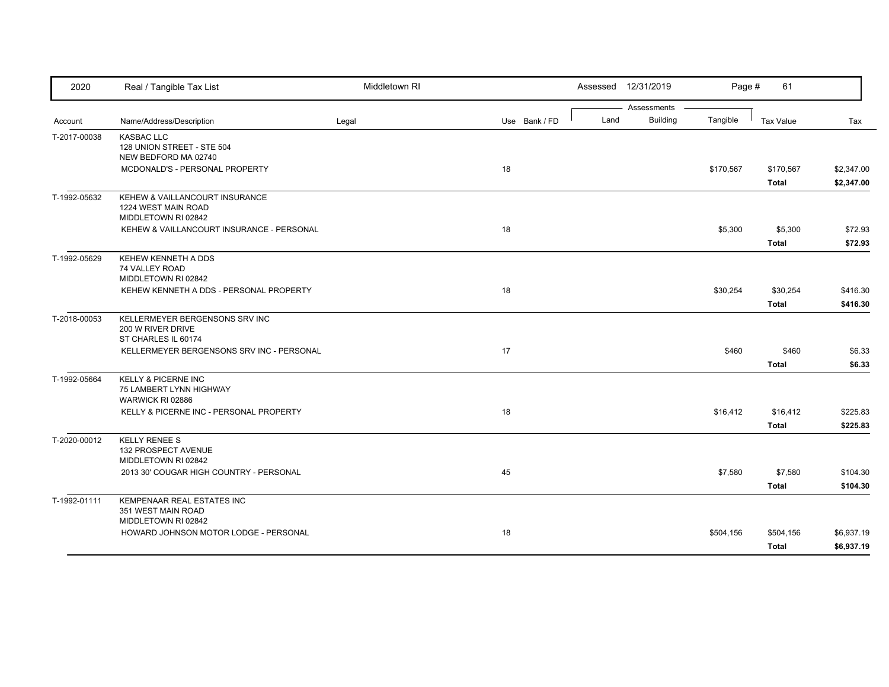| 2020         | Real / Tangible Tax List                                                      | Middletown RI |               |      | Assessed 12/31/2019            | Page #    | 61                        |                          |
|--------------|-------------------------------------------------------------------------------|---------------|---------------|------|--------------------------------|-----------|---------------------------|--------------------------|
| Account      | Name/Address/Description                                                      | Legal         | Use Bank / FD | Land | Assessments<br><b>Building</b> | Tangible  | <b>Tax Value</b>          | Tax                      |
| T-2017-00038 | <b>KASBAC LLC</b><br>128 UNION STREET - STE 504<br>NEW BEDFORD MA 02740       |               |               |      |                                |           |                           |                          |
|              | MCDONALD'S - PERSONAL PROPERTY                                                |               | 18            |      |                                | \$170,567 | \$170,567<br><b>Total</b> | \$2,347.00<br>\$2,347.00 |
| T-1992-05632 | KEHEW & VAILLANCOURT INSURANCE<br>1224 WEST MAIN ROAD<br>MIDDLETOWN RI 02842  |               |               |      |                                |           |                           |                          |
|              | KEHEW & VAILLANCOURT INSURANCE - PERSONAL                                     |               | 18            |      |                                | \$5,300   | \$5,300<br><b>Total</b>   | \$72.93<br>\$72.93       |
| T-1992-05629 | KEHEW KENNETH A DDS<br>74 VALLEY ROAD<br>MIDDLETOWN RI 02842                  |               |               |      |                                |           |                           |                          |
|              | KEHEW KENNETH A DDS - PERSONAL PROPERTY                                       |               | 18            |      |                                | \$30,254  | \$30,254<br><b>Total</b>  | \$416.30<br>\$416.30     |
| T-2018-00053 | KELLERMEYER BERGENSONS SRV INC<br>200 W RIVER DRIVE<br>ST CHARLES IL 60174    |               |               |      |                                |           |                           |                          |
|              | KELLERMEYER BERGENSONS SRV INC - PERSONAL                                     |               | 17            |      |                                | \$460     | \$460<br><b>Total</b>     | \$6.33<br>\$6.33         |
| T-1992-05664 | <b>KELLY &amp; PICERNE INC</b><br>75 LAMBERT LYNN HIGHWAY<br>WARWICK RI 02886 |               |               |      |                                |           |                           |                          |
|              | KELLY & PICERNE INC - PERSONAL PROPERTY                                       |               | 18            |      |                                | \$16,412  | \$16,412<br><b>Total</b>  | \$225.83<br>\$225.83     |
| T-2020-00012 | <b>KELLY RENEE S</b><br>132 PROSPECT AVENUE<br>MIDDLETOWN RI 02842            |               |               |      |                                |           |                           |                          |
|              | 2013 30' COUGAR HIGH COUNTRY - PERSONAL                                       |               | 45            |      |                                | \$7,580   | \$7,580<br><b>Total</b>   | \$104.30<br>\$104.30     |
| T-1992-01111 | KEMPENAAR REAL ESTATES INC<br>351 WEST MAIN ROAD<br>MIDDLETOWN RI 02842       |               |               |      |                                |           |                           |                          |
|              | HOWARD JOHNSON MOTOR LODGE - PERSONAL                                         |               | 18            |      |                                | \$504,156 | \$504,156<br><b>Total</b> | \$6,937.19<br>\$6,937.19 |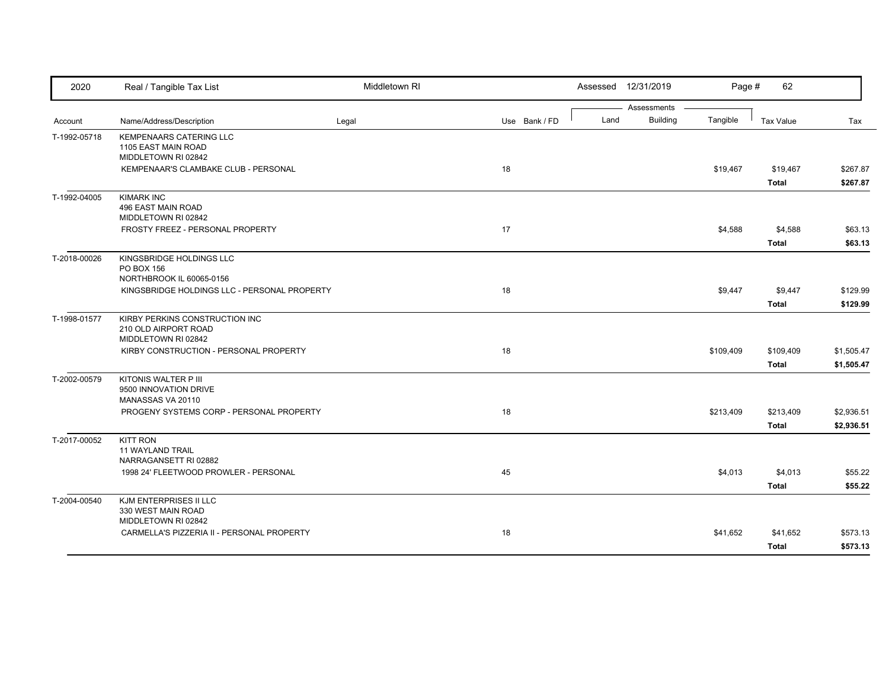| 2020         | Real / Tangible Tax List                                                      | Middletown RI |               |  |      | Assessed 12/31/2019            | Page #    | 62                        |                          |
|--------------|-------------------------------------------------------------------------------|---------------|---------------|--|------|--------------------------------|-----------|---------------------------|--------------------------|
| Account      | Name/Address/Description                                                      | Legal         | Use Bank / FD |  | Land | Assessments<br><b>Building</b> | Tangible  | <b>Tax Value</b>          | Tax                      |
| T-1992-05718 | <b>KEMPENAARS CATERING LLC</b><br>1105 EAST MAIN ROAD<br>MIDDLETOWN RI 02842  |               |               |  |      |                                |           |                           |                          |
|              | KEMPENAAR'S CLAMBAKE CLUB - PERSONAL                                          |               | 18            |  |      |                                | \$19,467  | \$19,467<br><b>Total</b>  | \$267.87<br>\$267.87     |
| T-1992-04005 | <b>KIMARK INC</b><br>496 EAST MAIN ROAD<br>MIDDLETOWN RI 02842                |               |               |  |      |                                |           |                           |                          |
|              | FROSTY FREEZ - PERSONAL PROPERTY                                              |               | 17            |  |      |                                | \$4,588   | \$4,588<br><b>Total</b>   | \$63.13<br>\$63.13       |
| T-2018-00026 | KINGSBRIDGE HOLDINGS LLC<br>PO BOX 156<br>NORTHBROOK IL 60065-0156            |               |               |  |      |                                |           |                           |                          |
|              | KINGSBRIDGE HOLDINGS LLC - PERSONAL PROPERTY                                  |               | 18            |  |      |                                | \$9,447   | \$9,447<br><b>Total</b>   | \$129.99<br>\$129.99     |
| T-1998-01577 | KIRBY PERKINS CONSTRUCTION INC<br>210 OLD AIRPORT ROAD<br>MIDDLETOWN RI 02842 |               |               |  |      |                                |           |                           |                          |
|              | KIRBY CONSTRUCTION - PERSONAL PROPERTY                                        |               | 18            |  |      |                                | \$109,409 | \$109,409<br><b>Total</b> | \$1,505.47<br>\$1,505.47 |
| T-2002-00579 | KITONIS WALTER P III<br>9500 INNOVATION DRIVE<br>MANASSAS VA 20110            |               |               |  |      |                                |           |                           |                          |
|              | PROGENY SYSTEMS CORP - PERSONAL PROPERTY                                      |               | 18            |  |      |                                | \$213,409 | \$213,409<br><b>Total</b> | \$2,936.51<br>\$2,936.51 |
| T-2017-00052 | <b>KITT RON</b><br>11 WAYLAND TRAIL<br>NARRAGANSETT RI 02882                  |               |               |  |      |                                |           |                           |                          |
|              | 1998 24' FLEETWOOD PROWLER - PERSONAL                                         |               | 45            |  |      |                                | \$4,013   | \$4,013<br><b>Total</b>   | \$55.22<br>\$55.22       |
| T-2004-00540 | KJM ENTERPRISES II LLC<br>330 WEST MAIN ROAD<br>MIDDLETOWN RI 02842           |               |               |  |      |                                |           |                           |                          |
|              | CARMELLA'S PIZZERIA II - PERSONAL PROPERTY                                    |               | 18            |  |      |                                | \$41,652  | \$41,652<br><b>Total</b>  | \$573.13<br>\$573.13     |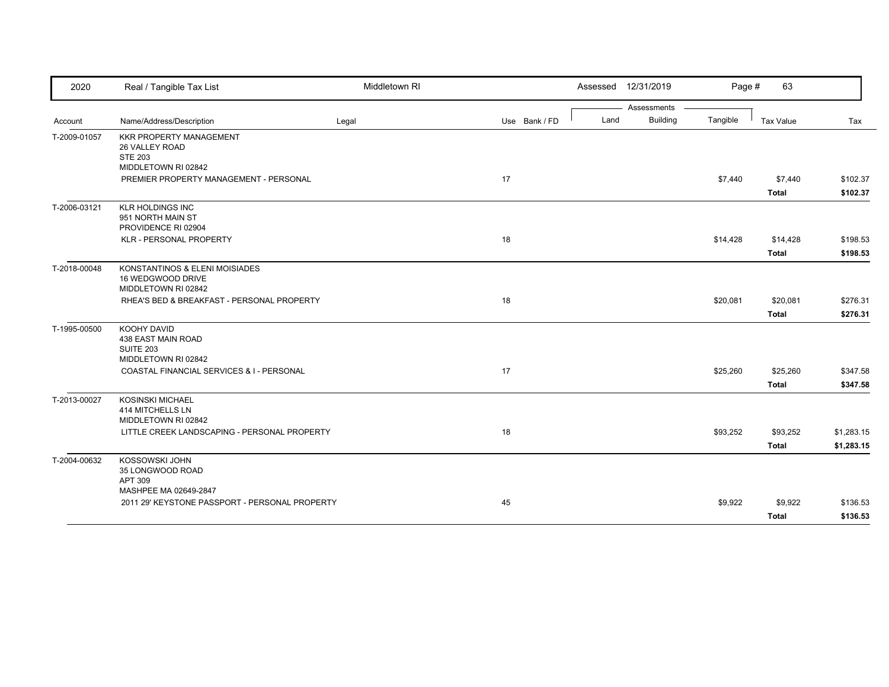| 2020         | Real / Tangible Tax List                                                   | Middletown RI |               |      | Assessed 12/31/2019 | Page #   | 63               |            |
|--------------|----------------------------------------------------------------------------|---------------|---------------|------|---------------------|----------|------------------|------------|
|              |                                                                            |               |               |      | Assessments         |          |                  |            |
| Account      | Name/Address/Description                                                   | Legal         | Use Bank / FD | Land | <b>Building</b>     | Tangible | <b>Tax Value</b> | Tax        |
| T-2009-01057 | <b>KKR PROPERTY MANAGEMENT</b><br>26 VALLEY ROAD<br><b>STE 203</b>         |               |               |      |                     |          |                  |            |
|              | MIDDLETOWN RI 02842                                                        |               |               |      |                     |          |                  |            |
|              | PREMIER PROPERTY MANAGEMENT - PERSONAL                                     |               | 17            |      |                     | \$7,440  | \$7,440          | \$102.37   |
|              |                                                                            |               |               |      |                     |          | <b>Total</b>     | \$102.37   |
| T-2006-03121 | <b>KLR HOLDINGS INC</b><br>951 NORTH MAIN ST<br>PROVIDENCE RI 02904        |               |               |      |                     |          |                  |            |
|              | KLR - PERSONAL PROPERTY                                                    |               | 18            |      |                     | \$14,428 | \$14,428         | \$198.53   |
|              |                                                                            |               |               |      |                     |          | <b>Total</b>     | \$198.53   |
| T-2018-00048 | KONSTANTINOS & ELENI MOISIADES<br>16 WEDGWOOD DRIVE<br>MIDDLETOWN RI 02842 |               |               |      |                     |          |                  |            |
|              | RHEA'S BED & BREAKFAST - PERSONAL PROPERTY                                 |               | 18            |      |                     | \$20,081 | \$20,081         | \$276.31   |
|              |                                                                            |               |               |      |                     |          | <b>Total</b>     | \$276.31   |
| T-1995-00500 | KOOHY DAVID<br>438 EAST MAIN ROAD<br>SUITE 203<br>MIDDLETOWN RI 02842      |               |               |      |                     |          |                  |            |
|              | COASTAL FINANCIAL SERVICES & I - PERSONAL                                  |               | 17            |      |                     | \$25,260 | \$25,260         | \$347.58   |
|              |                                                                            |               |               |      |                     |          | <b>Total</b>     | \$347.58   |
| T-2013-00027 | <b>KOSINSKI MICHAEL</b><br>414 MITCHELLS LN<br>MIDDLETOWN RI 02842         |               |               |      |                     |          |                  |            |
|              | LITTLE CREEK LANDSCAPING - PERSONAL PROPERTY                               |               | 18            |      |                     | \$93,252 | \$93,252         | \$1,283.15 |
|              |                                                                            |               |               |      |                     |          | <b>Total</b>     | \$1,283.15 |
| T-2004-00632 | KOSSOWSKI JOHN<br>35 LONGWOOD ROAD<br>APT 309<br>MASHPEE MA 02649-2847     |               |               |      |                     |          |                  |            |
|              | 2011 29' KEYSTONE PASSPORT - PERSONAL PROPERTY                             |               | 45            |      |                     | \$9,922  | \$9,922          | \$136.53   |
|              |                                                                            |               |               |      |                     |          | <b>Total</b>     | \$136.53   |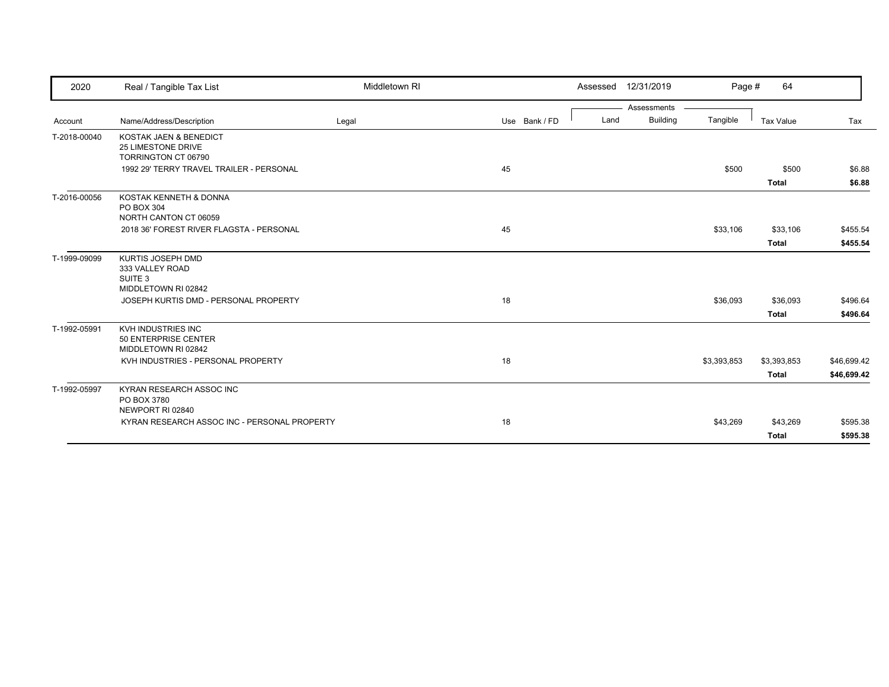| 2020         | Real / Tangible Tax List                                                          | Middletown RI |               | 12/31/2019<br>Assessed                 | Page #      | 64                          |                            |
|--------------|-----------------------------------------------------------------------------------|---------------|---------------|----------------------------------------|-------------|-----------------------------|----------------------------|
| Account      | Name/Address/Description                                                          | Legal         | Use Bank / FD | Assessments<br><b>Building</b><br>Land | Tangible    | <b>Tax Value</b>            | Tax                        |
| T-2018-00040 | KOSTAK JAEN & BENEDICT<br><b>25 LIMESTONE DRIVE</b><br>TORRINGTON CT 06790        |               |               |                                        |             |                             |                            |
|              | 1992 29' TERRY TRAVEL TRAILER - PERSONAL                                          |               | 45            |                                        | \$500       | \$500<br><b>Total</b>       | \$6.88<br>\$6.88           |
| T-2016-00056 | KOSTAK KENNETH & DONNA<br>PO BOX 304<br>NORTH CANTON CT 06059                     |               |               |                                        |             |                             |                            |
|              | 2018 36' FOREST RIVER FLAGSTA - PERSONAL                                          |               | 45            |                                        | \$33,106    | \$33,106<br><b>Total</b>    | \$455.54<br>\$455.54       |
| T-1999-09099 | KURTIS JOSEPH DMD<br>333 VALLEY ROAD<br>SUITE <sub>3</sub><br>MIDDLETOWN RI 02842 |               |               |                                        |             |                             |                            |
|              | JOSEPH KURTIS DMD - PERSONAL PROPERTY                                             |               | 18            |                                        | \$36,093    | \$36,093<br><b>Total</b>    | \$496.64<br>\$496.64       |
| T-1992-05991 | KVH INDUSTRIES INC<br>50 ENTERPRISE CENTER<br>MIDDLETOWN RI 02842                 |               |               |                                        |             |                             |                            |
|              | KVH INDUSTRIES - PERSONAL PROPERTY                                                |               | 18            |                                        | \$3,393,853 | \$3,393,853<br><b>Total</b> | \$46,699.42<br>\$46,699.42 |
| T-1992-05997 | KYRAN RESEARCH ASSOC INC<br>PO BOX 3780<br>NEWPORT RI 02840                       |               |               |                                        |             |                             |                            |
|              | KYRAN RESEARCH ASSOC INC - PERSONAL PROPERTY                                      |               | 18            |                                        | \$43,269    | \$43,269<br><b>Total</b>    | \$595.38<br>\$595.38       |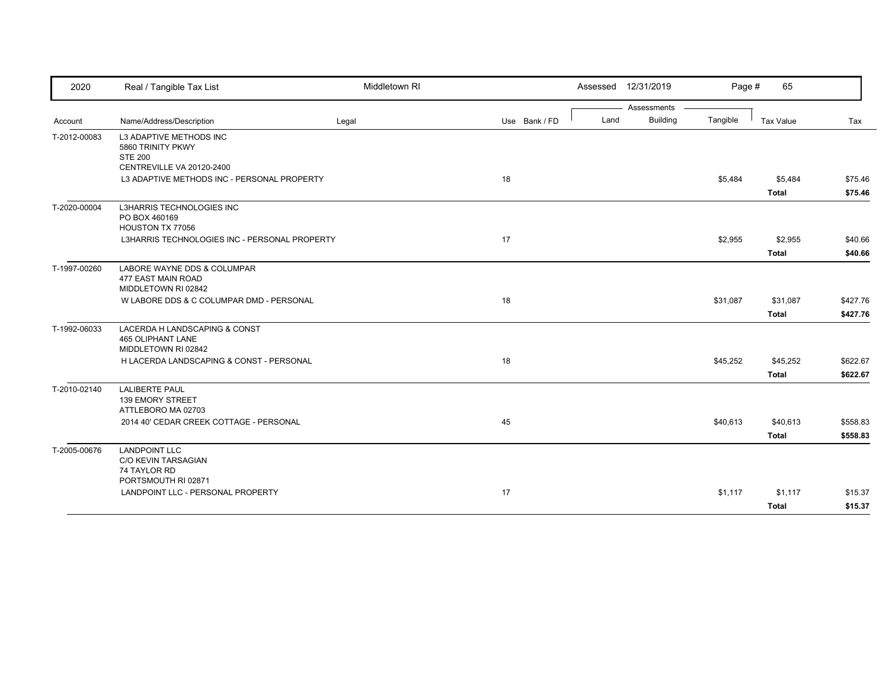| 2020         | Real / Tangible Tax List                                                         | Middletown RI |               |      | Assessed 12/31/2019            | Page #   | 65                       |                      |
|--------------|----------------------------------------------------------------------------------|---------------|---------------|------|--------------------------------|----------|--------------------------|----------------------|
| Account      | Name/Address/Description                                                         | Legal         | Use Bank / FD | Land | Assessments<br><b>Building</b> | Tangible | <b>Tax Value</b>         | Tax                  |
| T-2012-00083 | <b>L3 ADAPTIVE METHODS INC</b><br>5860 TRINITY PKWY<br><b>STE 200</b>            |               |               |      |                                |          |                          |                      |
|              | CENTREVILLE VA 20120-2400<br>L3 ADAPTIVE METHODS INC - PERSONAL PROPERTY         |               | 18            |      |                                | \$5,484  | \$5,484<br><b>Total</b>  | \$75.46<br>\$75.46   |
| T-2020-00004 | L3HARRIS TECHNOLOGIES INC<br>PO BOX 460169<br>HOUSTON TX 77056                   |               |               |      |                                |          |                          |                      |
|              | L3HARRIS TECHNOLOGIES INC - PERSONAL PROPERTY                                    |               | 17            |      |                                | \$2,955  | \$2,955<br><b>Total</b>  | \$40.66<br>\$40.66   |
| T-1997-00260 | LABORE WAYNE DDS & COLUMPAR<br>477 EAST MAIN ROAD<br>MIDDLETOWN RI 02842         |               |               |      |                                |          |                          |                      |
|              | W LABORE DDS & C COLUMPAR DMD - PERSONAL                                         |               | 18            |      |                                | \$31,087 | \$31,087<br><b>Total</b> | \$427.76<br>\$427.76 |
| T-1992-06033 | LACERDA H LANDSCAPING & CONST<br><b>465 OLIPHANT LANE</b><br>MIDDLETOWN RI 02842 |               |               |      |                                |          |                          |                      |
|              | H LACERDA LANDSCAPING & CONST - PERSONAL                                         |               | 18            |      |                                | \$45,252 | \$45,252<br><b>Total</b> | \$622.67<br>\$622.67 |
| T-2010-02140 | <b>LALIBERTE PAUL</b><br><b>139 EMORY STREET</b><br>ATTLEBORO MA 02703           |               |               |      |                                |          |                          |                      |
|              | 2014 40' CEDAR CREEK COTTAGE - PERSONAL                                          |               | 45            |      |                                | \$40,613 | \$40,613<br><b>Total</b> | \$558.83<br>\$558.83 |
| T-2005-00676 | <b>LANDPOINT LLC</b><br>C/O KEVIN TARSAGIAN<br>74 TAYLOR RD                      |               |               |      |                                |          |                          |                      |
|              | PORTSMOUTH RI 02871<br>LANDPOINT LLC - PERSONAL PROPERTY                         |               | 17            |      |                                | \$1,117  | \$1,117<br><b>Total</b>  | \$15.37<br>\$15.37   |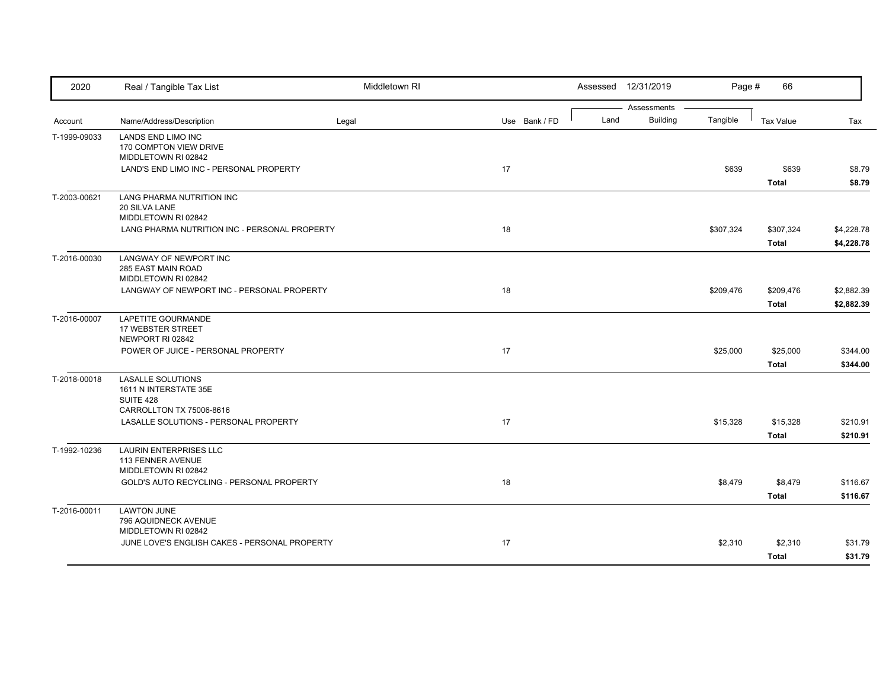| 2020         | Real / Tangible Tax List                                                                   | Middletown RI |    |               |      | Assessed 12/31/2019            | Page #    | 66                        |                          |
|--------------|--------------------------------------------------------------------------------------------|---------------|----|---------------|------|--------------------------------|-----------|---------------------------|--------------------------|
| Account      | Name/Address/Description                                                                   | Legal         |    | Use Bank / FD | Land | Assessments<br><b>Building</b> | Tangible  | <b>Tax Value</b>          | Tax                      |
| T-1999-09033 | LANDS END LIMO INC<br>170 COMPTON VIEW DRIVE<br>MIDDLETOWN RI 02842                        |               |    |               |      |                                |           |                           |                          |
|              | LAND'S END LIMO INC - PERSONAL PROPERTY                                                    |               | 17 |               |      |                                | \$639     | \$639<br><b>Total</b>     | \$8.79<br>\$8.79         |
| T-2003-00621 | LANG PHARMA NUTRITION INC<br>20 SILVA LANE<br>MIDDLETOWN RI 02842                          |               |    |               |      |                                |           |                           |                          |
|              | LANG PHARMA NUTRITION INC - PERSONAL PROPERTY                                              |               | 18 |               |      |                                | \$307,324 | \$307,324<br><b>Total</b> | \$4,228.78<br>\$4,228.78 |
| T-2016-00030 | LANGWAY OF NEWPORT INC<br>285 EAST MAIN ROAD<br>MIDDLETOWN RI 02842                        |               |    |               |      |                                |           |                           |                          |
|              | LANGWAY OF NEWPORT INC - PERSONAL PROPERTY                                                 |               | 18 |               |      |                                | \$209,476 | \$209,476<br><b>Total</b> | \$2,882.39<br>\$2,882.39 |
| T-2016-00007 | LAPETITE GOURMANDE<br>17 WEBSTER STREET<br>NEWPORT RI 02842                                |               |    |               |      |                                |           |                           |                          |
|              | POWER OF JUICE - PERSONAL PROPERTY                                                         |               | 17 |               |      |                                | \$25,000  | \$25,000<br><b>Total</b>  | \$344.00<br>\$344.00     |
| T-2018-00018 | <b>LASALLE SOLUTIONS</b><br>1611 N INTERSTATE 35E<br>SUITE 428<br>CARROLLTON TX 75006-8616 |               |    |               |      |                                |           |                           |                          |
|              | LASALLE SOLUTIONS - PERSONAL PROPERTY                                                      |               | 17 |               |      |                                | \$15,328  | \$15,328<br><b>Total</b>  | \$210.91<br>\$210.91     |
| T-1992-10236 | <b>LAURIN ENTERPRISES LLC</b><br>113 FENNER AVENUE<br>MIDDLETOWN RI 02842                  |               |    |               |      |                                |           |                           |                          |
|              | GOLD'S AUTO RECYCLING - PERSONAL PROPERTY                                                  |               | 18 |               |      |                                | \$8,479   | \$8,479<br><b>Total</b>   | \$116.67<br>\$116.67     |
| T-2016-00011 | <b>LAWTON JUNE</b><br>796 AQUIDNECK AVENUE<br>MIDDLETOWN RI 02842                          |               |    |               |      |                                |           |                           |                          |
|              | JUNE LOVE'S ENGLISH CAKES - PERSONAL PROPERTY                                              |               | 17 |               |      |                                | \$2,310   | \$2,310<br><b>Total</b>   | \$31.79<br>\$31.79       |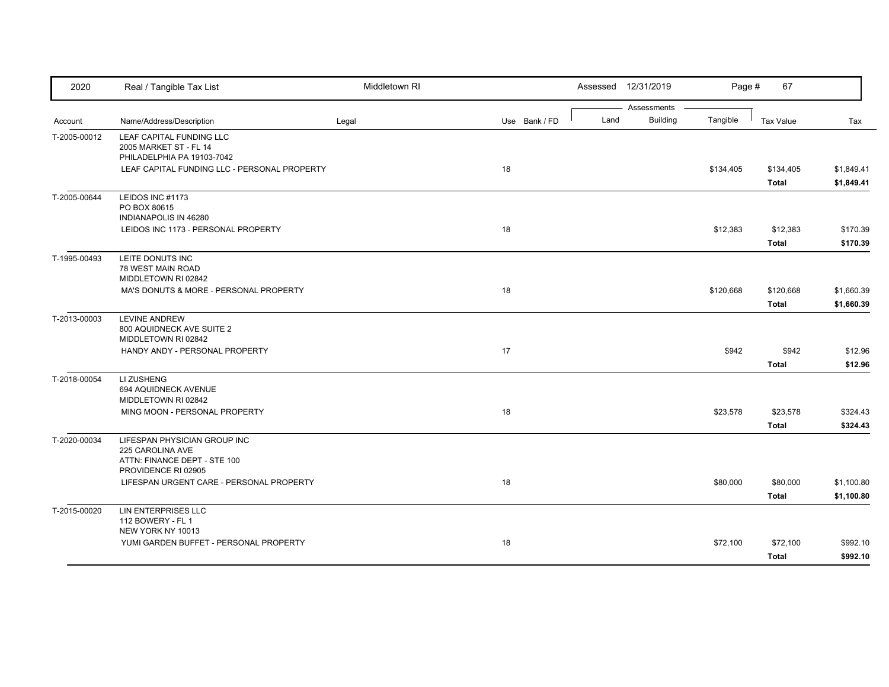| 2020         | Real / Tangible Tax List                                                         | Middletown RI |               |      | Assessed 12/31/2019            | Page #    | 67                        |                          |
|--------------|----------------------------------------------------------------------------------|---------------|---------------|------|--------------------------------|-----------|---------------------------|--------------------------|
| Account      | Name/Address/Description                                                         | Legal         | Use Bank / FD | Land | Assessments<br><b>Building</b> | Tangible  | <b>Tax Value</b>          | Tax                      |
| T-2005-00012 | LEAF CAPITAL FUNDING LLC<br>2005 MARKET ST - FL 14<br>PHILADELPHIA PA 19103-7042 |               |               |      |                                |           |                           |                          |
|              | LEAF CAPITAL FUNDING LLC - PERSONAL PROPERTY                                     |               | 18            |      |                                | \$134,405 | \$134,405<br><b>Total</b> | \$1,849.41<br>\$1,849.41 |
| T-2005-00644 | LEIDOS INC #1173<br>PO BOX 80615<br>INDIANAPOLIS IN 46280                        |               |               |      |                                |           |                           |                          |
|              | LEIDOS INC 1173 - PERSONAL PROPERTY                                              |               | 18            |      |                                | \$12,383  | \$12,383<br><b>Total</b>  | \$170.39<br>\$170.39     |
| T-1995-00493 | LEITE DONUTS INC<br>78 WEST MAIN ROAD<br>MIDDLETOWN RI 02842                     |               |               |      |                                |           |                           |                          |
|              | MA'S DONUTS & MORE - PERSONAL PROPERTY                                           |               | 18            |      |                                | \$120,668 | \$120,668<br><b>Total</b> | \$1,660.39<br>\$1,660.39 |
| T-2013-00003 | <b>LEVINE ANDREW</b><br>800 AQUIDNECK AVE SUITE 2<br>MIDDLETOWN RI 02842         |               |               |      |                                |           |                           |                          |
|              | HANDY ANDY - PERSONAL PROPERTY                                                   |               | 17            |      |                                | \$942     | \$942<br><b>Total</b>     | \$12.96<br>\$12.96       |
| T-2018-00054 | LI ZUSHENG<br>694 AQUIDNECK AVENUE<br>MIDDLETOWN RI 02842                        |               |               |      |                                |           |                           |                          |
|              | MING MOON - PERSONAL PROPERTY                                                    |               | 18            |      |                                | \$23,578  | \$23,578<br><b>Total</b>  | \$324.43<br>\$324.43     |
| T-2020-00034 | LIFESPAN PHYSICIAN GROUP INC<br>225 CAROLINA AVE<br>ATTN: FINANCE DEPT - STE 100 |               |               |      |                                |           |                           |                          |
|              | PROVIDENCE RI 02905<br>LIFESPAN URGENT CARE - PERSONAL PROPERTY                  |               | 18            |      |                                | \$80,000  | \$80,000<br><b>Total</b>  | \$1,100.80<br>\$1,100.80 |
| T-2015-00020 | LIN ENTERPRISES LLC<br>112 BOWERY - FL 1<br>NEW YORK NY 10013                    |               |               |      |                                |           |                           |                          |
|              | YUMI GARDEN BUFFET - PERSONAL PROPERTY                                           |               | 18            |      |                                | \$72,100  | \$72,100<br><b>Total</b>  | \$992.10<br>\$992.10     |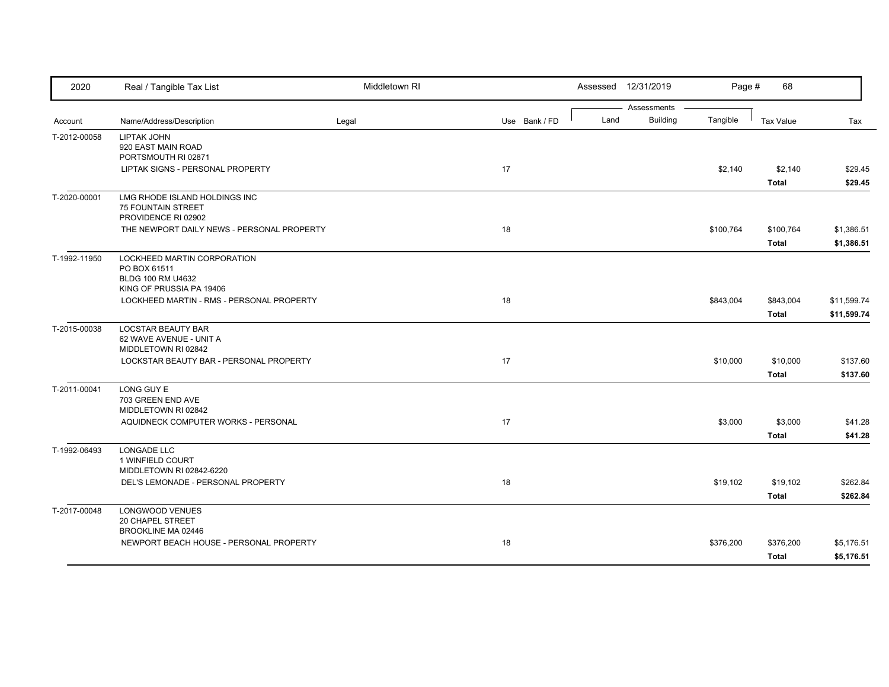| 2020         | Real / Tangible Tax List                                                                     | Middletown RI |               |      | Assessed 12/31/2019            | Page #    | 68                        |                          |
|--------------|----------------------------------------------------------------------------------------------|---------------|---------------|------|--------------------------------|-----------|---------------------------|--------------------------|
|              |                                                                                              |               |               | Land | Assessments<br><b>Building</b> |           |                           |                          |
| Account      | Name/Address/Description                                                                     | Legal         | Use Bank / FD |      |                                | Tangible  | <b>Tax Value</b>          | Tax                      |
| T-2012-00058 | LIPTAK JOHN<br>920 EAST MAIN ROAD<br>PORTSMOUTH RI 02871                                     |               |               |      |                                |           |                           |                          |
|              | LIPTAK SIGNS - PERSONAL PROPERTY                                                             |               | 17            |      |                                | \$2,140   | \$2,140                   | \$29.45                  |
|              |                                                                                              |               |               |      |                                |           | <b>Total</b>              | \$29.45                  |
| T-2020-00001 | LMG RHODE ISLAND HOLDINGS INC<br><b>75 FOUNTAIN STREET</b><br>PROVIDENCE RI 02902            |               |               |      |                                |           |                           |                          |
|              | THE NEWPORT DAILY NEWS - PERSONAL PROPERTY                                                   |               | 18            |      |                                | \$100,764 | \$100,764                 | \$1,386.51               |
|              |                                                                                              |               |               |      |                                |           | <b>Total</b>              | \$1,386.51               |
| T-1992-11950 | LOCKHEED MARTIN CORPORATION<br>PO BOX 61511<br>BLDG 100 RM U4632<br>KING OF PRUSSIA PA 19406 |               |               |      |                                |           |                           |                          |
|              | LOCKHEED MARTIN - RMS - PERSONAL PROPERTY                                                    |               | 18            |      |                                | \$843,004 | \$843,004                 | \$11,599.74              |
|              |                                                                                              |               |               |      |                                |           | <b>Total</b>              | \$11,599.74              |
| T-2015-00038 | <b>LOCSTAR BEAUTY BAR</b><br>62 WAVE AVENUE - UNIT A<br>MIDDLETOWN RI 02842                  |               |               |      |                                |           |                           |                          |
|              | LOCKSTAR BEAUTY BAR - PERSONAL PROPERTY                                                      |               | $17$          |      |                                | \$10,000  | \$10,000                  | \$137.60                 |
|              |                                                                                              |               |               |      |                                |           | <b>Total</b>              | \$137.60                 |
| T-2011-00041 | LONG GUY E<br>703 GREEN END AVE<br>MIDDLETOWN RI 02842                                       |               |               |      |                                |           |                           |                          |
|              | AQUIDNECK COMPUTER WORKS - PERSONAL                                                          |               | 17            |      |                                | \$3,000   | \$3,000                   | \$41.28                  |
|              |                                                                                              |               |               |      |                                |           | <b>Total</b>              | \$41.28                  |
| T-1992-06493 | LONGADE LLC<br>1 WINFIELD COURT<br>MIDDLETOWN RI 02842-6220                                  |               |               |      |                                |           |                           |                          |
|              | DEL'S LEMONADE - PERSONAL PROPERTY                                                           |               | 18            |      |                                | \$19,102  | \$19,102                  | \$262.84                 |
|              |                                                                                              |               |               |      |                                |           | <b>Total</b>              | \$262.84                 |
| T-2017-00048 | LONGWOOD VENUES<br>20 CHAPEL STREET                                                          |               |               |      |                                |           |                           |                          |
|              | BROOKLINE MA 02446<br>NEWPORT BEACH HOUSE - PERSONAL PROPERTY                                |               | 18            |      |                                | \$376,200 | \$376,200<br><b>Total</b> | \$5,176.51<br>\$5,176.51 |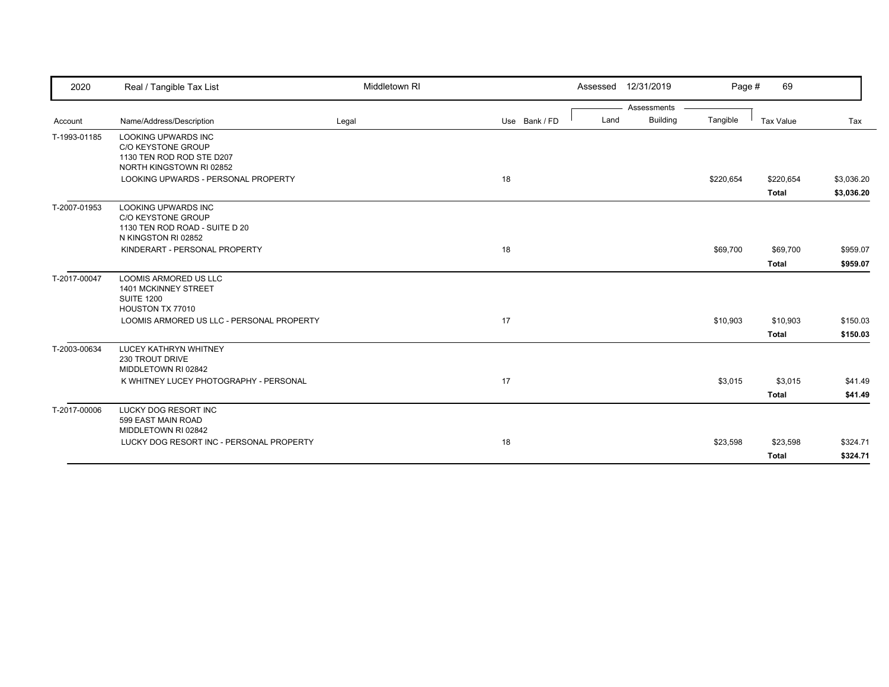| 2020         | Real / Tangible Tax List                                                                                         | Middletown RI |               | Assessed 12/31/2019     | Page #    | 69                        |                          |
|--------------|------------------------------------------------------------------------------------------------------------------|---------------|---------------|-------------------------|-----------|---------------------------|--------------------------|
|              |                                                                                                                  |               |               | Assessments             |           |                           |                          |
| Account      | Name/Address/Description                                                                                         | Legal         | Use Bank / FD | <b>Building</b><br>Land | Tangible  | Tax Value                 | Tax                      |
| T-1993-01185 | <b>LOOKING UPWARDS INC</b><br><b>C/O KEYSTONE GROUP</b><br>1130 TEN ROD ROD STE D207<br>NORTH KINGSTOWN RI 02852 |               |               |                         |           |                           |                          |
|              | LOOKING UPWARDS - PERSONAL PROPERTY                                                                              |               | 18            |                         | \$220,654 | \$220,654<br><b>Total</b> | \$3,036.20<br>\$3,036.20 |
| T-2007-01953 | <b>LOOKING UPWARDS INC</b><br>C/O KEYSTONE GROUP<br>1130 TEN ROD ROAD - SUITE D 20<br>N KINGSTON RI 02852        |               |               |                         |           |                           |                          |
|              | KINDERART - PERSONAL PROPERTY                                                                                    |               | 18            |                         | \$69,700  | \$69,700<br><b>Total</b>  | \$959.07<br>\$959.07     |
| T-2017-00047 | LOOMIS ARMORED US LLC<br>1401 MCKINNEY STREET<br><b>SUITE 1200</b><br>HOUSTON TX 77010                           |               |               |                         |           |                           |                          |
|              | LOOMIS ARMORED US LLC - PERSONAL PROPERTY                                                                        |               | 17            |                         | \$10,903  | \$10,903<br><b>Total</b>  | \$150.03<br>\$150.03     |
| T-2003-00634 | <b>LUCEY KATHRYN WHITNEY</b><br>230 TROUT DRIVE<br>MIDDLETOWN RI 02842                                           |               |               |                         |           |                           |                          |
|              | K WHITNEY LUCEY PHOTOGRAPHY - PERSONAL                                                                           |               | 17            |                         | \$3,015   | \$3,015<br><b>Total</b>   | \$41.49<br>\$41.49       |
| T-2017-00006 | <b>LUCKY DOG RESORT INC</b><br>599 EAST MAIN ROAD<br>MIDDLETOWN RI 02842                                         |               |               |                         |           |                           |                          |
|              | LUCKY DOG RESORT INC - PERSONAL PROPERTY                                                                         |               | 18            |                         | \$23,598  | \$23,598<br><b>Total</b>  | \$324.71<br>\$324.71     |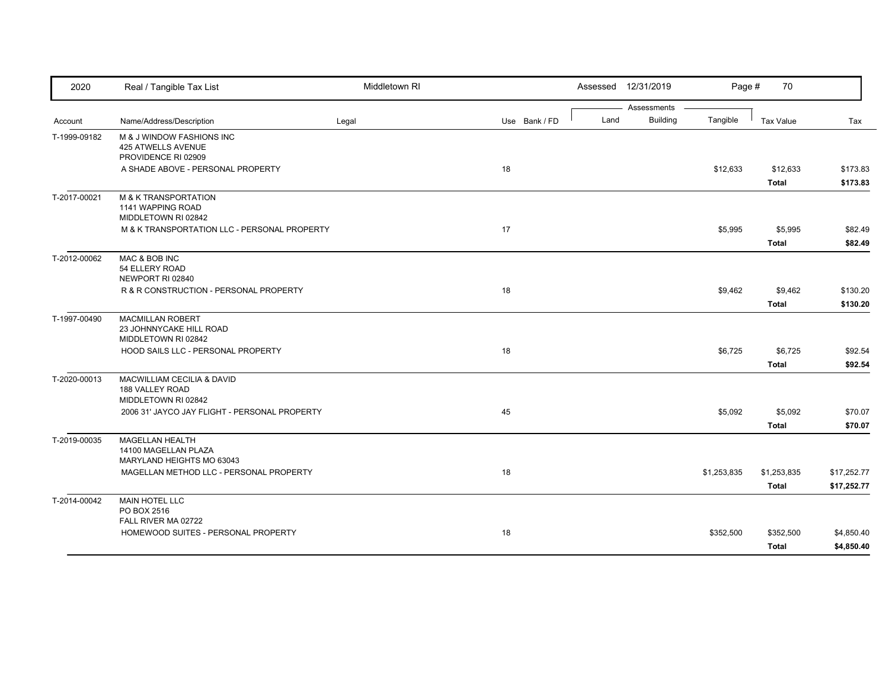| 2020         | Real / Tangible Tax List                                                    | Middletown RI |               |      | Assessed 12/31/2019            | Page #      | 70                          |                            |
|--------------|-----------------------------------------------------------------------------|---------------|---------------|------|--------------------------------|-------------|-----------------------------|----------------------------|
| Account      | Name/Address/Description                                                    | Legal         | Use Bank / FD | Land | Assessments<br><b>Building</b> | Tangible    | <b>Tax Value</b>            | Tax                        |
| T-1999-09182 | M & J WINDOW FASHIONS INC<br>425 ATWELLS AVENUE<br>PROVIDENCE RI 02909      |               |               |      |                                |             |                             |                            |
|              | A SHADE ABOVE - PERSONAL PROPERTY                                           |               | 18            |      |                                | \$12,633    | \$12,633<br><b>Total</b>    | \$173.83<br>\$173.83       |
| T-2017-00021 | <b>M &amp; K TRANSPORTATION</b><br>1141 WAPPING ROAD<br>MIDDLETOWN RI 02842 |               |               |      |                                |             |                             |                            |
|              | M & K TRANSPORTATION LLC - PERSONAL PROPERTY                                |               | 17            |      |                                | \$5,995     | \$5,995<br><b>Total</b>     | \$82.49<br>\$82.49         |
| T-2012-00062 | MAC & BOB INC<br>54 ELLERY ROAD<br>NEWPORT RI 02840                         |               |               |      |                                |             |                             |                            |
|              | R & R CONSTRUCTION - PERSONAL PROPERTY                                      |               | 18            |      |                                | \$9,462     | \$9,462<br><b>Total</b>     | \$130.20<br>\$130.20       |
| T-1997-00490 | <b>MACMILLAN ROBERT</b><br>23 JOHNNYCAKE HILL ROAD<br>MIDDLETOWN RI 02842   |               |               |      |                                |             |                             |                            |
|              | HOOD SAILS LLC - PERSONAL PROPERTY                                          |               | 18            |      |                                | \$6,725     | \$6,725<br><b>Total</b>     | \$92.54<br>\$92.54         |
| T-2020-00013 | MACWILLIAM CECILIA & DAVID<br>188 VALLEY ROAD<br>MIDDLETOWN RI 02842        |               |               |      |                                |             |                             |                            |
|              | 2006 31' JAYCO JAY FLIGHT - PERSONAL PROPERTY                               |               | 45            |      |                                | \$5,092     | \$5,092<br><b>Total</b>     | \$70.07<br>\$70.07         |
| T-2019-00035 | <b>MAGELLAN HEALTH</b><br>14100 MAGELLAN PLAZA<br>MARYLAND HEIGHTS MO 63043 |               |               |      |                                |             |                             |                            |
|              | MAGELLAN METHOD LLC - PERSONAL PROPERTY                                     |               | 18            |      |                                | \$1,253,835 | \$1,253,835<br><b>Total</b> | \$17,252.77<br>\$17,252.77 |
| T-2014-00042 | <b>MAIN HOTEL LLC</b><br>PO BOX 2516                                        |               |               |      |                                |             |                             |                            |
|              | FALL RIVER MA 02722<br>HOMEWOOD SUITES - PERSONAL PROPERTY                  |               | 18            |      |                                | \$352,500   | \$352,500<br><b>Total</b>   | \$4,850.40<br>\$4,850.40   |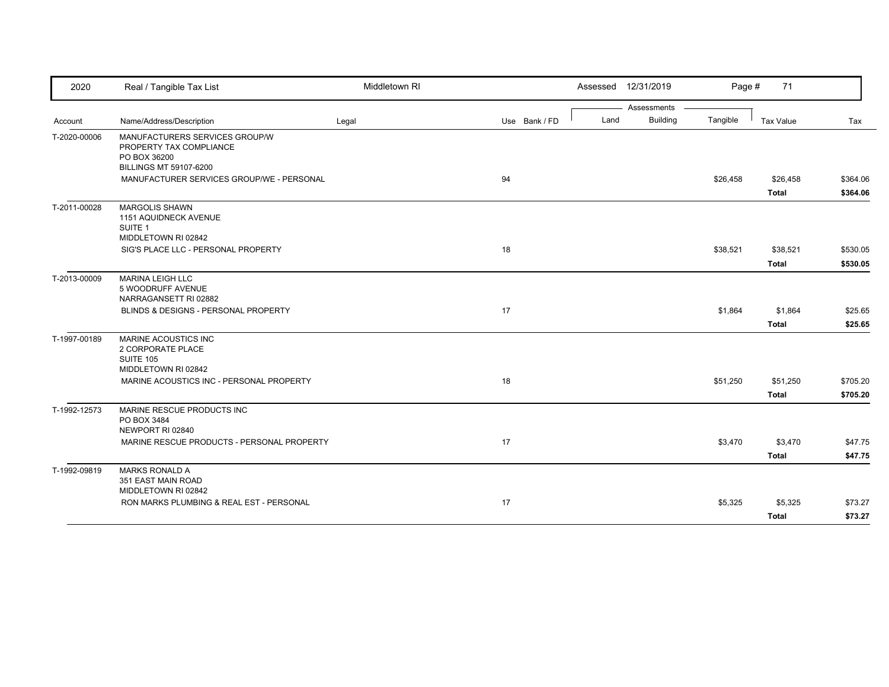| 2020         | Real / Tangible Tax List                                                  | Middletown RI |               |      | Assessed 12/31/2019 | Page #   | 71               |          |
|--------------|---------------------------------------------------------------------------|---------------|---------------|------|---------------------|----------|------------------|----------|
|              |                                                                           |               |               |      | Assessments         |          |                  |          |
| Account      | Name/Address/Description                                                  | Legal         | Use Bank / FD | Land | <b>Building</b>     | Tangible | <b>Tax Value</b> | Tax      |
| T-2020-00006 | MANUFACTURERS SERVICES GROUP/W<br>PROPERTY TAX COMPLIANCE<br>PO BOX 36200 |               |               |      |                     |          |                  |          |
|              | <b>BILLINGS MT 59107-6200</b>                                             |               |               |      |                     |          |                  |          |
|              | MANUFACTURER SERVICES GROUP/WE - PERSONAL                                 |               | 94            |      |                     | \$26,458 | \$26,458         | \$364.06 |
|              |                                                                           |               |               |      |                     |          | <b>Total</b>     | \$364.06 |
| T-2011-00028 | <b>MARGOLIS SHAWN</b><br>1151 AQUIDNECK AVENUE<br>SUITE 1                 |               |               |      |                     |          |                  |          |
|              | MIDDLETOWN RI 02842                                                       |               |               |      |                     |          |                  |          |
|              | SIG'S PLACE LLC - PERSONAL PROPERTY                                       |               | 18            |      |                     | \$38,521 | \$38,521         | \$530.05 |
|              |                                                                           |               |               |      |                     |          | <b>Total</b>     | \$530.05 |
| T-2013-00009 | <b>MARINA LEIGH LLC</b><br>5 WOODRUFF AVENUE<br>NARRAGANSETT RI 02882     |               |               |      |                     |          |                  |          |
|              | BLINDS & DESIGNS - PERSONAL PROPERTY                                      |               | 17            |      |                     | \$1,864  | \$1,864          | \$25.65  |
|              |                                                                           |               |               |      |                     |          | <b>Total</b>     | \$25.65  |
| T-1997-00189 | <b>MARINE ACOUSTICS INC</b><br>2 CORPORATE PLACE<br><b>SUITE 105</b>      |               |               |      |                     |          |                  |          |
|              | MIDDLETOWN RI 02842                                                       |               |               |      |                     |          |                  |          |
|              | MARINE ACOUSTICS INC - PERSONAL PROPERTY                                  |               | 18            |      |                     | \$51,250 | \$51,250         | \$705.20 |
|              |                                                                           |               |               |      |                     |          | <b>Total</b>     | \$705.20 |
| T-1992-12573 | MARINE RESCUE PRODUCTS INC<br>PO BOX 3484<br>NEWPORT RI 02840             |               |               |      |                     |          |                  |          |
|              | MARINE RESCUE PRODUCTS - PERSONAL PROPERTY                                |               | 17            |      |                     | \$3,470  | \$3,470          | \$47.75  |
|              |                                                                           |               |               |      |                     |          | <b>Total</b>     | \$47.75  |
| T-1992-09819 | <b>MARKS RONALD A</b><br>351 EAST MAIN ROAD<br>MIDDLETOWN RI 02842        |               |               |      |                     |          |                  |          |
|              | RON MARKS PLUMBING & REAL EST - PERSONAL                                  |               | 17            |      |                     | \$5,325  | \$5,325          | \$73.27  |
|              |                                                                           |               |               |      |                     |          | <b>Total</b>     | \$73.27  |
|              |                                                                           |               |               |      |                     |          |                  |          |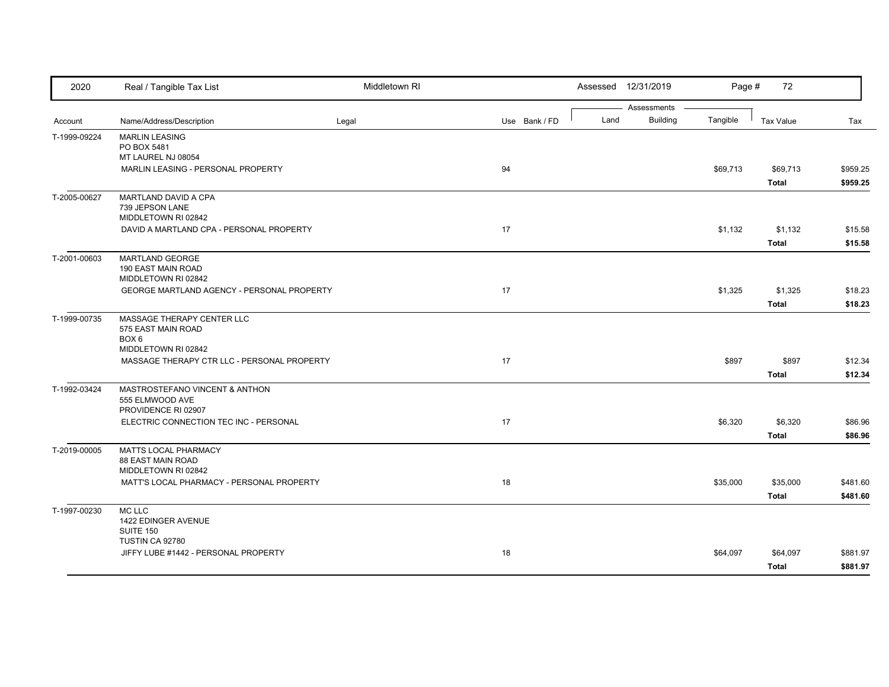| 2020         | Real / Tangible Tax List                                                 | Middletown RI |               |      | Assessed 12/31/2019            | Page #   | 72                       |                      |
|--------------|--------------------------------------------------------------------------|---------------|---------------|------|--------------------------------|----------|--------------------------|----------------------|
| Account      | Name/Address/Description                                                 | Legal         | Use Bank / FD | Land | Assessments<br><b>Building</b> | Tangible | <b>Tax Value</b>         | Tax                  |
| T-1999-09224 | <b>MARLIN LEASING</b><br>PO BOX 5481<br>MT LAUREL NJ 08054               |               |               |      |                                |          |                          |                      |
|              | MARLIN LEASING - PERSONAL PROPERTY                                       |               | 94            |      |                                | \$69,713 | \$69,713<br><b>Total</b> | \$959.25<br>\$959.25 |
| T-2005-00627 | MARTLAND DAVID A CPA<br>739 JEPSON LANE<br>MIDDLETOWN RI 02842           |               |               |      |                                |          |                          |                      |
|              | DAVID A MARTLAND CPA - PERSONAL PROPERTY                                 |               | 17            |      |                                | \$1,132  | \$1,132<br><b>Total</b>  | \$15.58<br>\$15.58   |
| T-2001-00603 | <b>MARTLAND GEORGE</b><br>190 EAST MAIN ROAD<br>MIDDLETOWN RI 02842      |               |               |      |                                |          |                          |                      |
|              | GEORGE MARTLAND AGENCY - PERSONAL PROPERTY                               |               | 17            |      |                                | \$1,325  | \$1,325<br><b>Total</b>  | \$18.23<br>\$18.23   |
| T-1999-00735 | MASSAGE THERAPY CENTER LLC<br>575 EAST MAIN ROAD<br>BOX 6                |               |               |      |                                |          |                          |                      |
|              | MIDDLETOWN RI 02842<br>MASSAGE THERAPY CTR LLC - PERSONAL PROPERTY       |               | 17            |      |                                | \$897    | \$897<br><b>Total</b>    | \$12.34<br>\$12.34   |
| T-1992-03424 | MASTROSTEFANO VINCENT & ANTHON<br>555 ELMWOOD AVE<br>PROVIDENCE RI 02907 |               |               |      |                                |          |                          |                      |
|              | ELECTRIC CONNECTION TEC INC - PERSONAL                                   |               | 17            |      |                                | \$6,320  | \$6,320<br><b>Total</b>  | \$86.96<br>\$86.96   |
| T-2019-00005 | MATTS LOCAL PHARMACY<br><b>88 EAST MAIN ROAD</b><br>MIDDLETOWN RI 02842  |               |               |      |                                |          |                          |                      |
|              | MATT'S LOCAL PHARMACY - PERSONAL PROPERTY                                |               | 18            |      |                                | \$35,000 | \$35,000<br><b>Total</b> | \$481.60<br>\$481.60 |
| T-1997-00230 | <b>MC LLC</b><br>1422 EDINGER AVENUE<br>SUITE 150                        |               |               |      |                                |          |                          |                      |
|              | TUSTIN CA 92780<br>JIFFY LUBE #1442 - PERSONAL PROPERTY                  |               | 18            |      |                                | \$64,097 | \$64,097<br><b>Total</b> | \$881.97<br>\$881.97 |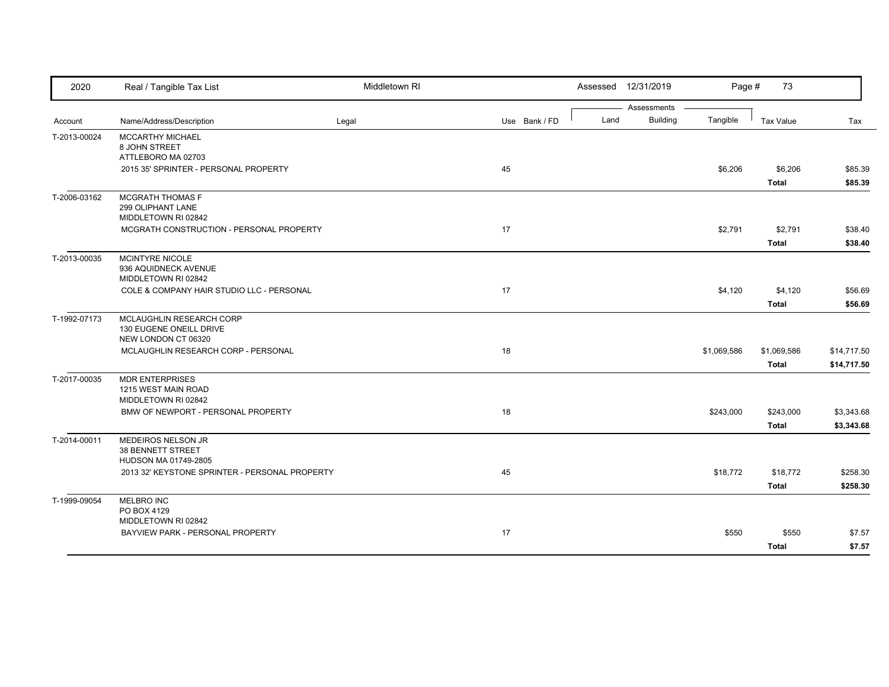| 2020         | Real / Tangible Tax List                                                   | Middletown RI |               |      | Assessed 12/31/2019            | Page #      | 73                          |                            |
|--------------|----------------------------------------------------------------------------|---------------|---------------|------|--------------------------------|-------------|-----------------------------|----------------------------|
| Account      | Name/Address/Description                                                   | Legal         | Use Bank / FD | Land | Assessments<br><b>Building</b> | Tangible    | <b>Tax Value</b>            | Tax                        |
| T-2013-00024 | <b>MCCARTHY MICHAEL</b><br>8 JOHN STREET<br>ATTLEBORO MA 02703             |               |               |      |                                |             |                             |                            |
|              | 2015 35' SPRINTER - PERSONAL PROPERTY                                      |               | 45            |      |                                | \$6,206     | \$6,206<br><b>Total</b>     | \$85.39<br>\$85.39         |
| T-2006-03162 | <b>MCGRATH THOMAS F</b><br>299 OLIPHANT LANE<br>MIDDLETOWN RI 02842        |               |               |      |                                |             |                             |                            |
|              | MCGRATH CONSTRUCTION - PERSONAL PROPERTY                                   |               | 17            |      |                                | \$2,791     | \$2,791<br><b>Total</b>     | \$38.40<br>\$38.40         |
| T-2013-00035 | MCINTYRE NICOLE<br>936 AQUIDNECK AVENUE<br>MIDDLETOWN RI 02842             |               |               |      |                                |             |                             |                            |
|              | COLE & COMPANY HAIR STUDIO LLC - PERSONAL                                  |               | 17            |      |                                | \$4,120     | \$4,120<br><b>Total</b>     | \$56.69<br>\$56.69         |
| T-1992-07173 | MCLAUGHLIN RESEARCH CORP<br>130 EUGENE ONEILL DRIVE<br>NEW LONDON CT 06320 |               |               |      |                                |             |                             |                            |
|              | MCLAUGHLIN RESEARCH CORP - PERSONAL                                        |               | 18            |      |                                | \$1,069,586 | \$1,069,586<br><b>Total</b> | \$14,717.50<br>\$14,717.50 |
| T-2017-00035 | <b>MDR ENTERPRISES</b><br>1215 WEST MAIN ROAD<br>MIDDLETOWN RI 02842       |               |               |      |                                |             |                             |                            |
|              | BMW OF NEWPORT - PERSONAL PROPERTY                                         |               | 18            |      |                                | \$243,000   | \$243,000<br><b>Total</b>   | \$3,343.68<br>\$3,343.68   |
| T-2014-00011 | MEDEIROS NELSON JR<br>38 BENNETT STREET<br>HUDSON MA 01749-2805            |               |               |      |                                |             |                             |                            |
|              | 2013 32' KEYSTONE SPRINTER - PERSONAL PROPERTY                             |               | 45            |      |                                | \$18,772    | \$18,772<br><b>Total</b>    | \$258.30<br>\$258.30       |
| T-1999-09054 | MELBRO INC<br>PO BOX 4129<br>MIDDLETOWN RI 02842                           |               |               |      |                                |             |                             |                            |
|              | BAYVIEW PARK - PERSONAL PROPERTY                                           |               | 17            |      |                                | \$550       | \$550<br><b>Total</b>       | \$7.57<br>\$7.57           |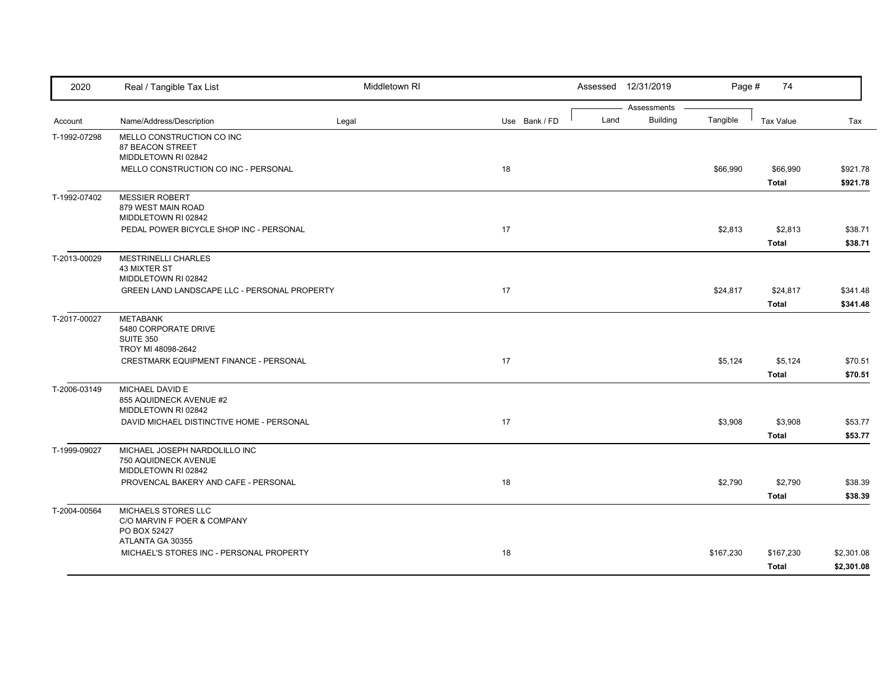| 2020         | Real / Tangible Tax List                                                     | Middletown RI |               |      | Assessed 12/31/2019            | Page #    | 74                        |                          |
|--------------|------------------------------------------------------------------------------|---------------|---------------|------|--------------------------------|-----------|---------------------------|--------------------------|
| Account      | Name/Address/Description                                                     | Legal         | Use Bank / FD | Land | Assessments<br><b>Building</b> | Tangible  | <b>Tax Value</b>          | Tax                      |
| T-1992-07298 | MELLO CONSTRUCTION CO INC<br>87 BEACON STREET<br>MIDDLETOWN RI 02842         |               |               |      |                                |           |                           |                          |
|              | MELLO CONSTRUCTION CO INC - PERSONAL                                         |               | 18            |      |                                | \$66,990  | \$66,990<br><b>Total</b>  | \$921.78<br>\$921.78     |
| T-1992-07402 | <b>MESSIER ROBERT</b><br>879 WEST MAIN ROAD<br>MIDDLETOWN RI 02842           |               |               |      |                                |           |                           |                          |
|              | PEDAL POWER BICYCLE SHOP INC - PERSONAL                                      |               | 17            |      |                                | \$2,813   | \$2,813<br><b>Total</b>   | \$38.71<br>\$38.71       |
| T-2013-00029 | <b>MESTRINELLI CHARLES</b><br><b>43 MIXTER ST</b><br>MIDDLETOWN RI 02842     |               |               |      |                                |           |                           |                          |
|              | GREEN LAND LANDSCAPE LLC - PERSONAL PROPERTY                                 |               | 17            |      |                                | \$24,817  | \$24,817<br><b>Total</b>  | \$341.48<br>\$341.48     |
| T-2017-00027 | <b>METABANK</b><br>5480 CORPORATE DRIVE<br>SUITE 350                         |               |               |      |                                |           |                           |                          |
|              | TROY MI 48098-2642<br>CRESTMARK EQUIPMENT FINANCE - PERSONAL                 |               | 17            |      |                                | \$5,124   | \$5,124<br><b>Total</b>   | \$70.51<br>\$70.51       |
| T-2006-03149 | MICHAEL DAVID E<br>855 AQUIDNECK AVENUE #2<br>MIDDLETOWN RI 02842            |               |               |      |                                |           |                           |                          |
|              | DAVID MICHAEL DISTINCTIVE HOME - PERSONAL                                    |               | 17            |      |                                | \$3,908   | \$3,908<br><b>Total</b>   | \$53.77<br>\$53.77       |
| T-1999-09027 | MICHAEL JOSEPH NARDOLILLO INC<br>750 AQUIDNECK AVENUE<br>MIDDLETOWN RI 02842 |               |               |      |                                |           |                           |                          |
|              | PROVENCAL BAKERY AND CAFE - PERSONAL                                         |               | 18            |      |                                | \$2,790   | \$2,790<br><b>Total</b>   | \$38.39<br>\$38.39       |
| T-2004-00564 | MICHAELS STORES LLC<br>C/O MARVIN F POER & COMPANY<br>PO BOX 52427           |               |               |      |                                |           |                           |                          |
|              | ATLANTA GA 30355<br>MICHAEL'S STORES INC - PERSONAL PROPERTY                 |               | 18            |      |                                | \$167,230 | \$167,230<br><b>Total</b> | \$2,301.08<br>\$2,301.08 |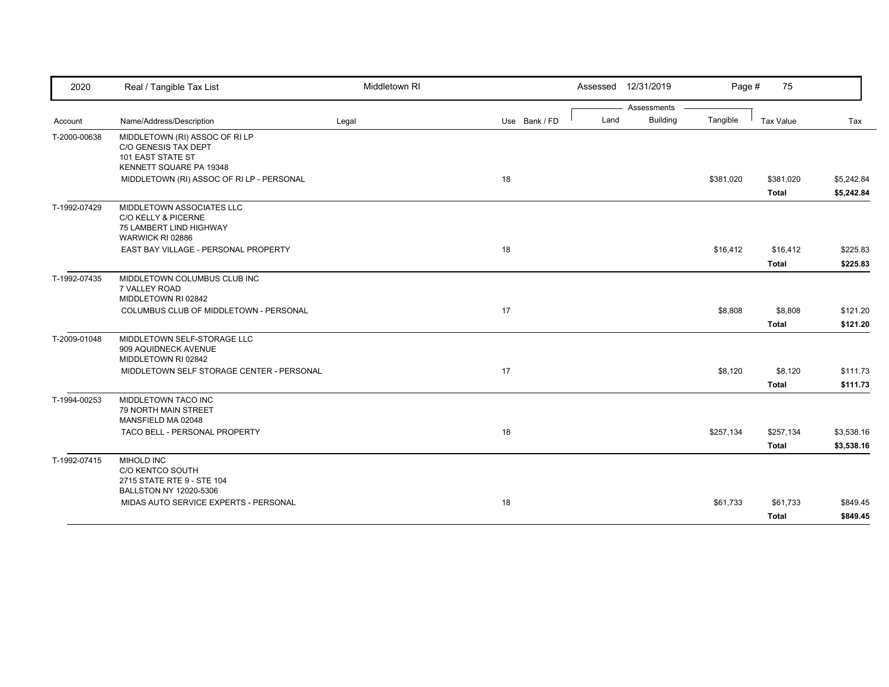| 2020         | Real / Tangible Tax List                                                                             | Middletown RI |               | Assessed 12/31/2019 |                 | Page #    | 75                        |                          |
|--------------|------------------------------------------------------------------------------------------------------|---------------|---------------|---------------------|-----------------|-----------|---------------------------|--------------------------|
|              |                                                                                                      |               |               |                     | Assessments     |           |                           |                          |
| Account      | Name/Address/Description                                                                             | Legal         | Use Bank / FD | Land                | <b>Building</b> | Tangible  | <b>Tax Value</b>          | Tax                      |
| T-2000-00638 | MIDDLETOWN (RI) ASSOC OF RI LP<br>C/O GENESIS TAX DEPT<br>101 EAST STATE ST                          |               |               |                     |                 |           |                           |                          |
|              | KENNETT SQUARE PA 19348                                                                              |               |               |                     |                 |           |                           |                          |
|              | MIDDLETOWN (RI) ASSOC OF RI LP - PERSONAL                                                            |               | 18            |                     |                 | \$381,020 | \$381,020<br><b>Total</b> | \$5,242.84<br>\$5,242.84 |
| T-1992-07429 | MIDDLETOWN ASSOCIATES LLC<br>C/O KELLY & PICERNE<br>75 LAMBERT LIND HIGHWAY<br>WARWICK RI 02886      |               |               |                     |                 |           |                           |                          |
|              | EAST BAY VILLAGE - PERSONAL PROPERTY                                                                 |               | 18            |                     |                 | \$16,412  | \$16,412                  | \$225.83                 |
|              |                                                                                                      |               |               |                     |                 |           | <b>Total</b>              | \$225.83                 |
| T-1992-07435 | MIDDLETOWN COLUMBUS CLUB INC<br>7 VALLEY ROAD<br>MIDDLETOWN RI 02842                                 |               |               |                     |                 |           |                           |                          |
|              | COLUMBUS CLUB OF MIDDLETOWN - PERSONAL                                                               |               | 17            |                     |                 | \$8,808   | \$8,808                   | \$121.20                 |
|              |                                                                                                      |               |               |                     |                 |           | Total                     | \$121.20                 |
| T-2009-01048 | MIDDLETOWN SELF-STORAGE LLC<br>909 AQUIDNECK AVENUE<br>MIDDLETOWN RI 02842                           |               |               |                     |                 |           |                           |                          |
|              | MIDDLETOWN SELF STORAGE CENTER - PERSONAL                                                            |               | 17            |                     |                 | \$8,120   | \$8,120                   | \$111.73                 |
|              |                                                                                                      |               |               |                     |                 |           | <b>Total</b>              | \$111.73                 |
| T-1994-00253 | MIDDLETOWN TACO INC<br><b>79 NORTH MAIN STREET</b><br>MANSFIELD MA 02048                             |               |               |                     |                 |           |                           |                          |
|              | TACO BELL - PERSONAL PROPERTY                                                                        |               | 18            |                     |                 | \$257,134 | \$257,134                 | \$3,538.16               |
|              |                                                                                                      |               |               |                     |                 |           | Total                     | \$3,538.16               |
| T-1992-07415 | <b>MIHOLD INC</b><br>C/O KENTCO SOUTH<br>2715 STATE RTE 9 - STE 104<br><b>BALLSTON NY 12020-5306</b> |               |               |                     |                 |           |                           |                          |
|              | MIDAS AUTO SERVICE EXPERTS - PERSONAL                                                                |               | 18            |                     |                 | \$61,733  | \$61,733                  | \$849.45                 |
|              |                                                                                                      |               |               |                     |                 |           | Total                     | \$849.45                 |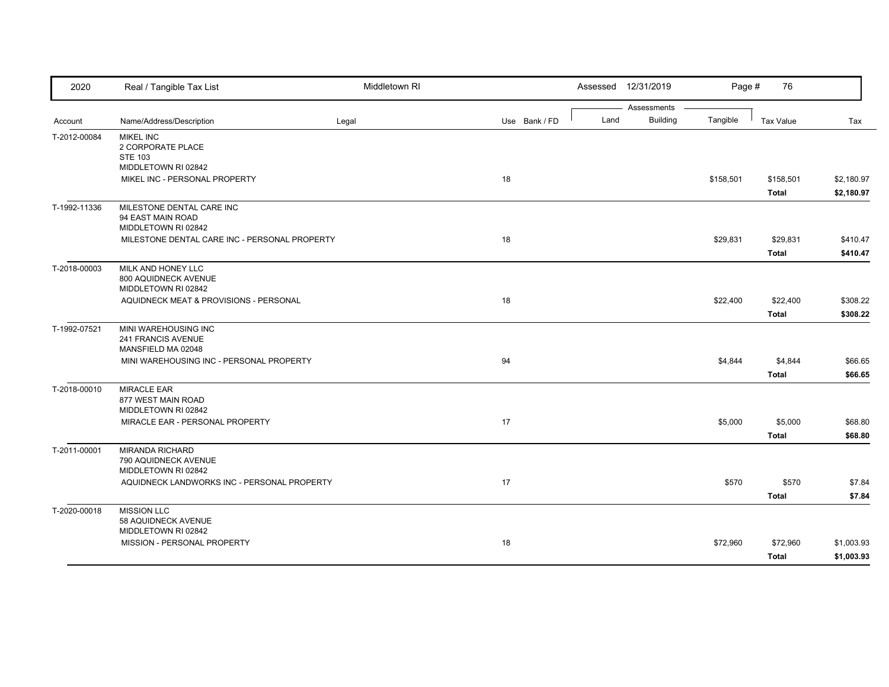| 2020         | Real / Tangible Tax List                                              | Middletown RI |               |      | Assessed 12/31/2019            | Page #    | 76                        |                          |
|--------------|-----------------------------------------------------------------------|---------------|---------------|------|--------------------------------|-----------|---------------------------|--------------------------|
| Account      | Name/Address/Description                                              | Legal         | Use Bank / FD | Land | Assessments<br><b>Building</b> | Tangible  | <b>Tax Value</b>          | Tax                      |
| T-2012-00084 | <b>MIKEL INC</b><br>2 CORPORATE PLACE<br><b>STE 103</b>               |               |               |      |                                |           |                           |                          |
|              | MIDDLETOWN RI 02842<br>MIKEL INC - PERSONAL PROPERTY                  |               | 18            |      |                                | \$158,501 | \$158,501<br><b>Total</b> | \$2,180.97<br>\$2,180.97 |
| T-1992-11336 | MILESTONE DENTAL CARE INC<br>94 EAST MAIN ROAD<br>MIDDLETOWN RI 02842 |               |               |      |                                |           |                           |                          |
|              | MILESTONE DENTAL CARE INC - PERSONAL PROPERTY                         |               | 18            |      |                                | \$29,831  | \$29,831<br><b>Total</b>  | \$410.47<br>\$410.47     |
| T-2018-00003 | MILK AND HONEY LLC<br>800 AQUIDNECK AVENUE<br>MIDDLETOWN RI 02842     |               |               |      |                                |           |                           |                          |
|              | AQUIDNECK MEAT & PROVISIONS - PERSONAL                                |               | 18            |      |                                | \$22,400  | \$22,400<br><b>Total</b>  | \$308.22<br>\$308.22     |
| T-1992-07521 | MINI WAREHOUSING INC<br>241 FRANCIS AVENUE<br>MANSFIELD MA 02048      |               |               |      |                                |           |                           |                          |
|              | MINI WAREHOUSING INC - PERSONAL PROPERTY                              |               | 94            |      |                                | \$4,844   | \$4,844<br><b>Total</b>   | \$66.65<br>\$66.65       |
| T-2018-00010 | <b>MIRACLE EAR</b><br>877 WEST MAIN ROAD<br>MIDDLETOWN RI 02842       |               |               |      |                                |           |                           |                          |
|              | MIRACLE EAR - PERSONAL PROPERTY                                       |               | 17            |      |                                | \$5,000   | \$5,000<br><b>Total</b>   | \$68.80<br>\$68.80       |
| T-2011-00001 | <b>MIRANDA RICHARD</b><br>790 AQUIDNECK AVENUE<br>MIDDLETOWN RI 02842 |               |               |      |                                |           |                           |                          |
|              | AQUIDNECK LANDWORKS INC - PERSONAL PROPERTY                           |               | 17            |      |                                | \$570     | \$570<br><b>Total</b>     | \$7.84<br>\$7.84         |
| T-2020-00018 | <b>MISSION LLC</b><br>58 AQUIDNECK AVENUE<br>MIDDLETOWN RI 02842      |               |               |      |                                |           |                           |                          |
|              | MISSION - PERSONAL PROPERTY                                           |               | 18            |      |                                | \$72,960  | \$72,960<br><b>Total</b>  | \$1,003.93<br>\$1,003.93 |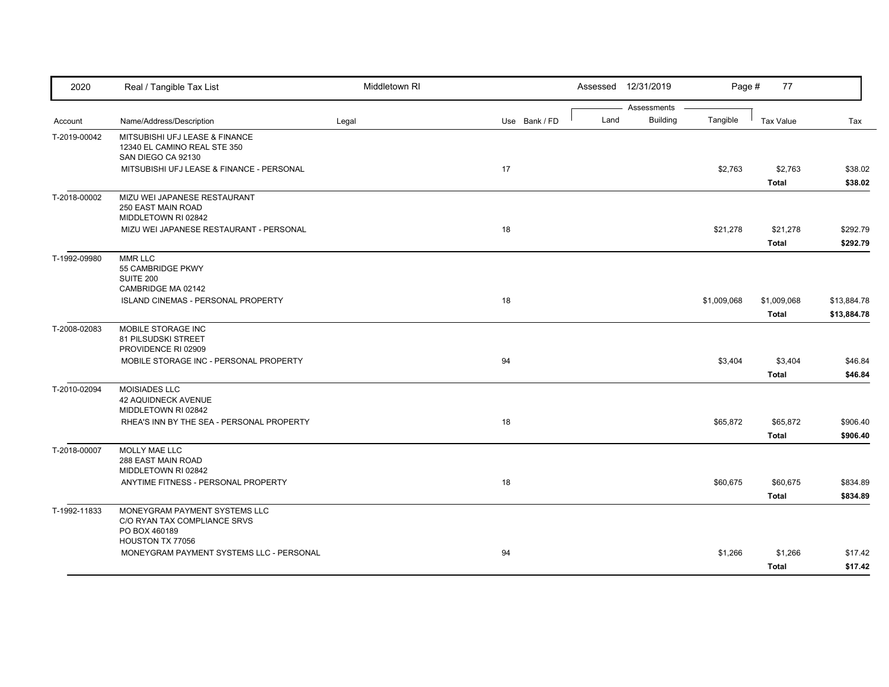| 2020         | Real / Tangible Tax List                                                             | Middletown RI |               |      | Assessed 12/31/2019            | Page #      | 77                          |                            |
|--------------|--------------------------------------------------------------------------------------|---------------|---------------|------|--------------------------------|-------------|-----------------------------|----------------------------|
| Account      | Name/Address/Description                                                             | Legal         | Use Bank / FD | Land | Assessments<br><b>Building</b> | Tangible    | <b>Tax Value</b>            | Tax                        |
| T-2019-00042 | MITSUBISHI UFJ LEASE & FINANCE<br>12340 EL CAMINO REAL STE 350<br>SAN DIEGO CA 92130 |               |               |      |                                |             |                             |                            |
|              | MITSUBISHI UFJ LEASE & FINANCE - PERSONAL                                            |               | 17            |      |                                | \$2,763     | \$2,763<br><b>Total</b>     | \$38.02<br>\$38.02         |
| T-2018-00002 | MIZU WEI JAPANESE RESTAURANT<br>250 EAST MAIN ROAD<br>MIDDLETOWN RI 02842            |               |               |      |                                |             |                             |                            |
|              | MIZU WEI JAPANESE RESTAURANT - PERSONAL                                              |               | 18            |      |                                | \$21,278    | \$21,278<br><b>Total</b>    | \$292.79<br>\$292.79       |
| T-1992-09980 | <b>MMR LLC</b><br>55 CAMBRIDGE PKWY<br>SUITE 200<br>CAMBRIDGE MA 02142               |               |               |      |                                |             |                             |                            |
|              | ISLAND CINEMAS - PERSONAL PROPERTY                                                   |               | 18            |      |                                | \$1,009,068 | \$1,009,068<br><b>Total</b> | \$13,884.78<br>\$13,884.78 |
| T-2008-02083 | MOBILE STORAGE INC<br>81 PILSUDSKI STREET<br>PROVIDENCE RI 02909                     |               |               |      |                                |             |                             |                            |
|              | MOBILE STORAGE INC - PERSONAL PROPERTY                                               |               | 94            |      |                                | \$3,404     | \$3,404<br><b>Total</b>     | \$46.84<br>\$46.84         |
| T-2010-02094 | <b>MOISIADES LLC</b><br>42 AQUIDNECK AVENUE<br>MIDDLETOWN RI 02842                   |               |               |      |                                |             |                             |                            |
|              | RHEA'S INN BY THE SEA - PERSONAL PROPERTY                                            |               | 18            |      |                                | \$65,872    | \$65,872<br><b>Total</b>    | \$906.40<br>\$906.40       |
| T-2018-00007 | MOLLY MAE LLC<br>288 EAST MAIN ROAD<br>MIDDLETOWN RI 02842                           |               |               |      |                                |             |                             |                            |
|              | ANYTIME FITNESS - PERSONAL PROPERTY                                                  |               | 18            |      |                                | \$60,675    | \$60,675<br><b>Total</b>    | \$834.89<br>\$834.89       |
| T-1992-11833 | MONEYGRAM PAYMENT SYSTEMS LLC<br>C/O RYAN TAX COMPLIANCE SRVS<br>PO BOX 460189       |               |               |      |                                |             |                             |                            |
|              | HOUSTON TX 77056<br>MONEYGRAM PAYMENT SYSTEMS LLC - PERSONAL                         |               | 94            |      |                                | \$1,266     | \$1,266<br><b>Total</b>     | \$17.42<br>\$17.42         |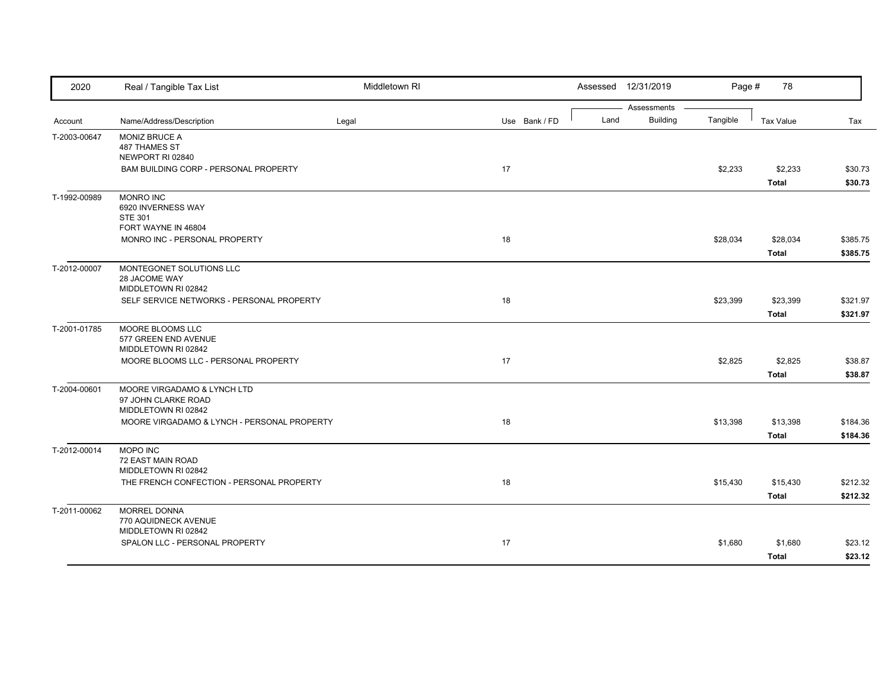| 2020         | Real / Tangible Tax List                    | Middletown RI |               |      | Assessed 12/31/2019            | Page #   | 78               |          |
|--------------|---------------------------------------------|---------------|---------------|------|--------------------------------|----------|------------------|----------|
| Account      | Name/Address/Description                    | Legal         | Use Bank / FD | Land | Assessments<br><b>Building</b> | Tangible | <b>Tax Value</b> | Tax      |
| T-2003-00647 | MONIZ BRUCE A                               |               |               |      |                                |          |                  |          |
|              | 487 THAMES ST                               |               |               |      |                                |          |                  |          |
|              | NEWPORT RI 02840                            |               |               |      |                                |          |                  |          |
|              | BAM BUILDING CORP - PERSONAL PROPERTY       |               | 17            |      |                                | \$2,233  | \$2,233          | \$30.73  |
|              |                                             |               |               |      |                                |          | <b>Total</b>     | \$30.73  |
| T-1992-00989 | <b>MONRO INC</b>                            |               |               |      |                                |          |                  |          |
|              | 6920 INVERNESS WAY                          |               |               |      |                                |          |                  |          |
|              | <b>STE 301</b><br>FORT WAYNE IN 46804       |               |               |      |                                |          |                  |          |
|              | MONRO INC - PERSONAL PROPERTY               |               | 18            |      |                                | \$28,034 | \$28,034         | \$385.75 |
|              |                                             |               |               |      |                                |          | <b>Total</b>     | \$385.75 |
| T-2012-00007 | MONTEGONET SOLUTIONS LLC                    |               |               |      |                                |          |                  |          |
|              | 28 JACOME WAY                               |               |               |      |                                |          |                  |          |
|              | MIDDLETOWN RI 02842                         |               |               |      |                                |          |                  |          |
|              | SELF SERVICE NETWORKS - PERSONAL PROPERTY   |               | 18            |      |                                | \$23,399 | \$23,399         | \$321.97 |
|              |                                             |               |               |      |                                |          | <b>Total</b>     | \$321.97 |
| T-2001-01785 | MOORE BLOOMS LLC                            |               |               |      |                                |          |                  |          |
|              | 577 GREEN END AVENUE                        |               |               |      |                                |          |                  |          |
|              | MIDDLETOWN RI 02842                         |               |               |      |                                |          |                  |          |
|              | MOORE BLOOMS LLC - PERSONAL PROPERTY        |               | 17            |      |                                | \$2,825  | \$2,825          | \$38.87  |
|              |                                             |               |               |      |                                |          | <b>Total</b>     | \$38.87  |
| T-2004-00601 | MOORE VIRGADAMO & LYNCH LTD                 |               |               |      |                                |          |                  |          |
|              | 97 JOHN CLARKE ROAD<br>MIDDLETOWN RI 02842  |               |               |      |                                |          |                  |          |
|              | MOORE VIRGADAMO & LYNCH - PERSONAL PROPERTY |               | 18            |      |                                | \$13,398 | \$13,398         | \$184.36 |
|              |                                             |               |               |      |                                |          | <b>Total</b>     | \$184.36 |
| T-2012-00014 | MOPO INC                                    |               |               |      |                                |          |                  |          |
|              | 72 EAST MAIN ROAD                           |               |               |      |                                |          |                  |          |
|              | MIDDLETOWN RI 02842                         |               |               |      |                                |          |                  |          |
|              | THE FRENCH CONFECTION - PERSONAL PROPERTY   |               | 18            |      |                                | \$15,430 | \$15,430         | \$212.32 |
|              |                                             |               |               |      |                                |          | <b>Total</b>     | \$212.32 |
| T-2011-00062 | <b>MORREL DONNA</b>                         |               |               |      |                                |          |                  |          |
|              | 770 AQUIDNECK AVENUE                        |               |               |      |                                |          |                  |          |
|              | MIDDLETOWN RI 02842                         |               |               |      |                                |          |                  |          |
|              | SPALON LLC - PERSONAL PROPERTY              |               | 17            |      |                                | \$1,680  | \$1,680          | \$23.12  |
|              |                                             |               |               |      |                                |          | <b>Total</b>     | \$23.12  |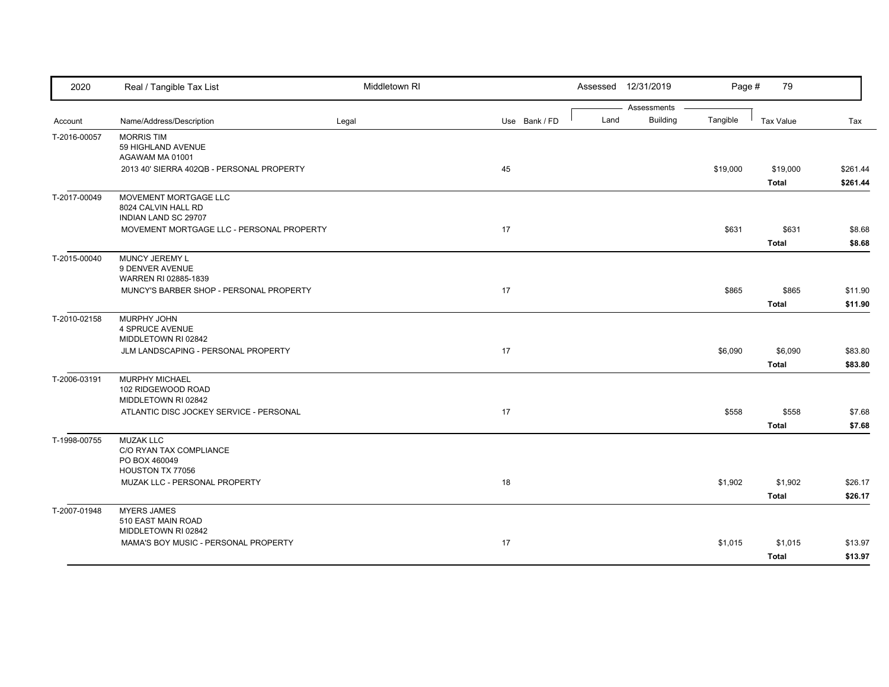| 2020         | Real / Tangible Tax List                                             | Middletown RI |               | Assessed 12/31/2019 |                                | Page #   | 79                       |                      |
|--------------|----------------------------------------------------------------------|---------------|---------------|---------------------|--------------------------------|----------|--------------------------|----------------------|
| Account      | Name/Address/Description                                             | Legal         | Use Bank / FD | Land                | Assessments<br><b>Building</b> | Tangible | <b>Tax Value</b>         | Tax                  |
| T-2016-00057 | <b>MORRIS TIM</b><br>59 HIGHLAND AVENUE                              |               |               |                     |                                |          |                          |                      |
|              | AGAWAM MA 01001<br>2013 40' SIERRA 402QB - PERSONAL PROPERTY         |               | 45            |                     |                                | \$19,000 | \$19,000<br><b>Total</b> | \$261.44<br>\$261.44 |
| T-2017-00049 | MOVEMENT MORTGAGE LLC<br>8024 CALVIN HALL RD<br>INDIAN LAND SC 29707 |               |               |                     |                                |          |                          |                      |
|              | MOVEMENT MORTGAGE LLC - PERSONAL PROPERTY                            |               | 17            |                     |                                | \$631    | \$631<br><b>Total</b>    | \$8.68<br>\$8.68     |
| T-2015-00040 | MUNCY JEREMY L<br>9 DENVER AVENUE<br>WARREN RI 02885-1839            |               |               |                     |                                |          |                          |                      |
|              | MUNCY'S BARBER SHOP - PERSONAL PROPERTY                              |               | 17            |                     |                                | \$865    | \$865<br><b>Total</b>    | \$11.90<br>\$11.90   |
| T-2010-02158 | MURPHY JOHN<br>4 SPRUCE AVENUE<br>MIDDLETOWN RI 02842                |               |               |                     |                                |          |                          |                      |
|              | JLM LANDSCAPING - PERSONAL PROPERTY                                  |               | 17            |                     |                                | \$6,090  | \$6,090<br>Total         | \$83.80<br>\$83.80   |
| T-2006-03191 | MURPHY MICHAEL<br>102 RIDGEWOOD ROAD<br>MIDDLETOWN RI 02842          |               |               |                     |                                |          |                          |                      |
|              | ATLANTIC DISC JOCKEY SERVICE - PERSONAL                              |               | 17            |                     |                                | \$558    | \$558<br><b>Total</b>    | \$7.68<br>\$7.68     |
| T-1998-00755 | <b>MUZAK LLC</b><br>C/O RYAN TAX COMPLIANCE<br>PO BOX 460049         |               |               |                     |                                |          |                          |                      |
|              | HOUSTON TX 77056<br>MUZAK LLC - PERSONAL PROPERTY                    |               | 18            |                     |                                | \$1,902  | \$1,902<br><b>Total</b>  | \$26.17<br>\$26.17   |
| T-2007-01948 | <b>MYERS JAMES</b><br>510 EAST MAIN ROAD<br>MIDDLETOWN RI 02842      |               |               |                     |                                |          |                          |                      |
|              | MAMA'S BOY MUSIC - PERSONAL PROPERTY                                 |               | 17            |                     |                                | \$1,015  | \$1,015<br><b>Total</b>  | \$13.97<br>\$13.97   |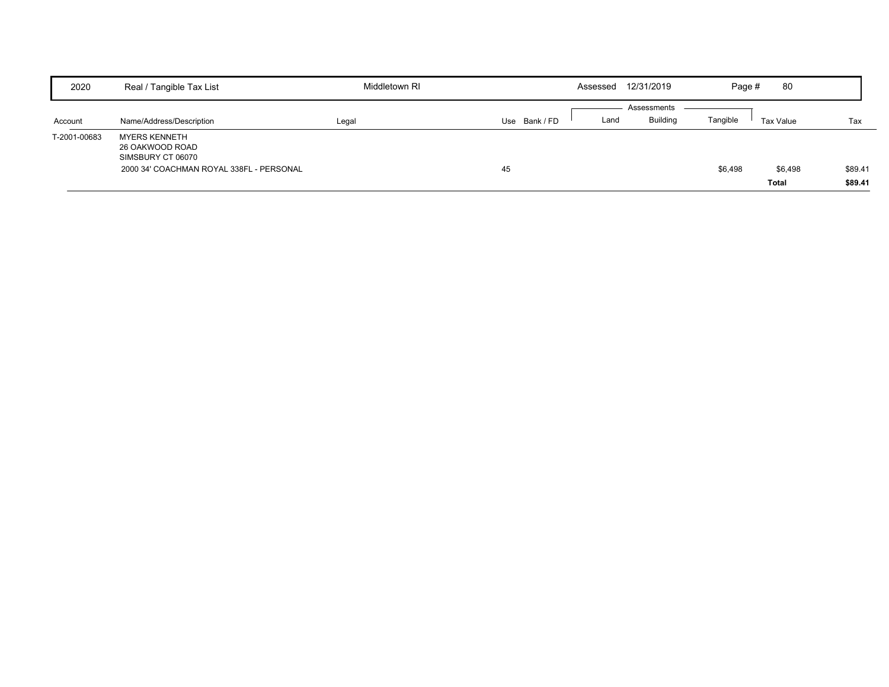| 2020         | Real / Tangible Tax List                                     | Middletown RI | Assessed      | 12/31/2019              | Page #   | 80                      |                    |
|--------------|--------------------------------------------------------------|---------------|---------------|-------------------------|----------|-------------------------|--------------------|
|              |                                                              |               |               | Assessments             |          |                         |                    |
| Account      | Name/Address/Description                                     | Legal         | Use Bank / FD | <b>Building</b><br>Land | Tangible | Tax Value               | Tax                |
| T-2001-00683 | <b>MYERS KENNETH</b><br>26 OAKWOOD ROAD<br>SIMSBURY CT 06070 |               |               |                         |          |                         |                    |
|              | 2000 34' COACHMAN ROYAL 338FL - PERSONAL                     |               | 45            |                         | \$6,498  | \$6,498<br><b>Total</b> | \$89.41<br>\$89.41 |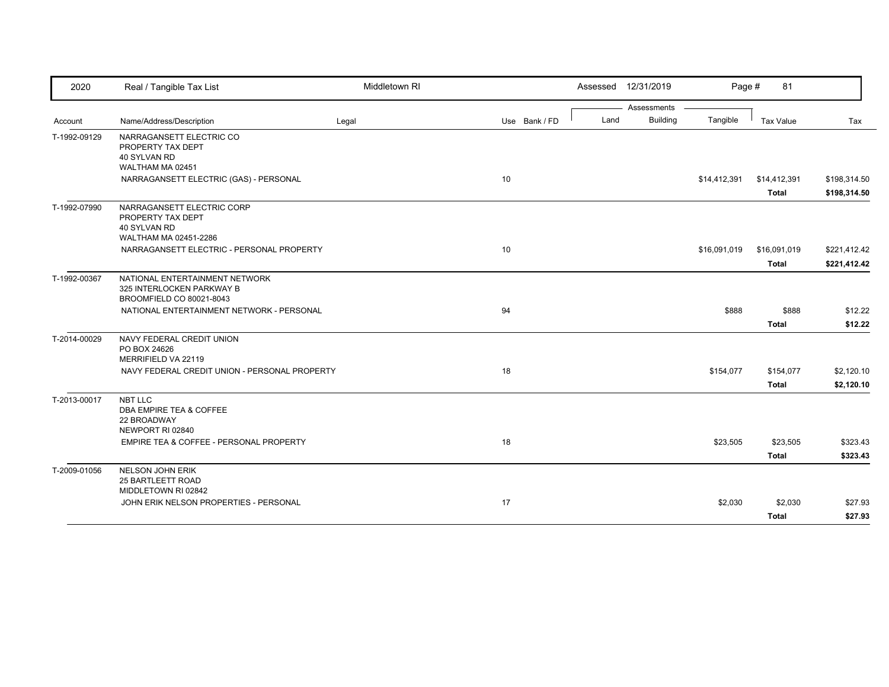| 2020         | Real / Tangible Tax List                                                                                          | Middletown RI |               |      | Assessed 12/31/2019            | Page #       | 81                           |                              |
|--------------|-------------------------------------------------------------------------------------------------------------------|---------------|---------------|------|--------------------------------|--------------|------------------------------|------------------------------|
| Account      | Name/Address/Description                                                                                          | Legal         | Use Bank / FD | Land | Assessments<br><b>Building</b> | Tangible     | <b>Tax Value</b>             | Tax                          |
| T-1992-09129 | NARRAGANSETT ELECTRIC CO<br>PROPERTY TAX DEPT<br>40 SYLVAN RD<br>WALTHAM MA 02451                                 |               |               |      |                                |              |                              |                              |
|              | NARRAGANSETT ELECTRIC (GAS) - PERSONAL                                                                            |               | 10            |      |                                | \$14,412,391 | \$14,412,391<br><b>Total</b> | \$198,314.50<br>\$198,314.50 |
| T-1992-07990 | NARRAGANSETT ELECTRIC CORP<br>PROPERTY TAX DEPT<br>40 SYLVAN RD<br>WALTHAM MA 02451-2286                          |               |               |      |                                |              |                              |                              |
|              | NARRAGANSETT ELECTRIC - PERSONAL PROPERTY                                                                         |               | 10            |      |                                | \$16,091,019 | \$16,091,019<br><b>Total</b> | \$221,412.42<br>\$221,412.42 |
| T-1992-00367 | NATIONAL ENTERTAINMENT NETWORK<br>325 INTERLOCKEN PARKWAY B<br>BROOMFIELD CO 80021-8043                           |               |               |      |                                |              |                              |                              |
|              | NATIONAL ENTERTAINMENT NETWORK - PERSONAL                                                                         |               | 94            |      |                                | \$888        | \$888<br><b>Total</b>        | \$12.22<br>\$12.22           |
| T-2014-00029 | NAVY FEDERAL CREDIT UNION<br>PO BOX 24626<br>MERRIFIELD VA 22119<br>NAVY FEDERAL CREDIT UNION - PERSONAL PROPERTY |               | 18            |      |                                | \$154,077    | \$154,077                    | \$2,120.10                   |
|              |                                                                                                                   |               |               |      |                                |              | <b>Total</b>                 | \$2,120.10                   |
| T-2013-00017 | NBT LLC<br>DBA EMPIRE TEA & COFFEE<br>22 BROADWAY<br>NEWPORT RI 02840                                             |               |               |      |                                |              |                              |                              |
|              | EMPIRE TEA & COFFEE - PERSONAL PROPERTY                                                                           |               | 18            |      |                                | \$23,505     | \$23,505<br><b>Total</b>     | \$323.43<br>\$323.43         |
| T-2009-01056 | <b>NELSON JOHN ERIK</b><br>25 BARTLEETT ROAD<br>MIDDLETOWN RI 02842                                               |               |               |      |                                |              |                              |                              |
|              | JOHN ERIK NELSON PROPERTIES - PERSONAL                                                                            |               | 17            |      |                                | \$2,030      | \$2,030<br><b>Total</b>      | \$27.93<br>\$27.93           |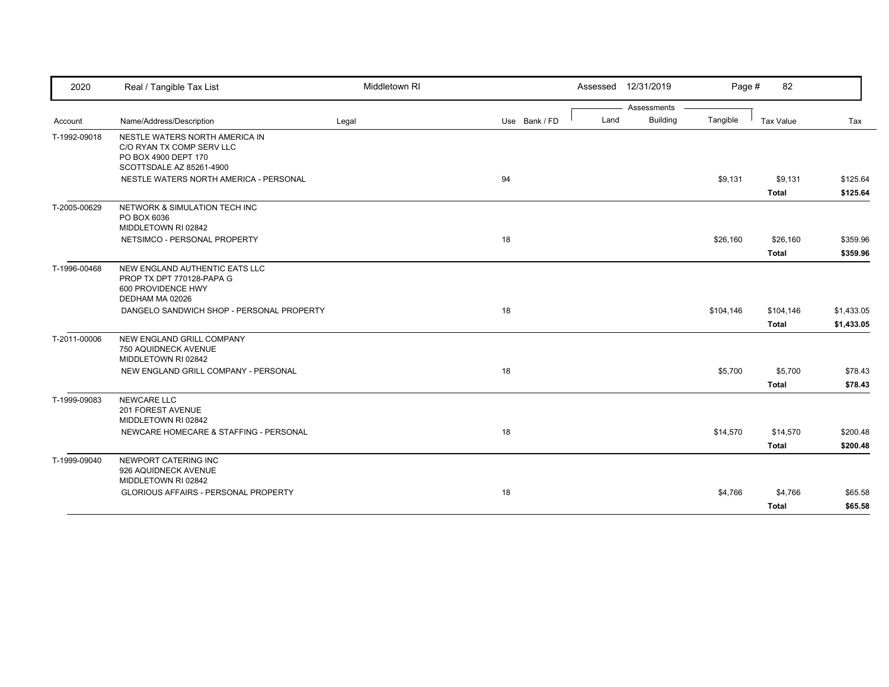| 2020         | Real / Tangible Tax List                                                                             | Middletown RI |               | Assessed 12/31/2019 | Page #                      | 82           |            |
|--------------|------------------------------------------------------------------------------------------------------|---------------|---------------|---------------------|-----------------------------|--------------|------------|
|              |                                                                                                      |               |               |                     | Assessments                 |              |            |
| Account      | Name/Address/Description                                                                             | Legal         | Use Bank / FD | Land                | <b>Building</b><br>Tangible | Tax Value    | Tax        |
| T-1992-09018 | NESTLE WATERS NORTH AMERICA IN<br>C/O RYAN TX COMP SERV LLC<br>PO BOX 4900 DEPT 170                  |               |               |                     |                             |              |            |
|              | SCOTTSDALE AZ 85261-4900<br>NESTLE WATERS NORTH AMERICA - PERSONAL                                   |               | 94            |                     | \$9,131                     | \$9,131      | \$125.64   |
|              |                                                                                                      |               |               |                     |                             | <b>Total</b> | \$125.64   |
| T-2005-00629 | NETWORK & SIMULATION TECH INC<br>PO BOX 6036<br>MIDDLETOWN RI 02842                                  |               |               |                     |                             |              |            |
|              | NETSIMCO - PERSONAL PROPERTY                                                                         |               | 18            |                     | \$26,160                    | \$26,160     | \$359.96   |
|              |                                                                                                      |               |               |                     |                             | <b>Total</b> | \$359.96   |
| T-1996-00468 | NEW ENGLAND AUTHENTIC EATS LLC<br>PROP TX DPT 770128-PAPA G<br>600 PROVIDENCE HWY<br>DEDHAM MA 02026 |               |               |                     |                             |              |            |
|              | DANGELO SANDWICH SHOP - PERSONAL PROPERTY                                                            |               | 18            |                     | \$104,146                   | \$104,146    | \$1,433.05 |
|              |                                                                                                      |               |               |                     |                             | <b>Total</b> | \$1,433.05 |
| T-2011-00006 | NEW ENGLAND GRILL COMPANY<br>750 AQUIDNECK AVENUE<br>MIDDLETOWN RI 02842                             |               |               |                     |                             |              |            |
|              | NEW ENGLAND GRILL COMPANY - PERSONAL                                                                 |               | 18            |                     | \$5,700                     | \$5,700      | \$78.43    |
|              |                                                                                                      |               |               |                     |                             | <b>Total</b> | \$78.43    |
| T-1999-09083 | NEWCARE LLC<br>201 FOREST AVENUE<br>MIDDLETOWN RI 02842                                              |               |               |                     |                             |              |            |
|              | NEWCARE HOMECARE & STAFFING - PERSONAL                                                               |               | 18            |                     | \$14,570                    | \$14,570     | \$200.48   |
|              |                                                                                                      |               |               |                     |                             | <b>Total</b> | \$200.48   |
| T-1999-09040 | NEWPORT CATERING INC<br>926 AQUIDNECK AVENUE<br>MIDDLETOWN RI 02842                                  |               |               |                     |                             |              |            |
|              | <b>GLORIOUS AFFAIRS - PERSONAL PROPERTY</b>                                                          |               | 18            |                     | \$4,766                     | \$4,766      | \$65.58    |
|              |                                                                                                      |               |               |                     |                             | <b>Total</b> | \$65.58    |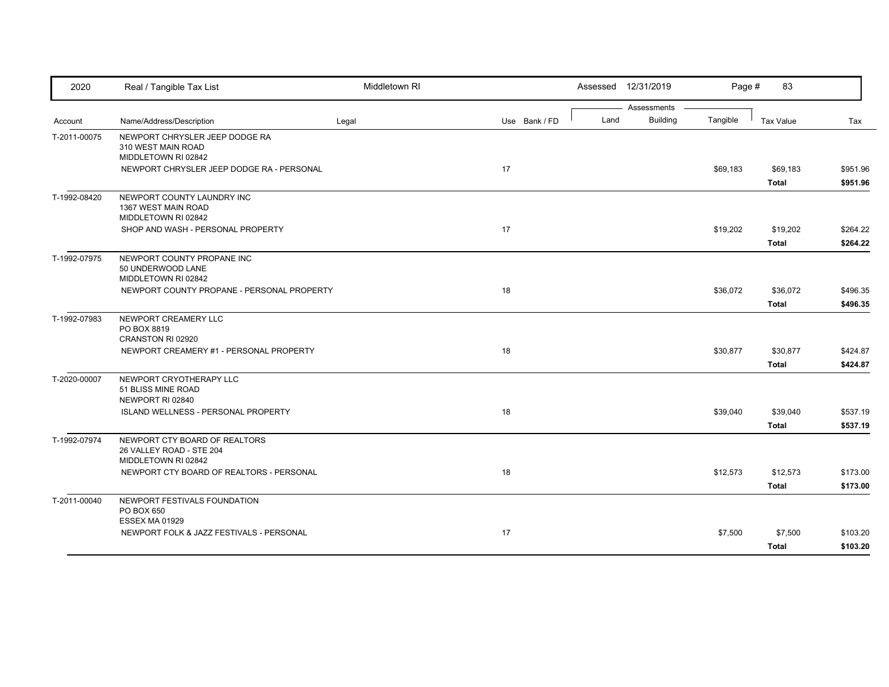| 2020         | Real / Tangible Tax List                                                         | Middletown RI |    |               |      | Assessed 12/31/2019            | Page #   | 83                       |                      |
|--------------|----------------------------------------------------------------------------------|---------------|----|---------------|------|--------------------------------|----------|--------------------------|----------------------|
| Account      | Name/Address/Description                                                         | Legal         |    | Use Bank / FD | Land | Assessments<br><b>Building</b> | Tangible | <b>Tax Value</b>         | Tax                  |
| T-2011-00075 | NEWPORT CHRYSLER JEEP DODGE RA<br>310 WEST MAIN ROAD<br>MIDDLETOWN RI 02842      |               |    |               |      |                                |          |                          |                      |
|              | NEWPORT CHRYSLER JEEP DODGE RA - PERSONAL                                        |               | 17 |               |      |                                | \$69,183 | \$69,183<br><b>Total</b> | \$951.96<br>\$951.96 |
| T-1992-08420 | NEWPORT COUNTY LAUNDRY INC<br>1367 WEST MAIN ROAD<br>MIDDLETOWN RI 02842         |               |    |               |      |                                |          |                          |                      |
|              | SHOP AND WASH - PERSONAL PROPERTY                                                |               | 17 |               |      |                                | \$19,202 | \$19,202<br><b>Total</b> | \$264.22<br>\$264.22 |
| T-1992-07975 | NEWPORT COUNTY PROPANE INC<br>50 UNDERWOOD LANE<br>MIDDLETOWN RI 02842           |               |    |               |      |                                |          |                          |                      |
|              | NEWPORT COUNTY PROPANE - PERSONAL PROPERTY                                       |               | 18 |               |      |                                | \$36,072 | \$36,072<br><b>Total</b> | \$496.35<br>\$496.35 |
| T-1992-07983 | NEWPORT CREAMERY LLC<br>PO BOX 8819                                              |               |    |               |      |                                |          |                          |                      |
|              | CRANSTON RI 02920<br>NEWPORT CREAMERY #1 - PERSONAL PROPERTY                     |               | 18 |               |      |                                | \$30,877 | \$30,877<br><b>Total</b> | \$424.87<br>\$424.87 |
| T-2020-00007 | NEWPORT CRYOTHERAPY LLC<br>51 BLISS MINE ROAD<br>NEWPORT RI 02840                |               |    |               |      |                                |          |                          |                      |
|              | ISLAND WELLNESS - PERSONAL PROPERTY                                              |               | 18 |               |      |                                | \$39,040 | \$39,040<br><b>Total</b> | \$537.19<br>\$537.19 |
| T-1992-07974 | NEWPORT CTY BOARD OF REALTORS<br>26 VALLEY ROAD - STE 204<br>MIDDLETOWN RI 02842 |               |    |               |      |                                |          |                          |                      |
|              | NEWPORT CTY BOARD OF REALTORS - PERSONAL                                         |               | 18 |               |      |                                | \$12,573 | \$12,573<br><b>Total</b> | \$173.00<br>\$173.00 |
| T-2011-00040 | NEWPORT FESTIVALS FOUNDATION<br>PO BOX 650                                       |               |    |               |      |                                |          |                          |                      |
|              | <b>ESSEX MA 01929</b><br>NEWPORT FOLK & JAZZ FESTIVALS - PERSONAL                |               | 17 |               |      |                                | \$7,500  | \$7,500<br><b>Total</b>  | \$103.20<br>\$103.20 |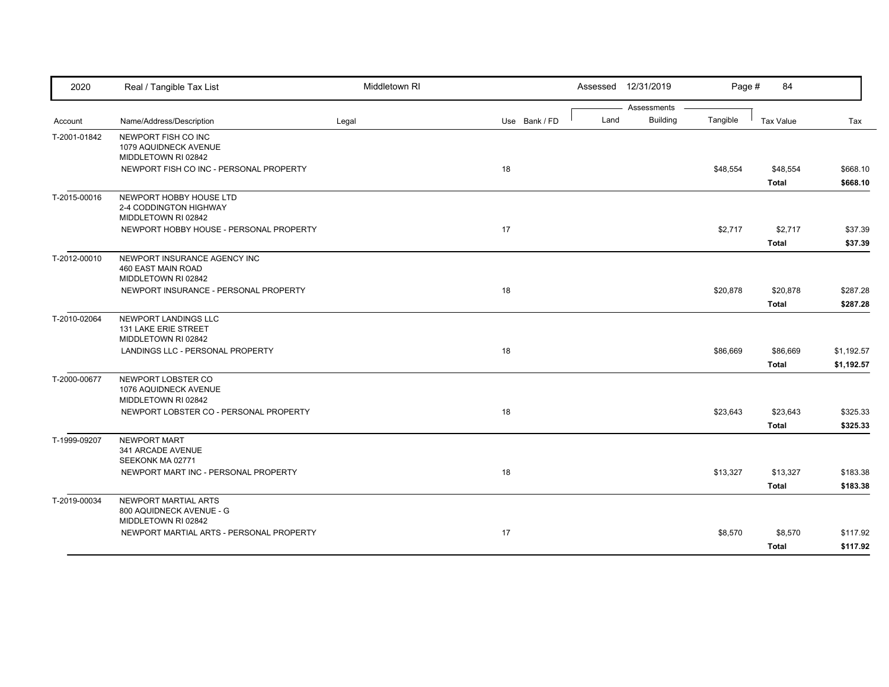| 2020         | Real / Tangible Tax List                                 | Middletown RI |               |      | Assessed 12/31/2019            | Page #   | 84               |                      |
|--------------|----------------------------------------------------------|---------------|---------------|------|--------------------------------|----------|------------------|----------------------|
| Account      | Name/Address/Description                                 | Legal         | Use Bank / FD | Land | Assessments<br><b>Building</b> | Tangible | <b>Tax Value</b> | Tax                  |
| T-2001-01842 | NEWPORT FISH CO INC                                      |               |               |      |                                |          |                  |                      |
|              | 1079 AQUIDNECK AVENUE                                    |               |               |      |                                |          |                  |                      |
|              | MIDDLETOWN RI 02842                                      |               |               |      |                                |          |                  |                      |
|              | NEWPORT FISH CO INC - PERSONAL PROPERTY                  |               | 18            |      |                                | \$48,554 | \$48,554         | \$668.10             |
|              |                                                          |               |               |      |                                |          | <b>Total</b>     | \$668.10             |
| T-2015-00016 | NEWPORT HOBBY HOUSE LTD<br>2-4 CODDINGTON HIGHWAY        |               |               |      |                                |          |                  |                      |
|              | MIDDLETOWN RI 02842                                      |               |               |      |                                |          |                  |                      |
|              | NEWPORT HOBBY HOUSE - PERSONAL PROPERTY                  |               | 17            |      |                                | \$2,717  | \$2,717          | \$37.39              |
|              |                                                          |               |               |      |                                |          | <b>Total</b>     | \$37.39              |
| T-2012-00010 | NEWPORT INSURANCE AGENCY INC                             |               |               |      |                                |          |                  |                      |
|              | 460 EAST MAIN ROAD<br>MIDDLETOWN RI 02842                |               |               |      |                                |          |                  |                      |
|              | NEWPORT INSURANCE - PERSONAL PROPERTY                    |               | 18            |      |                                | \$20,878 | \$20,878         | \$287.28             |
|              |                                                          |               |               |      |                                |          | <b>Total</b>     | \$287.28             |
| T-2010-02064 | NEWPORT LANDINGS LLC                                     |               |               |      |                                |          |                  |                      |
|              | 131 LAKE ERIE STREET<br>MIDDLETOWN RI 02842              |               |               |      |                                |          |                  |                      |
|              | LANDINGS LLC - PERSONAL PROPERTY                         |               | 18            |      |                                | \$86,669 | \$86,669         | \$1,192.57           |
|              |                                                          |               |               |      |                                |          | <b>Total</b>     | \$1,192.57           |
| T-2000-00677 | NEWPORT LOBSTER CO                                       |               |               |      |                                |          |                  |                      |
|              | 1076 AQUIDNECK AVENUE<br>MIDDLETOWN RI 02842             |               |               |      |                                |          |                  |                      |
|              | NEWPORT LOBSTER CO - PERSONAL PROPERTY                   |               | 18            |      |                                | \$23,643 | \$23,643         | \$325.33             |
|              |                                                          |               |               |      |                                |          | <b>Total</b>     | \$325.33             |
| T-1999-09207 | <b>NEWPORT MART</b>                                      |               |               |      |                                |          |                  |                      |
|              | 341 ARCADE AVENUE                                        |               |               |      |                                |          |                  |                      |
|              | SEEKONK MA 02771<br>NEWPORT MART INC - PERSONAL PROPERTY |               | 18            |      |                                | \$13,327 | \$13,327         | \$183.38             |
|              |                                                          |               |               |      |                                |          | <b>Total</b>     | \$183.38             |
| T-2019-00034 | NEWPORT MARTIAL ARTS                                     |               |               |      |                                |          |                  |                      |
|              | 800 AQUIDNECK AVENUE - G                                 |               |               |      |                                |          |                  |                      |
|              | MIDDLETOWN RI 02842                                      |               |               |      |                                |          |                  |                      |
|              | NEWPORT MARTIAL ARTS - PERSONAL PROPERTY                 |               | 17            |      |                                | \$8,570  | \$8,570          | \$117.92<br>\$117.92 |
|              |                                                          |               |               |      |                                |          | <b>Total</b>     |                      |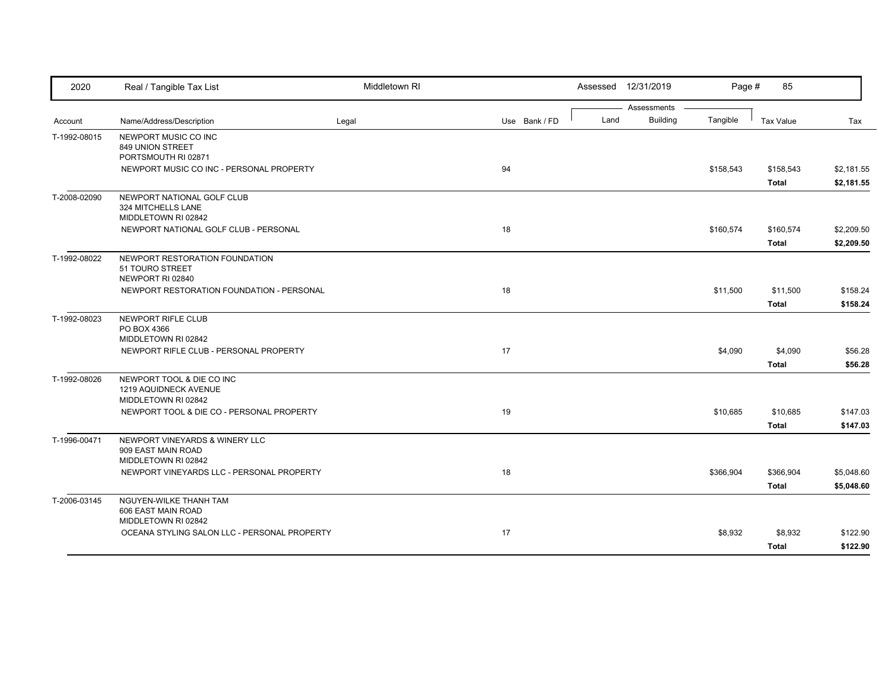| 2020         | Real / Tangible Tax List                                                    | Middletown RI |               |      | Assessed 12/31/2019            | Page #    | 85                        |                          |
|--------------|-----------------------------------------------------------------------------|---------------|---------------|------|--------------------------------|-----------|---------------------------|--------------------------|
| Account      | Name/Address/Description                                                    | Legal         | Use Bank / FD | Land | Assessments<br><b>Building</b> | Tangible  | Tax Value                 | Tax                      |
| T-1992-08015 | NEWPORT MUSIC CO INC<br>849 UNION STREET<br>PORTSMOUTH RI 02871             |               |               |      |                                |           |                           |                          |
|              | NEWPORT MUSIC CO INC - PERSONAL PROPERTY                                    |               | 94            |      |                                | \$158,543 | \$158,543<br><b>Total</b> | \$2,181.55<br>\$2,181.55 |
| T-2008-02090 | NEWPORT NATIONAL GOLF CLUB<br>324 MITCHELLS LANE<br>MIDDLETOWN RI 02842     |               |               |      |                                |           |                           |                          |
|              | NEWPORT NATIONAL GOLF CLUB - PERSONAL                                       |               | 18            |      |                                | \$160,574 | \$160,574<br><b>Total</b> | \$2,209.50<br>\$2,209.50 |
| T-1992-08022 | NEWPORT RESTORATION FOUNDATION<br>51 TOURO STREET<br>NEWPORT RI 02840       |               |               |      |                                |           |                           |                          |
|              | NEWPORT RESTORATION FOUNDATION - PERSONAL                                   |               | 18            |      |                                | \$11,500  | \$11,500<br><b>Total</b>  | \$158.24<br>\$158.24     |
| T-1992-08023 | NEWPORT RIFLE CLUB<br>PO BOX 4366                                           |               |               |      |                                |           |                           |                          |
|              | MIDDLETOWN RI 02842<br>NEWPORT RIFLE CLUB - PERSONAL PROPERTY               |               | 17            |      |                                | \$4,090   | \$4,090<br><b>Total</b>   | \$56.28<br>\$56.28       |
| T-1992-08026 | NEWPORT TOOL & DIE CO INC<br>1219 AQUIDNECK AVENUE<br>MIDDLETOWN RI 02842   |               |               |      |                                |           |                           |                          |
|              | NEWPORT TOOL & DIE CO - PERSONAL PROPERTY                                   |               | 19            |      |                                | \$10,685  | \$10,685<br><b>Total</b>  | \$147.03<br>\$147.03     |
| T-1996-00471 | NEWPORT VINEYARDS & WINERY LLC<br>909 EAST MAIN ROAD<br>MIDDLETOWN RI 02842 |               |               |      |                                |           |                           |                          |
|              | NEWPORT VINEYARDS LLC - PERSONAL PROPERTY                                   |               | 18            |      |                                | \$366,904 | \$366,904<br><b>Total</b> | \$5,048.60<br>\$5,048.60 |
| T-2006-03145 | NGUYEN-WILKE THANH TAM<br>606 EAST MAIN ROAD<br>MIDDLETOWN RI 02842         |               |               |      |                                |           |                           |                          |
|              | OCEANA STYLING SALON LLC - PERSONAL PROPERTY                                |               | 17            |      |                                | \$8,932   | \$8,932<br><b>Total</b>   | \$122.90<br>\$122.90     |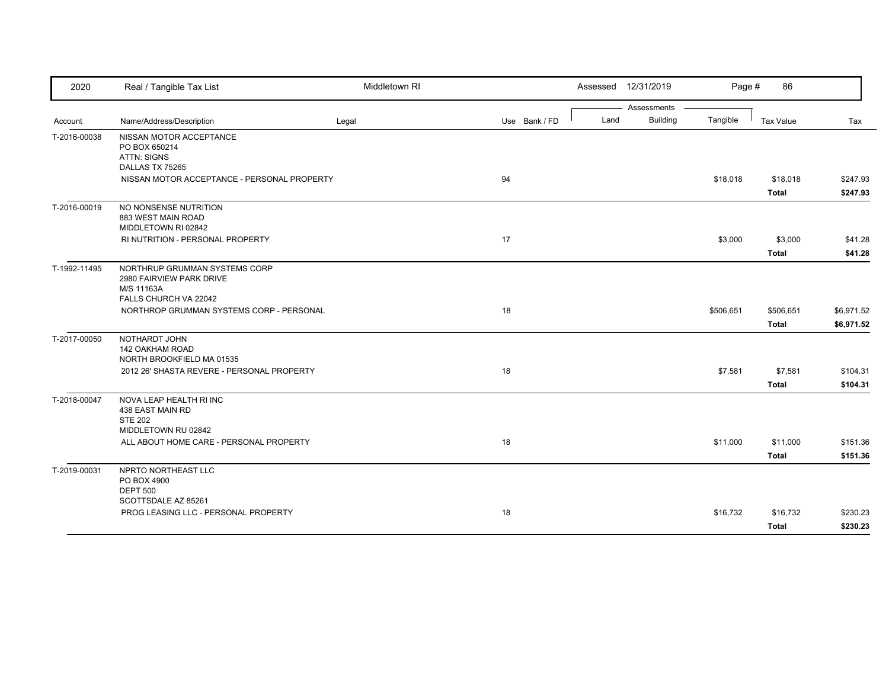| 2020         | Real / Tangible Tax List                    | Middletown RI |               |      | Assessed 12/31/2019            | Page #    | 86                      |                    |
|--------------|---------------------------------------------|---------------|---------------|------|--------------------------------|-----------|-------------------------|--------------------|
|              |                                             |               |               |      | Assessments<br><b>Building</b> |           |                         |                    |
| Account      | Name/Address/Description                    | Legal         | Use Bank / FD | Land |                                | Tangible  | <b>Tax Value</b>        | Tax                |
| T-2016-00038 | NISSAN MOTOR ACCEPTANCE<br>PO BOX 650214    |               |               |      |                                |           |                         |                    |
|              | ATTN: SIGNS<br>DALLAS TX 75265              |               |               |      |                                |           |                         |                    |
|              | NISSAN MOTOR ACCEPTANCE - PERSONAL PROPERTY |               | 94            |      |                                | \$18,018  | \$18,018                | \$247.93           |
|              |                                             |               |               |      |                                |           | <b>Total</b>            | \$247.93           |
| T-2016-00019 | NO NONSENSE NUTRITION<br>883 WEST MAIN ROAD |               |               |      |                                |           |                         |                    |
|              | MIDDLETOWN RI 02842                         |               |               |      |                                |           |                         |                    |
|              | RI NUTRITION - PERSONAL PROPERTY            |               | 17            |      |                                | \$3,000   | \$3,000<br><b>Total</b> | \$41.28<br>\$41.28 |
| T-1992-11495 | NORTHRUP GRUMMAN SYSTEMS CORP               |               |               |      |                                |           |                         |                    |
|              | 2980 FAIRVIEW PARK DRIVE                    |               |               |      |                                |           |                         |                    |
|              | M/S 11163A<br>FALLS CHURCH VA 22042         |               |               |      |                                |           |                         |                    |
|              | NORTHROP GRUMMAN SYSTEMS CORP - PERSONAL    |               | 18            |      |                                | \$506,651 | \$506,651               | \$6,971.52         |
|              |                                             |               |               |      |                                |           | <b>Total</b>            | \$6,971.52         |
|              |                                             |               |               |      |                                |           |                         |                    |
| T-2017-00050 | NOTHARDT JOHN<br><b>142 OAKHAM ROAD</b>     |               |               |      |                                |           |                         |                    |
|              | NORTH BROOKFIELD MA 01535                   |               |               |      |                                |           |                         |                    |
|              | 2012 26' SHASTA REVERE - PERSONAL PROPERTY  |               | 18            |      |                                | \$7,581   | \$7,581                 | \$104.31           |
|              |                                             |               |               |      |                                |           | <b>Total</b>            | \$104.31           |
| T-2018-00047 | NOVA LEAP HEALTH RI INC<br>438 EAST MAIN RD |               |               |      |                                |           |                         |                    |
|              | <b>STE 202</b>                              |               |               |      |                                |           |                         |                    |
|              | MIDDLETOWN RU 02842                         |               |               |      |                                |           |                         |                    |
|              | ALL ABOUT HOME CARE - PERSONAL PROPERTY     |               | 18            |      |                                | \$11,000  | \$11,000                | \$151.36           |
|              |                                             |               |               |      |                                |           | <b>Total</b>            | \$151.36           |
| T-2019-00031 | NPRTO NORTHEAST LLC                         |               |               |      |                                |           |                         |                    |
|              | PO BOX 4900<br><b>DEPT 500</b>              |               |               |      |                                |           |                         |                    |
|              | SCOTTSDALE AZ 85261                         |               |               |      |                                |           |                         |                    |
|              | PROG LEASING LLC - PERSONAL PROPERTY        |               | 18            |      |                                | \$16,732  | \$16,732                | \$230.23           |
|              |                                             |               |               |      |                                |           | <b>Total</b>            | \$230.23           |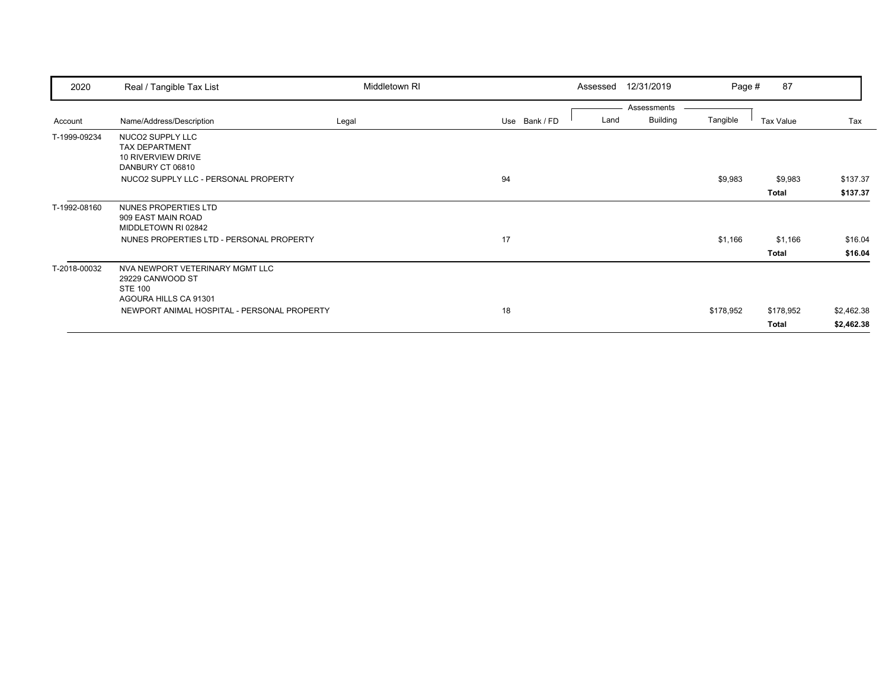| 2020         | Real / Tangible Tax List                    | Middletown RI |               | Assessed | 12/31/2019      | Page #    | 87           |            |
|--------------|---------------------------------------------|---------------|---------------|----------|-----------------|-----------|--------------|------------|
|              |                                             |               |               |          | Assessments     |           |              |            |
| Account      | Name/Address/Description                    | Legal         | Use Bank / FD | Land     | <b>Building</b> | Tangible  | Tax Value    | Tax        |
| T-1999-09234 | NUCO2 SUPPLY LLC                            |               |               |          |                 |           |              |            |
|              | <b>TAX DEPARTMENT</b>                       |               |               |          |                 |           |              |            |
|              | 10 RIVERVIEW DRIVE                          |               |               |          |                 |           |              |            |
|              | DANBURY CT 06810                            |               |               |          |                 |           |              |            |
|              | NUCO2 SUPPLY LLC - PERSONAL PROPERTY        |               | 94            |          |                 | \$9,983   | \$9,983      | \$137.37   |
|              |                                             |               |               |          |                 |           | <b>Total</b> | \$137.37   |
| T-1992-08160 | NUNES PROPERTIES LTD                        |               |               |          |                 |           |              |            |
|              | 909 EAST MAIN ROAD                          |               |               |          |                 |           |              |            |
|              | MIDDLETOWN RI 02842                         |               |               |          |                 |           |              |            |
|              | NUNES PROPERTIES LTD - PERSONAL PROPERTY    |               | 17            |          |                 | \$1,166   | \$1,166      | \$16.04    |
|              |                                             |               |               |          |                 |           | Total        | \$16.04    |
| T-2018-00032 | NVA NEWPORT VETERINARY MGMT LLC             |               |               |          |                 |           |              |            |
|              | 29229 CANWOOD ST                            |               |               |          |                 |           |              |            |
|              | <b>STE 100</b>                              |               |               |          |                 |           |              |            |
|              | AGOURA HILLS CA 91301                       |               |               |          |                 |           |              |            |
|              | NEWPORT ANIMAL HOSPITAL - PERSONAL PROPERTY |               | 18            |          |                 | \$178,952 | \$178,952    | \$2,462.38 |
|              |                                             |               |               |          |                 |           | Total        | \$2,462.38 |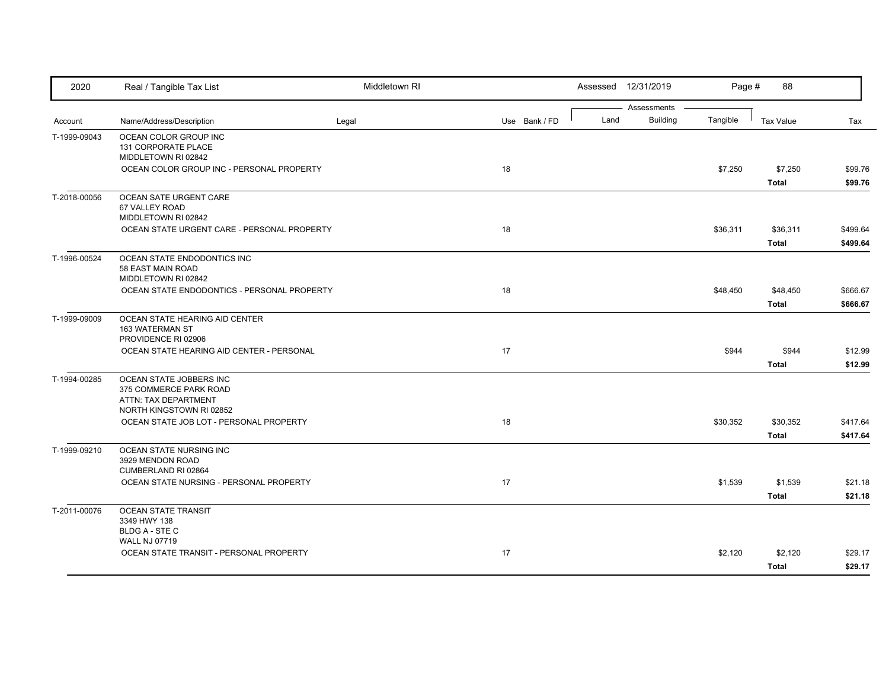| 2020         | Real / Tangible Tax List                                                                              | Middletown RI |               |      | Assessed 12/31/2019            | Page #   | 88                       |                      |
|--------------|-------------------------------------------------------------------------------------------------------|---------------|---------------|------|--------------------------------|----------|--------------------------|----------------------|
| Account      | Name/Address/Description                                                                              | Legal         | Use Bank / FD | Land | Assessments<br><b>Building</b> | Tangible | <b>Tax Value</b>         | Tax                  |
| T-1999-09043 | OCEAN COLOR GROUP INC<br>131 CORPORATE PLACE<br>MIDDLETOWN RI 02842                                   |               |               |      |                                |          |                          |                      |
|              | OCEAN COLOR GROUP INC - PERSONAL PROPERTY                                                             |               | 18            |      |                                | \$7,250  | \$7,250<br><b>Total</b>  | \$99.76<br>\$99.76   |
| T-2018-00056 | OCEAN SATE URGENT CARE<br>67 VALLEY ROAD<br>MIDDLETOWN RI 02842                                       |               |               |      |                                |          |                          |                      |
|              | OCEAN STATE URGENT CARE - PERSONAL PROPERTY                                                           |               | 18            |      |                                | \$36,311 | \$36,311<br><b>Total</b> | \$499.64<br>\$499.64 |
| T-1996-00524 | OCEAN STATE ENDODONTICS INC<br>58 EAST MAIN ROAD<br>MIDDLETOWN RI 02842                               |               |               |      |                                |          |                          |                      |
|              | OCEAN STATE ENDODONTICS - PERSONAL PROPERTY                                                           |               | 18            |      |                                | \$48,450 | \$48,450<br><b>Total</b> | \$666.67<br>\$666.67 |
| T-1999-09009 | OCEAN STATE HEARING AID CENTER<br>163 WATERMAN ST<br>PROVIDENCE RI 02906                              |               |               |      |                                |          |                          |                      |
|              | OCEAN STATE HEARING AID CENTER - PERSONAL                                                             |               | 17            |      |                                | \$944    | \$944<br><b>Total</b>    | \$12.99<br>\$12.99   |
| T-1994-00285 | OCEAN STATE JOBBERS INC<br>375 COMMERCE PARK ROAD<br>ATTN: TAX DEPARTMENT<br>NORTH KINGSTOWN RI 02852 |               |               |      |                                |          |                          |                      |
|              | OCEAN STATE JOB LOT - PERSONAL PROPERTY                                                               |               | 18            |      |                                | \$30,352 | \$30,352<br><b>Total</b> | \$417.64<br>\$417.64 |
| T-1999-09210 | OCEAN STATE NURSING INC<br>3929 MENDON ROAD<br>CUMBERLAND RI 02864                                    |               |               |      |                                |          |                          |                      |
|              | OCEAN STATE NURSING - PERSONAL PROPERTY                                                               |               | 17            |      |                                | \$1,539  | \$1,539<br><b>Total</b>  | \$21.18<br>\$21.18   |
| T-2011-00076 | <b>OCEAN STATE TRANSIT</b><br>3349 HWY 138<br><b>BLDG A - STE C</b>                                   |               |               |      |                                |          |                          |                      |
|              | <b>WALL NJ 07719</b><br>OCEAN STATE TRANSIT - PERSONAL PROPERTY                                       |               | 17            |      |                                | \$2,120  | \$2,120<br><b>Total</b>  | \$29.17<br>\$29.17   |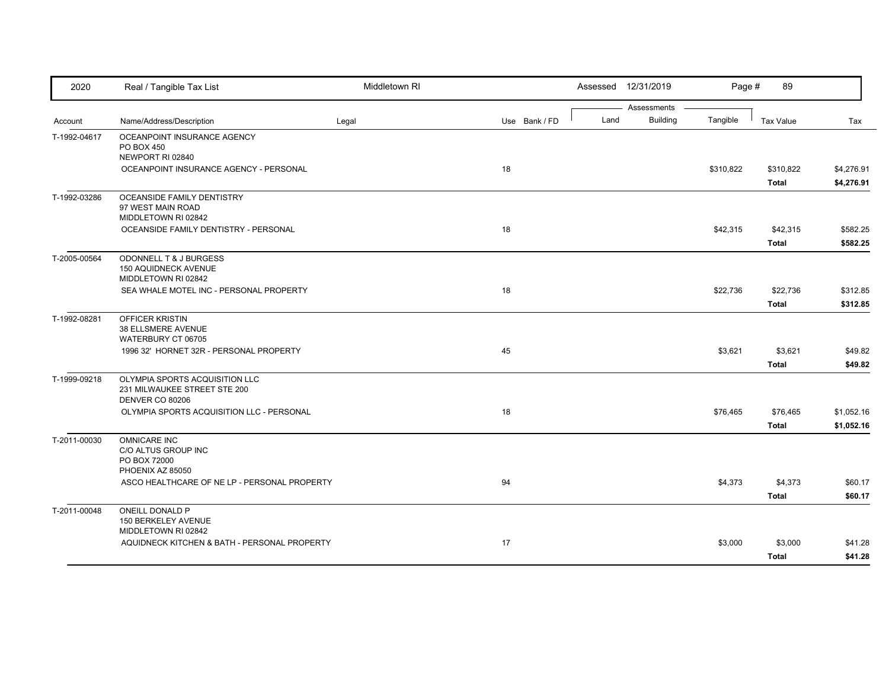| 2020         | Real / Tangible Tax List                                                          | Middletown RI |               |      | Assessed 12/31/2019 | Page #    | 89               |            |
|--------------|-----------------------------------------------------------------------------------|---------------|---------------|------|---------------------|-----------|------------------|------------|
|              |                                                                                   |               |               |      | Assessments         |           |                  |            |
| Account      | Name/Address/Description                                                          | Legal         | Use Bank / FD | Land | <b>Building</b>     | Tangible  | <b>Tax Value</b> | Tax        |
| T-1992-04617 | OCEANPOINT INSURANCE AGENCY<br>PO BOX 450<br>NEWPORT RI 02840                     |               |               |      |                     |           |                  |            |
|              | OCEANPOINT INSURANCE AGENCY - PERSONAL                                            |               | 18            |      |                     | \$310,822 | \$310,822        | \$4,276.91 |
|              |                                                                                   |               |               |      |                     |           | <b>Total</b>     | \$4,276.91 |
| T-1992-03286 | OCEANSIDE FAMILY DENTISTRY<br>97 WEST MAIN ROAD<br>MIDDLETOWN RI 02842            |               |               |      |                     |           |                  |            |
|              | OCEANSIDE FAMILY DENTISTRY - PERSONAL                                             |               | 18            |      |                     | \$42,315  | \$42,315         | \$582.25   |
|              |                                                                                   |               |               |      |                     |           | Total            | \$582.25   |
| T-2005-00564 | ODONNELL T & J BURGESS<br><b>150 AQUIDNECK AVENUE</b><br>MIDDLETOWN RI 02842      |               |               |      |                     |           |                  |            |
|              | SEA WHALE MOTEL INC - PERSONAL PROPERTY                                           |               | 18            |      |                     | \$22,736  | \$22,736         | \$312.85   |
|              |                                                                                   |               |               |      |                     |           | <b>Total</b>     | \$312.85   |
| T-1992-08281 | <b>OFFICER KRISTIN</b><br>38 ELLSMERE AVENUE<br>WATERBURY CT 06705                |               |               |      |                     |           |                  |            |
|              | 1996 32' HORNET 32R - PERSONAL PROPERTY                                           |               | 45            |      |                     | \$3,621   | \$3,621          | \$49.82    |
|              |                                                                                   |               |               |      |                     |           | <b>Total</b>     | \$49.82    |
| T-1999-09218 | OLYMPIA SPORTS ACQUISITION LLC<br>231 MILWAUKEE STREET STE 200<br>DENVER CO 80206 |               |               |      |                     |           |                  |            |
|              | OLYMPIA SPORTS ACQUISITION LLC - PERSONAL                                         |               | 18            |      |                     | \$76,465  | \$76,465         | \$1,052.16 |
|              |                                                                                   |               |               |      |                     |           | <b>Total</b>     | \$1,052.16 |
| T-2011-00030 | <b>OMNICARE INC</b><br>C/O ALTUS GROUP INC<br>PO BOX 72000                        |               |               |      |                     |           |                  |            |
|              | PHOENIX AZ 85050                                                                  |               |               |      |                     |           |                  |            |
|              | ASCO HEALTHCARE OF NE LP - PERSONAL PROPERTY                                      |               | 94            |      |                     | \$4,373   | \$4,373          | \$60.17    |
|              |                                                                                   |               |               |      |                     |           | <b>Total</b>     | \$60.17    |
| T-2011-00048 | ONEILL DONALD P<br>150 BERKELEY AVENUE<br>MIDDLETOWN RI 02842                     |               |               |      |                     |           |                  |            |
|              | AQUIDNECK KITCHEN & BATH - PERSONAL PROPERTY                                      |               | 17            |      |                     | \$3,000   | \$3,000          | \$41.28    |
|              |                                                                                   |               |               |      |                     |           | <b>Total</b>     | \$41.28    |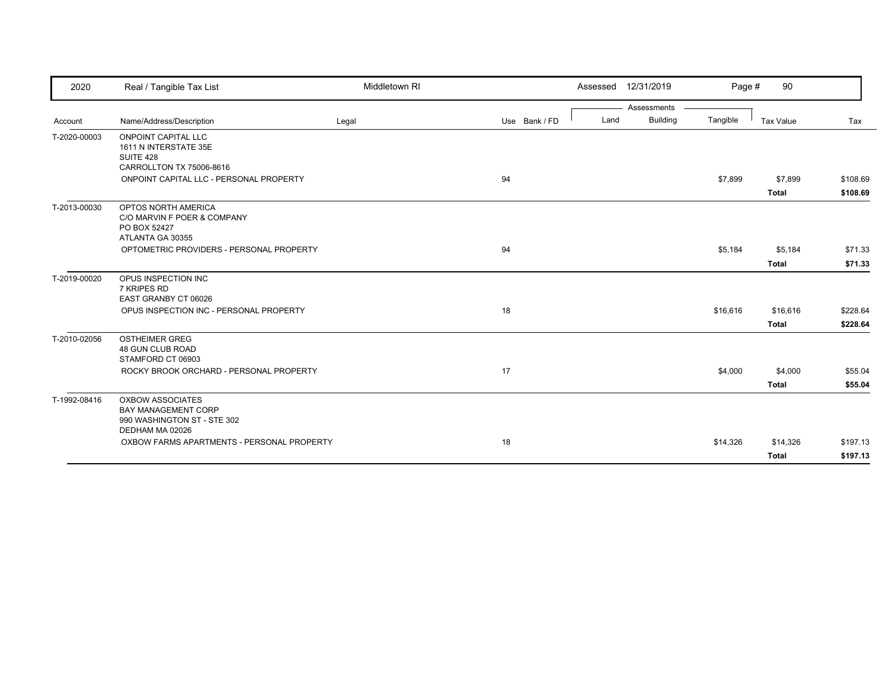| 2020         | Real / Tangible Tax List                                                                                | Middletown RI |               |      | Assessed 12/31/2019 | Page #   | 90                       |                      |
|--------------|---------------------------------------------------------------------------------------------------------|---------------|---------------|------|---------------------|----------|--------------------------|----------------------|
|              |                                                                                                         |               |               |      | Assessments         |          |                          |                      |
| Account      | Name/Address/Description                                                                                | Legal         | Use Bank / FD | Land | Building            | Tangible | Tax Value                | Tax                  |
| T-2020-00003 | <b>ONPOINT CAPITAL LLC</b><br>1611 N INTERSTATE 35E<br>SUITE 428<br>CARROLLTON TX 75006-8616            |               |               |      |                     |          |                          |                      |
|              | ONPOINT CAPITAL LLC - PERSONAL PROPERTY                                                                 |               | 94            |      |                     | \$7,899  | \$7,899<br><b>Total</b>  | \$108.69<br>\$108.69 |
| T-2013-00030 | OPTOS NORTH AMERICA<br>C/O MARVIN F POER & COMPANY<br>PO BOX 52427<br>ATLANTA GA 30355                  |               |               |      |                     |          |                          |                      |
|              | OPTOMETRIC PROVIDERS - PERSONAL PROPERTY                                                                |               | 94            |      |                     | \$5,184  | \$5,184<br><b>Total</b>  | \$71.33<br>\$71.33   |
| T-2019-00020 | OPUS INSPECTION INC<br>7 KRIPES RD<br>EAST GRANBY CT 06026                                              |               |               |      |                     |          |                          |                      |
|              | OPUS INSPECTION INC - PERSONAL PROPERTY                                                                 |               | 18            |      |                     | \$16,616 | \$16,616<br><b>Total</b> | \$228.64<br>\$228.64 |
| T-2010-02056 | <b>OSTHEIMER GREG</b><br><b>48 GUN CLUB ROAD</b><br>STAMFORD CT 06903                                   |               |               |      |                     |          |                          |                      |
|              | ROCKY BROOK ORCHARD - PERSONAL PROPERTY                                                                 |               | 17            |      |                     | \$4,000  | \$4,000<br><b>Total</b>  | \$55.04<br>\$55.04   |
| T-1992-08416 | <b>OXBOW ASSOCIATES</b><br><b>BAY MANAGEMENT CORP</b><br>990 WASHINGTON ST - STE 302<br>DEDHAM MA 02026 |               |               |      |                     |          |                          |                      |
|              | OXBOW FARMS APARTMENTS - PERSONAL PROPERTY                                                              |               | 18            |      |                     | \$14,326 | \$14,326<br><b>Total</b> | \$197.13<br>\$197.13 |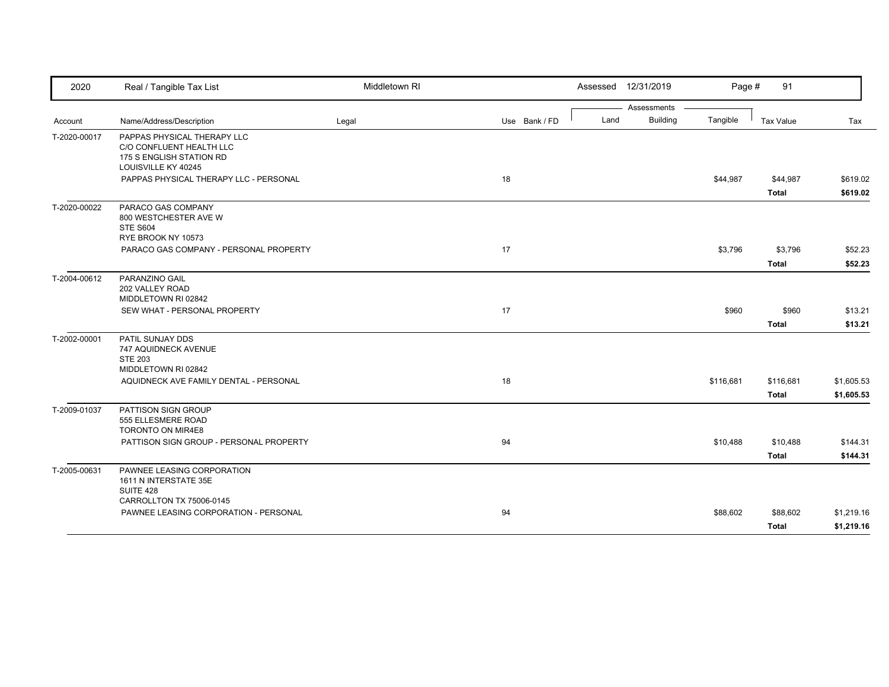| 2020         | Real / Tangible Tax List                                                                                   | Middletown RI |               |      | Assessed 12/31/2019            | Page #    | 91           |            |
|--------------|------------------------------------------------------------------------------------------------------------|---------------|---------------|------|--------------------------------|-----------|--------------|------------|
|              |                                                                                                            |               |               |      | Assessments<br><b>Building</b> |           |              |            |
| Account      | Name/Address/Description                                                                                   | Legal         | Use Bank / FD | Land |                                | Tangible  | Tax Value    | Tax        |
| T-2020-00017 | PAPPAS PHYSICAL THERAPY LLC<br>C/O CONFLUENT HEALTH LLC<br>175 S ENGLISH STATION RD<br>LOUISVILLE KY 40245 |               |               |      |                                |           |              |            |
|              | PAPPAS PHYSICAL THERAPY LLC - PERSONAL                                                                     |               | 18            |      |                                | \$44,987  | \$44,987     | \$619.02   |
|              |                                                                                                            |               |               |      |                                |           | <b>Total</b> | \$619.02   |
| T-2020-00022 | PARACO GAS COMPANY<br>800 WESTCHESTER AVE W<br><b>STE S604</b><br>RYE BROOK NY 10573                       |               |               |      |                                |           |              |            |
|              | PARACO GAS COMPANY - PERSONAL PROPERTY                                                                     |               | 17            |      |                                | \$3,796   | \$3,796      | \$52.23    |
|              |                                                                                                            |               |               |      |                                |           | <b>Total</b> | \$52.23    |
| T-2004-00612 | PARANZINO GAIL<br>202 VALLEY ROAD<br>MIDDLETOWN RI 02842                                                   |               |               |      |                                |           |              |            |
|              | SEW WHAT - PERSONAL PROPERTY                                                                               |               | 17            |      |                                | \$960     | \$960        | \$13.21    |
|              |                                                                                                            |               |               |      |                                |           | <b>Total</b> | \$13.21    |
| T-2002-00001 | PATIL SUNJAY DDS<br>747 AQUIDNECK AVENUE<br><b>STE 203</b><br>MIDDLETOWN RI 02842                          |               |               |      |                                |           |              |            |
|              | AQUIDNECK AVE FAMILY DENTAL - PERSONAL                                                                     |               | 18            |      |                                | \$116,681 | \$116,681    | \$1,605.53 |
|              |                                                                                                            |               |               |      |                                |           | <b>Total</b> | \$1,605.53 |
| T-2009-01037 | PATTISON SIGN GROUP<br>555 ELLESMERE ROAD<br>TORONTO ON MIR4E8                                             |               |               |      |                                |           |              |            |
|              | PATTISON SIGN GROUP - PERSONAL PROPERTY                                                                    |               | 94            |      |                                | \$10,488  | \$10,488     | \$144.31   |
|              |                                                                                                            |               |               |      |                                |           | <b>Total</b> | \$144.31   |
| T-2005-00631 | PAWNEE LEASING CORPORATION<br>1611 N INTERSTATE 35E<br>SUITE 428                                           |               |               |      |                                |           |              |            |
|              | CARROLLTON TX 75006-0145                                                                                   |               |               |      |                                |           |              |            |
|              | PAWNEE LEASING CORPORATION - PERSONAL                                                                      |               | 94            |      |                                | \$88,602  | \$88,602     | \$1,219.16 |
|              |                                                                                                            |               |               |      |                                |           | <b>Total</b> | \$1,219.16 |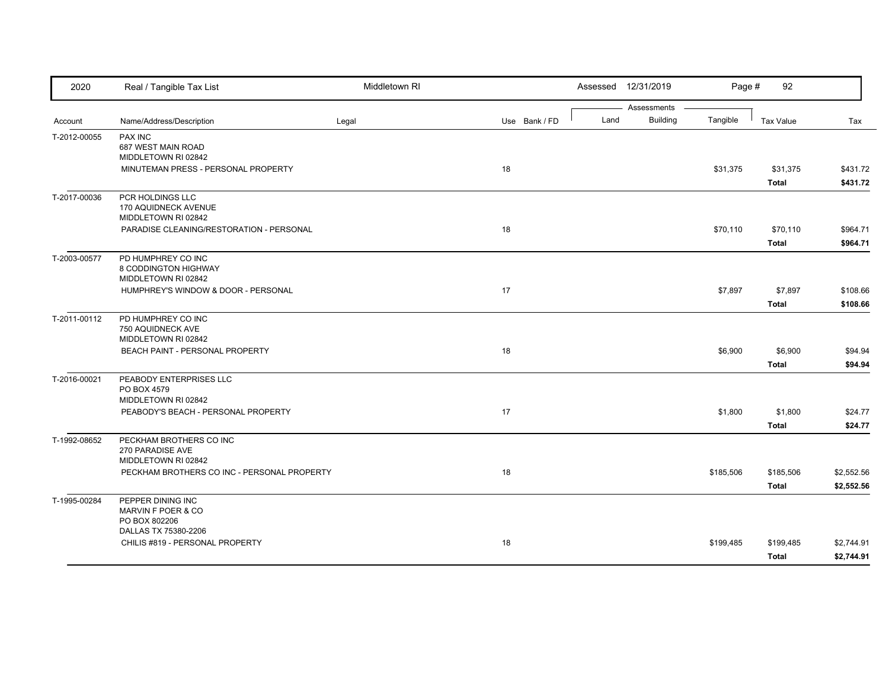| 2020         | Real / Tangible Tax List                                           | Middletown RI |               |      | Assessed 12/31/2019            | Page #    | 92               |            |
|--------------|--------------------------------------------------------------------|---------------|---------------|------|--------------------------------|-----------|------------------|------------|
| Account      | Name/Address/Description                                           | Legal         | Use Bank / FD | Land | Assessments<br><b>Building</b> | Tangible  | <b>Tax Value</b> | Tax        |
| T-2012-00055 | PAX INC                                                            |               |               |      |                                |           |                  |            |
|              | 687 WEST MAIN ROAD<br>MIDDLETOWN RI 02842                          |               |               |      |                                |           |                  |            |
|              | MINUTEMAN PRESS - PERSONAL PROPERTY                                |               | 18            |      |                                | \$31,375  | \$31,375         | \$431.72   |
|              |                                                                    |               |               |      |                                |           | <b>Total</b>     | \$431.72   |
| T-2017-00036 | PCR HOLDINGS LLC<br>170 AQUIDNECK AVENUE<br>MIDDLETOWN RI 02842    |               |               |      |                                |           |                  |            |
|              | PARADISE CLEANING/RESTORATION - PERSONAL                           |               | 18            |      |                                | \$70,110  | \$70,110         | \$964.71   |
|              |                                                                    |               |               |      |                                |           | Total            | \$964.71   |
| T-2003-00577 | PD HUMPHREY CO INC<br>8 CODDINGTON HIGHWAY<br>MIDDLETOWN RI 02842  |               |               |      |                                |           |                  |            |
|              | HUMPHREY'S WINDOW & DOOR - PERSONAL                                |               | 17            |      |                                | \$7,897   | \$7,897          | \$108.66   |
|              |                                                                    |               |               |      |                                |           | <b>Total</b>     | \$108.66   |
| T-2011-00112 | PD HUMPHREY CO INC<br>750 AQUIDNECK AVE<br>MIDDLETOWN RI 02842     |               |               |      |                                |           |                  |            |
|              | BEACH PAINT - PERSONAL PROPERTY                                    |               | 18            |      |                                | \$6,900   | \$6,900          | \$94.94    |
|              |                                                                    |               |               |      |                                |           | <b>Total</b>     | \$94.94    |
| T-2016-00021 | PEABODY ENTERPRISES LLC<br>PO BOX 4579<br>MIDDLETOWN RI 02842      |               |               |      |                                |           |                  |            |
|              | PEABODY'S BEACH - PERSONAL PROPERTY                                |               | 17            |      |                                | \$1,800   | \$1,800          | \$24.77    |
|              |                                                                    |               |               |      |                                |           | <b>Total</b>     | \$24.77    |
| T-1992-08652 | PECKHAM BROTHERS CO INC<br>270 PARADISE AVE<br>MIDDLETOWN RI 02842 |               |               |      |                                |           |                  |            |
|              | PECKHAM BROTHERS CO INC - PERSONAL PROPERTY                        |               | 18            |      |                                | \$185,506 | \$185,506        | \$2,552.56 |
|              |                                                                    |               |               |      |                                |           | <b>Total</b>     | \$2,552.56 |
| T-1995-00284 | PEPPER DINING INC<br>MARVIN F POER & CO<br>PO BOX 802206           |               |               |      |                                |           |                  |            |
|              | DALLAS TX 75380-2206                                               |               |               |      |                                |           |                  |            |
|              | CHILIS #819 - PERSONAL PROPERTY                                    |               | 18            |      |                                | \$199,485 | \$199,485        | \$2,744.91 |
|              |                                                                    |               |               |      |                                |           | <b>Total</b>     | \$2,744.91 |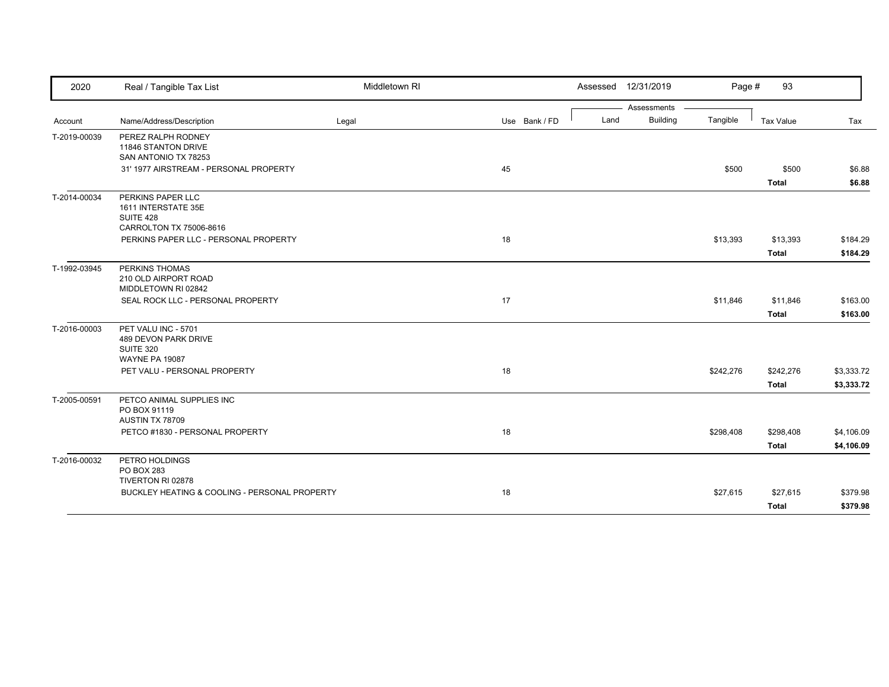| 2020         | Real / Tangible Tax List                                                                 | Middletown RI |               |      | Assessed 12/31/2019 | Page #    | 93           |            |
|--------------|------------------------------------------------------------------------------------------|---------------|---------------|------|---------------------|-----------|--------------|------------|
|              |                                                                                          |               |               |      | Assessments         |           |              |            |
| Account      | Name/Address/Description                                                                 | Legal         | Use Bank / FD | Land | <b>Building</b>     | Tangible  | Tax Value    | Tax        |
| T-2019-00039 | PEREZ RALPH RODNEY<br>11846 STANTON DRIVE<br>SAN ANTONIO TX 78253                        |               |               |      |                     |           |              |            |
|              | 31' 1977 AIRSTREAM - PERSONAL PROPERTY                                                   |               | 45            |      |                     | \$500     | \$500        | \$6.88     |
|              |                                                                                          |               |               |      |                     |           | <b>Total</b> | \$6.88     |
| T-2014-00034 | PERKINS PAPER LLC<br>1611 INTERSTATE 35E<br><b>SUITE 428</b><br>CARROLTON TX 75006-8616  |               |               |      |                     |           |              |            |
|              | PERKINS PAPER LLC - PERSONAL PROPERTY                                                    |               | 18            |      |                     | \$13,393  | \$13,393     | \$184.29   |
|              |                                                                                          |               |               |      |                     |           | <b>Total</b> | \$184.29   |
| T-1992-03945 | PERKINS THOMAS<br>210 OLD AIRPORT ROAD<br>MIDDLETOWN RI 02842                            |               |               |      |                     |           |              |            |
|              | SEAL ROCK LLC - PERSONAL PROPERTY                                                        |               | 17            |      |                     | \$11,846  | \$11,846     | \$163.00   |
|              |                                                                                          |               |               |      |                     |           | <b>Total</b> | \$163.00   |
| T-2016-00003 | PET VALU INC - 5701<br>489 DEVON PARK DRIVE<br><b>SUITE 320</b><br><b>WAYNE PA 19087</b> |               |               |      |                     |           |              |            |
|              | PET VALU - PERSONAL PROPERTY                                                             |               | 18            |      |                     | \$242,276 | \$242,276    | \$3,333.72 |
|              |                                                                                          |               |               |      |                     |           | <b>Total</b> | \$3,333.72 |
| T-2005-00591 | PETCO ANIMAL SUPPLIES INC<br>PO BOX 91119<br>AUSTIN TX 78709                             |               |               |      |                     |           |              |            |
|              | PETCO #1830 - PERSONAL PROPERTY                                                          |               | 18            |      |                     | \$298,408 | \$298,408    | \$4,106.09 |
|              |                                                                                          |               |               |      |                     |           | <b>Total</b> | \$4,106.09 |
| T-2016-00032 | PETRO HOLDINGS<br>PO BOX 283<br>TIVERTON RI 02878                                        |               |               |      |                     |           |              |            |
|              | BUCKLEY HEATING & COOLING - PERSONAL PROPERTY                                            |               | 18            |      |                     | \$27,615  | \$27,615     | \$379.98   |
|              |                                                                                          |               |               |      |                     |           | <b>Total</b> | \$379.98   |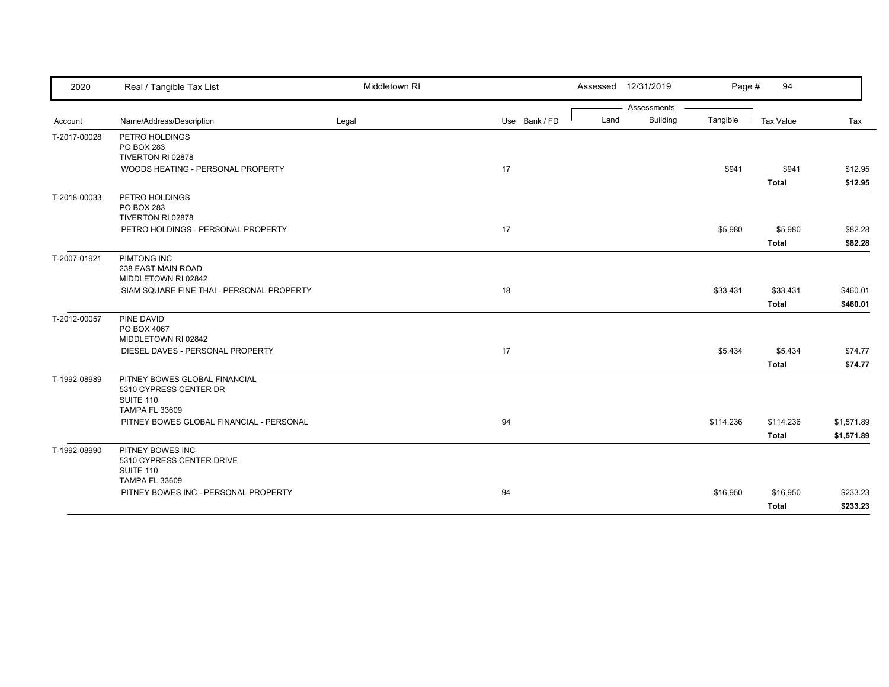| 2020         | Real / Tangible Tax List                                                                             | Middletown RI |               | Assessed 12/31/2019 |                 | Page #    | 94                       |                      |
|--------------|------------------------------------------------------------------------------------------------------|---------------|---------------|---------------------|-----------------|-----------|--------------------------|----------------------|
|              |                                                                                                      |               |               |                     | Assessments     |           |                          |                      |
| Account      | Name/Address/Description                                                                             | Legal         | Use Bank / FD | Land                | <b>Building</b> | Tangible  | Tax Value                | Tax                  |
| T-2017-00028 | PETRO HOLDINGS<br>PO BOX 283<br>TIVERTON RI 02878                                                    |               |               |                     |                 |           |                          |                      |
|              | WOODS HEATING - PERSONAL PROPERTY                                                                    |               | 17            |                     |                 | \$941     | \$941<br><b>Total</b>    | \$12.95<br>\$12.95   |
| T-2018-00033 | PETRO HOLDINGS<br>PO BOX 283<br>TIVERTON RI 02878                                                    |               |               |                     |                 |           |                          |                      |
|              | PETRO HOLDINGS - PERSONAL PROPERTY                                                                   |               | 17            |                     |                 | \$5,980   | \$5,980<br><b>Total</b>  | \$82.28<br>\$82.28   |
| T-2007-01921 | PIMTONG INC<br>238 EAST MAIN ROAD<br>MIDDLETOWN RI 02842                                             |               |               |                     |                 |           |                          |                      |
|              | SIAM SQUARE FINE THAI - PERSONAL PROPERTY                                                            |               | 18            |                     |                 | \$33,431  | \$33,431<br><b>Total</b> | \$460.01<br>\$460.01 |
| T-2012-00057 | PINE DAVID<br>PO BOX 4067<br>MIDDLETOWN RI 02842                                                     |               |               |                     |                 |           |                          |                      |
|              | DIESEL DAVES - PERSONAL PROPERTY                                                                     |               | 17            |                     |                 | \$5,434   | \$5,434                  | \$74.77              |
|              |                                                                                                      |               |               |                     |                 |           | Total                    | \$74.77              |
| T-1992-08989 | PITNEY BOWES GLOBAL FINANCIAL<br>5310 CYPRESS CENTER DR<br><b>SUITE 110</b><br><b>TAMPA FL 33609</b> |               |               |                     |                 |           |                          |                      |
|              | PITNEY BOWES GLOBAL FINANCIAL - PERSONAL                                                             |               | 94            |                     |                 | \$114,236 | \$114,236                | \$1,571.89           |
|              |                                                                                                      |               |               |                     |                 |           | <b>Total</b>             | \$1,571.89           |
| T-1992-08990 | PITNEY BOWES INC<br>5310 CYPRESS CENTER DRIVE<br>SUITE 110<br><b>TAMPA FL 33609</b>                  |               |               |                     |                 |           |                          |                      |
|              | PITNEY BOWES INC - PERSONAL PROPERTY                                                                 |               | 94            |                     |                 | \$16,950  | \$16,950                 | \$233.23             |
|              |                                                                                                      |               |               |                     |                 |           | <b>Total</b>             | \$233.23             |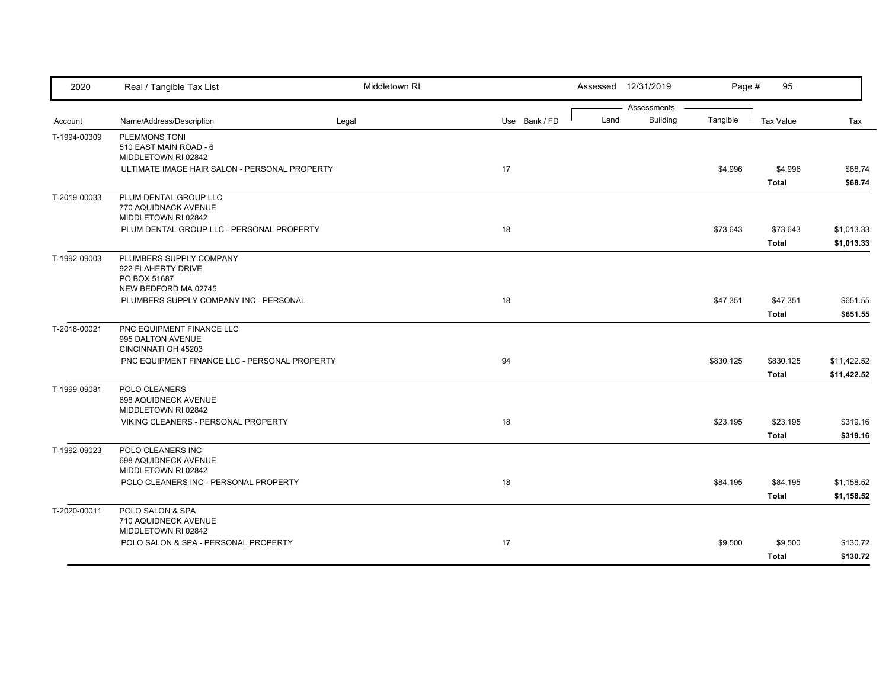| 2020         | Real / Tangible Tax List                                    | Middletown RI |               |      | Assessed 12/31/2019            | Page #    | 95               |             |
|--------------|-------------------------------------------------------------|---------------|---------------|------|--------------------------------|-----------|------------------|-------------|
|              |                                                             |               |               | Land | Assessments<br><b>Building</b> | Tangible  |                  |             |
| Account      | Name/Address/Description                                    | Legal         | Use Bank / FD |      |                                |           | <b>Tax Value</b> | Tax         |
| T-1994-00309 | PLEMMONS TONI<br>510 EAST MAIN ROAD - 6                     |               |               |      |                                |           |                  |             |
|              | MIDDLETOWN RI 02842                                         |               |               |      |                                |           |                  |             |
|              | ULTIMATE IMAGE HAIR SALON - PERSONAL PROPERTY               |               | 17            |      |                                | \$4,996   | \$4,996          | \$68.74     |
|              |                                                             |               |               |      |                                |           | Total            | \$68.74     |
| T-2019-00033 | PLUM DENTAL GROUP LLC                                       |               |               |      |                                |           |                  |             |
|              | 770 AQUIDNACK AVENUE                                        |               |               |      |                                |           |                  |             |
|              | MIDDLETOWN RI 02842                                         |               |               |      |                                |           |                  |             |
|              | PLUM DENTAL GROUP LLC - PERSONAL PROPERTY                   |               | 18            |      |                                | \$73,643  | \$73,643         | \$1,013.33  |
|              |                                                             |               |               |      |                                |           | <b>Total</b>     | \$1,013.33  |
| T-1992-09003 | PLUMBERS SUPPLY COMPANY                                     |               |               |      |                                |           |                  |             |
|              | 922 FLAHERTY DRIVE<br>PO BOX 51687                          |               |               |      |                                |           |                  |             |
|              | NEW BEDFORD MA 02745                                        |               |               |      |                                |           |                  |             |
|              | PLUMBERS SUPPLY COMPANY INC - PERSONAL                      |               | 18            |      |                                | \$47,351  | \$47,351         | \$651.55    |
|              |                                                             |               |               |      |                                |           | <b>Total</b>     | \$651.55    |
| T-2018-00021 | PNC EQUIPMENT FINANCE LLC                                   |               |               |      |                                |           |                  |             |
|              | 995 DALTON AVENUE                                           |               |               |      |                                |           |                  |             |
|              | CINCINNATI OH 45203                                         |               |               |      |                                |           |                  |             |
|              | PNC EQUIPMENT FINANCE LLC - PERSONAL PROPERTY               |               | 94            |      |                                | \$830,125 | \$830,125        | \$11,422.52 |
|              |                                                             |               |               |      |                                |           | <b>Total</b>     | \$11,422.52 |
| T-1999-09081 | POLO CLEANERS                                               |               |               |      |                                |           |                  |             |
|              | 698 AQUIDNECK AVENUE<br>MIDDLETOWN RI 02842                 |               |               |      |                                |           |                  |             |
|              | VIKING CLEANERS - PERSONAL PROPERTY                         |               | 18            |      |                                | \$23,195  | \$23,195         | \$319.16    |
|              |                                                             |               |               |      |                                |           | <b>Total</b>     | \$319.16    |
| T-1992-09023 | POLO CLEANERS INC                                           |               |               |      |                                |           |                  |             |
|              | 698 AQUIDNECK AVENUE                                        |               |               |      |                                |           |                  |             |
|              | MIDDLETOWN RI 02842                                         |               |               |      |                                |           |                  |             |
|              | POLO CLEANERS INC - PERSONAL PROPERTY                       |               | 18            |      |                                | \$84,195  | \$84,195         | \$1,158.52  |
|              |                                                             |               |               |      |                                |           | <b>Total</b>     | \$1,158.52  |
| T-2020-00011 | POLO SALON & SPA                                            |               |               |      |                                |           |                  |             |
|              | 710 AQUIDNECK AVENUE                                        |               |               |      |                                |           |                  |             |
|              | MIDDLETOWN RI 02842<br>POLO SALON & SPA - PERSONAL PROPERTY |               | 17            |      |                                | \$9,500   | \$9,500          | \$130.72    |
|              |                                                             |               |               |      |                                |           |                  |             |
|              |                                                             |               |               |      |                                |           | <b>Total</b>     | \$130.72    |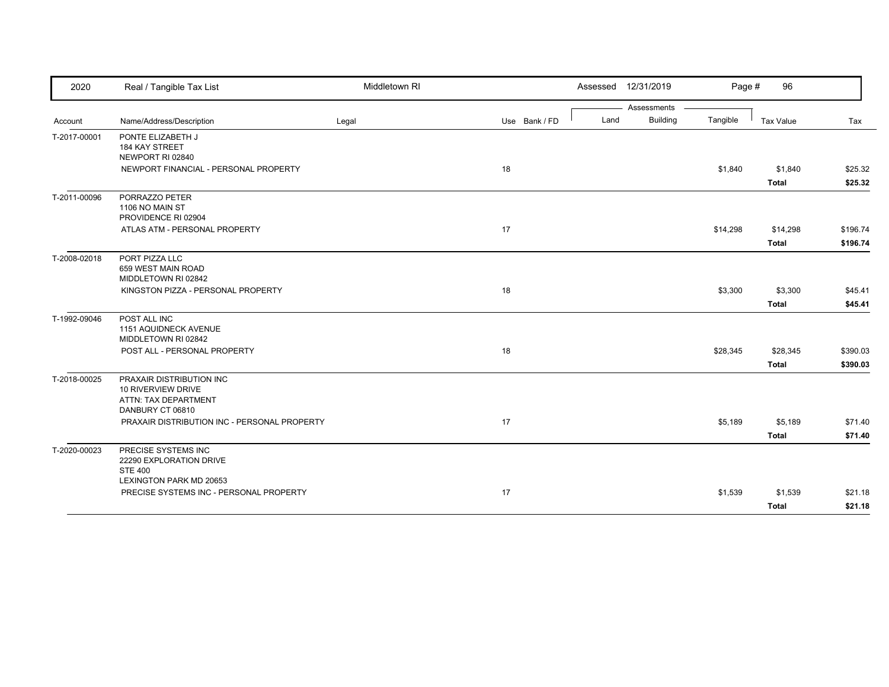| 2020         | Real / Tangible Tax List                                                                   | Middletown RI |               | Assessed 12/31/2019 |                 | Page #   | 96           |          |
|--------------|--------------------------------------------------------------------------------------------|---------------|---------------|---------------------|-----------------|----------|--------------|----------|
|              |                                                                                            |               |               |                     | Assessments     |          |              |          |
| Account      | Name/Address/Description                                                                   | Legal         | Use Bank / FD | Land                | <b>Building</b> | Tangible | Tax Value    | Tax      |
| T-2017-00001 | PONTE ELIZABETH J<br>184 KAY STREET<br>NEWPORT RI 02840                                    |               |               |                     |                 |          |              |          |
|              | NEWPORT FINANCIAL - PERSONAL PROPERTY                                                      |               | 18            |                     |                 | \$1,840  | \$1,840      | \$25.32  |
|              |                                                                                            |               |               |                     |                 |          | <b>Total</b> | \$25.32  |
| T-2011-00096 | PORRAZZO PETER<br>1106 NO MAIN ST<br>PROVIDENCE RI 02904                                   |               |               |                     |                 |          |              |          |
|              | ATLAS ATM - PERSONAL PROPERTY                                                              |               | 17            |                     |                 | \$14,298 | \$14,298     | \$196.74 |
|              |                                                                                            |               |               |                     |                 |          | <b>Total</b> | \$196.74 |
| T-2008-02018 | PORT PIZZA LLC<br>659 WEST MAIN ROAD<br>MIDDLETOWN RI 02842                                |               |               |                     |                 |          |              |          |
|              | KINGSTON PIZZA - PERSONAL PROPERTY                                                         |               | 18            |                     |                 | \$3,300  | \$3,300      | \$45.41  |
|              |                                                                                            |               |               |                     |                 |          | <b>Total</b> | \$45.41  |
| T-1992-09046 | POST ALL INC<br>1151 AQUIDNECK AVENUE<br>MIDDLETOWN RI 02842                               |               |               |                     |                 |          |              |          |
|              | POST ALL - PERSONAL PROPERTY                                                               |               | 18            |                     |                 | \$28,345 | \$28,345     | \$390.03 |
|              |                                                                                            |               |               |                     |                 |          | <b>Total</b> | \$390.03 |
| T-2018-00025 | PRAXAIR DISTRIBUTION INC<br>10 RIVERVIEW DRIVE<br>ATTN: TAX DEPARTMENT<br>DANBURY CT 06810 |               |               |                     |                 |          |              |          |
|              | PRAXAIR DISTRIBUTION INC - PERSONAL PROPERTY                                               |               | 17            |                     |                 | \$5,189  | \$5,189      | \$71.40  |
|              |                                                                                            |               |               |                     |                 |          | <b>Total</b> | \$71.40  |
| T-2020-00023 | PRECISE SYSTEMS INC<br>22290 EXPLORATION DRIVE<br><b>STE 400</b>                           |               |               |                     |                 |          |              |          |
|              | <b>LEXINGTON PARK MD 20653</b><br>PRECISE SYSTEMS INC - PERSONAL PROPERTY                  |               | 17            |                     |                 | \$1,539  | \$1,539      | \$21.18  |
|              |                                                                                            |               |               |                     |                 |          | <b>Total</b> | \$21.18  |
|              |                                                                                            |               |               |                     |                 |          |              |          |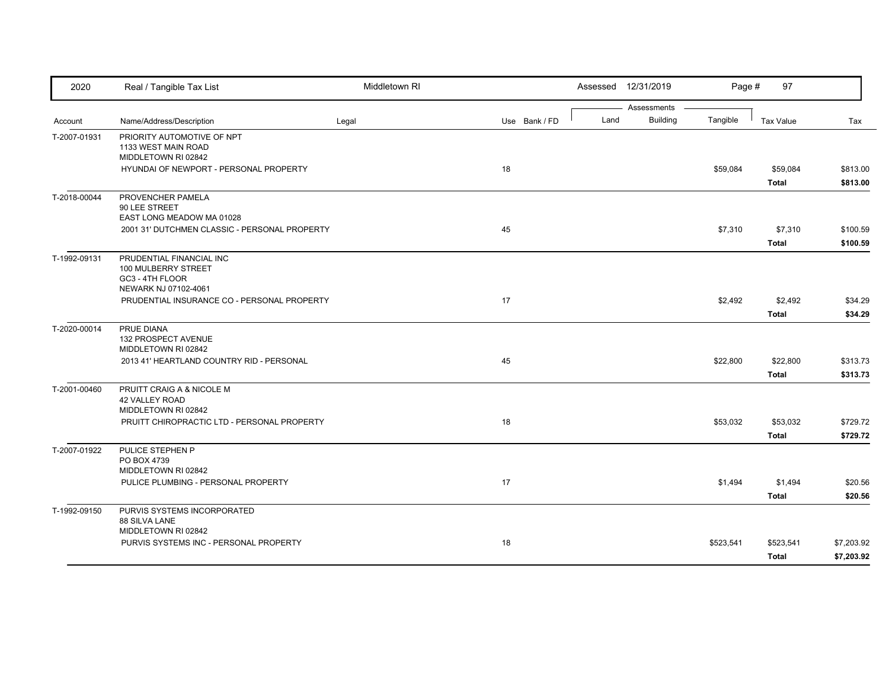| 2020         | Real / Tangible Tax List                                                                   | Middletown RI |               |      | Assessed 12/31/2019            | Page #    | 97                        |                          |
|--------------|--------------------------------------------------------------------------------------------|---------------|---------------|------|--------------------------------|-----------|---------------------------|--------------------------|
| Account      | Name/Address/Description                                                                   | Legal         | Use Bank / FD | Land | Assessments<br><b>Building</b> | Tangible  | <b>Tax Value</b>          | Tax                      |
| T-2007-01931 | PRIORITY AUTOMOTIVE OF NPT<br>1133 WEST MAIN ROAD                                          |               |               |      |                                |           |                           |                          |
|              | MIDDLETOWN RI 02842                                                                        |               |               |      |                                |           |                           |                          |
|              | HYUNDAI OF NEWPORT - PERSONAL PROPERTY                                                     |               | 18            |      |                                | \$59,084  | \$59,084                  | \$813.00                 |
|              |                                                                                            |               |               |      |                                |           | <b>Total</b>              | \$813.00                 |
| T-2018-00044 | PROVENCHER PAMELA<br>90 LEE STREET<br>EAST LONG MEADOW MA 01028                            |               |               |      |                                |           |                           |                          |
|              | 2001 31' DUTCHMEN CLASSIC - PERSONAL PROPERTY                                              |               | 45            |      |                                | \$7,310   | \$7,310                   | \$100.59                 |
|              |                                                                                            |               |               |      |                                |           | <b>Total</b>              | \$100.59                 |
| T-1992-09131 | PRUDENTIAL FINANCIAL INC<br>100 MULBERRY STREET<br>GC3 - 4TH FLOOR<br>NEWARK NJ 07102-4061 |               |               |      |                                |           |                           |                          |
|              | PRUDENTIAL INSURANCE CO - PERSONAL PROPERTY                                                |               | 17            |      |                                | \$2,492   | \$2,492                   | \$34.29                  |
|              |                                                                                            |               |               |      |                                |           | <b>Total</b>              | \$34.29                  |
| T-2020-00014 | PRUE DIANA<br>132 PROSPECT AVENUE<br>MIDDLETOWN RI 02842                                   |               |               |      |                                |           |                           |                          |
|              | 2013 41' HEARTLAND COUNTRY RID - PERSONAL                                                  |               | 45            |      |                                | \$22,800  | \$22,800                  | \$313.73                 |
|              |                                                                                            |               |               |      |                                |           | <b>Total</b>              | \$313.73                 |
| T-2001-00460 | PRUITT CRAIG A & NICOLE M<br>42 VALLEY ROAD<br>MIDDLETOWN RI 02842                         |               |               |      |                                |           |                           |                          |
|              | PRUITT CHIROPRACTIC LTD - PERSONAL PROPERTY                                                |               | 18            |      |                                | \$53,032  | \$53,032                  | \$729.72                 |
|              |                                                                                            |               |               |      |                                |           | <b>Total</b>              | \$729.72                 |
| T-2007-01922 | PULICE STEPHEN P<br>PO BOX 4739<br>MIDDLETOWN RI 02842                                     |               |               |      |                                |           |                           |                          |
|              | PULICE PLUMBING - PERSONAL PROPERTY                                                        |               | 17            |      |                                | \$1,494   | \$1,494                   | \$20.56                  |
|              |                                                                                            |               |               |      |                                |           | <b>Total</b>              | \$20.56                  |
|              |                                                                                            |               |               |      |                                |           |                           |                          |
| T-1992-09150 | PURVIS SYSTEMS INCORPORATED<br>88 SILVA LANE<br>MIDDLETOWN RI 02842                        |               |               |      |                                |           |                           |                          |
|              | PURVIS SYSTEMS INC - PERSONAL PROPERTY                                                     |               | 18            |      |                                | \$523,541 | \$523,541<br><b>Total</b> | \$7,203.92<br>\$7,203.92 |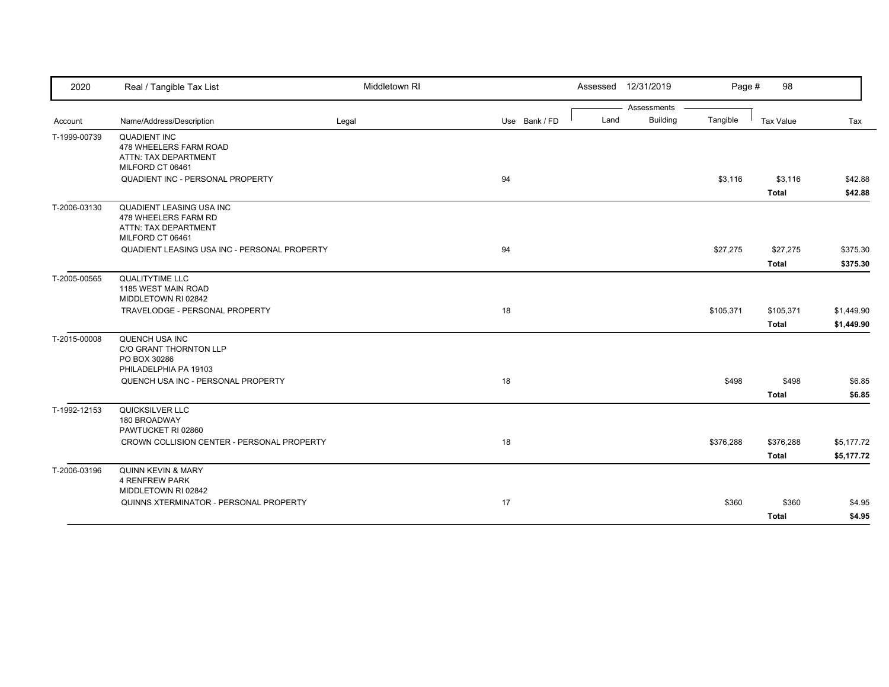| 2020         | Real / Tangible Tax List                                                                            | Middletown RI |    |               |      | Assessed 12/31/2019 | Page #    | 98           |            |
|--------------|-----------------------------------------------------------------------------------------------------|---------------|----|---------------|------|---------------------|-----------|--------------|------------|
|              |                                                                                                     |               |    |               |      | Assessments         |           |              |            |
| Account      | Name/Address/Description                                                                            | Legal         |    | Use Bank / FD | Land | <b>Building</b>     | Tangible  | Tax Value    | Tax        |
| T-1999-00739 | <b>QUADIENT INC</b><br>478 WHEELERS FARM ROAD<br>ATTN: TAX DEPARTMENT<br>MILFORD CT 06461           |               |    |               |      |                     |           |              |            |
|              | QUADIENT INC - PERSONAL PROPERTY                                                                    |               | 94 |               |      |                     | \$3,116   | \$3,116      | \$42.88    |
|              |                                                                                                     |               |    |               |      |                     |           | <b>Total</b> | \$42.88    |
| T-2006-03130 | <b>QUADIENT LEASING USA INC</b><br>478 WHEELERS FARM RD<br>ATTN: TAX DEPARTMENT<br>MILFORD CT 06461 |               |    |               |      |                     |           |              |            |
|              | QUADIENT LEASING USA INC - PERSONAL PROPERTY                                                        |               | 94 |               |      |                     | \$27,275  | \$27,275     | \$375.30   |
|              |                                                                                                     |               |    |               |      |                     |           | <b>Total</b> | \$375.30   |
| T-2005-00565 | <b>QUALITYTIME LLC</b><br>1185 WEST MAIN ROAD<br>MIDDLETOWN RI 02842                                |               |    |               |      |                     |           |              |            |
|              | TRAVELODGE - PERSONAL PROPERTY                                                                      |               | 18 |               |      |                     | \$105,371 | \$105,371    | \$1,449.90 |
|              |                                                                                                     |               |    |               |      |                     |           | <b>Total</b> | \$1,449.90 |
| T-2015-00008 | QUENCH USA INC<br>C/O GRANT THORNTON LLP<br>PO BOX 30286<br>PHILADELPHIA PA 19103                   |               |    |               |      |                     |           |              |            |
|              | QUENCH USA INC - PERSONAL PROPERTY                                                                  |               | 18 |               |      |                     | \$498     | \$498        | \$6.85     |
|              |                                                                                                     |               |    |               |      |                     |           | <b>Total</b> | \$6.85     |
| T-1992-12153 | QUICKSILVER LLC<br>180 BROADWAY<br>PAWTUCKET RI 02860                                               |               |    |               |      |                     |           |              |            |
|              | CROWN COLLISION CENTER - PERSONAL PROPERTY                                                          |               | 18 |               |      |                     | \$376,288 | \$376,288    | \$5,177.72 |
|              |                                                                                                     |               |    |               |      |                     |           | <b>Total</b> | \$5,177.72 |
| T-2006-03196 | QUINN KEVIN & MARY<br><b>4 RENFREW PARK</b><br>MIDDLETOWN RI 02842                                  |               |    |               |      |                     |           |              |            |
|              | QUINNS XTERMINATOR - PERSONAL PROPERTY                                                              |               | 17 |               |      |                     | \$360     | \$360        | \$4.95     |
|              |                                                                                                     |               |    |               |      |                     |           | <b>Total</b> | \$4.95     |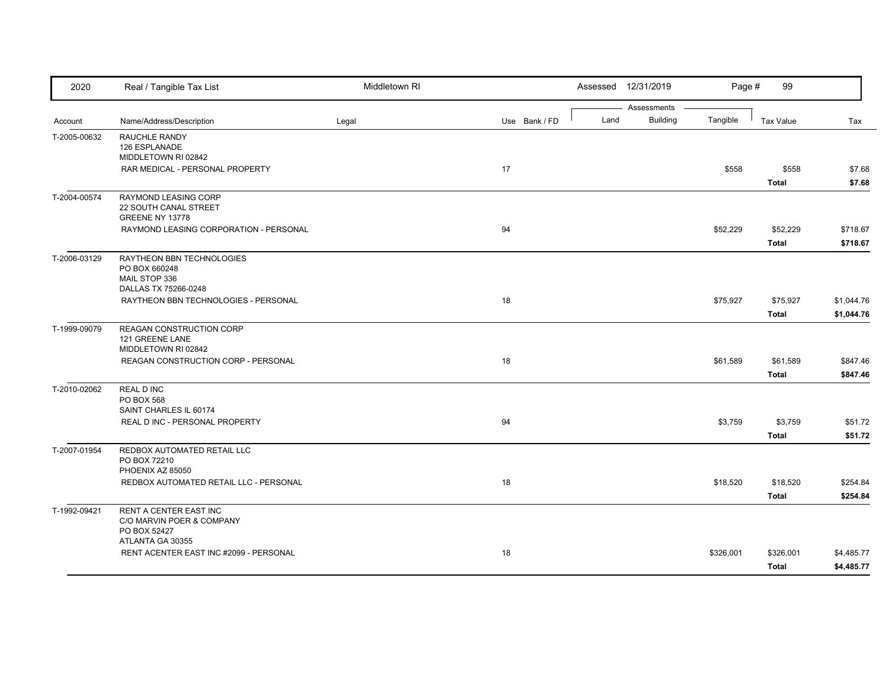| 2020         | Real / Tangible Tax List                                                            | Middletown RI |               |      | Assessed 12/31/2019            | Page #    | 99                       |                          |
|--------------|-------------------------------------------------------------------------------------|---------------|---------------|------|--------------------------------|-----------|--------------------------|--------------------------|
| Account      | Name/Address/Description                                                            | Legal         | Use Bank / FD | Land | Assessments<br><b>Building</b> | Tangible  | <b>Tax Value</b>         | Tax                      |
| T-2005-00632 | RAUCHLE RANDY<br>126 ESPLANADE<br>MIDDLETOWN RI 02842                               |               |               |      |                                |           |                          |                          |
|              | RAR MEDICAL - PERSONAL PROPERTY                                                     |               | 17            |      |                                | \$558     | \$558<br><b>Total</b>    | \$7.68<br>\$7.68         |
| T-2004-00574 | RAYMOND LEASING CORP<br>22 SOUTH CANAL STREET<br>GREENE NY 13778                    |               |               |      |                                |           |                          |                          |
|              | RAYMOND LEASING CORPORATION - PERSONAL                                              |               | 94            |      |                                | \$52,229  | \$52,229<br><b>Total</b> | \$718.67<br>\$718.67     |
| T-2006-03129 | RAYTHEON BBN TECHNOLOGIES<br>PO BOX 660248<br>MAIL STOP 336<br>DALLAS TX 75266-0248 |               |               |      |                                |           |                          |                          |
|              | RAYTHEON BBN TECHNOLOGIES - PERSONAL                                                |               | 18            |      |                                | \$75,927  | \$75,927<br><b>Total</b> | \$1,044.76<br>\$1,044.76 |
| T-1999-09079 | REAGAN CONSTRUCTION CORP<br>121 GREENE LANE<br>MIDDLETOWN RI 02842                  |               |               |      |                                |           |                          |                          |
|              | REAGAN CONSTRUCTION CORP - PERSONAL                                                 |               | 18            |      |                                | \$61,589  | \$61,589<br><b>Total</b> | \$847.46<br>\$847.46     |
| T-2010-02062 | <b>REAL D INC</b><br>PO BOX 568<br>SAINT CHARLES IL 60174                           |               |               |      |                                |           |                          |                          |
|              | REAL D INC - PERSONAL PROPERTY                                                      |               | 94            |      |                                | \$3,759   | \$3,759<br><b>Total</b>  | \$51.72<br>\$51.72       |
| T-2007-01954 | REDBOX AUTOMATED RETAIL LLC<br>PO BOX 72210<br>PHOENIX AZ 85050                     |               |               |      |                                |           |                          |                          |
|              | REDBOX AUTOMATED RETAIL LLC - PERSONAL                                              |               | 18            |      |                                | \$18,520  | \$18,520<br><b>Total</b> | \$254.84<br>\$254.84     |
| T-1992-09421 | RENT A CENTER EAST INC<br>C/O MARVIN POER & COMPANY<br>PO BOX 52427                 |               |               |      |                                |           |                          |                          |
|              | ATLANTA GA 30355<br>RENT ACENTER EAST INC #2099 - PERSONAL                          |               | 18            |      |                                | \$326,001 | \$326,001<br>Total       | \$4,485.77<br>\$4,485.77 |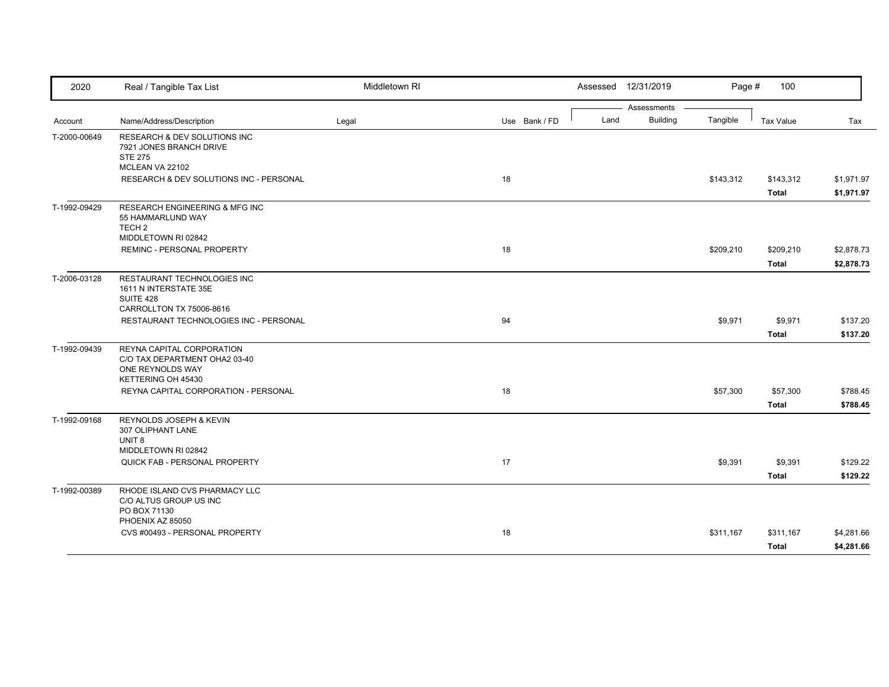| 2020         | Real / Tangible Tax List                                                                                | Middletown RI |               |      | Assessed 12/31/2019            | Page #    | 100                       |                          |
|--------------|---------------------------------------------------------------------------------------------------------|---------------|---------------|------|--------------------------------|-----------|---------------------------|--------------------------|
| Account      | Name/Address/Description                                                                                | Legal         | Use Bank / FD | Land | Assessments<br><b>Building</b> | Tangible  | Tax Value                 | Tax                      |
| T-2000-00649 | <b>RESEARCH &amp; DEV SOLUTIONS INC</b><br>7921 JONES BRANCH DRIVE<br><b>STE 275</b><br>MCLEAN VA 22102 |               |               |      |                                |           |                           |                          |
|              | RESEARCH & DEV SOLUTIONS INC - PERSONAL                                                                 |               | 18            |      |                                | \$143,312 | \$143,312<br><b>Total</b> | \$1,971.97<br>\$1,971.97 |
| T-1992-09429 | RESEARCH ENGINEERING & MFG INC<br>55 HAMMARLUND WAY<br>TECH <sub>2</sub><br>MIDDLETOWN RI 02842         |               |               |      |                                |           |                           |                          |
|              | REMINC - PERSONAL PROPERTY                                                                              |               | 18            |      |                                | \$209,210 | \$209,210<br><b>Total</b> | \$2,878.73<br>\$2,878.73 |
| T-2006-03128 | RESTAURANT TECHNOLOGIES INC<br>1611 N INTERSTATE 35E<br>SUITE 428<br>CARROLLTON TX 75006-8616           |               |               |      |                                |           |                           |                          |
|              | RESTAURANT TECHNOLOGIES INC - PERSONAL                                                                  |               | 94            |      |                                | \$9,971   | \$9,971<br><b>Total</b>   | \$137.20<br>\$137.20     |
| T-1992-09439 | REYNA CAPITAL CORPORATION<br>C/O TAX DEPARTMENT OHA2 03-40<br>ONE REYNOLDS WAY<br>KETTERING OH 45430    |               |               |      |                                |           |                           |                          |
|              | REYNA CAPITAL CORPORATION - PERSONAL                                                                    |               | 18            |      |                                | \$57,300  | \$57,300<br><b>Total</b>  | \$788.45<br>\$788.45     |
| T-1992-09168 | REYNOLDS JOSEPH & KEVIN<br>307 OLIPHANT LANE<br>UNIT <sub>8</sub><br>MIDDLETOWN RI 02842                |               |               |      |                                |           |                           |                          |
|              | QUICK FAB - PERSONAL PROPERTY                                                                           |               | 17            |      |                                | \$9,391   | \$9,391<br><b>Total</b>   | \$129.22<br>\$129.22     |
| T-1992-00389 | RHODE ISLAND CVS PHARMACY LLC<br>C/O ALTUS GROUP US INC<br>PO BOX 71130                                 |               |               |      |                                |           |                           |                          |
|              | PHOENIX AZ 85050<br>CVS #00493 - PERSONAL PROPERTY                                                      |               | 18            |      |                                | \$311,167 | \$311,167<br>Total        | \$4,281.66<br>\$4,281.66 |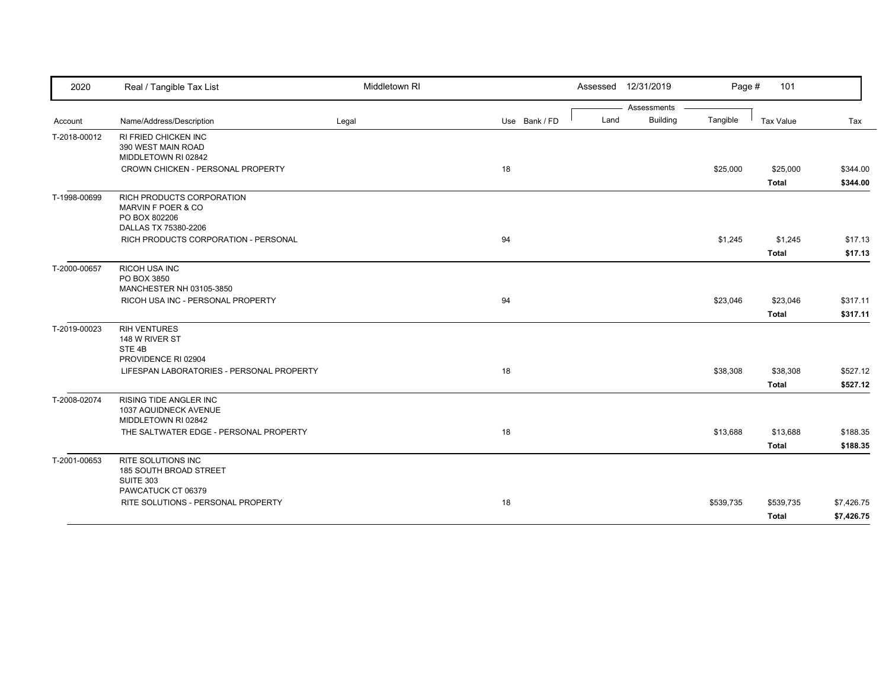| 2020         | Real / Tangible Tax List                  | Middletown RI |               |      | Assessed 12/31/2019 | Page #    | 101              |            |
|--------------|-------------------------------------------|---------------|---------------|------|---------------------|-----------|------------------|------------|
|              |                                           |               |               |      | Assessments         |           |                  |            |
| Account      | Name/Address/Description                  | Legal         | Use Bank / FD | Land | <b>Building</b>     | Tangible  | <b>Tax Value</b> | Tax        |
| T-2018-00012 | RI FRIED CHICKEN INC                      |               |               |      |                     |           |                  |            |
|              | 390 WEST MAIN ROAD                        |               |               |      |                     |           |                  |            |
|              | MIDDLETOWN RI 02842                       |               |               |      |                     |           |                  |            |
|              | CROWN CHICKEN - PERSONAL PROPERTY         |               | 18            |      |                     | \$25,000  | \$25,000         | \$344.00   |
|              |                                           |               |               |      |                     |           | <b>Total</b>     | \$344.00   |
| T-1998-00699 | RICH PRODUCTS CORPORATION                 |               |               |      |                     |           |                  |            |
|              | MARVIN F POER & CO                        |               |               |      |                     |           |                  |            |
|              | PO BOX 802206                             |               |               |      |                     |           |                  |            |
|              | DALLAS TX 75380-2206                      |               |               |      |                     |           |                  |            |
|              | RICH PRODUCTS CORPORATION - PERSONAL      |               | 94            |      |                     | \$1,245   | \$1,245          | \$17.13    |
|              |                                           |               |               |      |                     |           | <b>Total</b>     | \$17.13    |
| T-2000-00657 | RICOH USA INC                             |               |               |      |                     |           |                  |            |
|              | PO BOX 3850                               |               |               |      |                     |           |                  |            |
|              | MANCHESTER NH 03105-3850                  |               |               |      |                     |           |                  |            |
|              | RICOH USA INC - PERSONAL PROPERTY         |               | 94            |      |                     | \$23,046  | \$23,046         | \$317.11   |
|              |                                           |               |               |      |                     |           | <b>Total</b>     | \$317.11   |
| T-2019-00023 | <b>RIH VENTURES</b>                       |               |               |      |                     |           |                  |            |
|              | 148 W RIVER ST                            |               |               |      |                     |           |                  |            |
|              | STE <sub>4B</sub>                         |               |               |      |                     |           |                  |            |
|              | PROVIDENCE RI 02904                       |               |               |      |                     |           |                  |            |
|              | LIFESPAN LABORATORIES - PERSONAL PROPERTY |               | 18            |      |                     | \$38,308  | \$38,308         | \$527.12   |
|              |                                           |               |               |      |                     |           | <b>Total</b>     | \$527.12   |
| T-2008-02074 | <b>RISING TIDE ANGLER INC</b>             |               |               |      |                     |           |                  |            |
|              | 1037 AQUIDNECK AVENUE                     |               |               |      |                     |           |                  |            |
|              | MIDDLETOWN RI 02842                       |               |               |      |                     |           |                  |            |
|              | THE SALTWATER EDGE - PERSONAL PROPERTY    |               | 18            |      |                     | \$13,688  | \$13,688         | \$188.35   |
|              |                                           |               |               |      |                     |           | <b>Total</b>     | \$188.35   |
| T-2001-00653 | <b>RITE SOLUTIONS INC</b>                 |               |               |      |                     |           |                  |            |
|              | 185 SOUTH BROAD STREET                    |               |               |      |                     |           |                  |            |
|              | <b>SUITE 303</b>                          |               |               |      |                     |           |                  |            |
|              | PAWCATUCK CT 06379                        |               |               |      |                     |           |                  |            |
|              | RITE SOLUTIONS - PERSONAL PROPERTY        |               | 18            |      |                     | \$539,735 | \$539,735        | \$7,426.75 |
|              |                                           |               |               |      |                     |           | <b>Total</b>     | \$7,426.75 |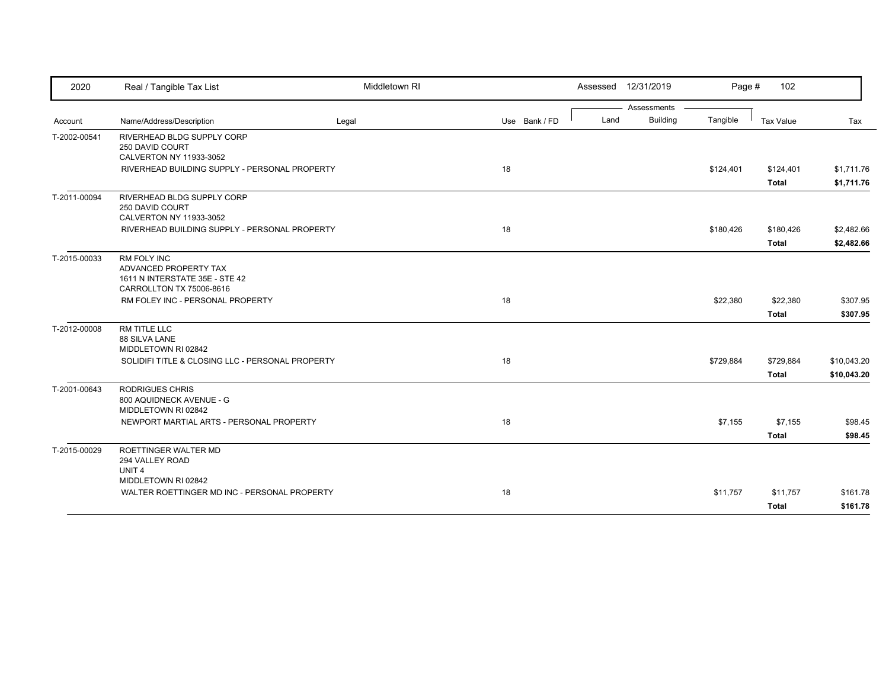| 2020         | Real / Tangible Tax List                                                                           | Middletown RI |               | Assessed 12/31/2019 |                 | Page #    | 102          |             |
|--------------|----------------------------------------------------------------------------------------------------|---------------|---------------|---------------------|-----------------|-----------|--------------|-------------|
|              |                                                                                                    |               |               |                     | Assessments     |           |              |             |
| Account      | Name/Address/Description                                                                           | Legal         | Use Bank / FD | Land                | <b>Building</b> | Tangible  | Tax Value    | Tax         |
| T-2002-00541 | RIVERHEAD BLDG SUPPLY CORP<br>250 DAVID COURT<br>CALVERTON NY 11933-3052                           |               |               |                     |                 |           |              |             |
|              | RIVERHEAD BUILDING SUPPLY - PERSONAL PROPERTY                                                      |               | 18            |                     |                 | \$124,401 | \$124,401    | \$1,711.76  |
|              |                                                                                                    |               |               |                     |                 |           | <b>Total</b> | \$1,711.76  |
| T-2011-00094 | RIVERHEAD BLDG SUPPLY CORP<br>250 DAVID COURT<br>CALVERTON NY 11933-3052                           |               |               |                     |                 |           |              |             |
|              | RIVERHEAD BUILDING SUPPLY - PERSONAL PROPERTY                                                      |               | 18            |                     |                 | \$180,426 | \$180,426    | \$2,482.66  |
|              |                                                                                                    |               |               |                     |                 |           | <b>Total</b> | \$2,482.66  |
| T-2015-00033 | RM FOLY INC<br>ADVANCED PROPERTY TAX<br>1611 N INTERSTATE 35E - STE 42<br>CARROLLTON TX 75006-8616 |               |               |                     |                 |           |              |             |
|              | RM FOLEY INC - PERSONAL PROPERTY                                                                   |               | 18            |                     |                 | \$22,380  | \$22,380     | \$307.95    |
|              |                                                                                                    |               |               |                     |                 |           | Total        | \$307.95    |
| T-2012-00008 | RM TITLE LLC<br>88 SILVA LANE<br>MIDDLETOWN RI 02842                                               |               |               |                     |                 |           |              |             |
|              | SOLIDIFI TITLE & CLOSING LLC - PERSONAL PROPERTY                                                   |               | 18            |                     |                 | \$729,884 | \$729,884    | \$10,043.20 |
|              |                                                                                                    |               |               |                     |                 |           | <b>Total</b> | \$10,043.20 |
| T-2001-00643 | RODRIGUES CHRIS<br>800 AQUIDNECK AVENUE - G<br>MIDDLETOWN RI 02842                                 |               |               |                     |                 |           |              |             |
|              | NEWPORT MARTIAL ARTS - PERSONAL PROPERTY                                                           |               | 18            |                     |                 | \$7,155   | \$7,155      | \$98.45     |
|              |                                                                                                    |               |               |                     |                 |           | Total        | \$98.45     |
| T-2015-00029 | ROETTINGER WALTER MD<br>294 VALLEY ROAD<br>UNIT <sub>4</sub><br>MIDDLETOWN RI 02842                |               |               |                     |                 |           |              |             |
|              | WALTER ROETTINGER MD INC - PERSONAL PROPERTY                                                       |               | 18            |                     |                 | \$11,757  | \$11,757     | \$161.78    |
|              |                                                                                                    |               |               |                     |                 |           | <b>Total</b> | \$161.78    |
|              |                                                                                                    |               |               |                     |                 |           |              |             |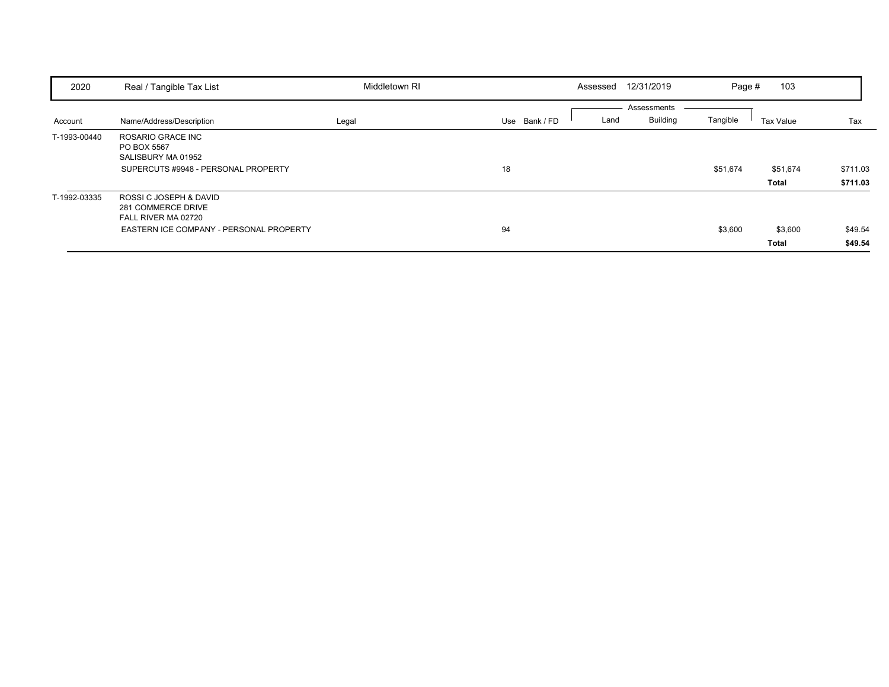| 2020         | Real / Tangible Tax List                                                                                       | Middletown RI |               | Assessed | 12/31/2019                     | Page #   | 103                     |                      |
|--------------|----------------------------------------------------------------------------------------------------------------|---------------|---------------|----------|--------------------------------|----------|-------------------------|----------------------|
| Account      | Name/Address/Description                                                                                       | Legal         | Use Bank / FD | Land     | Assessments<br><b>Building</b> | Tangible | Tax Value               | Tax                  |
| T-1993-00440 | ROSARIO GRACE INC<br>PO BOX 5567<br>SALISBURY MA 01952<br>SUPERCUTS #9948 - PERSONAL PROPERTY                  |               | 18            |          |                                | \$51,674 | \$51,674<br>Total       | \$711.03<br>\$711.03 |
| T-1992-03335 | ROSSI C JOSEPH & DAVID<br>281 COMMERCE DRIVE<br>FALL RIVER MA 02720<br>EASTERN ICE COMPANY - PERSONAL PROPERTY |               | 94            |          |                                | \$3,600  | \$3,600<br><b>Total</b> | \$49.54<br>\$49.54   |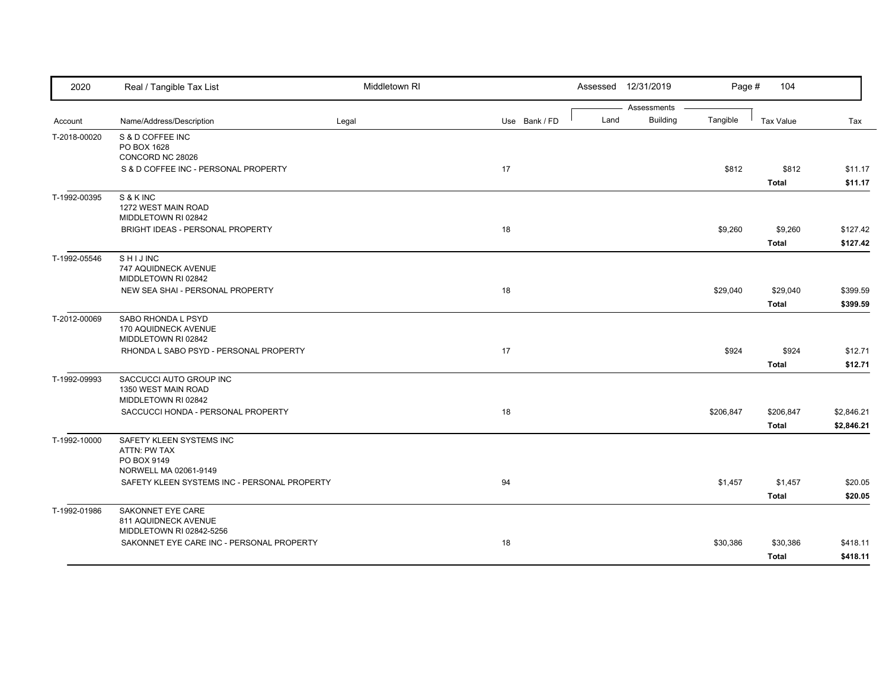| 2020         | Real / Tangible Tax List                                              | Middletown RI |               | Assessed 12/31/2019 | Page #                      | 104                       |                          |
|--------------|-----------------------------------------------------------------------|---------------|---------------|---------------------|-----------------------------|---------------------------|--------------------------|
| Account      | Name/Address/Description                                              | Legal         | Use Bank / FD | Assessments<br>Land | <b>Building</b><br>Tangible | <b>Tax Value</b>          | Tax                      |
| T-2018-00020 | S & D COFFEE INC<br>PO BOX 1628<br>CONCORD NC 28026                   |               |               |                     |                             |                           |                          |
|              | S & D COFFEE INC - PERSONAL PROPERTY                                  |               | 17            |                     | \$812                       | \$812<br><b>Total</b>     | \$11.17<br>\$11.17       |
| T-1992-00395 | S & K INC<br>1272 WEST MAIN ROAD<br>MIDDLETOWN RI 02842               |               |               |                     |                             |                           |                          |
|              | BRIGHT IDEAS - PERSONAL PROPERTY                                      |               | 18            |                     | \$9,260                     | \$9,260<br><b>Total</b>   | \$127.42<br>\$127.42     |
| T-1992-05546 | SHIJINC<br>747 AQUIDNECK AVENUE<br>MIDDLETOWN RI 02842                |               |               |                     |                             |                           |                          |
|              | NEW SEA SHAI - PERSONAL PROPERTY                                      |               | 18            |                     | \$29,040                    | \$29,040<br><b>Total</b>  | \$399.59<br>\$399.59     |
| T-2012-00069 | SABO RHONDA L PSYD<br>170 AQUIDNECK AVENUE<br>MIDDLETOWN RI 02842     |               |               |                     |                             |                           |                          |
|              | RHONDA L SABO PSYD - PERSONAL PROPERTY                                |               | 17            |                     | \$924                       | \$924<br>Total            | \$12.71<br>\$12.71       |
| T-1992-09993 | SACCUCCI AUTO GROUP INC<br>1350 WEST MAIN ROAD<br>MIDDLETOWN RI 02842 |               |               |                     |                             |                           |                          |
|              | SACCUCCI HONDA - PERSONAL PROPERTY                                    |               | 18            |                     | \$206,847                   | \$206,847<br><b>Total</b> | \$2,846.21<br>\$2,846.21 |
| T-1992-10000 | SAFETY KLEEN SYSTEMS INC<br>ATTN: PW TAX<br>PO BOX 9149               |               |               |                     |                             |                           |                          |
|              | NORWELL MA 02061-9149<br>SAFETY KLEEN SYSTEMS INC - PERSONAL PROPERTY |               | 94            |                     | \$1,457                     | \$1,457<br><b>Total</b>   | \$20.05<br>\$20.05       |
| T-1992-01986 | SAKONNET EYE CARE<br>811 AQUIDNECK AVENUE<br>MIDDLETOWN RI 02842-5256 |               |               |                     |                             |                           |                          |
|              | SAKONNET EYE CARE INC - PERSONAL PROPERTY                             |               | 18            |                     | \$30,386                    | \$30,386<br><b>Total</b>  | \$418.11<br>\$418.11     |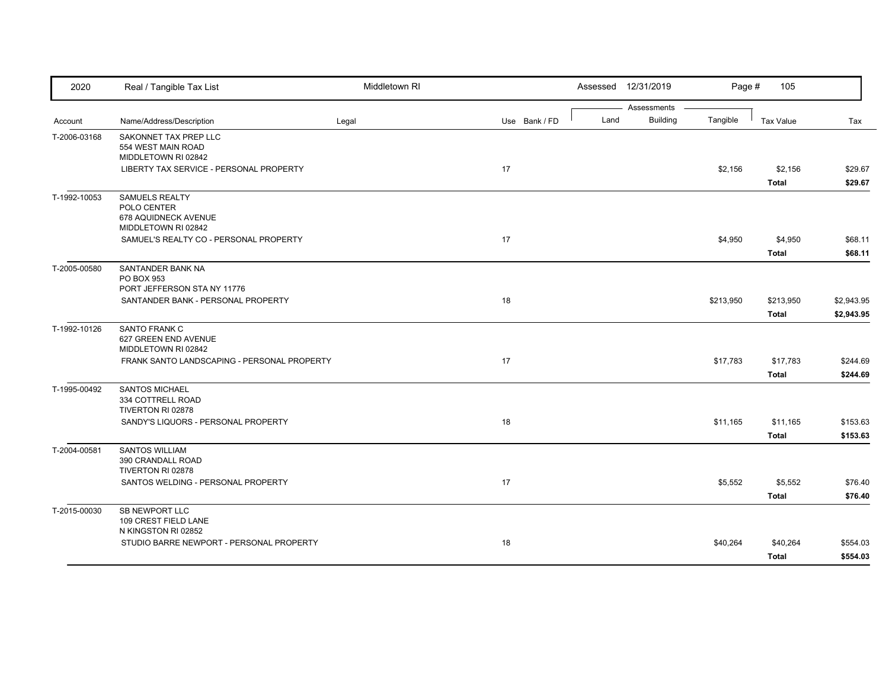| 2020         | Real / Tangible Tax List                                                     | Middletown RI |               |      | Assessed 12/31/2019            | Page #    | 105                      |                          |
|--------------|------------------------------------------------------------------------------|---------------|---------------|------|--------------------------------|-----------|--------------------------|--------------------------|
| Account      | Name/Address/Description                                                     | Legal         | Use Bank / FD | Land | Assessments<br><b>Building</b> | Tangible  | <b>Tax Value</b>         | Tax                      |
| T-2006-03168 | SAKONNET TAX PREP LLC<br>554 WEST MAIN ROAD<br>MIDDLETOWN RI 02842           |               |               |      |                                |           |                          |                          |
|              | LIBERTY TAX SERVICE - PERSONAL PROPERTY                                      |               | 17            |      |                                | \$2,156   | \$2,156<br>Total         | \$29.67<br>\$29.67       |
| T-1992-10053 | SAMUELS REALTY<br>POLO CENTER<br>678 AQUIDNECK AVENUE<br>MIDDLETOWN RI 02842 |               |               |      |                                |           |                          |                          |
|              | SAMUEL'S REALTY CO - PERSONAL PROPERTY                                       |               | 17            |      |                                | \$4,950   | \$4,950<br><b>Total</b>  | \$68.11<br>\$68.11       |
| T-2005-00580 | SANTANDER BANK NA<br>PO BOX 953<br>PORT JEFFERSON STA NY 11776               |               |               |      |                                |           |                          |                          |
|              | SANTANDER BANK - PERSONAL PROPERTY                                           |               | 18            |      |                                | \$213,950 | \$213,950<br>Total       | \$2,943.95<br>\$2,943.95 |
| T-1992-10126 | SANTO FRANK C<br>627 GREEN END AVENUE<br>MIDDLETOWN RI 02842                 |               |               |      |                                |           |                          |                          |
|              | FRANK SANTO LANDSCAPING - PERSONAL PROPERTY                                  |               | 17            |      |                                | \$17,783  | \$17,783<br><b>Total</b> | \$244.69<br>\$244.69     |
| T-1995-00492 | <b>SANTOS MICHAEL</b><br>334 COTTRELL ROAD<br>TIVERTON RI 02878              |               |               |      |                                |           |                          |                          |
|              | SANDY'S LIQUORS - PERSONAL PROPERTY                                          |               | 18            |      |                                | \$11,165  | \$11,165<br><b>Total</b> | \$153.63<br>\$153.63     |
| T-2004-00581 | <b>SANTOS WILLIAM</b><br>390 CRANDALL ROAD<br>TIVERTON RI 02878              |               |               |      |                                |           |                          |                          |
|              | SANTOS WELDING - PERSONAL PROPERTY                                           |               | 17            |      |                                | \$5,552   | \$5,552<br><b>Total</b>  | \$76.40<br>\$76.40       |
| T-2015-00030 | <b>SB NEWPORT LLC</b><br>109 CREST FIELD LANE<br>N KINGSTON RI 02852         |               |               |      |                                |           |                          |                          |
|              | STUDIO BARRE NEWPORT - PERSONAL PROPERTY                                     |               | 18            |      |                                | \$40,264  | \$40,264<br><b>Total</b> | \$554.03<br>\$554.03     |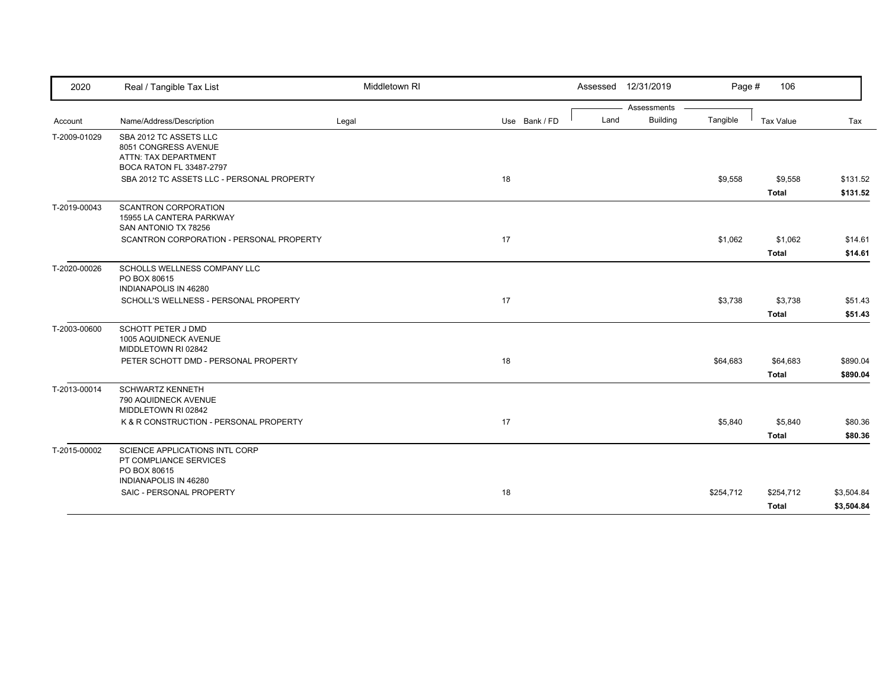| 2020         | Real / Tangible Tax List                                                                           | Middletown RI |               | Assessed 12/31/2019 |                 | Page #    | 106              |            |
|--------------|----------------------------------------------------------------------------------------------------|---------------|---------------|---------------------|-----------------|-----------|------------------|------------|
|              |                                                                                                    |               |               |                     | Assessments     |           |                  |            |
| Account      | Name/Address/Description                                                                           | Legal         | Use Bank / FD | Land                | <b>Building</b> | Tangible  | <b>Tax Value</b> | Tax        |
| T-2009-01029 | SBA 2012 TC ASSETS LLC<br>8051 CONGRESS AVENUE<br>ATTN: TAX DEPARTMENT<br>BOCA RATON FL 33487-2797 |               |               |                     |                 |           |                  |            |
|              | SBA 2012 TC ASSETS LLC - PERSONAL PROPERTY                                                         |               | 18            |                     |                 | \$9,558   | \$9,558          | \$131.52   |
|              |                                                                                                    |               |               |                     |                 |           | <b>Total</b>     | \$131.52   |
| T-2019-00043 | <b>SCANTRON CORPORATION</b><br>15955 LA CANTERA PARKWAY<br>SAN ANTONIO TX 78256                    |               |               |                     |                 |           |                  |            |
|              | SCANTRON CORPORATION - PERSONAL PROPERTY                                                           |               | 17            |                     |                 | \$1,062   | \$1,062          | \$14.61    |
|              |                                                                                                    |               |               |                     |                 |           | <b>Total</b>     | \$14.61    |
| T-2020-00026 | SCHOLLS WELLNESS COMPANY LLC<br>PO BOX 80615<br>INDIANAPOLIS IN 46280                              |               |               |                     |                 |           |                  |            |
|              | SCHOLL'S WELLNESS - PERSONAL PROPERTY                                                              |               | 17            |                     |                 | \$3,738   | \$3,738          | \$51.43    |
|              |                                                                                                    |               |               |                     |                 |           | <b>Total</b>     | \$51.43    |
| T-2003-00600 | SCHOTT PETER J DMD<br>1005 AQUIDNECK AVENUE<br>MIDDLETOWN RI 02842                                 |               |               |                     |                 |           |                  |            |
|              | PETER SCHOTT DMD - PERSONAL PROPERTY                                                               |               | 18            |                     |                 | \$64,683  | \$64,683         | \$890.04   |
|              |                                                                                                    |               |               |                     |                 |           | <b>Total</b>     | \$890.04   |
| T-2013-00014 | <b>SCHWARTZ KENNETH</b><br>790 AQUIDNECK AVENUE<br>MIDDLETOWN RI 02842                             |               |               |                     |                 |           |                  |            |
|              | K & R CONSTRUCTION - PERSONAL PROPERTY                                                             |               | 17            |                     |                 | \$5,840   | \$5,840          | \$80.36    |
|              |                                                                                                    |               |               |                     |                 |           | <b>Total</b>     | \$80.36    |
| T-2015-00002 | SCIENCE APPLICATIONS INTL CORP<br>PT COMPLIANCE SERVICES<br>PO BOX 80615<br>INDIANAPOLIS IN 46280  |               |               |                     |                 |           |                  |            |
|              |                                                                                                    |               | 18            |                     |                 | \$254,712 | \$254,712        | \$3,504.84 |
|              | SAIC - PERSONAL PROPERTY                                                                           |               |               |                     |                 |           |                  |            |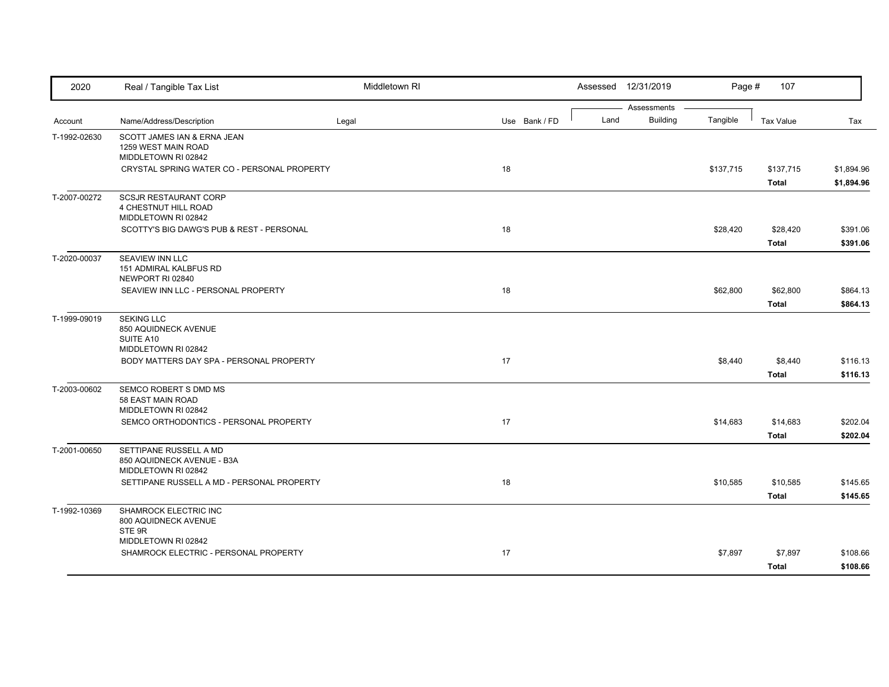| 2020         | Real / Tangible Tax List                                                    | Middletown RI |    |               |      | Assessed 12/31/2019 | Page #    | 107              |            |
|--------------|-----------------------------------------------------------------------------|---------------|----|---------------|------|---------------------|-----------|------------------|------------|
|              |                                                                             |               |    |               |      | Assessments         |           |                  |            |
| Account      | Name/Address/Description                                                    | Legal         |    | Use Bank / FD | Land | <b>Building</b>     | Tangible  | <b>Tax Value</b> | Tax        |
| T-1992-02630 | SCOTT JAMES IAN & ERNA JEAN<br>1259 WEST MAIN ROAD<br>MIDDLETOWN RI 02842   |               |    |               |      |                     |           |                  |            |
|              | CRYSTAL SPRING WATER CO - PERSONAL PROPERTY                                 |               | 18 |               |      |                     | \$137,715 | \$137,715        | \$1,894.96 |
|              |                                                                             |               |    |               |      |                     |           | <b>Total</b>     | \$1,894.96 |
| T-2007-00272 | <b>SCSJR RESTAURANT CORP</b><br>4 CHESTNUT HILL ROAD<br>MIDDLETOWN RI 02842 |               |    |               |      |                     |           |                  |            |
|              | SCOTTY'S BIG DAWG'S PUB & REST - PERSONAL                                   |               | 18 |               |      |                     | \$28,420  | \$28,420         | \$391.06   |
|              |                                                                             |               |    |               |      |                     |           | <b>Total</b>     | \$391.06   |
| T-2020-00037 | SEAVIEW INN LLC<br>151 ADMIRAL KALBFUS RD<br>NEWPORT RI 02840               |               |    |               |      |                     |           |                  |            |
|              | SEAVIEW INN LLC - PERSONAL PROPERTY                                         |               | 18 |               |      |                     | \$62,800  | \$62,800         | \$864.13   |
|              |                                                                             |               |    |               |      |                     |           | <b>Total</b>     | \$864.13   |
| T-1999-09019 | <b>SEKING LLC</b><br>850 AQUIDNECK AVENUE<br>SUITE A10                      |               |    |               |      |                     |           |                  |            |
|              | MIDDLETOWN RI 02842<br>BODY MATTERS DAY SPA - PERSONAL PROPERTY             |               | 17 |               |      |                     | \$8,440   | \$8,440          | \$116.13   |
|              |                                                                             |               |    |               |      |                     |           | <b>Total</b>     | \$116.13   |
| T-2003-00602 | SEMCO ROBERT S DMD MS<br>58 EAST MAIN ROAD<br>MIDDLETOWN RI 02842           |               |    |               |      |                     |           |                  |            |
|              | SEMCO ORTHODONTICS - PERSONAL PROPERTY                                      |               | 17 |               |      |                     | \$14,683  | \$14,683         | \$202.04   |
|              |                                                                             |               |    |               |      |                     |           | <b>Total</b>     | \$202.04   |
| T-2001-00650 | SETTIPANE RUSSELL A MD<br>850 AQUIDNECK AVENUE - B3A<br>MIDDLETOWN RI 02842 |               |    |               |      |                     |           |                  |            |
|              | SETTIPANE RUSSELL A MD - PERSONAL PROPERTY                                  |               | 18 |               |      |                     | \$10,585  | \$10,585         | \$145.65   |
|              |                                                                             |               |    |               |      |                     |           | <b>Total</b>     | \$145.65   |
| T-1992-10369 | <b>SHAMROCK ELECTRIC INC</b><br>800 AQUIDNECK AVENUE<br>STE 9R              |               |    |               |      |                     |           |                  |            |
|              | MIDDLETOWN RI 02842                                                         |               |    |               |      |                     |           |                  |            |
|              | SHAMROCK ELECTRIC - PERSONAL PROPERTY                                       |               | 17 |               |      |                     | \$7,897   | \$7,897          | \$108.66   |
|              |                                                                             |               |    |               |      |                     |           | <b>Total</b>     | \$108.66   |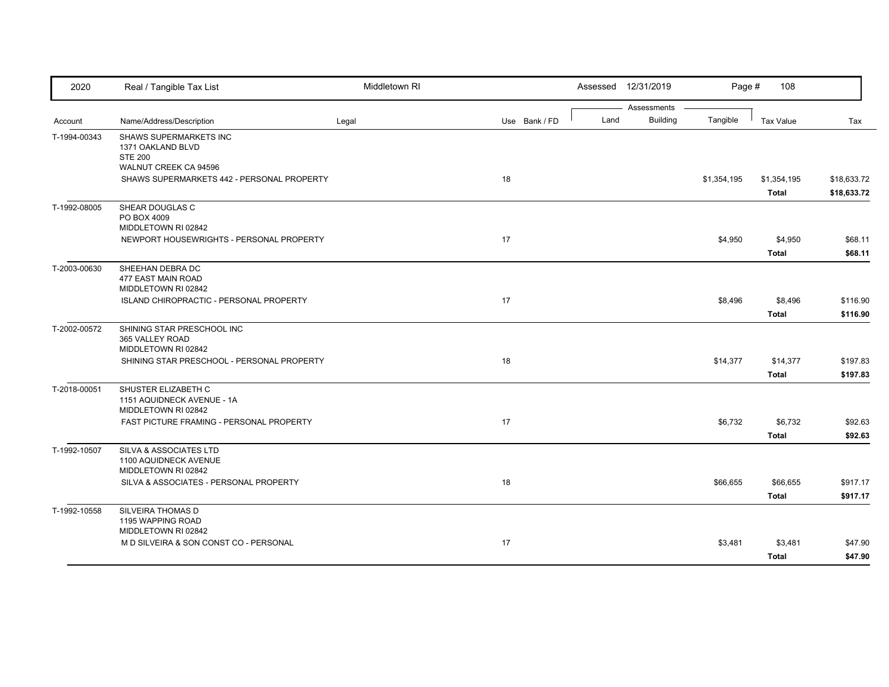| 2020         | Real / Tangible Tax List                          | Middletown RI |               |      | Assessed 12/31/2019 | Page #      | 108          |             |
|--------------|---------------------------------------------------|---------------|---------------|------|---------------------|-------------|--------------|-------------|
|              |                                                   |               |               |      | Assessments         |             |              |             |
| Account      | Name/Address/Description                          | Legal         | Use Bank / FD | Land | <b>Building</b>     | Tangible    | Tax Value    | Tax         |
| T-1994-00343 | SHAWS SUPERMARKETS INC                            |               |               |      |                     |             |              |             |
|              | 1371 OAKLAND BLVD<br><b>STE 200</b>               |               |               |      |                     |             |              |             |
|              | WALNUT CREEK CA 94596                             |               |               |      |                     |             |              |             |
|              | SHAWS SUPERMARKETS 442 - PERSONAL PROPERTY        |               | 18            |      |                     | \$1,354,195 | \$1,354,195  | \$18,633.72 |
|              |                                                   |               |               |      |                     |             | <b>Total</b> | \$18,633.72 |
| T-1992-08005 | SHEAR DOUGLAS C                                   |               |               |      |                     |             |              |             |
|              | PO BOX 4009                                       |               |               |      |                     |             |              |             |
|              | MIDDLETOWN RI 02842                               |               |               |      |                     |             |              |             |
|              | NEWPORT HOUSEWRIGHTS - PERSONAL PROPERTY          |               | 17            |      |                     | \$4,950     | \$4,950      | \$68.11     |
|              |                                                   |               |               |      |                     |             | Total        | \$68.11     |
| T-2003-00630 | SHEEHAN DEBRA DC<br>477 EAST MAIN ROAD            |               |               |      |                     |             |              |             |
|              | MIDDLETOWN RI 02842                               |               |               |      |                     |             |              |             |
|              | ISLAND CHIROPRACTIC - PERSONAL PROPERTY           |               | 17            |      |                     | \$8,496     | \$8,496      | \$116.90    |
|              |                                                   |               |               |      |                     |             | <b>Total</b> | \$116.90    |
| T-2002-00572 | SHINING STAR PRESCHOOL INC                        |               |               |      |                     |             |              |             |
|              | 365 VALLEY ROAD                                   |               |               |      |                     |             |              |             |
|              | MIDDLETOWN RI 02842                               |               |               |      |                     |             |              |             |
|              | SHINING STAR PRESCHOOL - PERSONAL PROPERTY        |               | 18            |      |                     | \$14,377    | \$14,377     | \$197.83    |
|              |                                                   |               |               |      |                     |             | <b>Total</b> | \$197.83    |
| T-2018-00051 | SHUSTER ELIZABETH C                               |               |               |      |                     |             |              |             |
|              | 1151 AQUIDNECK AVENUE - 1A<br>MIDDLETOWN RI 02842 |               |               |      |                     |             |              |             |
|              | FAST PICTURE FRAMING - PERSONAL PROPERTY          |               | 17            |      |                     | \$6,732     | \$6,732      | \$92.63     |
|              |                                                   |               |               |      |                     |             | <b>Total</b> | \$92.63     |
|              | SILVA & ASSOCIATES LTD                            |               |               |      |                     |             |              |             |
| T-1992-10507 | 1100 AQUIDNECK AVENUE                             |               |               |      |                     |             |              |             |
|              | MIDDLETOWN RI 02842                               |               |               |      |                     |             |              |             |
|              | SILVA & ASSOCIATES - PERSONAL PROPERTY            |               | 18            |      |                     | \$66,655    | \$66,655     | \$917.17    |
|              |                                                   |               |               |      |                     |             | <b>Total</b> | \$917.17    |
| T-1992-10558 | SILVEIRA THOMAS D                                 |               |               |      |                     |             |              |             |
|              | 1195 WAPPING ROAD                                 |               |               |      |                     |             |              |             |
|              | MIDDLETOWN RI 02842                               |               |               |      |                     |             |              |             |
|              | M D SILVEIRA & SON CONST CO - PERSONAL            |               | 17            |      |                     | \$3,481     | \$3,481      | \$47.90     |
|              |                                                   |               |               |      |                     |             | <b>Total</b> | \$47.90     |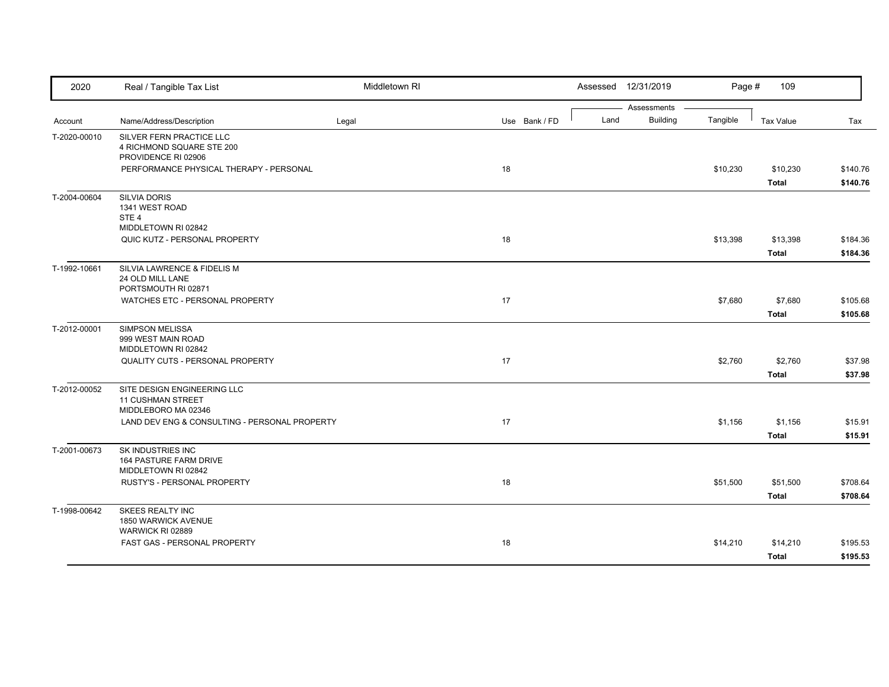| 2020         | Real / Tangible Tax List                                                     | Middletown RI |               |      | Assessed 12/31/2019            | Page #   | 109                      |                      |
|--------------|------------------------------------------------------------------------------|---------------|---------------|------|--------------------------------|----------|--------------------------|----------------------|
| Account      | Name/Address/Description                                                     | Legal         | Use Bank / FD | Land | Assessments<br><b>Building</b> | Tangible | <b>Tax Value</b>         | Tax                  |
| T-2020-00010 | SILVER FERN PRACTICE LLC<br>4 RICHMOND SQUARE STE 200<br>PROVIDENCE RI 02906 |               |               |      |                                |          |                          |                      |
|              | PERFORMANCE PHYSICAL THERAPY - PERSONAL                                      |               | 18            |      |                                | \$10,230 | \$10,230<br><b>Total</b> | \$140.76<br>\$140.76 |
| T-2004-00604 | <b>SILVIA DORIS</b><br>1341 WEST ROAD<br>STE <sub>4</sub>                    |               |               |      |                                |          |                          |                      |
|              | MIDDLETOWN RI 02842<br>QUIC KUTZ - PERSONAL PROPERTY                         |               | 18            |      |                                | \$13,398 | \$13,398<br><b>Total</b> | \$184.36<br>\$184.36 |
| T-1992-10661 | SILVIA LAWRENCE & FIDELIS M<br>24 OLD MILL LANE<br>PORTSMOUTH RI 02871       |               |               |      |                                |          |                          |                      |
|              | WATCHES ETC - PERSONAL PROPERTY                                              |               | 17            |      |                                | \$7,680  | \$7,680<br><b>Total</b>  | \$105.68<br>\$105.68 |
| T-2012-00001 | <b>SIMPSON MELISSA</b><br>999 WEST MAIN ROAD<br>MIDDLETOWN RI 02842          |               |               |      |                                |          |                          |                      |
|              | QUALITY CUTS - PERSONAL PROPERTY                                             |               | 17            |      |                                | \$2,760  | \$2,760<br><b>Total</b>  | \$37.98<br>\$37.98   |
| T-2012-00052 | SITE DESIGN ENGINEERING LLC<br>11 CUSHMAN STREET<br>MIDDLEBORO MA 02346      |               |               |      |                                |          |                          |                      |
|              | LAND DEV ENG & CONSULTING - PERSONAL PROPERTY                                |               | 17            |      |                                | \$1,156  | \$1,156<br><b>Total</b>  | \$15.91<br>\$15.91   |
| T-2001-00673 | SK INDUSTRIES INC<br>164 PASTURE FARM DRIVE<br>MIDDLETOWN RI 02842           |               |               |      |                                |          |                          |                      |
|              | RUSTY'S - PERSONAL PROPERTY                                                  |               | 18            |      |                                | \$51,500 | \$51,500<br><b>Total</b> | \$708.64<br>\$708.64 |
| T-1998-00642 | <b>SKEES REALTY INC</b><br>1850 WARWICK AVENUE<br>WARWICK RI 02889           |               |               |      |                                |          |                          |                      |
|              | FAST GAS - PERSONAL PROPERTY                                                 |               | 18            |      |                                | \$14,210 | \$14,210<br><b>Total</b> | \$195.53<br>\$195.53 |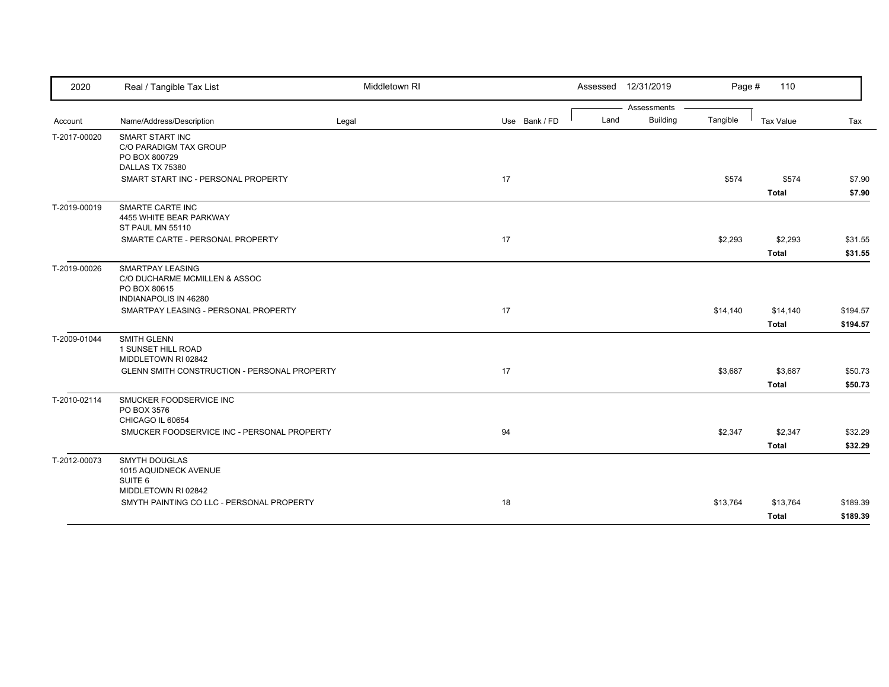| 2020         | Real / Tangible Tax List                                                                          | Middletown RI |               |      | Assessed 12/31/2019 | Page #   | 110          |          |
|--------------|---------------------------------------------------------------------------------------------------|---------------|---------------|------|---------------------|----------|--------------|----------|
|              |                                                                                                   |               |               |      | Assessments         |          |              |          |
| Account      | Name/Address/Description                                                                          | Legal         | Use Bank / FD | Land | <b>Building</b>     | Tangible | Tax Value    | Tax      |
| T-2017-00020 | SMART START INC<br>C/O PARADIGM TAX GROUP<br>PO BOX 800729                                        |               |               |      |                     |          |              |          |
|              | DALLAS TX 75380<br>SMART START INC - PERSONAL PROPERTY                                            |               | 17            |      |                     | \$574    | \$574        | \$7.90   |
|              |                                                                                                   |               |               |      |                     |          | <b>Total</b> | \$7.90   |
| T-2019-00019 | <b>SMARTE CARTE INC</b><br>4455 WHITE BEAR PARKWAY<br>ST PAUL MN 55110                            |               |               |      |                     |          |              |          |
|              | SMARTE CARTE - PERSONAL PROPERTY                                                                  |               | 17            |      |                     | \$2,293  | \$2,293      | \$31.55  |
|              |                                                                                                   |               |               |      |                     |          | <b>Total</b> | \$31.55  |
| T-2019-00026 | <b>SMARTPAY LEASING</b><br>C/O DUCHARME MCMILLEN & ASSOC<br>PO BOX 80615<br>INDIANAPOLIS IN 46280 |               |               |      |                     |          |              |          |
|              | SMARTPAY LEASING - PERSONAL PROPERTY                                                              |               | 17            |      |                     | \$14,140 | \$14,140     | \$194.57 |
|              |                                                                                                   |               |               |      |                     |          | <b>Total</b> | \$194.57 |
| T-2009-01044 | <b>SMITH GLENN</b><br>1 SUNSET HILL ROAD<br>MIDDLETOWN RI 02842                                   |               |               |      |                     |          |              |          |
|              | GLENN SMITH CONSTRUCTION - PERSONAL PROPERTY                                                      |               | 17            |      |                     | \$3,687  | \$3,687      | \$50.73  |
|              |                                                                                                   |               |               |      |                     |          | <b>Total</b> | \$50.73  |
| T-2010-02114 | SMUCKER FOODSERVICE INC<br>PO BOX 3576<br>CHICAGO IL 60654                                        |               |               |      |                     |          |              |          |
|              | SMUCKER FOODSERVICE INC - PERSONAL PROPERTY                                                       |               | 94            |      |                     | \$2,347  | \$2,347      | \$32.29  |
|              |                                                                                                   |               |               |      |                     |          | <b>Total</b> | \$32.29  |
| T-2012-00073 | <b>SMYTH DOUGLAS</b><br>1015 AQUIDNECK AVENUE<br>SUITE 6<br>MIDDLETOWN RI 02842                   |               |               |      |                     |          |              |          |
|              | SMYTH PAINTING CO LLC - PERSONAL PROPERTY                                                         |               | 18            |      |                     | \$13,764 | \$13,764     | \$189.39 |
|              |                                                                                                   |               |               |      |                     |          | <b>Total</b> | \$189.39 |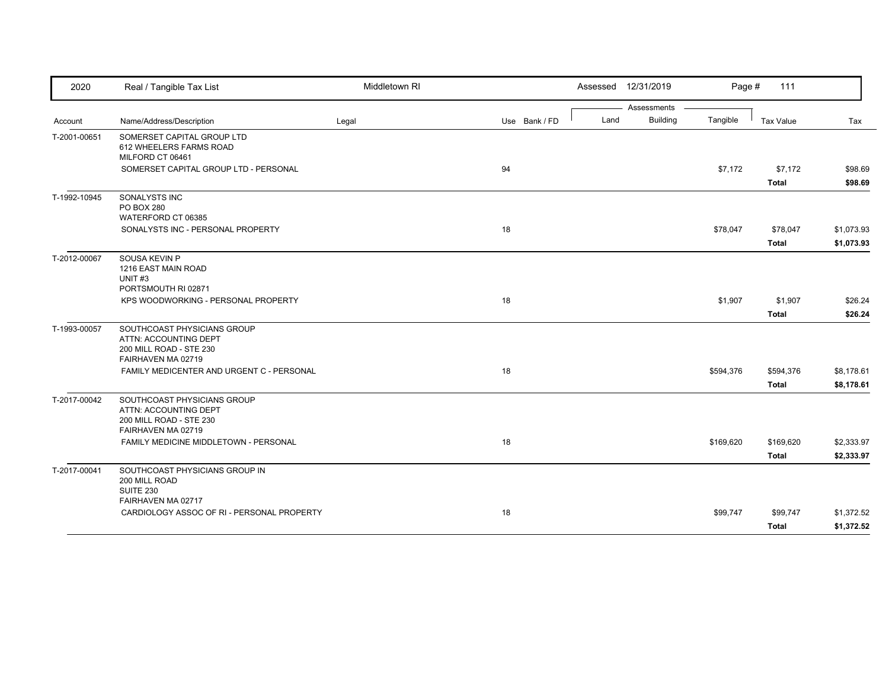| 2020         | Real / Tangible Tax List                                                                              | Middletown RI |               |      | Assessed 12/31/2019 | Page #    | 111              |            |
|--------------|-------------------------------------------------------------------------------------------------------|---------------|---------------|------|---------------------|-----------|------------------|------------|
|              |                                                                                                       |               |               |      | Assessments         |           |                  |            |
| Account      | Name/Address/Description                                                                              | Legal         | Use Bank / FD | Land | <b>Building</b>     | Tangible  | <b>Tax Value</b> | Tax        |
| T-2001-00651 | SOMERSET CAPITAL GROUP LTD<br>612 WHEELERS FARMS ROAD<br>MILFORD CT 06461                             |               |               |      |                     |           |                  |            |
|              | SOMERSET CAPITAL GROUP LTD - PERSONAL                                                                 |               | 94            |      |                     | \$7,172   | \$7,172          | \$98.69    |
|              |                                                                                                       |               |               |      |                     |           | <b>Total</b>     | \$98.69    |
| T-1992-10945 | SONALYSTS INC<br><b>PO BOX 280</b>                                                                    |               |               |      |                     |           |                  |            |
|              | WATERFORD CT 06385                                                                                    |               |               |      |                     |           |                  |            |
|              | SONALYSTS INC - PERSONAL PROPERTY                                                                     |               | 18            |      |                     | \$78,047  | \$78,047         | \$1,073.93 |
|              |                                                                                                       |               |               |      |                     |           | <b>Total</b>     | \$1,073.93 |
| T-2012-00067 | SOUSA KEVIN P<br>1216 EAST MAIN ROAD<br>UNIT <sub>#3</sub>                                            |               |               |      |                     |           |                  |            |
|              | PORTSMOUTH RI 02871                                                                                   |               |               |      |                     |           |                  |            |
|              | KPS WOODWORKING - PERSONAL PROPERTY                                                                   |               | 18            |      |                     | \$1,907   | \$1,907          | \$26.24    |
|              |                                                                                                       |               |               |      |                     |           | <b>Total</b>     | \$26.24    |
| T-1993-00057 | SOUTHCOAST PHYSICIANS GROUP<br>ATTN: ACCOUNTING DEPT<br>200 MILL ROAD - STE 230<br>FAIRHAVEN MA 02719 |               |               |      |                     |           |                  |            |
|              | FAMILY MEDICENTER AND URGENT C - PERSONAL                                                             |               | 18            |      |                     | \$594,376 | \$594,376        | \$8,178.61 |
|              |                                                                                                       |               |               |      |                     |           | <b>Total</b>     | \$8,178.61 |
| T-2017-00042 | SOUTHCOAST PHYSICIANS GROUP<br>ATTN: ACCOUNTING DEPT<br>200 MILL ROAD - STE 230<br>FAIRHAVEN MA 02719 |               |               |      |                     |           |                  |            |
|              | FAMILY MEDICINE MIDDLETOWN - PERSONAL                                                                 |               | 18            |      |                     | \$169,620 | \$169,620        | \$2,333.97 |
|              |                                                                                                       |               |               |      |                     |           | <b>Total</b>     | \$2,333.97 |
| T-2017-00041 | SOUTHCOAST PHYSICIANS GROUP IN<br>200 MILL ROAD<br><b>SUITE 230</b><br>FAIRHAVEN MA 02717             |               |               |      |                     |           |                  |            |
|              | CARDIOLOGY ASSOC OF RI - PERSONAL PROPERTY                                                            |               | 18            |      |                     | \$99,747  | \$99,747         | \$1,372.52 |
|              |                                                                                                       |               |               |      |                     |           |                  |            |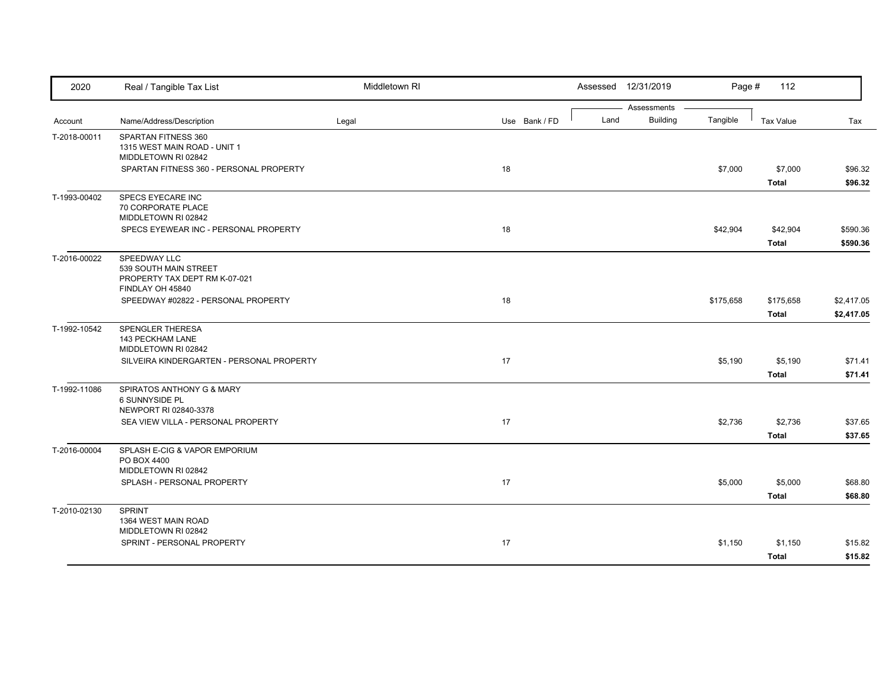| 2020         | Real / Tangible Tax List                                                                   | Middletown RI |               |      | Assessed 12/31/2019            | Page #    | 112                      |                          |
|--------------|--------------------------------------------------------------------------------------------|---------------|---------------|------|--------------------------------|-----------|--------------------------|--------------------------|
| Account      | Name/Address/Description                                                                   | Legal         | Use Bank / FD | Land | Assessments<br><b>Building</b> | Tangible  | <b>Tax Value</b>         | Tax                      |
| T-2018-00011 | SPARTAN FITNESS 360<br>1315 WEST MAIN ROAD - UNIT 1<br>MIDDLETOWN RI 02842                 |               |               |      |                                |           |                          |                          |
|              | SPARTAN FITNESS 360 - PERSONAL PROPERTY                                                    |               | 18            |      |                                | \$7,000   | \$7,000<br>Total         | \$96.32<br>\$96.32       |
| T-1993-00402 | SPECS EYECARE INC<br>70 CORPORATE PLACE<br>MIDDLETOWN RI 02842                             |               |               |      |                                |           |                          |                          |
|              | SPECS EYEWEAR INC - PERSONAL PROPERTY                                                      |               | 18            |      |                                | \$42,904  | \$42,904<br><b>Total</b> | \$590.36<br>\$590.36     |
| T-2016-00022 | SPEEDWAY LLC<br>539 SOUTH MAIN STREET<br>PROPERTY TAX DEPT RM K-07-021<br>FINDLAY OH 45840 |               |               |      |                                |           |                          |                          |
|              | SPEEDWAY #02822 - PERSONAL PROPERTY                                                        |               | 18            |      |                                | \$175,658 | \$175,658<br>Total       | \$2,417.05<br>\$2,417.05 |
| T-1992-10542 | SPENGLER THERESA<br>143 PECKHAM LANE<br>MIDDLETOWN RI 02842                                |               |               |      |                                |           |                          |                          |
|              | SILVEIRA KINDERGARTEN - PERSONAL PROPERTY                                                  |               | 17            |      |                                | \$5,190   | \$5,190<br><b>Total</b>  | \$71.41<br>\$71.41       |
| T-1992-11086 | SPIRATOS ANTHONY G & MARY<br><b>6 SUNNYSIDE PL</b><br>NEWPORT RI 02840-3378                |               |               |      |                                |           |                          |                          |
|              | SEA VIEW VILLA - PERSONAL PROPERTY                                                         |               | 17            |      |                                | \$2,736   | \$2,736<br><b>Total</b>  | \$37.65<br>\$37.65       |
| T-2016-00004 | SPLASH E-CIG & VAPOR EMPORIUM<br>PO BOX 4400<br>MIDDLETOWN RI 02842                        |               |               |      |                                |           |                          |                          |
|              | SPLASH - PERSONAL PROPERTY                                                                 |               | 17            |      |                                | \$5,000   | \$5,000<br>Total         | \$68.80<br>\$68.80       |
| T-2010-02130 | <b>SPRINT</b><br>1364 WEST MAIN ROAD<br>MIDDLETOWN RI 02842                                |               |               |      |                                |           |                          |                          |
|              | SPRINT - PERSONAL PROPERTY                                                                 |               | 17            |      |                                | \$1,150   | \$1,150<br><b>Total</b>  | \$15.82<br>\$15.82       |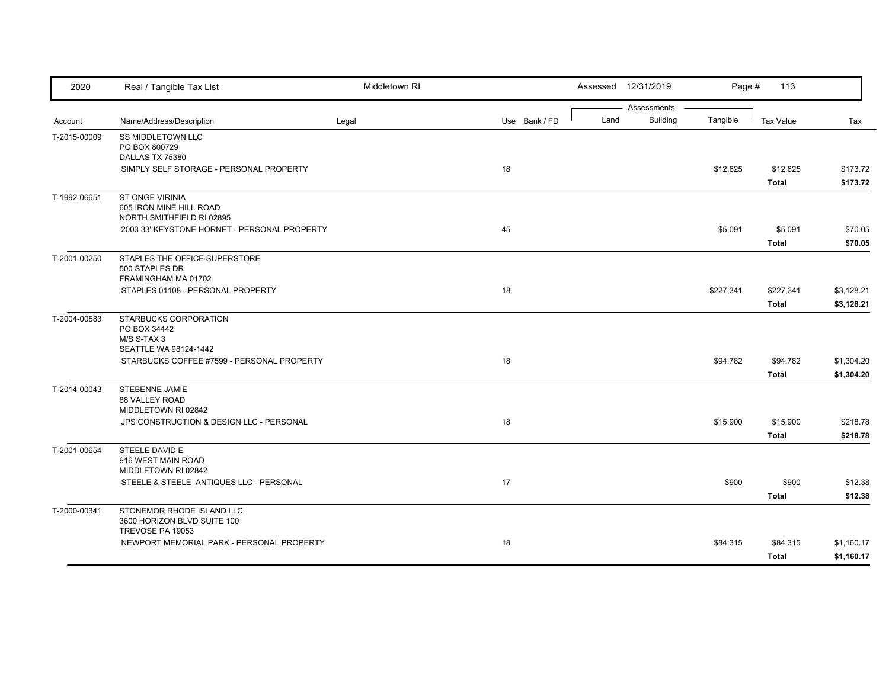| Assessments<br><b>Building</b><br>Land<br>Tangible<br>Name/Address/Description<br><b>Tax Value</b><br>Tax<br>Account<br>Legal<br>Use Bank / FD<br><b>SS MIDDLETOWN LLC</b><br>PO BOX 800729<br>DALLAS TX 75380<br>SIMPLY SELF STORAGE - PERSONAL PROPERTY<br>18<br>\$12,625<br>\$12,625<br>\$173.72<br><b>Total</b><br><b>ST ONGE VIRINIA</b><br>T-1992-06651<br>605 IRON MINE HILL ROAD<br>NORTH SMITHFIELD RI 02895<br>45<br>\$5,091<br>2003 33' KEYSTONE HORNET - PERSONAL PROPERTY<br>\$5,091<br><b>Total</b><br>STAPLES THE OFFICE SUPERSTORE<br>500 STAPLES DR<br>FRAMINGHAM MA 01702<br>18<br>STAPLES 01108 - PERSONAL PROPERTY<br>\$227,341<br>\$227,341<br><b>Total</b><br>T-2004-00583<br>STARBUCKS CORPORATION<br>PO BOX 34442<br>M/S S-TAX 3<br>SEATTLE WA 98124-1442<br>18<br>\$94,782<br>STARBUCKS COFFEE #7599 - PERSONAL PROPERTY<br>\$94,782<br><b>Total</b><br>STEBENNE JAMIE<br>88 VALLEY ROAD<br>MIDDLETOWN RI 02842<br>18<br>JPS CONSTRUCTION & DESIGN LLC - PERSONAL<br>\$15,900<br>\$15,900<br><b>Total</b><br>T-2001-00654<br>STEELE DAVID E<br>916 WEST MAIN ROAD<br>MIDDLETOWN RI 02842<br>17<br>STEELE & STEELE ANTIQUES LLC - PERSONAL<br>\$900<br>\$900<br><b>Total</b><br>STONEMOR RHODE ISLAND LLC<br>3600 HORIZON BLVD SUITE 100<br>TREVOSE PA 19053<br>NEWPORT MEMORIAL PARK - PERSONAL PROPERTY<br>18<br>\$84,315<br>\$84,315 | 2020         | Real / Tangible Tax List | Middletown RI |  | Assessed 12/31/2019 | Page # | 113          |            |
|-----------------------------------------------------------------------------------------------------------------------------------------------------------------------------------------------------------------------------------------------------------------------------------------------------------------------------------------------------------------------------------------------------------------------------------------------------------------------------------------------------------------------------------------------------------------------------------------------------------------------------------------------------------------------------------------------------------------------------------------------------------------------------------------------------------------------------------------------------------------------------------------------------------------------------------------------------------------------------------------------------------------------------------------------------------------------------------------------------------------------------------------------------------------------------------------------------------------------------------------------------------------------------------------------------------------------------------------------------------------|--------------|--------------------------|---------------|--|---------------------|--------|--------------|------------|
|                                                                                                                                                                                                                                                                                                                                                                                                                                                                                                                                                                                                                                                                                                                                                                                                                                                                                                                                                                                                                                                                                                                                                                                                                                                                                                                                                                 |              |                          |               |  |                     |        |              |            |
|                                                                                                                                                                                                                                                                                                                                                                                                                                                                                                                                                                                                                                                                                                                                                                                                                                                                                                                                                                                                                                                                                                                                                                                                                                                                                                                                                                 | T-2015-00009 |                          |               |  |                     |        |              |            |
|                                                                                                                                                                                                                                                                                                                                                                                                                                                                                                                                                                                                                                                                                                                                                                                                                                                                                                                                                                                                                                                                                                                                                                                                                                                                                                                                                                 |              |                          |               |  |                     |        |              |            |
| \$173.72                                                                                                                                                                                                                                                                                                                                                                                                                                                                                                                                                                                                                                                                                                                                                                                                                                                                                                                                                                                                                                                                                                                                                                                                                                                                                                                                                        |              |                          |               |  |                     |        |              |            |
|                                                                                                                                                                                                                                                                                                                                                                                                                                                                                                                                                                                                                                                                                                                                                                                                                                                                                                                                                                                                                                                                                                                                                                                                                                                                                                                                                                 |              |                          |               |  |                     |        |              |            |
| \$70.05<br>\$70.05<br>\$3,128.21<br>\$3,128.21<br>\$1,304.20<br>\$1,304.20<br>\$218.78<br>\$218.78<br>\$12.38<br>\$12.38<br>\$1,160.17                                                                                                                                                                                                                                                                                                                                                                                                                                                                                                                                                                                                                                                                                                                                                                                                                                                                                                                                                                                                                                                                                                                                                                                                                          |              |                          |               |  |                     |        |              |            |
|                                                                                                                                                                                                                                                                                                                                                                                                                                                                                                                                                                                                                                                                                                                                                                                                                                                                                                                                                                                                                                                                                                                                                                                                                                                                                                                                                                 |              |                          |               |  |                     |        |              |            |
|                                                                                                                                                                                                                                                                                                                                                                                                                                                                                                                                                                                                                                                                                                                                                                                                                                                                                                                                                                                                                                                                                                                                                                                                                                                                                                                                                                 |              |                          |               |  |                     |        |              |            |
|                                                                                                                                                                                                                                                                                                                                                                                                                                                                                                                                                                                                                                                                                                                                                                                                                                                                                                                                                                                                                                                                                                                                                                                                                                                                                                                                                                 |              |                          |               |  |                     |        |              |            |
|                                                                                                                                                                                                                                                                                                                                                                                                                                                                                                                                                                                                                                                                                                                                                                                                                                                                                                                                                                                                                                                                                                                                                                                                                                                                                                                                                                 |              |                          |               |  |                     |        |              |            |
|                                                                                                                                                                                                                                                                                                                                                                                                                                                                                                                                                                                                                                                                                                                                                                                                                                                                                                                                                                                                                                                                                                                                                                                                                                                                                                                                                                 | T-2001-00250 |                          |               |  |                     |        |              |            |
|                                                                                                                                                                                                                                                                                                                                                                                                                                                                                                                                                                                                                                                                                                                                                                                                                                                                                                                                                                                                                                                                                                                                                                                                                                                                                                                                                                 |              |                          |               |  |                     |        |              |            |
|                                                                                                                                                                                                                                                                                                                                                                                                                                                                                                                                                                                                                                                                                                                                                                                                                                                                                                                                                                                                                                                                                                                                                                                                                                                                                                                                                                 |              |                          |               |  |                     |        |              |            |
|                                                                                                                                                                                                                                                                                                                                                                                                                                                                                                                                                                                                                                                                                                                                                                                                                                                                                                                                                                                                                                                                                                                                                                                                                                                                                                                                                                 |              |                          |               |  |                     |        |              |            |
|                                                                                                                                                                                                                                                                                                                                                                                                                                                                                                                                                                                                                                                                                                                                                                                                                                                                                                                                                                                                                                                                                                                                                                                                                                                                                                                                                                 |              |                          |               |  |                     |        |              |            |
|                                                                                                                                                                                                                                                                                                                                                                                                                                                                                                                                                                                                                                                                                                                                                                                                                                                                                                                                                                                                                                                                                                                                                                                                                                                                                                                                                                 |              |                          |               |  |                     |        |              |            |
|                                                                                                                                                                                                                                                                                                                                                                                                                                                                                                                                                                                                                                                                                                                                                                                                                                                                                                                                                                                                                                                                                                                                                                                                                                                                                                                                                                 |              |                          |               |  |                     |        |              |            |
|                                                                                                                                                                                                                                                                                                                                                                                                                                                                                                                                                                                                                                                                                                                                                                                                                                                                                                                                                                                                                                                                                                                                                                                                                                                                                                                                                                 |              |                          |               |  |                     |        |              |            |
|                                                                                                                                                                                                                                                                                                                                                                                                                                                                                                                                                                                                                                                                                                                                                                                                                                                                                                                                                                                                                                                                                                                                                                                                                                                                                                                                                                 |              |                          |               |  |                     |        |              |            |
|                                                                                                                                                                                                                                                                                                                                                                                                                                                                                                                                                                                                                                                                                                                                                                                                                                                                                                                                                                                                                                                                                                                                                                                                                                                                                                                                                                 |              |                          |               |  |                     |        |              |            |
|                                                                                                                                                                                                                                                                                                                                                                                                                                                                                                                                                                                                                                                                                                                                                                                                                                                                                                                                                                                                                                                                                                                                                                                                                                                                                                                                                                 | T-2014-00043 |                          |               |  |                     |        |              |            |
|                                                                                                                                                                                                                                                                                                                                                                                                                                                                                                                                                                                                                                                                                                                                                                                                                                                                                                                                                                                                                                                                                                                                                                                                                                                                                                                                                                 |              |                          |               |  |                     |        |              |            |
|                                                                                                                                                                                                                                                                                                                                                                                                                                                                                                                                                                                                                                                                                                                                                                                                                                                                                                                                                                                                                                                                                                                                                                                                                                                                                                                                                                 |              |                          |               |  |                     |        |              |            |
|                                                                                                                                                                                                                                                                                                                                                                                                                                                                                                                                                                                                                                                                                                                                                                                                                                                                                                                                                                                                                                                                                                                                                                                                                                                                                                                                                                 |              |                          |               |  |                     |        |              |            |
|                                                                                                                                                                                                                                                                                                                                                                                                                                                                                                                                                                                                                                                                                                                                                                                                                                                                                                                                                                                                                                                                                                                                                                                                                                                                                                                                                                 |              |                          |               |  |                     |        |              |            |
|                                                                                                                                                                                                                                                                                                                                                                                                                                                                                                                                                                                                                                                                                                                                                                                                                                                                                                                                                                                                                                                                                                                                                                                                                                                                                                                                                                 |              |                          |               |  |                     |        |              |            |
|                                                                                                                                                                                                                                                                                                                                                                                                                                                                                                                                                                                                                                                                                                                                                                                                                                                                                                                                                                                                                                                                                                                                                                                                                                                                                                                                                                 |              |                          |               |  |                     |        |              |            |
|                                                                                                                                                                                                                                                                                                                                                                                                                                                                                                                                                                                                                                                                                                                                                                                                                                                                                                                                                                                                                                                                                                                                                                                                                                                                                                                                                                 |              |                          |               |  |                     |        |              |            |
|                                                                                                                                                                                                                                                                                                                                                                                                                                                                                                                                                                                                                                                                                                                                                                                                                                                                                                                                                                                                                                                                                                                                                                                                                                                                                                                                                                 |              |                          |               |  |                     |        |              |            |
|                                                                                                                                                                                                                                                                                                                                                                                                                                                                                                                                                                                                                                                                                                                                                                                                                                                                                                                                                                                                                                                                                                                                                                                                                                                                                                                                                                 | T-2000-00341 |                          |               |  |                     |        |              |            |
|                                                                                                                                                                                                                                                                                                                                                                                                                                                                                                                                                                                                                                                                                                                                                                                                                                                                                                                                                                                                                                                                                                                                                                                                                                                                                                                                                                 |              |                          |               |  |                     |        |              |            |
|                                                                                                                                                                                                                                                                                                                                                                                                                                                                                                                                                                                                                                                                                                                                                                                                                                                                                                                                                                                                                                                                                                                                                                                                                                                                                                                                                                 |              |                          |               |  |                     |        |              |            |
|                                                                                                                                                                                                                                                                                                                                                                                                                                                                                                                                                                                                                                                                                                                                                                                                                                                                                                                                                                                                                                                                                                                                                                                                                                                                                                                                                                 |              |                          |               |  |                     |        | <b>Total</b> | \$1,160.17 |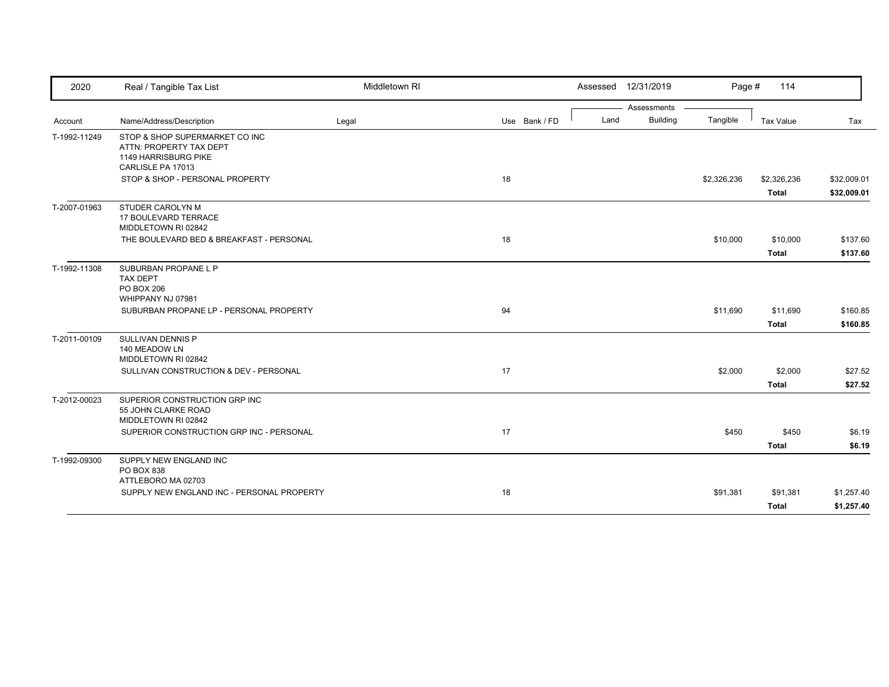| 2020         | Real / Tangible Tax List                                                                               | Middletown RI |               |      | Assessed 12/31/2019 | Page #      | 114                         |                            |
|--------------|--------------------------------------------------------------------------------------------------------|---------------|---------------|------|---------------------|-------------|-----------------------------|----------------------------|
|              |                                                                                                        |               |               |      | Assessments         |             |                             |                            |
| Account      | Name/Address/Description                                                                               | Legal         | Use Bank / FD | Land | <b>Building</b>     | Tangible    | Tax Value                   | Tax                        |
| T-1992-11249 | STOP & SHOP SUPERMARKET CO INC<br>ATTN: PROPERTY TAX DEPT<br>1149 HARRISBURG PIKE<br>CARLISLE PA 17013 |               |               |      |                     |             |                             |                            |
|              | STOP & SHOP - PERSONAL PROPERTY                                                                        |               | 18            |      |                     | \$2,326,236 | \$2,326,236<br><b>Total</b> | \$32,009.01<br>\$32,009.01 |
| T-2007-01963 | <b>STUDER CAROLYN M</b><br><b>17 BOULEVARD TERRACE</b><br>MIDDLETOWN RI 02842                          |               |               |      |                     |             |                             |                            |
|              | THE BOULEVARD BED & BREAKFAST - PERSONAL                                                               |               | 18            |      |                     | \$10,000    | \$10,000<br><b>Total</b>    | \$137.60<br>\$137.60       |
| T-1992-11308 | SUBURBAN PROPANE L P<br><b>TAX DEPT</b><br>PO BOX 206<br>WHIPPANY NJ 07981                             |               |               |      |                     |             |                             |                            |
|              | SUBURBAN PROPANE LP - PERSONAL PROPERTY                                                                |               | 94            |      |                     | \$11,690    | \$11,690<br><b>Total</b>    | \$160.85<br>\$160.85       |
| T-2011-00109 | SULLIVAN DENNIS P<br>140 MEADOW LN<br>MIDDLETOWN RI 02842                                              |               |               |      |                     |             |                             |                            |
|              | SULLIVAN CONSTRUCTION & DEV - PERSONAL                                                                 |               | 17            |      |                     | \$2,000     | \$2,000<br><b>Total</b>     | \$27.52<br>\$27.52         |
| T-2012-00023 | SUPERIOR CONSTRUCTION GRP INC<br>55 JOHN CLARKE ROAD<br>MIDDLETOWN RI 02842                            |               |               |      |                     |             |                             |                            |
|              | SUPERIOR CONSTRUCTION GRP INC - PERSONAL                                                               |               | 17            |      |                     | \$450       | \$450<br><b>Total</b>       | \$6.19<br>\$6.19           |
| T-1992-09300 | SUPPLY NEW ENGLAND INC<br>PO BOX 838<br>ATTLEBORO MA 02703                                             |               |               |      |                     |             |                             |                            |
|              | SUPPLY NEW ENGLAND INC - PERSONAL PROPERTY                                                             |               | 18            |      |                     | \$91,381    | \$91,381<br><b>Total</b>    | \$1,257.40<br>\$1,257.40   |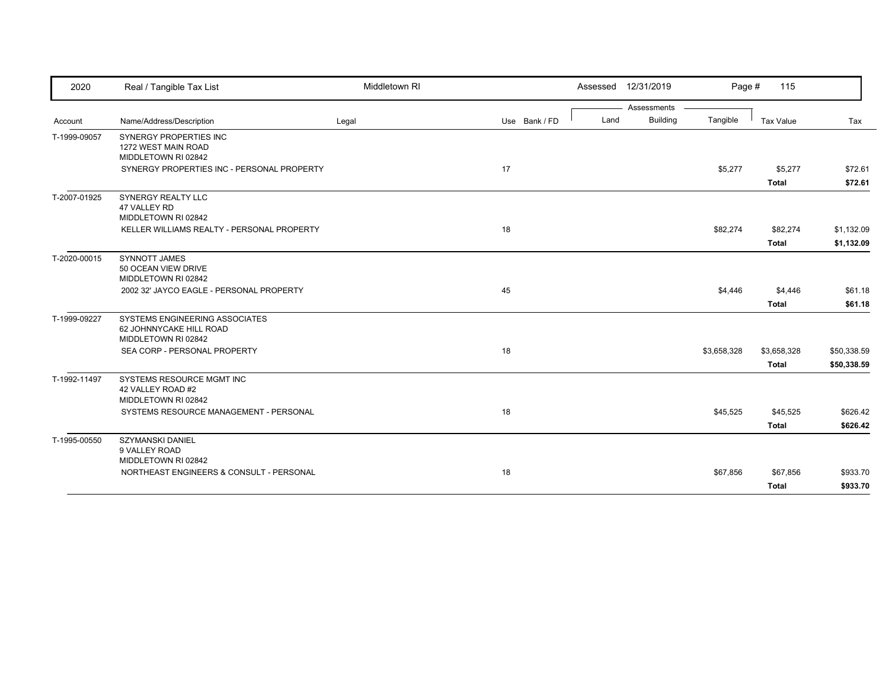| 2020         | Real / Tangible Tax List                                                         | Middletown RI |               |      | Assessed 12/31/2019 | Page #      | 115          |             |
|--------------|----------------------------------------------------------------------------------|---------------|---------------|------|---------------------|-------------|--------------|-------------|
|              |                                                                                  |               |               |      | Assessments         |             |              |             |
| Account      | Name/Address/Description                                                         | Legal         | Use Bank / FD | Land | <b>Building</b>     | Tangible    | Tax Value    | Tax         |
| T-1999-09057 | SYNERGY PROPERTIES INC<br>1272 WEST MAIN ROAD<br>MIDDLETOWN RI 02842             |               |               |      |                     |             |              |             |
|              | SYNERGY PROPERTIES INC - PERSONAL PROPERTY                                       |               | 17            |      |                     | \$5,277     | \$5,277      | \$72.61     |
|              |                                                                                  |               |               |      |                     |             | <b>Total</b> | \$72.61     |
| T-2007-01925 | <b>SYNERGY REALTY LLC</b><br>47 VALLEY RD<br>MIDDLETOWN RI 02842                 |               |               |      |                     |             |              |             |
|              | KELLER WILLIAMS REALTY - PERSONAL PROPERTY                                       |               | 18            |      |                     | \$82,274    | \$82,274     | \$1,132.09  |
|              |                                                                                  |               |               |      |                     |             | <b>Total</b> | \$1,132.09  |
| T-2020-00015 | <b>SYNNOTT JAMES</b><br>50 OCEAN VIEW DRIVE<br>MIDDLETOWN RI 02842               |               |               |      |                     |             |              |             |
|              | 2002 32' JAYCO EAGLE - PERSONAL PROPERTY                                         |               | 45            |      |                     | \$4,446     | \$4,446      | \$61.18     |
|              |                                                                                  |               |               |      |                     |             | <b>Total</b> | \$61.18     |
| T-1999-09227 | SYSTEMS ENGINEERING ASSOCIATES<br>62 JOHNNYCAKE HILL ROAD<br>MIDDLETOWN RI 02842 |               |               |      |                     |             |              |             |
|              | SEA CORP - PERSONAL PROPERTY                                                     |               | 18            |      |                     | \$3,658,328 | \$3,658,328  | \$50,338.59 |
|              |                                                                                  |               |               |      |                     |             | <b>Total</b> | \$50,338.59 |
| T-1992-11497 | <b>SYSTEMS RESOURCE MGMT INC</b><br>42 VALLEY ROAD #2<br>MIDDLETOWN RI 02842     |               |               |      |                     |             |              |             |
|              | SYSTEMS RESOURCE MANAGEMENT - PERSONAL                                           |               | 18            |      |                     | \$45,525    | \$45,525     | \$626.42    |
|              |                                                                                  |               |               |      |                     |             | <b>Total</b> | \$626.42    |
| T-1995-00550 | <b>SZYMANSKI DANIEL</b><br>9 VALLEY ROAD                                         |               |               |      |                     |             |              |             |
|              | MIDDLETOWN RI 02842<br>NORTHEAST ENGINEERS & CONSULT - PERSONAL                  |               | 18            |      |                     |             |              |             |
|              |                                                                                  |               |               |      |                     | \$67,856    | \$67,856     | \$933.70    |
|              |                                                                                  |               |               |      |                     |             | <b>Total</b> | \$933.70    |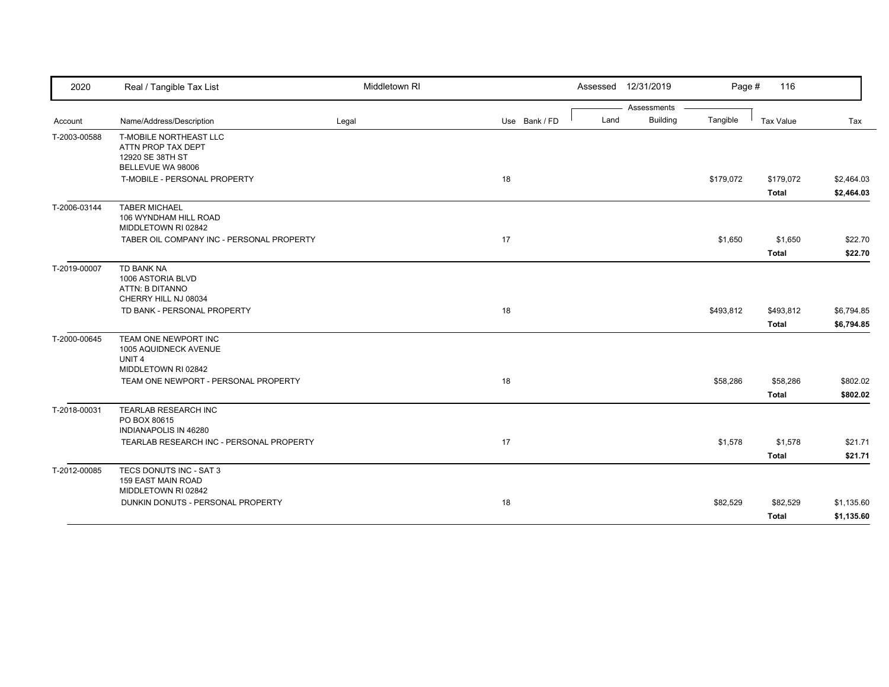| 2020         | Real / Tangible Tax List                                                                  | Middletown RI |               | Assessed 12/31/2019     | Page #    | 116              |            |
|--------------|-------------------------------------------------------------------------------------------|---------------|---------------|-------------------------|-----------|------------------|------------|
|              |                                                                                           |               |               | Assessments             |           |                  |            |
| Account      | Name/Address/Description                                                                  | Legal         | Use Bank / FD | <b>Building</b><br>Land | Tangible  | <b>Tax Value</b> | Tax        |
| T-2003-00588 | T-MOBILE NORTHEAST LLC<br>ATTN PROP TAX DEPT<br>12920 SE 38TH ST<br>BELLEVUE WA 98006     |               |               |                         |           |                  |            |
|              | T-MOBILE - PERSONAL PROPERTY                                                              |               | 18            |                         | \$179,072 | \$179,072        | \$2,464.03 |
|              |                                                                                           |               |               |                         |           | <b>Total</b>     | \$2,464.03 |
| T-2006-03144 | <b>TABER MICHAEL</b><br>106 WYNDHAM HILL ROAD<br>MIDDLETOWN RI 02842                      |               |               |                         |           |                  |            |
|              | TABER OIL COMPANY INC - PERSONAL PROPERTY                                                 |               | 17            |                         | \$1,650   | \$1,650          | \$22.70    |
|              |                                                                                           |               |               |                         |           | <b>Total</b>     | \$22.70    |
| T-2019-00007 | TD BANK NA<br>1006 ASTORIA BLVD<br>ATTN: B DITANNO<br>CHERRY HILL NJ 08034                |               |               |                         |           |                  |            |
|              | TD BANK - PERSONAL PROPERTY                                                               |               | 18            |                         | \$493,812 | \$493,812        | \$6,794.85 |
|              |                                                                                           |               |               |                         |           | <b>Total</b>     | \$6,794.85 |
| T-2000-00645 | TEAM ONE NEWPORT INC<br>1005 AQUIDNECK AVENUE<br>UNIT <sub>4</sub><br>MIDDLETOWN RI 02842 |               |               |                         |           |                  |            |
|              | TEAM ONE NEWPORT - PERSONAL PROPERTY                                                      |               | 18            |                         | \$58,286  | \$58,286         | \$802.02   |
|              |                                                                                           |               |               |                         |           | <b>Total</b>     | \$802.02   |
| T-2018-00031 | TEARLAB RESEARCH INC<br>PO BOX 80615<br>INDIANAPOLIS IN 46280                             |               |               |                         |           |                  |            |
|              | TEARLAB RESEARCH INC - PERSONAL PROPERTY                                                  |               | 17            |                         | \$1,578   | \$1,578          | \$21.71    |
|              |                                                                                           |               |               |                         |           | <b>Total</b>     | \$21.71    |
| T-2012-00085 | TECS DONUTS INC - SAT 3<br><b>159 EAST MAIN ROAD</b><br>MIDDLETOWN RI 02842               |               |               |                         |           |                  |            |
|              | DUNKIN DONUTS - PERSONAL PROPERTY                                                         |               | 18            |                         | \$82,529  | \$82,529         | \$1,135.60 |
|              |                                                                                           |               |               |                         |           | <b>Total</b>     | \$1,135.60 |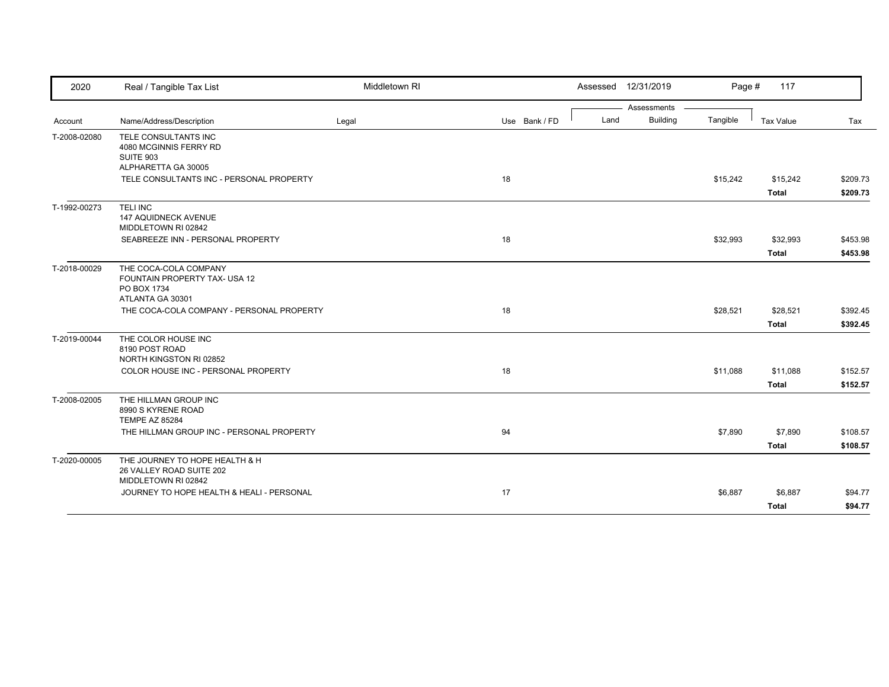| 2020         | Real / Tangible Tax List                                                                  | Middletown RI |               |      | Assessed 12/31/2019            | Page #   | 117              |          |
|--------------|-------------------------------------------------------------------------------------------|---------------|---------------|------|--------------------------------|----------|------------------|----------|
|              | Name/Address/Description                                                                  |               | Use Bank / FD | Land | Assessments<br><b>Building</b> | Tangible | <b>Tax Value</b> | Tax      |
| Account      |                                                                                           | Legal         |               |      |                                |          |                  |          |
| T-2008-02080 | TELE CONSULTANTS INC<br>4080 MCGINNIS FERRY RD<br><b>SUITE 903</b>                        |               |               |      |                                |          |                  |          |
|              | ALPHARETTA GA 30005                                                                       |               |               |      |                                |          |                  |          |
|              | TELE CONSULTANTS INC - PERSONAL PROPERTY                                                  |               | 18            |      |                                | \$15,242 | \$15,242         | \$209.73 |
|              |                                                                                           |               |               |      |                                |          | <b>Total</b>     | \$209.73 |
| T-1992-00273 | <b>TELINC</b><br>147 AQUIDNECK AVENUE<br>MIDDLETOWN RI 02842                              |               |               |      |                                |          |                  |          |
|              | SEABREEZE INN - PERSONAL PROPERTY                                                         |               | 18            |      |                                | \$32,993 | \$32,993         | \$453.98 |
|              |                                                                                           |               |               |      |                                |          | <b>Total</b>     | \$453.98 |
| T-2018-00029 | THE COCA-COLA COMPANY<br>FOUNTAIN PROPERTY TAX- USA 12<br>PO BOX 1734<br>ATLANTA GA 30301 |               |               |      |                                |          |                  |          |
|              | THE COCA-COLA COMPANY - PERSONAL PROPERTY                                                 |               | 18            |      |                                | \$28,521 | \$28,521         | \$392.45 |
|              |                                                                                           |               |               |      |                                |          | <b>Total</b>     | \$392.45 |
| T-2019-00044 | THE COLOR HOUSE INC<br>8190 POST ROAD<br>NORTH KINGSTON RI 02852                          |               |               |      |                                |          |                  |          |
|              | COLOR HOUSE INC - PERSONAL PROPERTY                                                       |               | 18            |      |                                | \$11,088 | \$11,088         | \$152.57 |
|              |                                                                                           |               |               |      |                                |          | <b>Total</b>     | \$152.57 |
| T-2008-02005 | THE HILLMAN GROUP INC<br>8990 S KYRENE ROAD<br><b>TEMPE AZ 85284</b>                      |               |               |      |                                |          |                  |          |
|              | THE HILLMAN GROUP INC - PERSONAL PROPERTY                                                 |               | 94            |      |                                | \$7,890  | \$7,890          | \$108.57 |
|              |                                                                                           |               |               |      |                                |          | <b>Total</b>     | \$108.57 |
| T-2020-00005 | THE JOURNEY TO HOPE HEALTH & H<br>26 VALLEY ROAD SUITE 202<br>MIDDLETOWN RI 02842         |               |               |      |                                |          |                  |          |
|              | JOURNEY TO HOPE HEALTH & HEALI - PERSONAL                                                 |               | 17            |      |                                | \$6,887  | \$6,887          | \$94.77  |
|              |                                                                                           |               |               |      |                                |          | <b>Total</b>     | \$94.77  |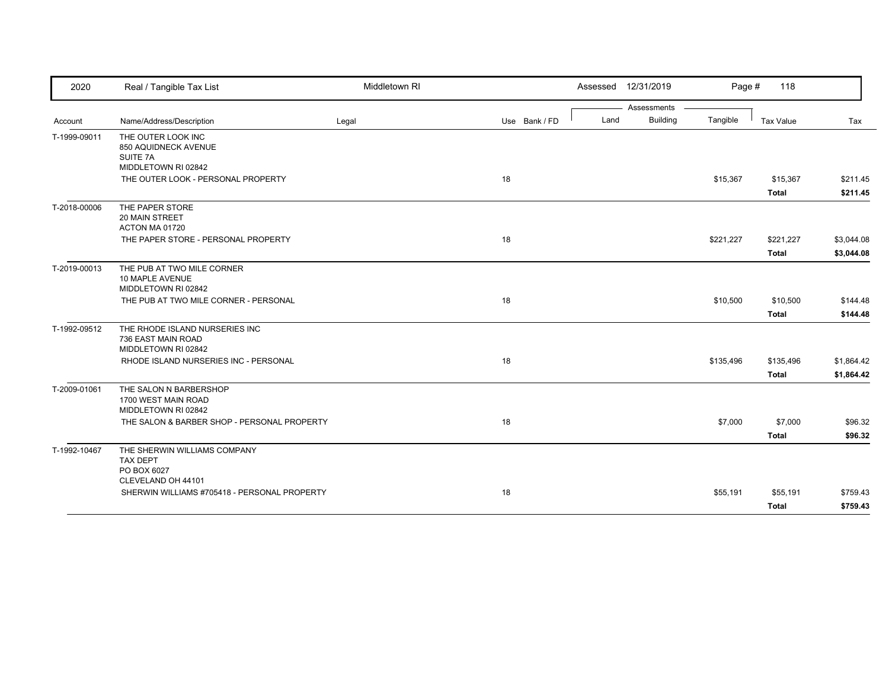| 2020         | Real / Tangible Tax List                                                    | Middletown RI |               | Assessed 12/31/2019 |                 | Page #    | 118              |            |
|--------------|-----------------------------------------------------------------------------|---------------|---------------|---------------------|-----------------|-----------|------------------|------------|
|              |                                                                             |               |               |                     | Assessments     |           |                  |            |
| Account      | Name/Address/Description                                                    | Legal         | Use Bank / FD | Land                | <b>Building</b> | Tangible  | <b>Tax Value</b> | Tax        |
| T-1999-09011 | THE OUTER LOOK INC<br>850 AQUIDNECK AVENUE<br>SUITE 7A                      |               |               |                     |                 |           |                  |            |
|              | MIDDLETOWN RI 02842<br>THE OUTER LOOK - PERSONAL PROPERTY                   |               | 18            |                     |                 | \$15,367  | \$15,367         | \$211.45   |
|              |                                                                             |               |               |                     |                 |           | <b>Total</b>     | \$211.45   |
| T-2018-00006 | THE PAPER STORE<br>20 MAIN STREET<br>ACTON MA 01720                         |               |               |                     |                 |           |                  |            |
|              | THE PAPER STORE - PERSONAL PROPERTY                                         |               | 18            |                     |                 | \$221,227 | \$221,227        | \$3,044.08 |
|              |                                                                             |               |               |                     |                 |           | <b>Total</b>     | \$3,044.08 |
|              | THE PUB AT TWO MILE CORNER<br>10 MAPLE AVENUE<br>MIDDLETOWN RI 02842        |               |               |                     |                 |           |                  |            |
|              | THE PUB AT TWO MILE CORNER - PERSONAL                                       |               | 18            |                     |                 | \$10,500  | \$10,500         | \$144.48   |
|              |                                                                             |               |               |                     |                 |           | <b>Total</b>     | \$144.48   |
| T-1992-09512 | THE RHODE ISLAND NURSERIES INC<br>736 EAST MAIN ROAD<br>MIDDLETOWN RI 02842 |               |               |                     |                 |           |                  |            |
|              | RHODE ISLAND NURSERIES INC - PERSONAL                                       |               | 18            |                     |                 | \$135,496 | \$135,496        | \$1,864.42 |
|              |                                                                             |               |               |                     |                 |           | <b>Total</b>     | \$1,864.42 |
| T-2009-01061 | THE SALON N BARBERSHOP<br>1700 WEST MAIN ROAD<br>MIDDLETOWN RI 02842        |               |               |                     |                 |           |                  |            |
|              | THE SALON & BARBER SHOP - PERSONAL PROPERTY                                 |               | 18            |                     |                 | \$7,000   | \$7,000          | \$96.32    |
|              |                                                                             |               |               |                     |                 |           | <b>Total</b>     | \$96.32    |
| T-1992-10467 | THE SHERWIN WILLIAMS COMPANY<br><b>TAX DEPT</b><br>PO BOX 6027              |               |               |                     |                 |           |                  |            |
|              | CLEVELAND OH 44101<br>SHERWIN WILLIAMS #705418 - PERSONAL PROPERTY          |               | 18            |                     |                 | \$55,191  | \$55,191         | \$759.43   |
| T-2019-00013 |                                                                             |               |               |                     |                 |           | <b>Total</b>     | \$759.43   |
|              |                                                                             |               |               |                     |                 |           |                  |            |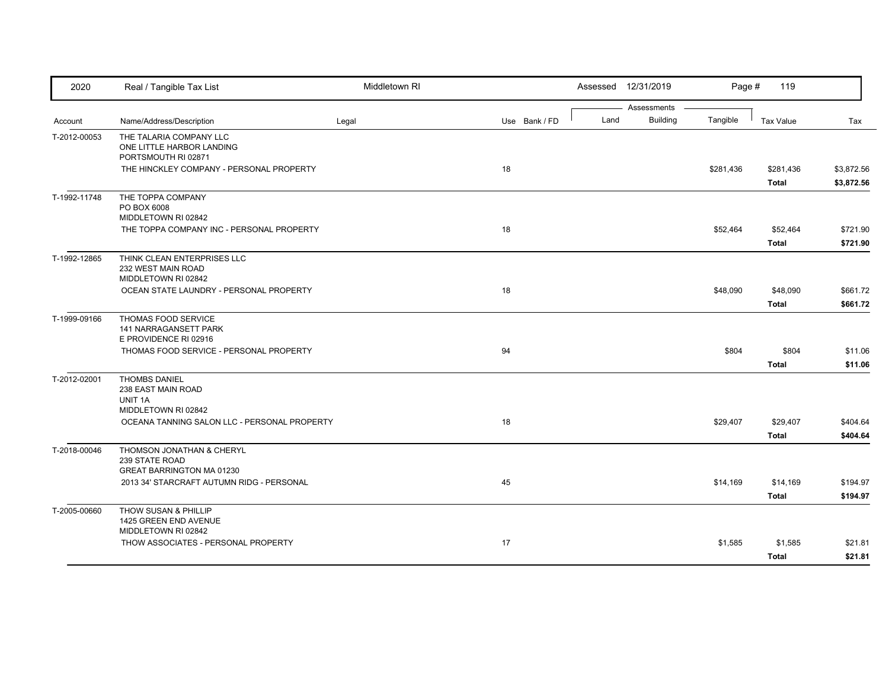| 2020         | Real / Tangible Tax List                                                        | Middletown RI |               |      | Assessed 12/31/2019            | Page #    | 119                       |                          |
|--------------|---------------------------------------------------------------------------------|---------------|---------------|------|--------------------------------|-----------|---------------------------|--------------------------|
| Account      | Name/Address/Description                                                        | Legal         | Use Bank / FD | Land | Assessments<br><b>Building</b> | Tangible  | <b>Tax Value</b>          | Tax                      |
| T-2012-00053 | THE TALARIA COMPANY LLC<br>ONE LITTLE HARBOR LANDING<br>PORTSMOUTH RI 02871     |               |               |      |                                |           |                           |                          |
|              | THE HINCKLEY COMPANY - PERSONAL PROPERTY                                        |               | 18            |      |                                | \$281,436 | \$281,436<br><b>Total</b> | \$3,872.56<br>\$3,872.56 |
| T-1992-11748 | THE TOPPA COMPANY<br>PO BOX 6008<br>MIDDLETOWN RI 02842                         |               |               |      |                                |           |                           |                          |
|              | THE TOPPA COMPANY INC - PERSONAL PROPERTY                                       |               | 18            |      |                                | \$52,464  | \$52,464<br><b>Total</b>  | \$721.90<br>\$721.90     |
| T-1992-12865 | THINK CLEAN ENTERPRISES LLC<br>232 WEST MAIN ROAD<br>MIDDLETOWN RI 02842        |               |               |      |                                |           |                           |                          |
|              | OCEAN STATE LAUNDRY - PERSONAL PROPERTY                                         |               | 18            |      |                                | \$48,090  | \$48,090<br><b>Total</b>  | \$661.72<br>\$661.72     |
| T-1999-09166 | THOMAS FOOD SERVICE<br>141 NARRAGANSETT PARK<br>E PROVIDENCE RI 02916           |               |               |      |                                |           |                           |                          |
|              | THOMAS FOOD SERVICE - PERSONAL PROPERTY                                         |               | 94            |      |                                | \$804     | \$804<br><b>Total</b>     | \$11.06<br>\$11.06       |
| T-2012-02001 | <b>THOMBS DANIEL</b><br>238 EAST MAIN ROAD<br>UNIT 1A<br>MIDDLETOWN RI 02842    |               |               |      |                                |           |                           |                          |
|              | OCEANA TANNING SALON LLC - PERSONAL PROPERTY                                    |               | 18            |      |                                | \$29,407  | \$29,407<br>Total         | \$404.64<br>\$404.64     |
| T-2018-00046 | THOMSON JONATHAN & CHERYL<br>239 STATE ROAD<br><b>GREAT BARRINGTON MA 01230</b> |               |               |      |                                |           |                           |                          |
|              | 2013 34' STARCRAFT AUTUMN RIDG - PERSONAL                                       |               | 45            |      |                                | \$14,169  | \$14,169<br><b>Total</b>  | \$194.97<br>\$194.97     |
| T-2005-00660 | THOW SUSAN & PHILLIP<br>1425 GREEN END AVENUE<br>MIDDLETOWN RI 02842            |               |               |      |                                |           |                           |                          |
|              | THOW ASSOCIATES - PERSONAL PROPERTY                                             |               | 17            |      |                                | \$1,585   | \$1,585<br><b>Total</b>   | \$21.81<br>\$21.81       |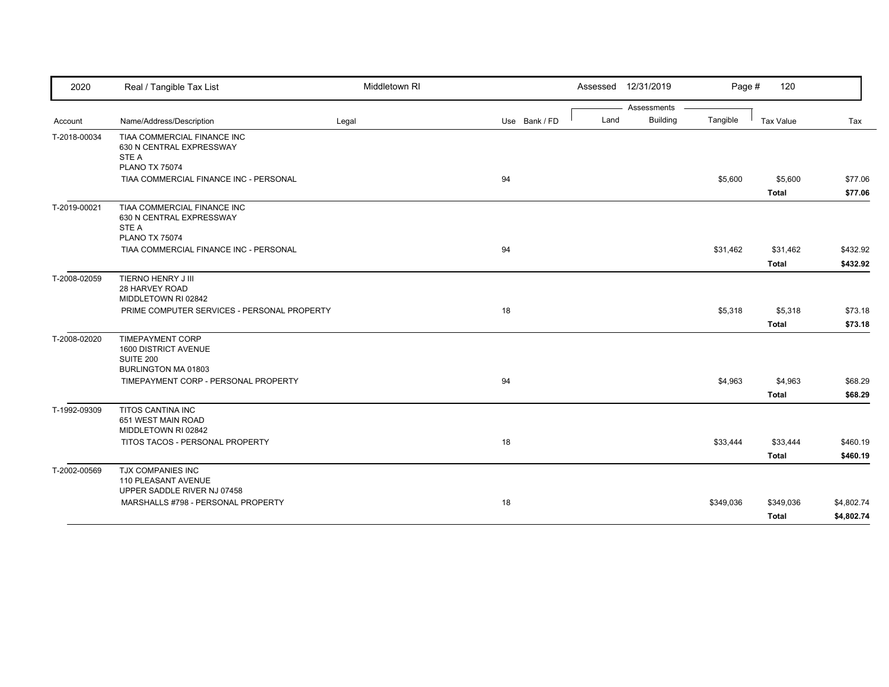| 2020         | Real / Tangible Tax List                                                                   | Middletown RI |               |      | Assessed 12/31/2019 | Page #    | 120              |            |
|--------------|--------------------------------------------------------------------------------------------|---------------|---------------|------|---------------------|-----------|------------------|------------|
|              |                                                                                            |               |               |      | Assessments         |           |                  |            |
| Account      | Name/Address/Description                                                                   | Legal         | Use Bank / FD | Land | <b>Building</b>     | Tangible  | <b>Tax Value</b> | Tax        |
| T-2018-00034 | TIAA COMMERCIAL FINANCE INC<br>630 N CENTRAL EXPRESSWAY<br>STE A<br><b>PLANO TX 75074</b>  |               |               |      |                     |           |                  |            |
|              | TIAA COMMERCIAL FINANCE INC - PERSONAL                                                     |               | 94            |      |                     | \$5,600   | \$5,600          | \$77.06    |
|              |                                                                                            |               |               |      |                     |           | <b>Total</b>     | \$77.06    |
| T-2019-00021 | TIAA COMMERCIAL FINANCE INC<br>630 N CENTRAL EXPRESSWAY<br>STE A<br><b>PLANO TX 75074</b>  |               |               |      |                     |           |                  |            |
|              | TIAA COMMERCIAL FINANCE INC - PERSONAL                                                     |               | 94            |      |                     | \$31,462  | \$31,462         | \$432.92   |
|              |                                                                                            |               |               |      |                     |           | <b>Total</b>     | \$432.92   |
| T-2008-02059 | TIERNO HENRY J III<br>28 HARVEY ROAD<br>MIDDLETOWN RI 02842                                |               |               |      |                     |           |                  |            |
|              | PRIME COMPUTER SERVICES - PERSONAL PROPERTY                                                |               | 18            |      |                     | \$5,318   | \$5,318          | \$73.18    |
|              |                                                                                            |               |               |      |                     |           | <b>Total</b>     | \$73.18    |
| T-2008-02020 | <b>TIMEPAYMENT CORP</b><br>1600 DISTRICT AVENUE<br><b>SUITE 200</b><br>BURLINGTON MA 01803 |               |               |      |                     |           |                  |            |
|              | TIMEPAYMENT CORP - PERSONAL PROPERTY                                                       |               | 94            |      |                     | \$4,963   | \$4,963          | \$68.29    |
|              |                                                                                            |               |               |      |                     |           | <b>Total</b>     | \$68.29    |
| T-1992-09309 | TITOS CANTINA INC<br>651 WEST MAIN ROAD<br>MIDDLETOWN RI 02842                             |               |               |      |                     |           |                  |            |
|              | TITOS TACOS - PERSONAL PROPERTY                                                            |               | 18            |      |                     | \$33,444  | \$33,444         | \$460.19   |
|              |                                                                                            |               |               |      |                     |           | <b>Total</b>     | \$460.19   |
| T-2002-00569 | <b>TJX COMPANIES INC</b><br>110 PLEASANT AVENUE<br>UPPER SADDLE RIVER NJ 07458             |               |               |      |                     |           |                  |            |
|              | MARSHALLS #798 - PERSONAL PROPERTY                                                         |               | 18            |      |                     | \$349,036 | \$349,036        | \$4,802.74 |
|              |                                                                                            |               |               |      |                     |           | Total            | \$4,802.74 |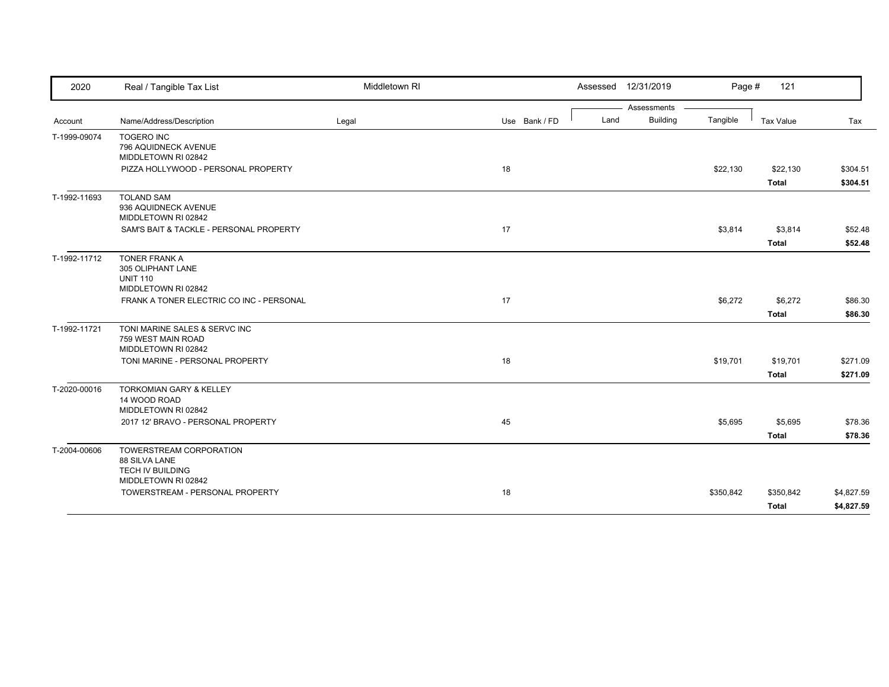| 2020         | Real / Tangible Tax List                                                            | Middletown RI |               | Assessed 12/31/2019 |                 | Page #    | 121                       |                          |
|--------------|-------------------------------------------------------------------------------------|---------------|---------------|---------------------|-----------------|-----------|---------------------------|--------------------------|
|              |                                                                                     |               |               |                     | Assessments     |           |                           |                          |
| Account      | Name/Address/Description                                                            | Legal         | Use Bank / FD | Land                | <b>Building</b> | Tangible  | Tax Value                 | Tax                      |
| T-1999-09074 | <b>TOGERO INC</b><br>796 AQUIDNECK AVENUE<br>MIDDLETOWN RI 02842                    |               |               |                     |                 |           |                           |                          |
|              | PIZZA HOLLYWOOD - PERSONAL PROPERTY                                                 |               | 18            |                     |                 | \$22,130  | \$22,130<br><b>Total</b>  | \$304.51<br>\$304.51     |
| T-1992-11693 | <b>TOLAND SAM</b><br>936 AQUIDNECK AVENUE<br>MIDDLETOWN RI 02842                    |               |               |                     |                 |           |                           |                          |
|              | SAM'S BAIT & TACKLE - PERSONAL PROPERTY                                             |               | 17            |                     |                 | \$3,814   | \$3,814<br><b>Total</b>   | \$52.48<br>\$52.48       |
| T-1992-11712 | TONER FRANK A<br>305 OLIPHANT LANE<br><b>UNIT 110</b><br>MIDDLETOWN RI 02842        |               |               |                     |                 |           |                           |                          |
|              | FRANK A TONER ELECTRIC CO INC - PERSONAL                                            |               | 17            |                     |                 | \$6,272   | \$6,272<br><b>Total</b>   | \$86.30<br>\$86.30       |
| T-1992-11721 | TONI MARINE SALES & SERVC INC<br>759 WEST MAIN ROAD<br>MIDDLETOWN RI 02842          |               |               |                     |                 |           |                           |                          |
|              | TONI MARINE - PERSONAL PROPERTY                                                     |               | 18            |                     |                 | \$19,701  | \$19,701<br><b>Total</b>  | \$271.09<br>\$271.09     |
| T-2020-00016 | <b>TORKOMIAN GARY &amp; KELLEY</b><br>14 WOOD ROAD<br>MIDDLETOWN RI 02842           |               |               |                     |                 |           |                           |                          |
|              | 2017 12' BRAVO - PERSONAL PROPERTY                                                  |               | 45            |                     |                 | \$5,695   | \$5,695<br><b>Total</b>   | \$78.36<br>\$78.36       |
| T-2004-00606 | TOWERSTREAM CORPORATION<br>88 SILVA LANE<br>TECH IV BUILDING<br>MIDDLETOWN RI 02842 |               |               |                     |                 |           |                           |                          |
|              | TOWERSTREAM - PERSONAL PROPERTY                                                     |               | 18            |                     |                 | \$350,842 | \$350,842<br><b>Total</b> | \$4,827.59<br>\$4,827.59 |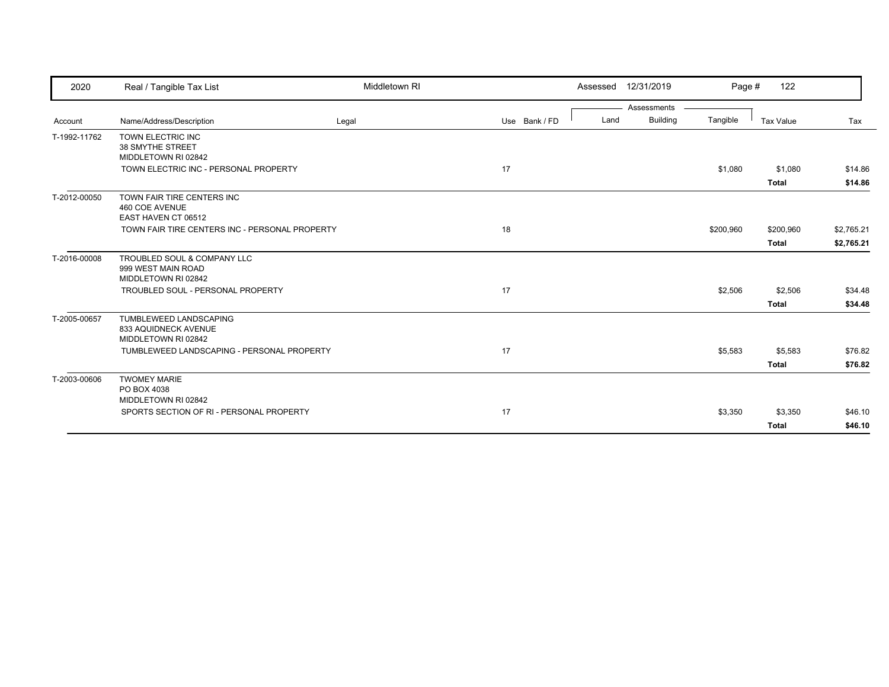| 2020         | Real / Tangible Tax List                                                 | Middletown RI |               | 12/31/2019<br>Assessed  | Page #    | 122                       |                          |
|--------------|--------------------------------------------------------------------------|---------------|---------------|-------------------------|-----------|---------------------------|--------------------------|
|              |                                                                          |               |               | Assessments             |           |                           |                          |
| Account      | Name/Address/Description                                                 | Legal         | Use Bank / FD | <b>Building</b><br>Land | Tangible  | Tax Value                 | Tax                      |
| T-1992-11762 | TOWN ELECTRIC INC<br>38 SMYTHE STREET<br>MIDDLETOWN RI 02842             |               |               |                         |           |                           |                          |
|              | TOWN ELECTRIC INC - PERSONAL PROPERTY                                    |               | 17            |                         | \$1,080   | \$1,080<br><b>Total</b>   | \$14.86<br>\$14.86       |
| T-2012-00050 | TOWN FAIR TIRE CENTERS INC<br>460 COE AVENUE<br>EAST HAVEN CT 06512      |               |               |                         |           |                           |                          |
|              | TOWN FAIR TIRE CENTERS INC - PERSONAL PROPERTY                           |               | 18            |                         | \$200,960 | \$200,960<br><b>Total</b> | \$2,765.21<br>\$2,765.21 |
| T-2016-00008 | TROUBLED SOUL & COMPANY LLC<br>999 WEST MAIN ROAD<br>MIDDLETOWN RI 02842 |               |               |                         |           |                           |                          |
|              | TROUBLED SOUL - PERSONAL PROPERTY                                        |               | 17            |                         | \$2,506   | \$2,506<br><b>Total</b>   | \$34.48<br>\$34.48       |
| T-2005-00657 | TUMBLEWEED LANDSCAPING<br>833 AQUIDNECK AVENUE<br>MIDDLETOWN RI 02842    |               |               |                         |           |                           |                          |
|              | TUMBLEWEED LANDSCAPING - PERSONAL PROPERTY                               |               | 17            |                         | \$5,583   | \$5,583                   | \$76.82                  |
| T-2003-00606 | <b>TWOMEY MARIE</b><br>PO BOX 4038                                       |               |               |                         |           | <b>Total</b>              | \$76.82                  |
|              | MIDDLETOWN RI 02842<br>SPORTS SECTION OF RI - PERSONAL PROPERTY          |               | 17            |                         | \$3,350   | \$3,350                   | \$46.10                  |
|              |                                                                          |               |               |                         |           | <b>Total</b>              | \$46.10                  |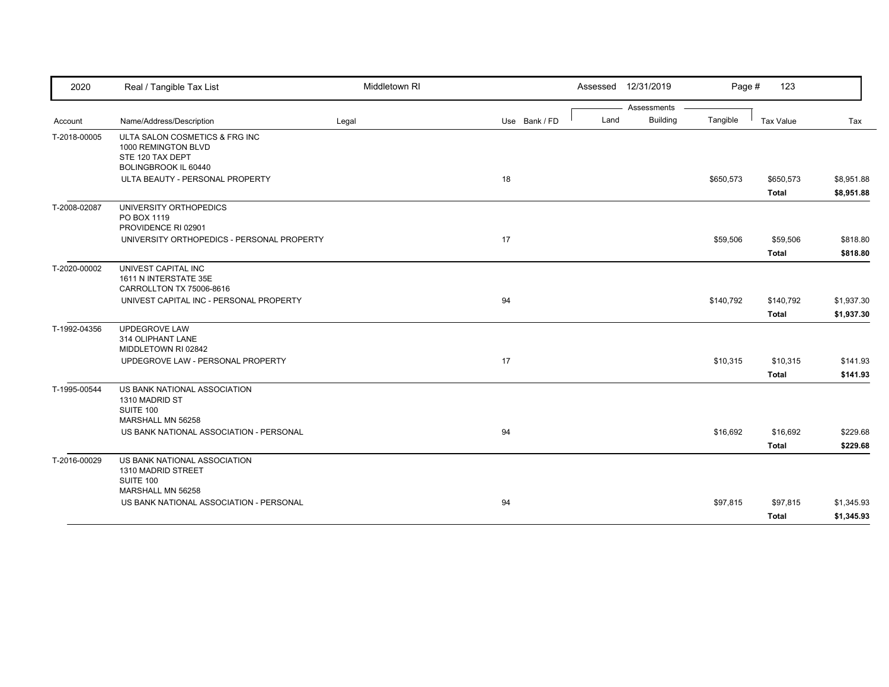| 2020         | Real / Tangible Tax List                                        | Middletown RI |               |      | Assessed 12/31/2019 | Page #    | 123          |            |
|--------------|-----------------------------------------------------------------|---------------|---------------|------|---------------------|-----------|--------------|------------|
|              |                                                                 |               |               |      | Assessments         |           |              |            |
| Account      | Name/Address/Description                                        | Legal         | Use Bank / FD | Land | <b>Building</b>     | Tangible  | Tax Value    | Tax        |
| T-2018-00005 | ULTA SALON COSMETICS & FRG INC<br>1000 REMINGTON BLVD           |               |               |      |                     |           |              |            |
|              | STE 120 TAX DEPT<br>BOLINGBROOK IL 60440                        |               |               |      |                     |           |              |            |
|              | ULTA BEAUTY - PERSONAL PROPERTY                                 |               | 18            |      |                     | \$650,573 | \$650,573    | \$8,951.88 |
|              |                                                                 |               |               |      |                     |           | <b>Total</b> | \$8,951.88 |
| T-2008-02087 | UNIVERSITY ORTHOPEDICS<br>PO BOX 1119                           |               |               |      |                     |           |              |            |
|              | PROVIDENCE RI 02901                                             |               |               |      |                     |           |              |            |
|              | UNIVERSITY ORTHOPEDICS - PERSONAL PROPERTY                      |               | 17            |      |                     | \$59,506  | \$59,506     | \$818.80   |
|              |                                                                 |               |               |      |                     |           | <b>Total</b> | \$818.80   |
| T-2020-00002 | UNIVEST CAPITAL INC<br>1611 N INTERSTATE 35E                    |               |               |      |                     |           |              |            |
|              | CARROLLTON TX 75006-8616                                        |               |               |      |                     |           |              |            |
|              | UNIVEST CAPITAL INC - PERSONAL PROPERTY                         |               | 94            |      |                     | \$140,792 | \$140,792    | \$1,937.30 |
|              |                                                                 |               |               |      |                     |           | <b>Total</b> | \$1,937.30 |
| T-1992-04356 | UPDEGROVE LAW<br>314 OLIPHANT LANE                              |               |               |      |                     |           |              |            |
|              | MIDDLETOWN RI 02842                                             |               |               |      |                     |           |              |            |
|              | UPDEGROVE LAW - PERSONAL PROPERTY                               |               | 17            |      |                     | \$10,315  | \$10,315     | \$141.93   |
|              |                                                                 |               |               |      |                     |           | <b>Total</b> | \$141.93   |
| T-1995-00544 | US BANK NATIONAL ASSOCIATION<br>1310 MADRID ST                  |               |               |      |                     |           |              |            |
|              | SUITE 100                                                       |               |               |      |                     |           |              |            |
|              | MARSHALL MN 56258                                               |               |               |      |                     |           |              |            |
|              | US BANK NATIONAL ASSOCIATION - PERSONAL                         |               | 94            |      |                     | \$16,692  | \$16,692     | \$229.68   |
|              |                                                                 |               |               |      |                     |           | <b>Total</b> | \$229.68   |
| T-2016-00029 | US BANK NATIONAL ASSOCIATION<br>1310 MADRID STREET<br>SUITE 100 |               |               |      |                     |           |              |            |
|              | MARSHALL MN 56258                                               |               |               |      |                     |           |              |            |
|              | US BANK NATIONAL ASSOCIATION - PERSONAL                         |               | 94            |      |                     | \$97,815  | \$97,815     | \$1,345.93 |
|              |                                                                 |               |               |      |                     |           | Total        | \$1,345.93 |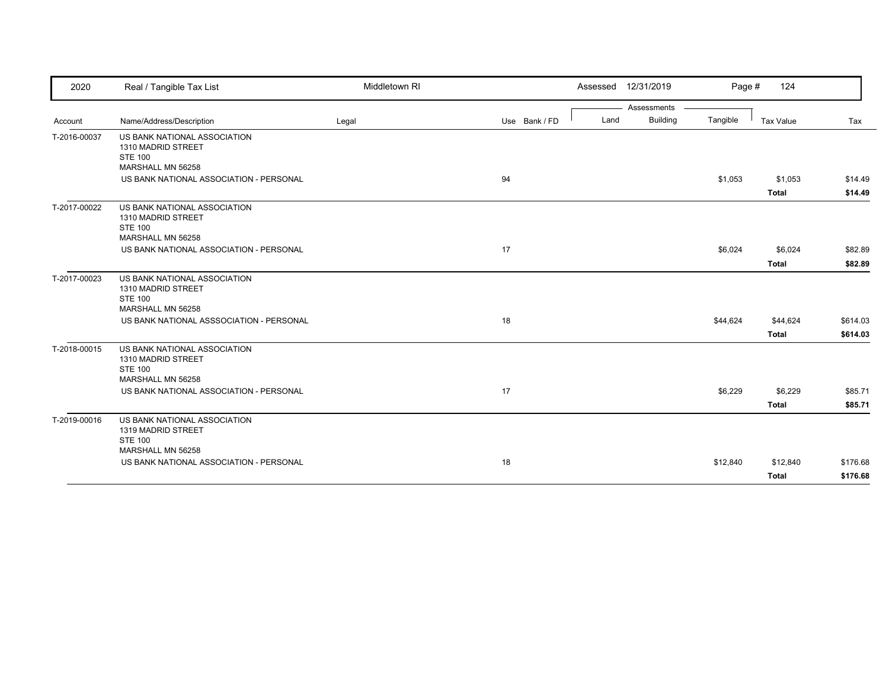| 2020         | Real / Tangible Tax List                                                                  | Middletown RI |               |      | Assessed 12/31/2019            | Page #   | 124                      |                      |
|--------------|-------------------------------------------------------------------------------------------|---------------|---------------|------|--------------------------------|----------|--------------------------|----------------------|
| Account      | Name/Address/Description                                                                  | Legal         | Use Bank / FD | Land | Assessments<br><b>Building</b> | Tangible | <b>Tax Value</b>         | Tax                  |
| T-2016-00037 | US BANK NATIONAL ASSOCIATION<br>1310 MADRID STREET<br><b>STE 100</b><br>MARSHALL MN 56258 |               |               |      |                                |          |                          |                      |
|              | US BANK NATIONAL ASSOCIATION - PERSONAL                                                   |               | 94            |      |                                | \$1,053  | \$1,053<br><b>Total</b>  | \$14.49<br>\$14.49   |
| T-2017-00022 | US BANK NATIONAL ASSOCIATION<br>1310 MADRID STREET<br><b>STE 100</b><br>MARSHALL MN 56258 |               |               |      |                                |          |                          |                      |
|              | US BANK NATIONAL ASSOCIATION - PERSONAL                                                   |               | 17            |      |                                | \$6,024  | \$6,024<br><b>Total</b>  | \$82.89<br>\$82.89   |
| T-2017-00023 | US BANK NATIONAL ASSOCIATION<br>1310 MADRID STREET<br><b>STE 100</b>                      |               |               |      |                                |          |                          |                      |
|              | MARSHALL MN 56258<br>US BANK NATIONAL ASSSOCIATION - PERSONAL                             |               | 18            |      |                                | \$44,624 | \$44,624<br><b>Total</b> | \$614.03<br>\$614.03 |
| T-2018-00015 | US BANK NATIONAL ASSOCIATION<br>1310 MADRID STREET<br><b>STE 100</b><br>MARSHALL MN 56258 |               |               |      |                                |          |                          |                      |
|              | US BANK NATIONAL ASSOCIATION - PERSONAL                                                   |               | 17            |      |                                | \$6,229  | \$6,229<br>Total         | \$85.71<br>\$85.71   |
| T-2019-00016 | US BANK NATIONAL ASSOCIATION<br>1319 MADRID STREET<br><b>STE 100</b>                      |               |               |      |                                |          |                          |                      |
|              | MARSHALL MN 56258<br>US BANK NATIONAL ASSOCIATION - PERSONAL                              |               | 18            |      |                                | \$12,840 | \$12,840<br><b>Total</b> | \$176.68<br>\$176.68 |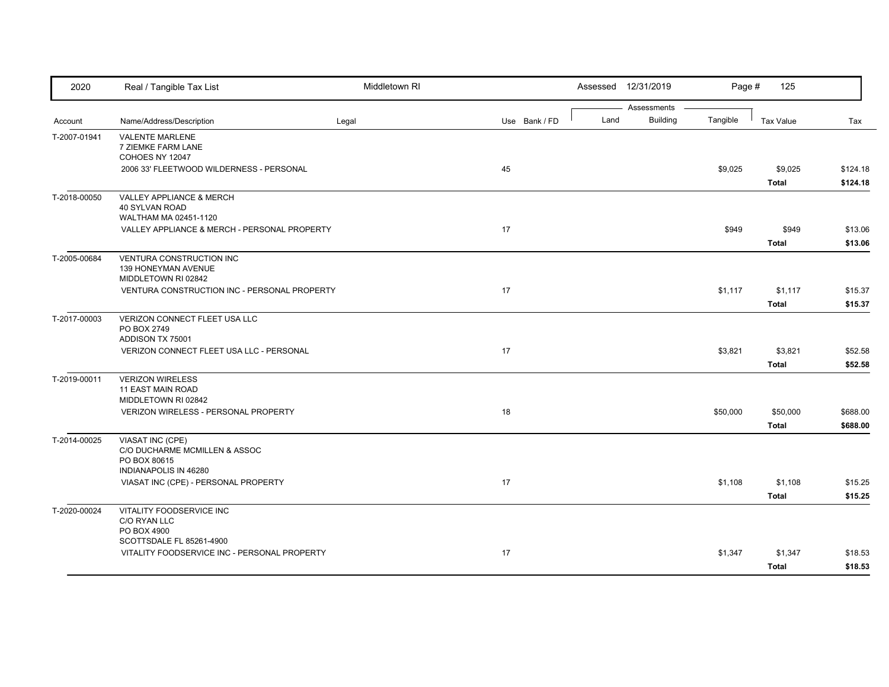| 2020         | Real / Tangible Tax List                                                                   | Middletown RI |               |      | Assessed 12/31/2019            | Page #   | 125                      |                      |
|--------------|--------------------------------------------------------------------------------------------|---------------|---------------|------|--------------------------------|----------|--------------------------|----------------------|
| Account      | Name/Address/Description                                                                   | Legal         | Use Bank / FD | Land | Assessments<br><b>Building</b> | Tangible | <b>Tax Value</b>         | Tax                  |
| T-2007-01941 | <b>VALENTE MARLENE</b><br>7 ZIEMKE FARM LANE<br>COHOES NY 12047                            |               |               |      |                                |          |                          |                      |
|              | 2006 33' FLEETWOOD WILDERNESS - PERSONAL                                                   |               | 45            |      |                                | \$9,025  | \$9,025<br><b>Total</b>  | \$124.18<br>\$124.18 |
| T-2018-00050 | VALLEY APPLIANCE & MERCH<br><b>40 SYLVAN ROAD</b><br>WALTHAM MA 02451-1120                 |               |               |      |                                |          |                          |                      |
|              | VALLEY APPLIANCE & MERCH - PERSONAL PROPERTY                                               |               | 17            |      |                                | \$949    | \$949<br><b>Total</b>    | \$13.06<br>\$13.06   |
| T-2005-00684 | VENTURA CONSTRUCTION INC<br>139 HONEYMAN AVENUE<br>MIDDLETOWN RI 02842                     |               |               |      |                                |          |                          |                      |
|              | VENTURA CONSTRUCTION INC - PERSONAL PROPERTY                                               |               | 17            |      |                                | \$1,117  | \$1,117<br><b>Total</b>  | \$15.37<br>\$15.37   |
| T-2017-00003 | VERIZON CONNECT FLEET USA LLC<br>PO BOX 2749<br>ADDISON TX 75001                           |               |               |      |                                |          |                          |                      |
|              | VERIZON CONNECT FLEET USA LLC - PERSONAL                                                   |               | 17            |      |                                | \$3,821  | \$3,821<br>Total         | \$52.58<br>\$52.58   |
| T-2019-00011 | <b>VERIZON WIRELESS</b><br>11 EAST MAIN ROAD<br>MIDDLETOWN RI 02842                        |               |               |      |                                |          |                          |                      |
|              | VERIZON WIRELESS - PERSONAL PROPERTY                                                       |               | 18            |      |                                | \$50,000 | \$50,000<br><b>Total</b> | \$688.00<br>\$688.00 |
| T-2014-00025 | VIASAT INC (CPE)<br>C/O DUCHARME MCMILLEN & ASSOC<br>PO BOX 80615<br>INDIANAPOLIS IN 46280 |               |               |      |                                |          |                          |                      |
|              | VIASAT INC (CPE) - PERSONAL PROPERTY                                                       |               | 17            |      |                                | \$1,108  | \$1,108<br><b>Total</b>  | \$15.25<br>\$15.25   |
| T-2020-00024 | VITALITY FOODSERVICE INC<br>C/O RYAN LLC<br>PO BOX 4900                                    |               |               |      |                                |          |                          |                      |
|              | SCOTTSDALE FL 85261-4900<br>VITALITY FOODSERVICE INC - PERSONAL PROPERTY                   |               | 17            |      |                                | \$1,347  | \$1,347<br>Total         | \$18.53<br>\$18.53   |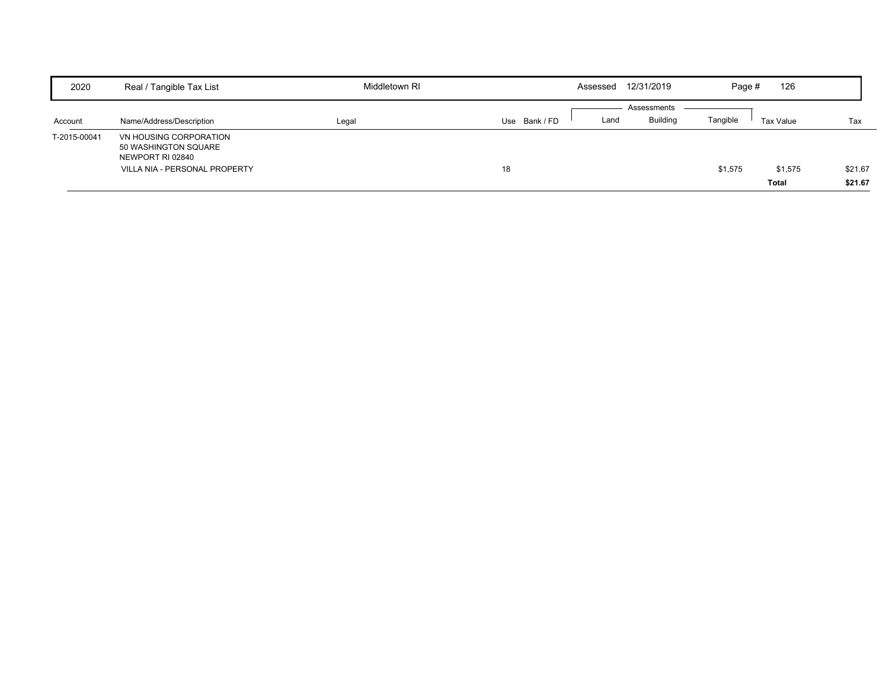| 2020         | Real / Tangible Tax List                                           | Middletown RI | Assessed              | 12/31/2019  | Page #   | 126          |         |
|--------------|--------------------------------------------------------------------|---------------|-----------------------|-------------|----------|--------------|---------|
|              |                                                                    |               |                       | Assessments |          |              |         |
| Account      | Name/Address/Description                                           | Legal         | Use Bank / FD<br>Land | Buildina    | Tangible | Tax Value    | Tax     |
| T-2015-00041 | VN HOUSING CORPORATION<br>50 WASHINGTON SQUARE<br>NEWPORT RI 02840 |               |                       |             |          |              |         |
|              | VILLA NIA - PERSONAL PROPERTY                                      |               | 18                    |             | \$1,575  | \$1,575      | \$21.67 |
|              |                                                                    |               |                       |             |          | <b>Total</b> | \$21.67 |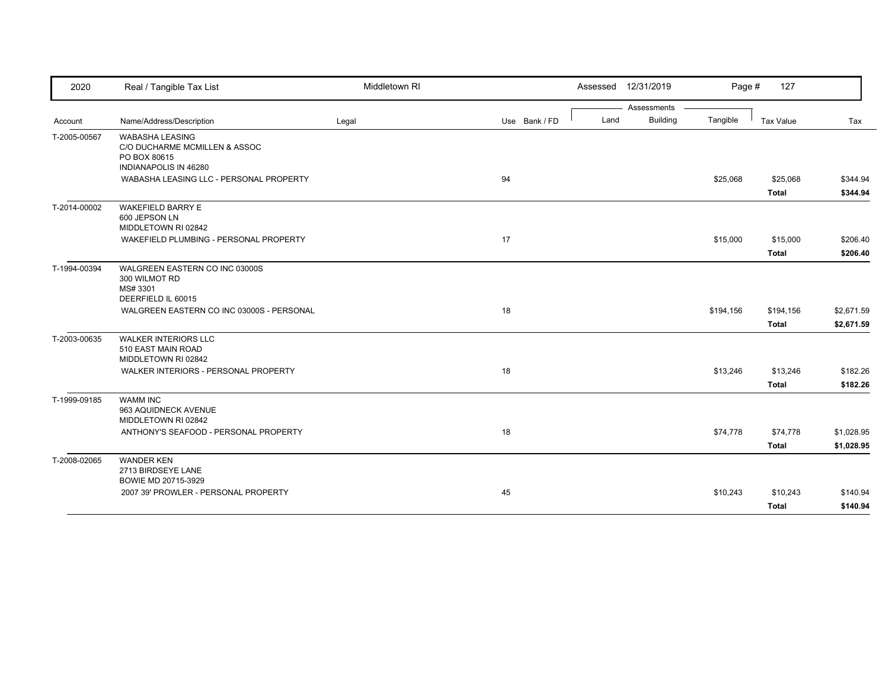| 2020         | Real / Tangible Tax List                                                                         | Middletown RI |               | Assessed 12/31/2019 |                 | Page #    | 127          |            |
|--------------|--------------------------------------------------------------------------------------------------|---------------|---------------|---------------------|-----------------|-----------|--------------|------------|
|              |                                                                                                  |               |               |                     | Assessments     |           |              |            |
| Account      | Name/Address/Description                                                                         | Legal         | Use Bank / FD | Land                | <b>Building</b> | Tangible  | Tax Value    | Tax        |
| T-2005-00567 | <b>WABASHA LEASING</b><br>C/O DUCHARME MCMILLEN & ASSOC<br>PO BOX 80615<br>INDIANAPOLIS IN 46280 |               |               |                     |                 |           |              |            |
|              | WABASHA LEASING LLC - PERSONAL PROPERTY                                                          |               | 94            |                     |                 | \$25,068  | \$25,068     | \$344.94   |
|              |                                                                                                  |               |               |                     |                 |           | <b>Total</b> | \$344.94   |
| T-2014-00002 | <b>WAKEFIELD BARRY E</b><br>600 JEPSON LN<br>MIDDLETOWN RI 02842                                 |               |               |                     |                 |           |              |            |
|              | WAKEFIELD PLUMBING - PERSONAL PROPERTY                                                           |               | 17            |                     |                 | \$15,000  | \$15,000     | \$206.40   |
|              |                                                                                                  |               |               |                     |                 |           | Total        | \$206.40   |
| T-1994-00394 | WALGREEN EASTERN CO INC 03000S<br>300 WILMOT RD<br>MS# 3301<br>DEERFIELD IL 60015                |               |               |                     |                 |           |              |            |
|              | WALGREEN EASTERN CO INC 03000S - PERSONAL                                                        |               | 18            |                     |                 | \$194,156 | \$194,156    | \$2,671.59 |
|              |                                                                                                  |               |               |                     |                 |           | <b>Total</b> | \$2,671.59 |
| T-2003-00635 | <b>WALKER INTERIORS LLC</b><br>510 EAST MAIN ROAD<br>MIDDLETOWN RI 02842                         |               |               |                     |                 |           |              |            |
|              | WALKER INTERIORS - PERSONAL PROPERTY                                                             |               | 18            |                     |                 | \$13,246  | \$13,246     | \$182.26   |
|              |                                                                                                  |               |               |                     |                 |           | <b>Total</b> | \$182.26   |
| T-1999-09185 | <b>WAMM INC</b><br>963 AQUIDNECK AVENUE<br>MIDDLETOWN RI 02842                                   |               |               |                     |                 |           |              |            |
|              | ANTHONY'S SEAFOOD - PERSONAL PROPERTY                                                            |               | 18            |                     |                 | \$74,778  | \$74,778     | \$1,028.95 |
|              |                                                                                                  |               |               |                     |                 |           | <b>Total</b> | \$1,028.95 |
| T-2008-02065 | <b>WANDER KEN</b><br>2713 BIRDSEYE LANE<br>BOWIE MD 20715-3929                                   |               |               |                     |                 |           |              |            |
|              | 2007 39' PROWLER - PERSONAL PROPERTY                                                             |               | 45            |                     |                 | \$10,243  | \$10,243     | \$140.94   |
|              |                                                                                                  |               |               |                     |                 |           | Total        | \$140.94   |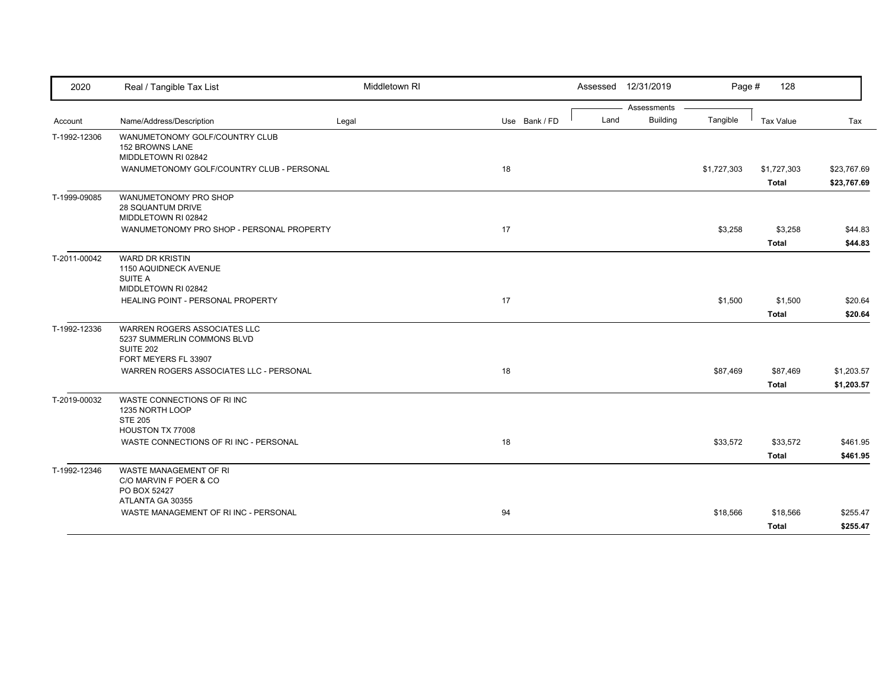| 2020         | Real / Tangible Tax List                                                                                                     | Middletown RI |               | Assessed 12/31/2019                    | Page #      | 128                      |                          |
|--------------|------------------------------------------------------------------------------------------------------------------------------|---------------|---------------|----------------------------------------|-------------|--------------------------|--------------------------|
| Account      | Name/Address/Description                                                                                                     | Legal         | Use Bank / FD | Assessments<br><b>Building</b><br>Land | Tangible    | <b>Tax Value</b>         | Tax                      |
| T-1992-12306 | WANUMETONOMY GOLF/COUNTRY CLUB<br><b>152 BROWNS LANE</b><br>MIDDLETOWN RI 02842<br>WANUMETONOMY GOLF/COUNTRY CLUB - PERSONAL |               | 18            |                                        | \$1,727,303 | \$1,727,303              | \$23,767.69              |
|              |                                                                                                                              |               |               |                                        |             | <b>Total</b>             | \$23,767.69              |
| T-1999-09085 | WANUMETONOMY PRO SHOP<br>28 SQUANTUM DRIVE<br>MIDDLETOWN RI 02842                                                            |               |               |                                        |             |                          |                          |
|              | WANUMETONOMY PRO SHOP - PERSONAL PROPERTY                                                                                    |               | 17            |                                        | \$3,258     | \$3,258<br><b>Total</b>  | \$44.83<br>\$44.83       |
| T-2011-00042 | <b>WARD DR KRISTIN</b><br>1150 AQUIDNECK AVENUE<br><b>SUITE A</b><br>MIDDLETOWN RI 02842                                     |               |               |                                        |             |                          |                          |
|              | HEALING POINT - PERSONAL PROPERTY                                                                                            |               | 17            |                                        | \$1,500     | \$1,500<br><b>Total</b>  | \$20.64<br>\$20.64       |
| T-1992-12336 | WARREN ROGERS ASSOCIATES LLC<br>5237 SUMMERLIN COMMONS BLVD<br><b>SUITE 202</b><br>FORT MEYERS FL 33907                      |               |               |                                        |             |                          |                          |
|              | WARREN ROGERS ASSOCIATES LLC - PERSONAL                                                                                      |               | 18            |                                        | \$87,469    | \$87,469<br><b>Total</b> | \$1,203.57<br>\$1,203.57 |
| T-2019-00032 | WASTE CONNECTIONS OF RIINC<br>1235 NORTH LOOP<br><b>STE 205</b><br>HOUSTON TX 77008                                          |               |               |                                        |             |                          |                          |
|              | WASTE CONNECTIONS OF RI INC - PERSONAL                                                                                       |               | 18            |                                        | \$33,572    | \$33,572<br><b>Total</b> | \$461.95<br>\$461.95     |
| T-1992-12346 | WASTE MANAGEMENT OF RI<br>C/O MARVIN F POER & CO<br>PO BOX 52427                                                             |               |               |                                        |             |                          |                          |
|              | ATLANTA GA 30355<br>WASTE MANAGEMENT OF RI INC - PERSONAL                                                                    |               | 94            |                                        | \$18,566    | \$18,566<br><b>Total</b> | \$255.47<br>\$255.47     |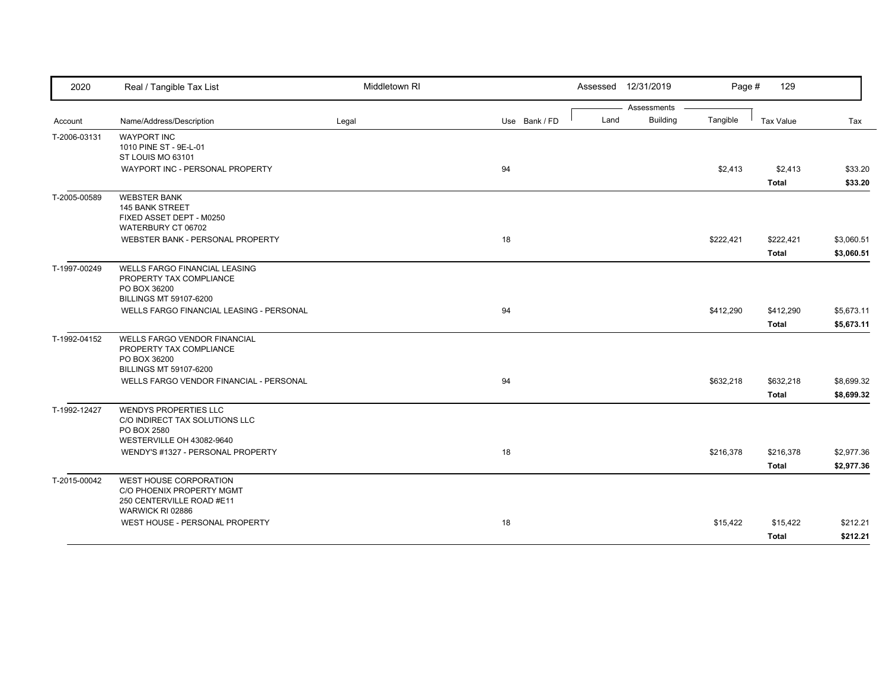| 2020         | Real / Tangible Tax List                           | Middletown RI |               |      | Assessed 12/31/2019            | Page #    | 129              |            |
|--------------|----------------------------------------------------|---------------|---------------|------|--------------------------------|-----------|------------------|------------|
|              |                                                    |               |               | Land | Assessments<br><b>Building</b> | Tangible  |                  |            |
| Account      | Name/Address/Description                           | Legal         | Use Bank / FD |      |                                |           | <b>Tax Value</b> | Tax        |
| T-2006-03131 | <b>WAYPORT INC</b><br>1010 PINE ST - 9E-L-01       |               |               |      |                                |           |                  |            |
|              | ST LOUIS MO 63101                                  |               |               |      |                                |           |                  |            |
|              | WAYPORT INC - PERSONAL PROPERTY                    |               | 94            |      |                                | \$2,413   | \$2,413          | \$33.20    |
|              |                                                    |               |               |      |                                |           | <b>Total</b>     | \$33.20    |
| T-2005-00589 | <b>WEBSTER BANK</b>                                |               |               |      |                                |           |                  |            |
|              | <b>145 BANK STREET</b>                             |               |               |      |                                |           |                  |            |
|              | FIXED ASSET DEPT - M0250<br>WATERBURY CT 06702     |               |               |      |                                |           |                  |            |
|              | WEBSTER BANK - PERSONAL PROPERTY                   |               | 18            |      |                                | \$222,421 | \$222,421        | \$3,060.51 |
|              |                                                    |               |               |      |                                |           | <b>Total</b>     | \$3,060.51 |
| T-1997-00249 | <b>WELLS FARGO FINANCIAL LEASING</b>               |               |               |      |                                |           |                  |            |
|              | PROPERTY TAX COMPLIANCE                            |               |               |      |                                |           |                  |            |
|              | PO BOX 36200                                       |               |               |      |                                |           |                  |            |
|              | <b>BILLINGS MT 59107-6200</b>                      |               |               |      |                                |           |                  |            |
|              | WELLS FARGO FINANCIAL LEASING - PERSONAL           |               | 94            |      |                                | \$412,290 | \$412,290        | \$5,673.11 |
|              |                                                    |               |               |      |                                |           | <b>Total</b>     | \$5,673.11 |
| T-1992-04152 | <b>WELLS FARGO VENDOR FINANCIAL</b>                |               |               |      |                                |           |                  |            |
|              | PROPERTY TAX COMPLIANCE<br>PO BOX 36200            |               |               |      |                                |           |                  |            |
|              | <b>BILLINGS MT 59107-6200</b>                      |               |               |      |                                |           |                  |            |
|              | WELLS FARGO VENDOR FINANCIAL - PERSONAL            |               | 94            |      |                                | \$632,218 | \$632,218        | \$8,699.32 |
|              |                                                    |               |               |      |                                |           | <b>Total</b>     | \$8,699.32 |
| T-1992-12427 | WENDYS PROPERTIES LLC                              |               |               |      |                                |           |                  |            |
|              | C/O INDIRECT TAX SOLUTIONS LLC                     |               |               |      |                                |           |                  |            |
|              | PO BOX 2580<br>WESTERVILLE OH 43082-9640           |               |               |      |                                |           |                  |            |
|              | WENDY'S #1327 - PERSONAL PROPERTY                  |               | 18            |      |                                | \$216,378 | \$216,378        | \$2,977.36 |
|              |                                                    |               |               |      |                                |           | <b>Total</b>     | \$2,977.36 |
| T-2015-00042 | WEST HOUSE CORPORATION                             |               |               |      |                                |           |                  |            |
|              | C/O PHOENIX PROPERTY MGMT                          |               |               |      |                                |           |                  |            |
|              | 250 CENTERVILLE ROAD #E11                          |               |               |      |                                |           |                  |            |
|              | WARWICK RI 02886<br>WEST HOUSE - PERSONAL PROPERTY |               |               |      |                                |           |                  |            |
|              |                                                    |               | 18            |      |                                | \$15,422  | \$15,422         | \$212.21   |
|              |                                                    |               |               |      |                                |           | <b>Total</b>     | \$212.21   |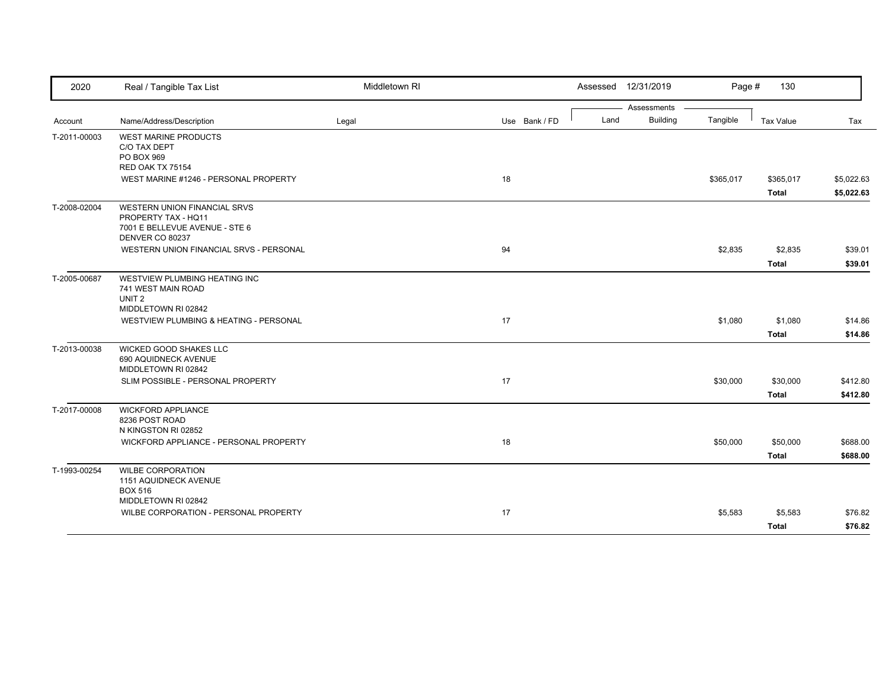| 2020         | Real / Tangible Tax List                              | Middletown RI |               |      | Assessed 12/31/2019 | Page #    | 130          |            |
|--------------|-------------------------------------------------------|---------------|---------------|------|---------------------|-----------|--------------|------------|
|              |                                                       |               |               |      | Assessments         |           |              |            |
| Account      | Name/Address/Description                              | Legal         | Use Bank / FD | Land | <b>Building</b>     | Tangible  | Tax Value    | Tax        |
| T-2011-00003 | <b>WEST MARINE PRODUCTS</b><br>C/O TAX DEPT           |               |               |      |                     |           |              |            |
|              | PO BOX 969                                            |               |               |      |                     |           |              |            |
|              | RED OAK TX 75154                                      |               |               |      |                     |           |              |            |
|              | WEST MARINE #1246 - PERSONAL PROPERTY                 |               | 18            |      |                     | \$365,017 | \$365,017    | \$5,022.63 |
|              |                                                       |               |               |      |                     |           | <b>Total</b> | \$5,022.63 |
| T-2008-02004 | <b>WESTERN UNION FINANCIAL SRVS</b>                   |               |               |      |                     |           |              |            |
|              | PROPERTY TAX - HQ11<br>7001 E BELLEVUE AVENUE - STE 6 |               |               |      |                     |           |              |            |
|              | DENVER CO 80237                                       |               |               |      |                     |           |              |            |
|              | WESTERN UNION FINANCIAL SRVS - PERSONAL               |               | 94            |      |                     | \$2,835   | \$2,835      | \$39.01    |
|              |                                                       |               |               |      |                     |           | <b>Total</b> | \$39.01    |
| T-2005-00687 | WESTVIEW PLUMBING HEATING INC                         |               |               |      |                     |           |              |            |
|              | 741 WEST MAIN ROAD                                    |               |               |      |                     |           |              |            |
|              | UNIT <sub>2</sub>                                     |               |               |      |                     |           |              |            |
|              | MIDDLETOWN RI 02842                                   |               |               |      |                     | \$1,080   |              |            |
|              | <b>WESTVIEW PLUMBING &amp; HEATING - PERSONAL</b>     |               | 17            |      |                     |           | \$1,080      | \$14.86    |
|              |                                                       |               |               |      |                     |           | <b>Total</b> | \$14.86    |
| T-2013-00038 | WICKED GOOD SHAKES LLC<br>690 AQUIDNECK AVENUE        |               |               |      |                     |           |              |            |
|              | MIDDLETOWN RI 02842                                   |               |               |      |                     |           |              |            |
|              | SLIM POSSIBLE - PERSONAL PROPERTY                     |               | 17            |      |                     | \$30,000  | \$30,000     | \$412.80   |
|              |                                                       |               |               |      |                     |           | <b>Total</b> | \$412.80   |
| T-2017-00008 | <b>WICKFORD APPLIANCE</b>                             |               |               |      |                     |           |              |            |
|              | 8236 POST ROAD                                        |               |               |      |                     |           |              |            |
|              | N KINGSTON RI 02852                                   |               |               |      |                     |           |              |            |
|              | WICKFORD APPLIANCE - PERSONAL PROPERTY                |               | 18            |      |                     | \$50,000  | \$50,000     | \$688.00   |
|              |                                                       |               |               |      |                     |           | <b>Total</b> | \$688.00   |
| T-1993-00254 | <b>WILBE CORPORATION</b>                              |               |               |      |                     |           |              |            |
|              | 1151 AQUIDNECK AVENUE                                 |               |               |      |                     |           |              |            |
|              | <b>BOX 516</b><br>MIDDLETOWN RI 02842                 |               |               |      |                     |           |              |            |
|              | WILBE CORPORATION - PERSONAL PROPERTY                 |               | 17            |      |                     | \$5,583   | \$5,583      | \$76.82    |
|              |                                                       |               |               |      |                     |           | <b>Total</b> | \$76.82    |
|              |                                                       |               |               |      |                     |           |              |            |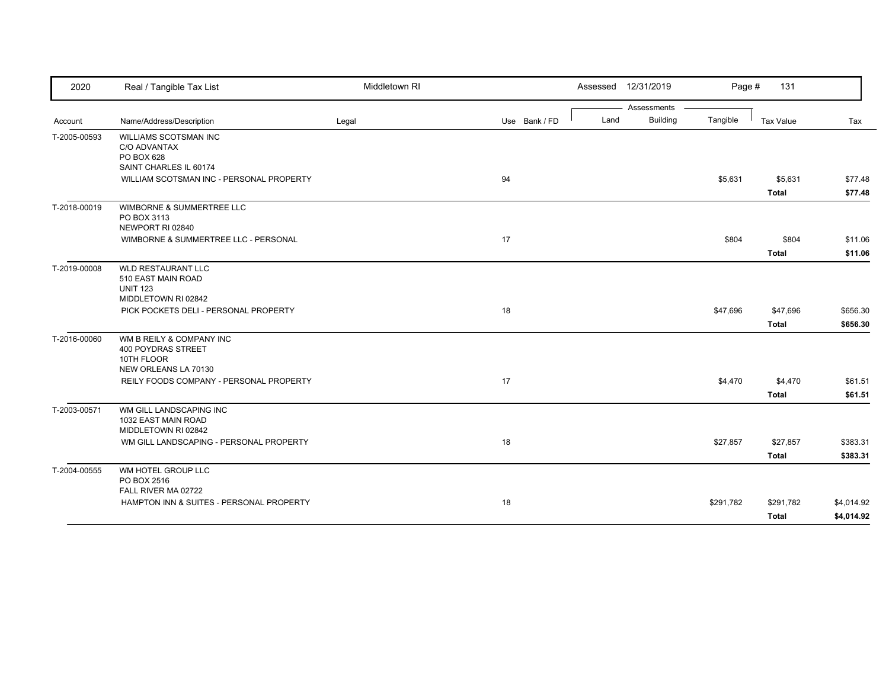| 2020         | Real / Tangible Tax List                                                                  | Middletown RI |               | Assessed 12/31/2019     | Page #    | 131                       |                          |
|--------------|-------------------------------------------------------------------------------------------|---------------|---------------|-------------------------|-----------|---------------------------|--------------------------|
|              |                                                                                           |               |               | Assessments             |           |                           |                          |
| Account      | Name/Address/Description                                                                  | Legal         | Use Bank / FD | <b>Building</b><br>Land | Tangible  | Tax Value                 | Tax                      |
| T-2005-00593 | WILLIAMS SCOTSMAN INC<br>C/O ADVANTAX<br>PO BOX 628                                       |               |               |                         |           |                           |                          |
|              | SAINT CHARLES IL 60174                                                                    |               |               |                         |           |                           |                          |
|              | WILLIAM SCOTSMAN INC - PERSONAL PROPERTY                                                  |               | 94            |                         | \$5,631   | \$5,631<br><b>Total</b>   | \$77.48<br>\$77.48       |
| T-2018-00019 | WIMBORNE & SUMMERTREE LLC<br>PO BOX 3113<br>NEWPORT RI 02840                              |               |               |                         |           |                           |                          |
|              | WIMBORNE & SUMMERTREE LLC - PERSONAL                                                      |               | 17            |                         | \$804     | \$804                     | \$11.06                  |
|              |                                                                                           |               |               |                         |           | <b>Total</b>              | \$11.06                  |
| T-2019-00008 | <b>WLD RESTAURANT LLC</b><br>510 EAST MAIN ROAD<br><b>UNIT 123</b><br>MIDDLETOWN RI 02842 |               |               |                         |           |                           |                          |
|              | PICK POCKETS DELI - PERSONAL PROPERTY                                                     |               | 18            |                         | \$47,696  | \$47,696                  | \$656.30                 |
|              |                                                                                           |               |               |                         |           | <b>Total</b>              | \$656.30                 |
| T-2016-00060 | WM B REILY & COMPANY INC<br><b>400 POYDRAS STREET</b><br>10TH FLOOR                       |               |               |                         |           |                           |                          |
|              | NEW ORLEANS LA 70130<br>REILY FOODS COMPANY - PERSONAL PROPERTY                           |               | 17            |                         |           |                           | \$61.51                  |
|              |                                                                                           |               |               |                         | \$4,470   | \$4,470<br><b>Total</b>   | \$61.51                  |
| T-2003-00571 | WM GILL LANDSCAPING INC<br>1032 EAST MAIN ROAD<br>MIDDLETOWN RI 02842                     |               |               |                         |           |                           |                          |
|              | WM GILL LANDSCAPING - PERSONAL PROPERTY                                                   |               | 18            |                         | \$27,857  | \$27,857                  | \$383.31                 |
|              |                                                                                           |               |               |                         |           | <b>Total</b>              | \$383.31                 |
| T-2004-00555 | WM HOTEL GROUP LLC<br>PO BOX 2516<br>FALL RIVER MA 02722                                  |               |               |                         |           |                           |                          |
|              | HAMPTON INN & SUITES - PERSONAL PROPERTY                                                  |               | 18            |                         | \$291,782 | \$291,782<br><b>Total</b> | \$4,014.92<br>\$4,014.92 |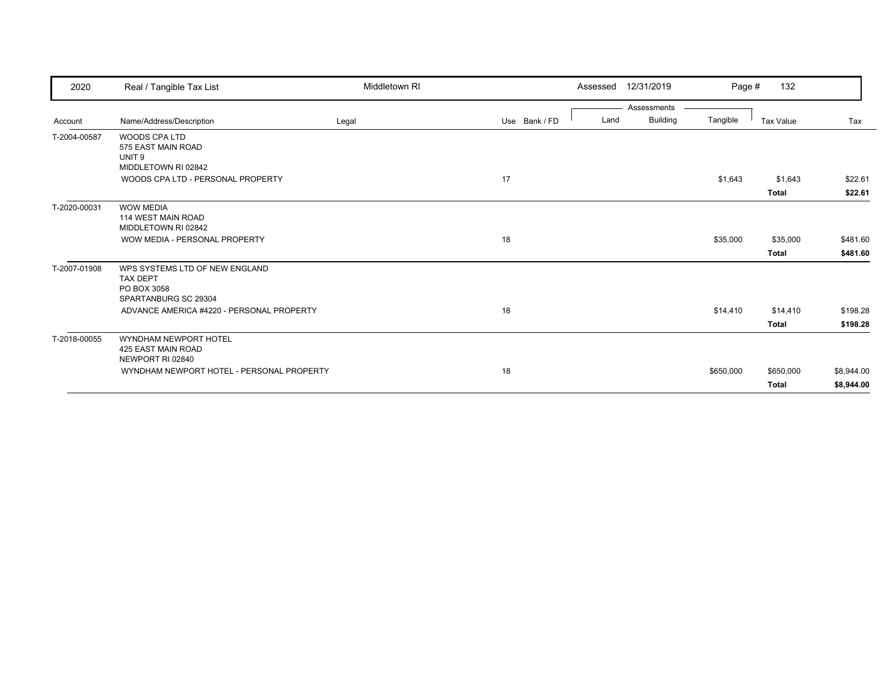| 2020         | Real / Tangible Tax List                                                                 | Middletown RI |               | Assessed | 12/31/2019      | Page #    | 132          |            |
|--------------|------------------------------------------------------------------------------------------|---------------|---------------|----------|-----------------|-----------|--------------|------------|
|              |                                                                                          |               |               |          | Assessments     |           |              |            |
| Account      | Name/Address/Description                                                                 | Legal         | Use Bank / FD | Land     | <b>Building</b> | Tangible  | Tax Value    | Tax        |
| T-2004-00587 | <b>WOODS CPA LTD</b><br>575 EAST MAIN ROAD<br>UNIT <sub>9</sub>                          |               |               |          |                 |           |              |            |
|              | MIDDLETOWN RI 02842                                                                      |               |               |          |                 |           |              |            |
|              | WOODS CPA LTD - PERSONAL PROPERTY                                                        |               | 17            |          |                 | \$1,643   | \$1,643      | \$22.61    |
|              |                                                                                          |               |               |          |                 |           | <b>Total</b> | \$22.61    |
| T-2020-00031 | <b>WOW MEDIA</b><br>114 WEST MAIN ROAD<br>MIDDLETOWN RI 02842                            |               |               |          |                 |           |              |            |
|              | WOW MEDIA - PERSONAL PROPERTY                                                            |               | 18            |          |                 | \$35,000  | \$35,000     | \$481.60   |
|              |                                                                                          |               |               |          |                 |           | <b>Total</b> | \$481.60   |
| T-2007-01908 | WPS SYSTEMS LTD OF NEW ENGLAND<br><b>TAX DEPT</b><br>PO BOX 3058<br>SPARTANBURG SC 29304 |               |               |          |                 |           |              |            |
|              | ADVANCE AMERICA #4220 - PERSONAL PROPERTY                                                |               | 18            |          |                 | \$14,410  | \$14,410     | \$198.28   |
|              |                                                                                          |               |               |          |                 |           | Total        | \$198.28   |
| T-2018-00055 | WYNDHAM NEWPORT HOTEL<br>425 EAST MAIN ROAD<br>NEWPORT RI 02840                          |               |               |          |                 |           |              |            |
|              | WYNDHAM NEWPORT HOTEL - PERSONAL PROPERTY                                                |               | 18            |          |                 | \$650,000 | \$650,000    | \$8,944.00 |
|              |                                                                                          |               |               |          |                 |           | <b>Total</b> | \$8,944.00 |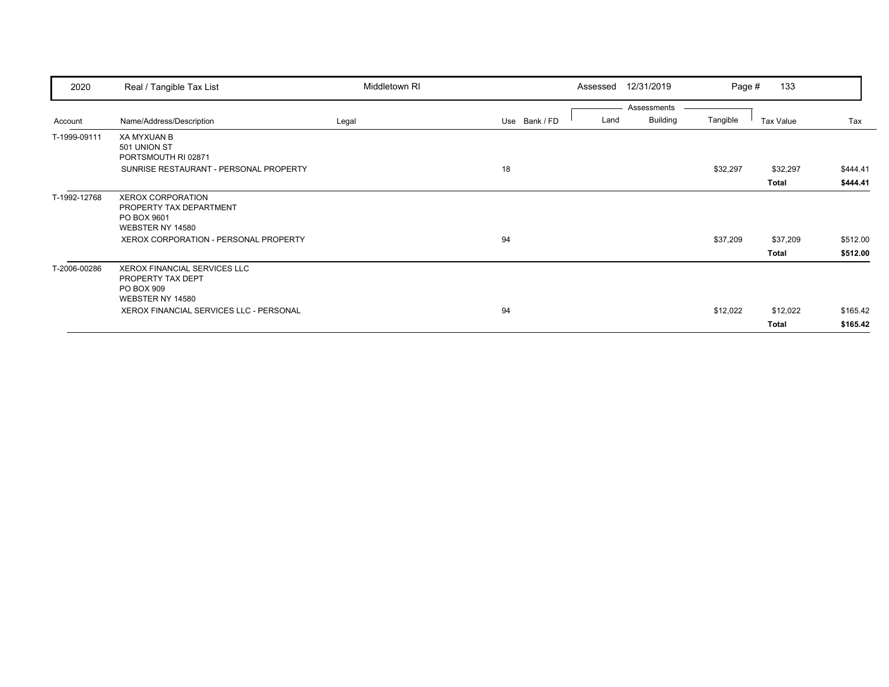| 2020         | Real / Tangible Tax List                                                                   | Middletown RI |               | 12/31/2019<br>Assessed  | Page #   | 133          |          |
|--------------|--------------------------------------------------------------------------------------------|---------------|---------------|-------------------------|----------|--------------|----------|
|              |                                                                                            |               |               | Assessments             |          |              |          |
| Account      | Name/Address/Description                                                                   | Legal         | Use Bank / FD | <b>Building</b><br>Land | Tangible | Tax Value    | Tax      |
| T-1999-09111 | <b>XA MYXUAN B</b><br>501 UNION ST<br>PORTSMOUTH RI 02871                                  |               |               |                         |          |              |          |
|              | SUNRISE RESTAURANT - PERSONAL PROPERTY                                                     |               | 18            |                         | \$32,297 | \$32,297     | \$444.41 |
|              |                                                                                            |               |               |                         |          | <b>Total</b> | \$444.41 |
| T-1992-12768 | XEROX CORPORATION<br>PROPERTY TAX DEPARTMENT<br>PO BOX 9601<br>WEBSTER NY 14580            |               |               |                         |          |              |          |
|              | XEROX CORPORATION - PERSONAL PROPERTY                                                      |               | 94            |                         | \$37,209 | \$37,209     | \$512.00 |
|              |                                                                                            |               |               |                         |          | Total        | \$512.00 |
| T-2006-00286 | <b>XEROX FINANCIAL SERVICES LLC</b><br>PROPERTY TAX DEPT<br>PO BOX 909<br>WEBSTER NY 14580 |               |               |                         |          |              |          |
|              | <b>XEROX FINANCIAL SERVICES LLC - PERSONAL</b>                                             |               | 94            |                         | \$12,022 | \$12,022     | \$165.42 |
|              |                                                                                            |               |               |                         |          | <b>Total</b> | \$165.42 |